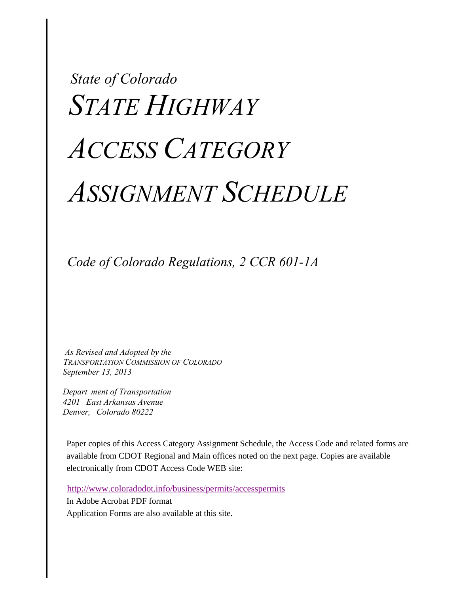# *State of Colorado STATE HIGHWAY ACCESS CATEGORY ASSIGNMENT SCHEDULE*

 *Code of Colorado Regulations, 2 CCR 601-1A*

 *As Revised and Adopted by the TRANSPORTATION COMMISSION OF COLORADO September 13, 2013* 

 *Depart ment of Transportation 4201 East Arkansas Avenue Denver, Colorado 80222* 

Paper copies of this Access Category Assignment Schedule, the Access Code and related forms are available from CDOT Regional and Main offices noted on the next page. Copies are available electronically from CDOT Access Code WEB site:

http://www.coloradodot.info/business/permits/accesspermits

In Adobe Acrobat PDF format

Application Forms are also available at this site.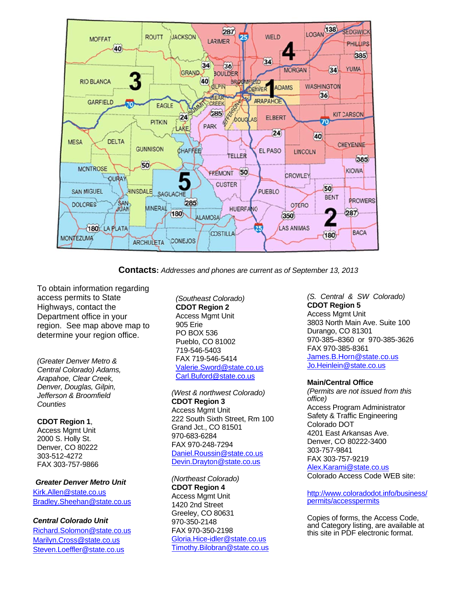

Contacts: Addresses and phones are current as of September 13, 2013

To obtain information regarding access permits to State Highways, contact the D epartment o ffice in your region. See map above map to determine your region office.

*(Greater Denver Metro & Central Colorado*) Adams, Arapahoe, Clear Creek, Denver, Douglas, Gilpin, *Je efferson & Bro oomfield Co ounties*

**C DOT Region 1**, Ac ccess Mgmt U Unit 20 000 S. Holly S St. Denver, CO 80222 30 03-512-4272 FA AX 303-757-9 9866

*Greater Denver Metro Unit* Kirk.Allen@state.co.us Bradley.Sheehan@state.co.us

*Central Colorado Unit* 

Richard.Solomon@state.co.us Marilyn.Cross@state.co.us Steven.Loeffler@state.co.us

*(Southeast C Colorado)*  **CDOT Regi on 2**  Access Mgmt Unit 905 Erie PO BOX 536 PO BOX 536<br>Pueblo, CO 81002 719-546-540 03 FAX 719-54 6-5414 Valerie.Sword@state.co.us Carl.Buford@ @state.co.us

*(West & northwest Colorado)* **CDOT Region 3** Access Mgmt Unit 222 South Sixth Street, Rm 100 Grand Jct., C O 81501 970-683-6284 970-683-6284<br>FAX 970-248-7294 Daniel.Roussin@state.co.us Devin.Drayton@state.co.us

*(Northeast Co olorado)*  **CDOT Regio n 4** Access Mgmt Unit 1420 2nd Street Greeley, CO 8 80631 970-350-2148 FAX 970-350 8-2198 Gloria.Hice-idler@state.co. Timothy.Bilobran@state.co.us s<br>.us<br>.us

*(S. Central & SW Colorado)* **CDOT Reg gion 5** Access Mg mt Unit 3803 North Main Ave. Suite 100 Durango, C CO 81301 970-385–83 360 or 970-3 385-3626 FAX 970-38 85-8361 James.B.Horn@state.co.us Jo.Heinlein @state.co.us

# **Main/Centr ral Office**

*(Permits ar re not issued f from this office)*  Access Program Administrator Safety & Traffic Engineering Colorado D DOT 4201 East Arkansas Ave. Denver, CO 80222-3400 303-757-98 841 FAX 303-75 57-9219 <u>Alex.Karami@state.co.us</u> Colorado Access Code WEB site: 0<br>us

http://www.coloradodot.info/business/ permits/accesspermits

Copies of forms, the Access Code, and Category listing, are available at this site in P PDF electronic c format.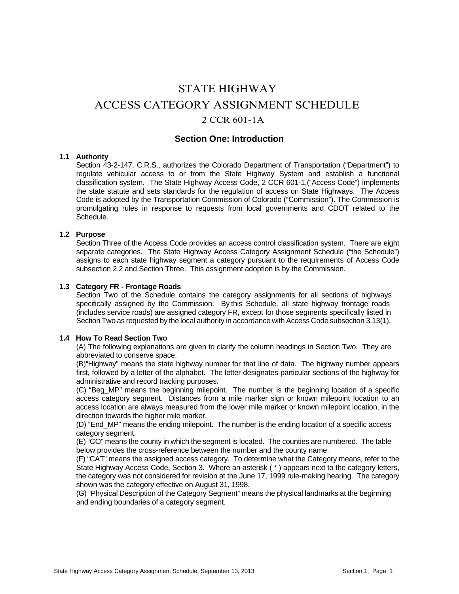# STATE HIGHWAY ACCESS CATEGORY ASSIGNMENT SCHEDULE 2 CCR 601-1A

# **Section One: Introduction**

## **1.1 Authority**

Section 43-2-147, C.R.S., authorizes the Colorado Department of Transportation ("Department") to regulate vehicular access to or from the State Highway System and establish a functional classification system. The State Highway Access Code, 2 CCR 601-1,("Access Code") implements the state statute and sets standards for the regulation of access on State Highways. The Access Code is adopted by the Transportation Commission of Colorado ("Commission"). The Commission is promulgating rules in response to requests from local governments and CDOT related to the **Schedule** 

# **1.2 Purpose**

Section Three of the Access Code provides an access control classification system. There are eight separate categories. The State Highway Access Category Assignment Schedule ("the Schedule") assigns to each state highway segment a category pursuant to the requirements of Access Code subsection 2.2 and Section Three. This assignment adoption is by the Commission.

#### **1.3 Category FR - Frontage Roads**

Section Two of the Schedule contains the category assignments for all sections of highways specifically assigned by the Commission. By this Schedule, all state highway frontage roads (includes service roads) are assigned category FR, except for those segments specifically listed in Section Two as requested by the local authority in accordance with Access Code subsection 3.13(1).

## **1.4 How To Read Section Two**

(A) The following explanations are given to clarify the column headings in Section Two. They are abbreviated to conserve space.

(B)"Highway" means the state highway number for that line of data. The highway number appears first, followed by a letter of the alphabet. The letter designates particular sections of the highway for administrative and record tracking purposes.

(C) "Beg\_MP" means the beginning milepoint. The number is the beginning location of a specific access category segment. Distances from a mile marker sign or known milepoint location to an access location are always measured from the lower mile marker or known milepoint location, in the direction towards the higher mile marker.

(D) "End\_MP" means the ending milepoint. The number is the ending location of a specific access category segment.

(E) "CO" means the county in which the segment is located. The counties are numbered. The table below provides the cross-reference between the number and the county name.

(F) "CAT" means the assigned access category. To determine what the Category means, refer to the State Highway Access Code, Section 3. Where an asterisk ( \* ) appears next to the category letters, the category was not considered for revision at the June 17, 1999 rule-making hearing. The category shown was the category effective on August 31, 1998.

(G) "Physical Description of the Category Segment" means the physical landmarks at the beginning and ending boundaries of a category segment.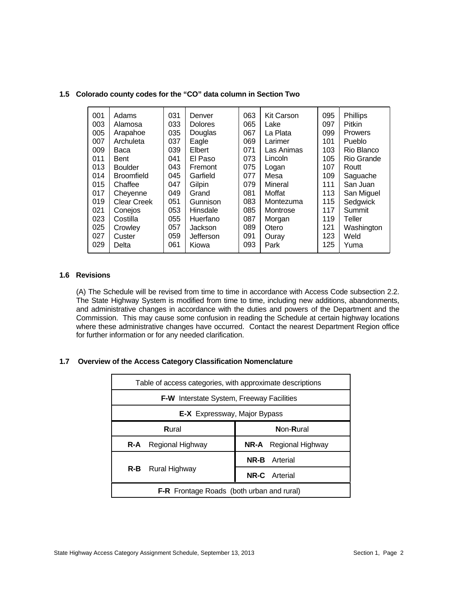| 001<br>003<br>005<br>007<br>009<br>011<br>013<br>014<br>015<br>017<br>019<br>021<br>023 | Adams<br>Alamosa<br>Arapahoe<br>Archuleta<br>Baca<br><b>Bent</b><br><b>Boulder</b><br><b>Broomfield</b><br>Chaffee<br>Cheyenne<br><b>Clear Creek</b><br>Conejos<br>Costilla | 031<br>033<br>035<br>037<br>039<br>041<br>043<br>045<br>047<br>049<br>051<br>053<br>055 | Denver<br><b>Dolores</b><br>Douglas<br>Eagle<br>Elbert<br>El Paso<br>Fremont<br>Garfield<br>Gilpin<br>Grand<br>Gunnison<br>Hinsdale<br>Huerfano | 063<br>065<br>067<br>069<br>071<br>073<br>075<br>077<br>079<br>081<br>083<br>085<br>087 | <b>Kit Carson</b><br>Lake<br>La Plata<br>Larimer<br>Las Animas<br>Lincoln<br>Logan<br>Mesa<br>Mineral<br>Moffat<br>Montezuma<br>Montrose<br>Morgan | 095<br>097<br>099<br>101<br>103<br>105<br>107<br>109<br>111<br>113<br>115<br>117<br>119 | <b>Phillips</b><br><b>Pitkin</b><br><b>Prowers</b><br>Pueblo<br>Rio Blanco<br>Rio Grande<br>Routt<br>Saguache<br>San Juan<br>San Miguel<br>Sedgwick<br>Summit<br>Teller |
|-----------------------------------------------------------------------------------------|-----------------------------------------------------------------------------------------------------------------------------------------------------------------------------|-----------------------------------------------------------------------------------------|-------------------------------------------------------------------------------------------------------------------------------------------------|-----------------------------------------------------------------------------------------|----------------------------------------------------------------------------------------------------------------------------------------------------|-----------------------------------------------------------------------------------------|-------------------------------------------------------------------------------------------------------------------------------------------------------------------------|
|                                                                                         |                                                                                                                                                                             |                                                                                         |                                                                                                                                                 |                                                                                         |                                                                                                                                                    |                                                                                         |                                                                                                                                                                         |
| 025<br>027                                                                              | Crowley<br>Custer                                                                                                                                                           | 057<br>059                                                                              | Jackson<br>Jefferson                                                                                                                            | 089<br>091                                                                              | Otero<br>Ouray                                                                                                                                     | 121<br>123                                                                              | Washington<br>Weld                                                                                                                                                      |
| 029                                                                                     | Delta                                                                                                                                                                       | 061                                                                                     | Kiowa                                                                                                                                           | 093                                                                                     | Park                                                                                                                                               | 125                                                                                     | Yuma                                                                                                                                                                    |

# **1.5 Colorado county codes for the "CO" data column in Section Two**

# **1.6 Revisions**

(A) The Schedule will be revised from time to time in accordance with Access Code subsection 2.2. The State Highway System is modified from time to time, including new additions, abandonments, and administrative changes in accordance with the duties and powers of the Department and the Commission. This may cause some confusion in reading the Schedule at certain highway locations where these administrative changes have occurred. Contact the nearest Department Region office for further information or for any needed clarification.

# **1.7 Overview of the Access Category Classification Nomenclature**

| Table of access categories, with approximate descriptions |                              |  |  |  |  |  |  |  |  |  |
|-----------------------------------------------------------|------------------------------|--|--|--|--|--|--|--|--|--|
| <b>F-W</b> Interstate System, Freeway Facilities          |                              |  |  |  |  |  |  |  |  |  |
| <b>E-X</b> Expressway, Major Bypass                       |                              |  |  |  |  |  |  |  |  |  |
| Rural                                                     | Non-Rural                    |  |  |  |  |  |  |  |  |  |
| Regional Highway<br>R-A                                   | <b>NR-A</b> Regional Highway |  |  |  |  |  |  |  |  |  |
|                                                           | <b>NR-B</b> Arterial         |  |  |  |  |  |  |  |  |  |
| R-B<br>Rural Highway                                      | <b>NR-C.</b> Arterial        |  |  |  |  |  |  |  |  |  |
| <b>F-R</b> Frontage Roads (both urban and rural)          |                              |  |  |  |  |  |  |  |  |  |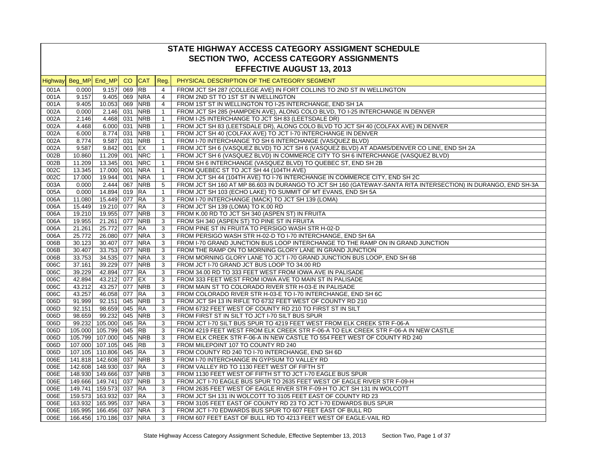|      | STATE HIGHWAY ACCESS CATEGORY ASSIGMENT SCHEDULE |                       |                 |            |                |                                                                                                               |  |  |  |  |  |
|------|--------------------------------------------------|-----------------------|-----------------|------------|----------------|---------------------------------------------------------------------------------------------------------------|--|--|--|--|--|
|      |                                                  |                       |                 |            |                | SECTION TWO, ACCESS CATEGORY ASSIGNMENTS                                                                      |  |  |  |  |  |
|      | <b>EFFECTIVE AUGUST 13, 2013</b>                 |                       |                 |            |                |                                                                                                               |  |  |  |  |  |
|      | Highway Beg_MP End_MP                            |                       | CO <sub>1</sub> | <b>CAT</b> | Reg.           | PHYSICAL DESCRIPTION OF THE CATEGORY SEGMENT                                                                  |  |  |  |  |  |
| 001A | 0.000                                            | 9.157 069             |                 | <b>RB</b>  | $\overline{4}$ | FROM JCT SH 287 (COLLEGE AVE) IN FORT COLLINS TO 2ND ST IN WELLINGTON                                         |  |  |  |  |  |
| 001A | 9.157                                            | 9.405 069 NRA         |                 |            | $\overline{4}$ | FROM 2ND ST TO 1ST ST IN WELLINGTON                                                                           |  |  |  |  |  |
| 001A | 9.405                                            | 10.053 069 NRB        |                 |            | $\overline{4}$ | FROM 1ST ST IN WELLINGTON TO I-25 INTERCHANGE, END SH 1A                                                      |  |  |  |  |  |
| 002A | 0.000                                            | $2.146$ 031           |                 | <b>NRB</b> | $\mathbf{1}$   | FROM JCT SH 285 (HAMPDEN AVE), ALONG COLO BLVD, TO I-25 INTERCHANGE IN DENVER                                 |  |  |  |  |  |
| 002A | 2.146                                            | 4.468 031             |                 | <b>NRB</b> | $\mathbf{1}$   | FROM I-25 INTERCHANGE TO JCT SH 83 (LEETSDALE DR)                                                             |  |  |  |  |  |
| 002A | 4.468                                            | 6.000 031             |                 | <b>NRB</b> | $\mathbf{1}$   | FROM JCT SH 83 (LEETSDALE DR), ALONG COLO BLVD TO JCT SH 40 (COLFAX AVE) IN DENVER                            |  |  |  |  |  |
| 002A | 6.000                                            | 8.774                 | 031             | <b>NRB</b> | $\mathbf{1}$   | FROM JCT SH 40 (COLFAX AVE) TO JCT I-70 INTERCHANGE IN DENVER                                                 |  |  |  |  |  |
| 002A | 8.774                                            | 9.587 031 NRB         |                 |            | $\mathbf{1}$   | FROM I-70 INTERCHANGE TO SH 6 INTERCHANGE (VASQUEZ BLVD)                                                      |  |  |  |  |  |
| 002A | 9.587                                            | 9.842 001 EX          |                 |            | $\mathbf{1}$   | FROM JCT SH 6 (VASQUEZ BLVD) TO JCT SH 6 (VASQUEZ BLVD) AT ADAMS/DENVER CO LINE, END SH 2A                    |  |  |  |  |  |
| 002B | 10.860                                           | 11.209 001            |                 | <b>NRC</b> | $\mathbf{1}$   | FROM JCT SH 6 (VASQUEZ BLVD) IN COMMERCE CITY TO SH 6 INTERCHANGE (VASQUEZ BLVD)                              |  |  |  |  |  |
| 002B | 11.209                                           | 13.345 001            |                 | <b>NRC</b> | $\mathbf{1}$   | FROM SH 6 INTERCHANGE (VASQUEZ BLVD) TO QUEBEC ST, END SH 2B                                                  |  |  |  |  |  |
| 002C | 13.345                                           | 17.000 001            |                 | <b>NRA</b> | $\mathbf{1}$   | FROM QUEBEC ST TO JCT SH 44 (104TH AVE)                                                                       |  |  |  |  |  |
| 002C | 17.000                                           | 19.944 001            |                 | <b>NRA</b> | $\mathbf{1}$   | FROM JCT SH 44 (104TH AVE) TO I-76 INTERCHANGE IN COMMERCE CITY, END SH 2C                                    |  |  |  |  |  |
| 003A | 0.000                                            | 2.444 067             |                 | <b>NRB</b> | 5              | FROM JCT SH 160 AT MP 86.603 IN DURANGO TO JCT SH 160 (GATEWAY-SANTA RITA INTERSECTION) IN DURANGO, END SH-3A |  |  |  |  |  |
| 005A | 0.000                                            | 14.894 019 RA         |                 |            | $\mathbf{1}$   | FROM JCT SH 103 (ECHO LAKE) TO SUMMIT OF MT EVANS, END SH 5A                                                  |  |  |  |  |  |
| 006A | 11.080                                           | 15.449 077 RA         |                 |            | 3              | FROM I-70 INTERCHANGE (MACK) TO JCT SH 139 (LOMA)                                                             |  |  |  |  |  |
| 006A | 15.449                                           | 19.210 077 RA         |                 |            | 3              | FROM JCT SH 139 (LOMA) TO K.00 RD                                                                             |  |  |  |  |  |
| 006A | 19.210                                           | 19.955 077 NRB        |                 |            | 3              | FROM K.00 RD TO JCT SH 340 (ASPEN ST) IN FRUITA                                                               |  |  |  |  |  |
| 006A | 19.955                                           | 21.261 077            |                 | <b>NRB</b> | 3              | FROM SH 340 (ASPEN ST) TO PINE ST IN FRUITA                                                                   |  |  |  |  |  |
| 006A | 21.261                                           | 25.772 077            |                 | <b>RA</b>  | 3              | FROM PINE ST IN FRUITA TO PERSIGO WASH STR H-02-D                                                             |  |  |  |  |  |
| 006A | 25.772                                           | 26.080 077            |                 | <b>NRA</b> | 3              | FROM PERSIGO WASH STR H-02-D TO I-70 INTERCHANGE, END SH 6A                                                   |  |  |  |  |  |
| 006B | 30.123                                           | 30.407 077            |                 | <b>NRA</b> | 3              | FROM I-70 GRAND JUNCTION BUS LOOP INTERCHANGE TO THE RAMP ON IN GRAND JUNCTION                                |  |  |  |  |  |
| 006B | 30.407                                           | 33.753 077            |                 | <b>NRB</b> | 3              | FROM THE RAMP ON TO MORNING GLORY LANE IN GRAND JUNCTION                                                      |  |  |  |  |  |
| 006B | 33.753                                           | 34.535 077            |                 | <b>NRA</b> | 3              | FROM MORNING GLORY LANE TO JCT I-70 GRAND JUNCTION BUS LOOP, END SH 6B                                        |  |  |  |  |  |
| 006C | 37.161                                           | 39.229 077            |                 | <b>NRB</b> | 3              | FROM JCT I-70 GRAND JCT BUS LOOP TO 34.00 RD                                                                  |  |  |  |  |  |
| 006C | 39.229                                           | 42.894 077 RA         |                 |            | 3              | FROM 34.00 RD TO 333 FEET WEST FROM IOWA AVE IN PALISADE                                                      |  |  |  |  |  |
| 006C | 42.894                                           | 43.212 077 EX         |                 |            | 3              | FROM 333 FEET WEST FROM IOWA AVE TO MAIN ST IN PALISADE                                                       |  |  |  |  |  |
| 006C | 43.212                                           | 43.257 077            |                 | <b>NRB</b> | 3              | FROM MAIN ST TO COLORADO RIVER STR H-03-E IN PALISADE                                                         |  |  |  |  |  |
| 006C | 43.257                                           | 46.058 077 RA         |                 |            | 3              | FROM COLORADO RIVER STR H-03-E TO I-70 INTERCHANGE, END SH 6C                                                 |  |  |  |  |  |
| 006D | 91.999                                           | 92.151 045 NRB        |                 |            | 3              | FROM JCT SH 13 IN RIFLE TO 6732 FEET WEST OF COUNTY RD 210                                                    |  |  |  |  |  |
| 006D | 92.151                                           | 98.659 045            |                 | <b>RA</b>  | 3              | FROM 6732 FEET WEST OF COUNTY RD 210 TO FIRST ST IN SILT                                                      |  |  |  |  |  |
| 006D | 98.659                                           | 99.232 045 NRB        |                 |            | 3              | FROM FIRST ST IN SILT TO JCT I-70 SILT BUS SPUR                                                               |  |  |  |  |  |
| 006D |                                                  | 99.232 105.000 045 RA |                 |            | 3              | FROM JCT I-70 SILT BUS SPUR TO 4219 FEET WEST FROM ELK CREEK STR F-06-A                                       |  |  |  |  |  |
| 006D | 105.000 105.799 045 RB                           |                       |                 |            | 3              | FROM 4219 FEET WEST FROM ELK CREEK STR F-06-A TO ELK CREEK STR F-06-A IN NEW CASTLE                           |  |  |  |  |  |
| 006D | 105.799 107.000 045                              |                       |                 | <b>NRB</b> | 3              | FROM ELK CREEK STR F-06-A IN NEW CASTLE TO 554 FEET WEST OF COUNTY RD 240                                     |  |  |  |  |  |
| 006D | 107.000 107.105 045 RB                           |                       |                 |            | 3              | FROM MILEPOINT 107 TO COUNTY RD 240                                                                           |  |  |  |  |  |
| 006D | 107.105 110.806 045 RA                           |                       |                 |            | 3              | FROM COUNTY RD 240 TO I-70 INTERCHANGE, END SH 6D                                                             |  |  |  |  |  |
| 006E | 141.818 142.608 037                              |                       |                 | <b>NRB</b> | 3              | FROM I-70 INTERCHANGE IN GYPSUM TO VALLEY RD                                                                  |  |  |  |  |  |
| 006E | 142.608 148.930 037                              |                       |                 | <b>RA</b>  | 3              | FROM VALLEY RD TO 1130 FEET WEST OF FIFTH ST                                                                  |  |  |  |  |  |
| 006E | 148.930 149.666 037                              |                       |                 | <b>NRB</b> | 3              | FROM 1130 FEET WEST OF FIFTH ST TO JCT I-70 EAGLE BUS SPUR                                                    |  |  |  |  |  |
| 006E | 149.666 149.741 037 NRB                          |                       |                 |            | 3              | FROM JCT I-70 EAGLE BUS SPUR TO 2635 FEET WEST OF EAGLE RIVER STR F-09-H                                      |  |  |  |  |  |
| 006E | 149.741 159.573 037 RA                           |                       |                 |            | 3              | FROM 2635 FEET WEST OF EAGLE RIVER STR F-09-H TO JCT SH 131 IN WOLCOTT                                        |  |  |  |  |  |
| 006E | 159.573 163.932 037 RA                           |                       |                 |            | 3              | FROM JCT SH 131 IN WOLCOTT TO 3105 FEET EAST OF COUNTY RD 23                                                  |  |  |  |  |  |
| 006E |                                                  | 163.932 165.995 037   |                 | <b>NRA</b> | 3              | FROM 3105 FEET EAST OF COUNTY RD 23 TO JCT I-70 EDWARDS BUS SPUR                                              |  |  |  |  |  |
| 006E | 165.995 166.456 037 NRA                          |                       |                 |            | 3              | FROM JCT I-70 EDWARDS BUS SPUR TO 607 FEET EAST OF BULL RD                                                    |  |  |  |  |  |
| 006E | 166.456 170.186 037 NRA                          |                       |                 |            | 3              | FROM 607 FEET EAST OF BULL RD TO 4213 FEET WEST OF EAGLE-VAIL RD                                              |  |  |  |  |  |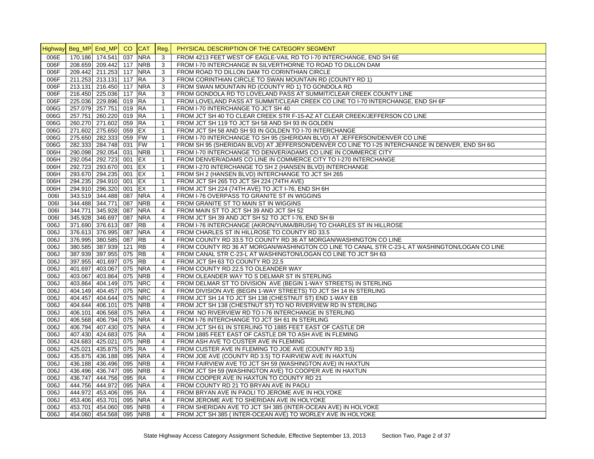|                   | Highway Beg_MP End_MP CO CAT |             |        |            | Reg.           | PHYSICAL DESCRIPTION OF THE CATEGORY SEGMENT                                                    |
|-------------------|------------------------------|-------------|--------|------------|----------------|-------------------------------------------------------------------------------------------------|
| 006E              | 170.186 174.541              |             | 037    | <b>NRA</b> | 3              | FROM 4213 FEET WEST OF EAGLE-VAIL RD TO I-70 INTERCHANGE, END SH 6E                             |
| 006F              | 208.659 209.442 117          |             |        | <b>NRB</b> | 3              | FROM I-70 INTERCHANGE IN SILVERTHORNE TO ROAD TO DILLON DAM                                     |
| 006F              | 209.442 211.253 117          |             |        | <b>NRA</b> | 3              | FROM ROAD TO DILLON DAM TO CORINTHIAN CIRCLE                                                    |
| 006F              | 211.253 213.131 117          |             |        | <b>RA</b>  | 3              | FROM CORINTHIAN CIRCLE TO SWAN MOUNTAIN RD (COUNTY RD 1)                                        |
| 006F              | 213.131 216.450 117          |             |        | <b>NRA</b> | 3              | FROM SWAN MOUNTAIN RD (COUNTY RD 1) TO GONDOLA RD                                               |
| 006F              | 216.450 225.036 117          |             |        | <b>RA</b>  | 3              | FROM GONDOLA RD TO LOVELAND PASS AT SUMMIT/CLEAR CREEK COUNTY LINE                              |
| $006\overline{F}$ | 225.036 229.896 019 RA       |             |        |            | $\mathbf{1}$   | FROM LOVELAND PASS AT SUMMIT/CLEAR CREEK CO LINE TO I-70 INTERCHANGE, END SH 6F                 |
| 006G              | 257.079 257.751              |             | 019 RA |            | $\mathbf{1}$   | FROM I-70 INTERCHANGE TO JCT SH 40                                                              |
| 006G              | 257.751 260.220 019 RA       |             |        |            | $\mathbf{1}$   | FROM JCT SH 40 TO CLEAR CREEK STR F-15-AZ AT CLEAR CREEK/JEFFERSON CO LINE                      |
| 006G              | 260.270 271.602 059 RA       |             |        |            | $\mathbf{1}$   | FROM JCT SH 119 TO JCT SH 58 AND SH 93 IN GOLDEN                                                |
| 006G              | 271.602 275.650 059          |             |        | <b>EX</b>  | $\mathbf{1}$   | FROM JCT SH 58 AND SH 93 IN GOLDEN TO I-70 INTERCHANGE                                          |
| 006G              | 275.650 282.333 059 FW       |             |        |            | $\mathbf{1}$   | FROM I-70 INTERCHANGE TO SH 95 (SHERIDAN BLVD) AT JEFFERSON/DENVER CO LINE                      |
| 006G              | 282.333 284.748 031          |             |        | <b>FW</b>  | $\mathbf{1}$   | FROM SH 95 (SHERIDAN BLVD) AT JEFFERSON/DENVER CO LINE TO I-25 INTERCHANGE IN DENVER, END SH 6G |
| 006H              | 290.098 292.054 031          |             |        | <b>NRB</b> | $\mathbf{1}$   | FROM I-70 INTERCHANGE TO DENVER/ADAMS CO LINE IN COMMERCE CITY                                  |
| 006H              | 292.054 292.723 001          |             |        | EX         | $\mathbf{1}$   | FROM DENVER/ADAMS CO LINE IN COMMERCE CITY TO 1-270 INTERCHANGE                                 |
| 006H              | 292.723 293.670 001 EX       |             |        |            | $\mathbf{1}$   | FROM I-270 INTERCHANGE TO SH 2 (HANSEN BLVD) INTERCHANGE                                        |
| 006H              | 293.670 294.235 001          |             |        | EX         | $\mathbf{1}$   | FROM SH 2 (HANSEN BLVD) INTERCHANGE TO JCT SH 265                                               |
| 006H              | 294.235 294.910 001 EX       |             |        |            | $\mathbf{1}$   | FROM JCT SH 265 TO JCT SH 224 (74TH AVE)                                                        |
| 006H              | 294.910 296.320 001 EX       |             |        |            | $\mathbf{1}$   | FROM JCT SH 224 (74TH AVE) TO JCT I-76, END SH 6H                                               |
| 0061              | 343.519 344.488 087          |             |        | <b>NRA</b> | $\overline{4}$ | FROM I-76 OVERPASS TO GRANITE ST IN WIGGINS                                                     |
| 0061              | 344.488 344.771 087          |             |        | <b>NRB</b> | $\overline{4}$ | FROM GRANITE ST TO MAIN ST IN WIGGINS                                                           |
| 0061              | 344.771                      | 345.928 087 |        | <b>NRA</b> | $\overline{4}$ | FROM MAIN ST TO JCT SH 39 AND JCT SH 52                                                         |
| 0061              | 345.928 346.697 087          |             |        | <b>NRA</b> | $\overline{4}$ | FROM JCT SH 39 AND JCT SH 52 TO JCT I-76, END SH 6I                                             |
| 006J              | 371.690 376.613 087          |             |        | <b>RB</b>  | $\overline{4}$ | FROM I-76 INTERCHANGE (AKRON/YUMA/BRUSH) TO CHARLES ST IN HILLROSE                              |
| 006J              | 376.613 376.995 087          |             |        | <b>NRA</b> | $\overline{4}$ | FROM CHARLES ST IN HILLROSE TO COUNTY RD 33.5                                                   |
| <b>L∂00</b>       | 376.995 380.585 087          |             |        | <b>RB</b>  | $\overline{4}$ | FROM COUNTY RD 33.5 TO COUNTY RD 36 AT MORGAN/WASHINGTON CO LINE                                |
| 006J              | 380.585 387.939 121          |             |        | <b>RB</b>  | $\overline{4}$ | FROM COUNTY RD 36 AT MORGAN/WASHINGTON CO LINE TO CANAL STR C-23-L AT WASHINGTON/LOGAN CO LINE  |
| 006J              | 387.939 397.955 075 RB       |             |        |            | 4              | FROM CANAL STR C-23-L AT WASHINGTON/LOGAN CO LINE TO JCT SH 63                                  |
| 006J              | 397.955 401.697 075          |             |        | <b>RB</b>  | $\overline{4}$ | FROM JCT SH 63 TO COUNTY RD 22.5                                                                |
| 006J              | 401.697 403.067 075          |             |        | <b>NRA</b> | 4              | FROM COUNTY RD 22.5 TO OLEANDER WAY                                                             |
| 006J              | 403.067 403.864 075          |             |        | <b>NRB</b> | 4              | FROM OLEANDER WAY TO S DELMAR ST IN STERLING                                                    |
| 006J              | 403.864 404.149 075          |             |        | <b>NRC</b> | $\overline{4}$ | FROM DELMAR ST TO DIVISION AVE (BEGIN 1-WAY STREETS) IN STERLING                                |
| 006J              | 404.149 404.457 075          |             |        | <b>NRC</b> | $\overline{4}$ | FROM DIVISION AVE (BEGIN 1-WAY STREETS) TO JCT SH 14 IN STERLING                                |
| 006J              | 404.457 404.644 075          |             |        | <b>NRC</b> | $\overline{4}$ | FROM JCT SH 14 TO JCT SH 138 (CHESTNUT ST) END 1-WAY EB                                         |
| 006J              | 404.644 406.101 075          |             |        | <b>NRB</b> | $\overline{4}$ | FROM JCT SH 138 (CHESTNUT ST) TO NO RIVERVIEW RD IN STERLING                                    |
| 006J              | 406.101 406.568 075          |             |        | <b>NRA</b> | $\overline{4}$ | FROM NO RIVERVIEW RD TO I-76 INTERCHANGE IN STERLING                                            |
| <b>L∂00</b>       | 406.568 406.794 075          |             |        | <b>NRA</b> | $\overline{4}$ | FROM I-76 INTERCHANGE TO JCT SH 61 IN STERLING                                                  |
| 006J              | 406.794 407.430 075          |             |        | <b>NRA</b> | $\overline{4}$ | FROM JCT SH 61 IN STERLING TO 1885 FEET EAST OF CASTLE DR                                       |
| 006J              | 407.430 424.683 075 RA       |             |        |            | $\overline{4}$ | FROM 1885 FEET EAST OF CASTLE DR TO ASH AVE IN FLEMING                                          |
| 006J              | 424.683 425.021 075          |             |        | <b>NRB</b> | $\overline{4}$ | FROM ASH AVE TO CUSTER AVE IN FLEMING                                                           |
| 006J              | 425.021 435.875 075          |             |        | <b>RA</b>  | $\overline{4}$ | FROM CUSTER AVE IN FLEMING TO JOE AVE (COUNTY RD 3.5)                                           |
| 006J              | 435.875 436.188 095          |             |        | <b>NRA</b> | 4              | FROM JOE AVE (COUNTY RD 3.5) TO FAIRVIEW AVE IN HAXTUN                                          |
| 006J              | 436.188 436.496 095          |             |        | <b>NRB</b> | $\overline{4}$ | FROM FAIRVIEW AVE TO JCT SH 59 (WASHINGTON AVE) IN HAXTUN                                       |
| 006J              | 436.496 436.747 095          |             |        | <b>NRB</b> | 4              | FROM JCT SH 59 (WASHINGTON AVE) TO COOPER AVE IN HAXTUN                                         |
| 006J              | 436.747                      | 444.756 095 |        | RA         | $\overline{4}$ | FROM COOPER AVE IN HAXTUN TO COUNTY RD 21                                                       |
| 006J              | 444.756 444.972 095          |             |        | <b>NRA</b> | $\overline{4}$ | FROM COUNTY RD 21 TO BRYAN AVE IN PAOLI                                                         |
| 006J              | 444.972 453.406 095 RA       |             |        |            | $\overline{4}$ | FROM BRYAN AVE IN PAOLI TO JEROME AVE IN HOLYOKE                                                |
| <b>L∂00</b>       | 453.406 453.701 095 NRA      |             |        |            | $\overline{4}$ | FROM JEROME AVE TO SHERIDAN AVE IN HOLYOKE                                                      |
| 006J              | 453.701 454.060 095 NRB      |             |        |            | $\overline{4}$ | FROM SHERIDAN AVE TO JCT SH 385 (INTER-OCEAN AVE) IN HOLYOKE                                    |
| <b>U</b> 000      | 454.060 454.568 095 NRB      |             |        |            | $\overline{4}$ | FROM JCT SH 385 (INTER-OCEAN AVE) TO WORLEY AVE IN HOLYOKE                                      |
|                   |                              |             |        |            |                |                                                                                                 |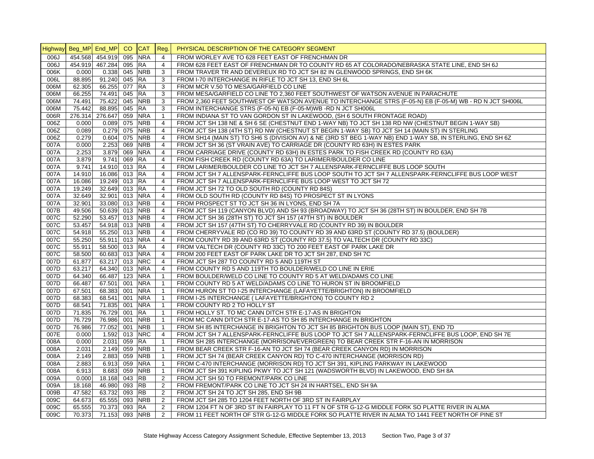| <b>Highway</b> |         | Beg_MP End_MP   | CO  | <b>CAT</b> | Reg.           | PHYSICAL DESCRIPTION OF THE CATEGORY SEGMENT                                                               |
|----------------|---------|-----------------|-----|------------|----------------|------------------------------------------------------------------------------------------------------------|
| 006J           |         | 454.568 454.919 | 095 | <b>NRA</b> | $\overline{4}$ | FROM WORLEY AVE TO 628 FEET EAST OF FRENCHMAN DR                                                           |
| 006J           |         | 454.919 467.284 | 095 | <b>RA</b>  | $\overline{4}$ | FROM 628 FEET EAST OF FRENCHMAN DR TO COUNTY RD 65 AT COLORADO/NEBRASKA STATE LINE, END SH 6J              |
| 006K           | 0.000   | 0.338 045       |     | <b>NRB</b> | 3              | FROM TRAVER TR AND DEVEREUX RD TO JCT SH 82 IN GLENWOOD SPRINGS, END SH 6K                                 |
| 006L           | 88.895  | 91.240 045      |     | <b>RA</b>  | 3              | FROM I-70 INTERCHANGE IN RIFLE TO JCT SH 13, END SH 6L                                                     |
| 006M           | 62.305  | 66.255 077      |     | <b>RA</b>  | 3              | FROM MCR V.50 TO MESA/GARFIELD CO LINE                                                                     |
| 006M           | 66.255  | 74.491 045      |     | <b>RA</b>  | 3              | FROM MESA/GARFIELD CO LINE TO 2,360 FEET SOUTHWEST OF WATSON AVENUE IN PARACHUTE                           |
| 006M           | 74.491  | 75.422          | 045 | <b>NRB</b> | 3              | FROM 2,360 FEET SOUTHWEST OF WATSON AVENUE TO INTERCHANGE STRS (F-05-N) EB (F-05-M) WB - RD N JCT SH006L   |
| 006M           | 75.442  | 88.895 045      |     | <b>RA</b>  | 3              | FROM INTERCHANGE STRS (F-05-N) EB (F-05-M)WB -RD N JCT SH006L                                              |
| 006R           | 276.314 | 276.647 059     |     | <b>NRA</b> | $\mathbf{1}$   | FROM INDIANA ST TO VAN GORDON ST IN LAKEWOOD, (SH 6 SOUTH FRONTAGE ROAD)                                   |
| 006Z           | 0.000   | $0.089$ 075     |     | <b>NRB</b> | $\overline{4}$ | FROM JCT SH 138 NE & SH 6 SE (CHESTNUT END 1-WAY NB) TO JCT SH 138 RD NW (CHESTNUT BEGIN 1-WAY SB)         |
| 006Z           | 0.089   | $0.279$ 075     |     | <b>NRB</b> | $\overline{4}$ | FROM JCT SH 138 (4TH ST) RD NW (CHESTNUT ST BEGIN 1-WAY SB) TO JCT SH 14 (MAIN ST) IN STERLING             |
| 006Z           | 0.279   | 0.604 075       |     | <b>NRB</b> | $\overline{4}$ | FROM SH14 (MAIN ST) TO SH6 S (DIVISION AV) & NE (3RD ST BEG 1-WAY NB) END 1-WAY SB, IN STERLING, END SH 6Z |
| 007A           | 0.000   | 2.253 069       |     | <b>NRB</b> | $\overline{4}$ | FROM JCT SH 36 (ST VRAIN AVE) TO CARRIAGE DR (COUNTY RD 63H) IN ESTES PARK                                 |
| 007A           | 2.253   | 3.879 069       |     | <b>NRA</b> | $\overline{4}$ | FROM CARRIAGE DRIVE (COUNTY RD 63H) IN ESTES PARK TO FISH CREEK RD (COUNTY RD 63A)                         |
| 007A           | 3.879   | 9.741           | 069 | <b>RA</b>  | $\overline{4}$ | FROM FISH CREEK RD (COUNTY RD 63A) TO LARIMER/BOULDER CO LINE                                              |
| 007A           | 9.741   | 14.910 013 RA   |     |            | 4              | FROM LARIMER/BOULDER CO LINE TO JCT SH 7 ALLENSPARK-FERNCLIFFE BUS LOOP SOUTH                              |
| 007A           | 14.910  | 16.086 013      |     | <b>RA</b>  | $\overline{4}$ | FROM JCT SH 7 ALLENSPARK-FERNCLIFFE BUS LOOP SOUTH TO JCT SH 7 ALLENSPARK-FERNCLIFFE BUS LOOP WEST         |
| 007A           | 16.086  | 19.249 013 RA   |     |            | 4              | FROM JCT SH 7 ALLENSPARK-FERNCLIFFE BUS LOOP WEST TO JCT SH 72                                             |
| 007A           | 19.249  | 32.649 013 RA   |     |            | $\overline{4}$ | FROM JCT SH 72 TO OLD SOUTH RD (COUNTY RD 84S)                                                             |
| 007A           | 32.649  | 32.901 013 NRA  |     |            | $\overline{4}$ | FROM OLD SOUTH RD (COUNTY RD 84S) TO PROSPECT ST IN LYONS                                                  |
| 007A           | 32.901  | 33.080 013      |     | <b>NRB</b> | $\overline{4}$ | FROM PROSPECT ST TO JCT SH 36 IN LYONS, END SH 7A                                                          |
| 007B           | 49.506  | 50.639 013      |     | <b>NRB</b> | $\overline{4}$ | FROM JCT SH 119 (CANYON BLVD) AND SH 93 (BROADWAY) TO JCT SH 36 (28TH ST) IN BOULDER, END SH 7B            |
| 007C           | 52.290  | 53.457 013      |     | <b>NRB</b> | $\overline{4}$ | FROM JCT SH 36 (28TH ST) TO JCT SH 157 (47TH ST) IN BOULDER                                                |
| 007C           | 53.457  | 54.918 013      |     | <b>NRB</b> | $\overline{4}$ | FROM JCT SH 157 (47TH ST) TO CHERRYVALE RD (COUNTY RD 39) IN BOULDER                                       |
| 007C           | 54.918  | 55.250 013 NRB  |     |            | $\overline{4}$ | FROM CHERRYVALE RD (CO RD 39) TO COUNTY RD 39 AND 63RD ST (COUNTY RD 37.5) (BOULDER)                       |
| 007C           | 55.250  | 55.911 013      |     | <b>NRA</b> | $\overline{4}$ | FROM COUNTY RD 39 AND 63RD ST (COUNTY RD 37.5) TO VALTECH DR (COUNTY RD 33C)                               |
| 007C           | 55.911  | 58.500 013      |     | <b>IRA</b> | $\overline{4}$ | FROM VALTECH DR (COUNTY RD 33C) TO 200 FEET EAST OF PARK LAKE DR                                           |
| 007C           | 58.500  | 60.683 013      |     | <b>NRA</b> | $\overline{4}$ | FROM 200 FEET EAST OF PARK LAKE DR TO JCT SH 287, END SH 7C                                                |
| 007D           | 61.877  | 63.217 013      |     | <b>NRC</b> | $\overline{4}$ | FROM JCT SH 287 TO COUNTY RD 5 AND 119TH ST                                                                |
| 007D           | 63.217  | 64.340 013      |     | <b>NRA</b> | $\overline{4}$ | FROM COUNTY RD 5 AND 119TH TO BOULDER/WELD CO LINE IN ERIE                                                 |
| 007D           | 64.340  | 66.487 123      |     | <b>NRA</b> | $\mathbf{1}$   | FROM BOULDER/WELD CO LINE TO COUNTY RD 5 AT WELD/ADAMS CO LINE                                             |
| 007D           | 66.487  | 67.501 001      |     | <b>NRA</b> | $\mathbf{1}$   | FROM COUNTY RD 5 AT WELD/ADAMS CO LINE TO HURON ST IN BROOMFIELD                                           |
| 007D           | 67.501  | 68.383 001      |     | <b>NRA</b> | $\mathbf{1}$   | FROM HURON ST TO I-25 INTERCHANGE (LAFAYETTE/BRIGHTON) IN BROOMFIELD                                       |
| 007D           | 68.383  | 68.541 001      |     | <b>NRA</b> | $\mathbf{1}$   | FROM I-25 INTERCHANGE (LAFAYETTE/BRIGHTON) TO COUNTY RD 2                                                  |
| 007D           | 68.541  | 71.835 001      |     | <b>NRA</b> | $\mathbf{1}$   | FROM COUNTY RD 2 TO HOLLY ST                                                                               |
| 007D           | 71.835  | 76.729 001      |     | <b>RA</b>  | $\mathbf{1}$   | FROM HOLLY ST. TO MC CANN DITCH STR E-17-AS IN BRIGHTON                                                    |
| 007D           | 76.729  | 76.986 001      |     | <b>NRB</b> | $\mathbf{1}$   | FROM MC CANN DITCH STR E-17-AS TO SH 85 INTERCHANGE IN BRIGHTON                                            |
| 007D           | 76.986  | 77.052 001      |     | <b>NRB</b> | $\mathbf{1}$   | FROM SH 85 INTERCHANGE IN BRIGHTON TO JCT SH 85 BRIGHTON BUS LOOP (MAIN ST), END 7D                        |
| 007E           | 0.000   | $1.592$ 013     |     | <b>NRC</b> | $\overline{4}$ | FROM JCT SH 7 ALLENSPARK-FERNCLIFFE BUS LOOP TO JCT SH 7 ALLENSPARK-FERNCLIFFE BUS LOOP, END SH 7E         |
| 008A           | 0.000   | 2.031           | 059 | RA         | $\mathbf{1}$   | FROM SH 285 INTERCHANGE (MORRISON/EVERGREEN) TO BEAR CREEK STR F-16-AN IN MORRISON                         |
| 008A           | 2.031   | 2.149 059       |     | <b>NRB</b> | $\mathbf{1}$   | FROM BEAR CREEK STR F-16-AN TO JCT SH 74 (BEAR CREEK CANYON RD) IN MORRISON                                |
| 008A           | 2.149   | 2.883           | 059 | <b>NRB</b> | $\mathbf{1}$   | FROM JCT SH 74 (BEAR CREEK CANYON RD) TO C-470 INTERCHANGE (MORRISON RD)                                   |
| 008A           | 2.883   | 6.913 059       |     | <b>NRA</b> | $\mathbf{1}$   | FROM C-470 INTERCHANGE (MORRISON RD) TO JCT SH 391, KIPLING PARKWAY IN LAKEWOOD                            |
| 008A           | 6.913   | 8.683           | 059 | <b>NRB</b> | $\mathbf{1}$   | FROM JCT SH 391 KIPLING PKWY TO JCT SH 121 (WADSWORTH BLVD) IN LAKEWOOD, END SH 8A                         |
| 009A           | 0.000   | 18.168 043      |     | <b>RB</b>  | 2              | FROM JCT SH 50 TO FREMONT/PARK CO LINE                                                                     |
| 009A           | 18.168  | 46.980 093      |     | <b>RB</b>  | 2              | FROM FREMONT/PARK CO LINE TO JCT SH 24 IN HARTSEL, END SH 9A                                               |
| 009B           | 47.582  | 63.732          | 093 | <b>RB</b>  | $\overline{2}$ | FROM JCT SH 24 TO JCT SH 285, END SH 9B                                                                    |
| 009C           | 64.673  | 65.555          | 093 | <b>NRB</b> | $\overline{2}$ | FROM JCT SH 285 TO 1204 FEET NORTH OF 3RD ST IN FAIRPLAY                                                   |
| 009C           | 65.555  | 70.373 093      |     | <b>RA</b>  | $\overline{2}$ | FROM 1204 FT N OF 3RD ST IN FAIRPLAY TO 11 FT N OF STR G-12-G MIDDLE FORK SO PLATTE RIVER IN ALMA          |
| 009C           | 70.373  | 71.153 093 NRB  |     |            | 2              | FROM 11 FEET NORTH OF STR G-12-G MIDDLE FORK SO PLATTE RIVER IN ALMA TO 1441 FEET NORTH OF PINE ST         |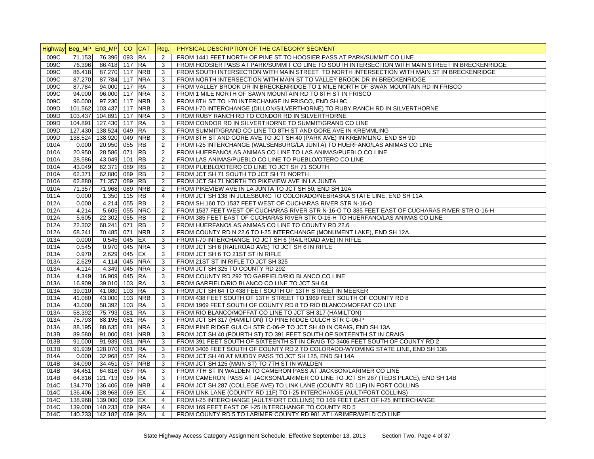|      | Highway Beg_MP End_MP CO CAT Reg. |                        |     |            |                | PHYSICAL DESCRIPTION OF THE CATEGORY SEGMENT                                                    |
|------|-----------------------------------|------------------------|-----|------------|----------------|-------------------------------------------------------------------------------------------------|
| 009C | 71.153                            | 76.396                 | 093 | <b>RA</b>  | 2              | FROM 1441 FEET NORTH OF PINE ST TO HOOSIER PASS AT PARK/SUMMIT CO LINE                          |
| 009C | 76.396                            | 86.418 117             |     | <b>RA</b>  | 3              | FROM HOOSIER PASS AT PARK/SUMMIT CO LINE TO SOUTH INTERSECTION WITH MAIN STREET IN BRECKENRIDGE |
| 009C | 86.418                            | 87.270 117             |     | <b>NRB</b> | 3              | FROM SOUTH INTERSECTION WITH MAIN STREET TO NORTH INTERSECTION WITH MAIN ST IN BRECKENRIDGE     |
| 009C | 87.270                            | 87.784 117             |     | <b>NRA</b> | 3              | FROM NORTH INTERSECTION WITH MAIN ST TO VALLEY BROOK DR IN BRECKENRIDGE                         |
| 009C | 87.784                            | 94.000 117             |     | <b>RA</b>  | 3              | FROM VALLEY BROOK DR IN BRECKENRIDGE TO 1 MILE NORTH OF SWAN MOUNTAIN RD IN FRISCO              |
| 009C | 94.000                            | 96.000 117             |     | <b>NRA</b> | 3              | FROM 1 MILE NORTH OF SAWN MOUNTAIN RD TO 8TH ST IN FRISCO                                       |
| 009C | 96.000                            | 97.230 117             |     | <b>NRB</b> | 3              | FROM 8TH ST TO I-70 INTERCHANGE IN FRISCO, END SH 9C                                            |
| 009D | 101.562                           | 103.437 117            |     | <b>NRB</b> | 3              | FROM I-70 INTERCHANGE (DILLON/SILVERTHORNE) TO RUBY RANCH RD IN SILVERTHORNE                    |
| 009D | 103.437                           | 104.891 117            |     | <b>NRA</b> | 3              | FROM RUBY RANCH RD TO CONDOR RD IN SILVERTHORNE                                                 |
| 009D | 104.891                           | 127.430 117            |     | <b>RA</b>  | 3              | FROM CONDOR RD IN SILVERTHORNE TO SUMMIT/GRAND CO LINE                                          |
| 009D | 127.430                           | 138.524 049            |     | <b>RA</b>  | 3              | FROM SUMMIT/GRAND CO LINE TO 8TH ST AND GORE AVE IN KREMMLING                                   |
| 009D | 138.524                           | 138.920 049            |     | <b>NRB</b> | 3              | FROM 8TH ST AND GORE AVE TO JCT SH 40 (PARK AVE) IN KREMMLING, END SH 9D                        |
| 010A | 0.000                             | 20.950 055             |     | RB         | $\overline{2}$ | FROM I-25 INTERCHANGE (WALSENBURG/LA JUNTA) TO HUERFANO/LAS ANIMAS CO LINE                      |
| 010A | 20.950                            | 28.586 071             |     | <b>RB</b>  | 2              | FROM HUERFANO/LAS ANIMAS CO LINE TO LAS ANIMAS/PUEBLO CO LINE                                   |
| 010A | 28.586                            | 43.049 101             |     | <b>RB</b>  | 2              | FROM LAS ANIMAS/PUEBLO CO LINE TO PUEBLO/OTERO CO LINE                                          |
| 010A | 43.049                            | 62.371 089             |     | <b>RB</b>  | 2              | FROM PUEBLO/OTERO CO LINE TO JCT SH 71 SOUTH                                                    |
| 010A | 62.371                            | 62.880 089             |     | <b>RB</b>  | 2              | FROM JCT SH 71 SOUTH TO JCT SH 71 NORTH                                                         |
| 010A | 62.880                            | 71.357                 | 089 | <b>RB</b>  | $\overline{2}$ | FROM JCT SH 71 NORTH TO PIKEVIEW AVE IN LA JUNTA                                                |
| 010A | 71.357                            | 71.968                 | 089 | <b>NRB</b> | 2              | FROM PIKEVIEW AVE IN LA JUNTA TO JCT SH 50, END SH 10A                                          |
| 011A | 0.000                             | 1.350 115              |     | <b>RB</b>  | $\overline{4}$ | FROM JCT SH 138 IN JULESBURG TO COLORADO/NEBRASKA STATE LINE, END SH 11A                        |
| 012A | 0.000                             | 4.214                  | 055 | <b>RB</b>  | 2              | FROM SH 160 TO 1537 FEET WEST OF CUCHARAS RIVER STR N-16-O                                      |
| 012A | 4.214                             | 5.605 055              |     | <b>NRC</b> | 2              | FROM 1537 FEET WEST OF CUCHARAS RIVER STR N-16-O TO 385 FEET EAST OF CUCHARAS RIVER STR O-16-H  |
| 012A | 5.605                             | 22.302 055             |     | <b>RB</b>  | 2              | FROM 385 FEET EAST OF CUCHARAS RIVER STR O-16-H TO HUERFANO/LAS ANIMAS CO LINE                  |
| 012A | 22.302                            | 68.241 071             |     | <b>RB</b>  | 2              | FROM HUERFANO/LAS ANIMAS CO LINE TO COUNTY RD 22.6                                              |
| 012A | 68.241                            | 70.485 071             |     | <b>NRB</b> | 2              | FROM COUNTY RD N 22.6 TO I-25 INTERCHANGE (MONUMENT LAKE), END SH 12A                           |
| 013A | 0.000                             | 0.545 045              |     | EX         | 3              | FROM I-70 INTERCHANGE TO JCT SH 6 (RAILROAD AVE) IN RIFLE                                       |
| 013A | 0.545                             | 0.970 045              |     | <b>NRA</b> | 3              | FROM JCT SH 6 (RAILROAD AVE) TO JCT SH 6 IN RIFLE                                               |
| 013A | 0.970                             | 2.629 045              |     | EX         | 3              | FROM JCT SH 6 TO 21ST ST IN RIFLE                                                               |
| 013A | 2.629                             | 4.114 045              |     | <b>NRA</b> | 3              | FROM 21ST ST IN RIFLE TO JCT SH 325                                                             |
| 013A | 4.114                             | 4.349                  | 045 | <b>NRA</b> | 3              | FROM JCT SH 325 TO COUNTY RD 292                                                                |
| 013A | 4.349                             | 16.909 045             |     | <b>RA</b>  | 3              | FROM COUNTY RD 292 TO GARFIELD/RIO BLANCO CO LINE                                               |
| 013A | 16.909                            | 39.010 103             |     | <b>RA</b>  | 3              | FROM GARFIELD/RIO BLANCO CO LINE TO JCT SH 64                                                   |
| 013A | 39.010                            | 41.080 103             |     | <b>RA</b>  | 3              | FROM JCT SH 64 TO 438 FEET SOUTH OF 13TH STREET IN MEEKER                                       |
| 013A | 41.080                            | 43.000 103             |     | <b>NRB</b> | 3              | FROM 438 FEET SOUTH OF 13TH STREET TO 1969 FEET SOUTH OF COUNTY RD 8                            |
| 013A | 43.000                            | 58.392 103             |     | <b>RA</b>  | 3              | FROM 1969 FEET SOUTH OF COUNTY RD 8 TO RIO BLANCO/MOFFAT CO LINE                                |
| 013A | 58.392                            | 75.793 081             |     | <b>RA</b>  | 3              | FROM RIO BLANCO/MOFFAT CO LINE TO JCT SH 317 (HAMILTON)                                         |
| 013A | 75.793                            | 88.195                 | 081 | <b>RA</b>  | 3              | FROM JCT SH 317 (HAMILTON) TO PINE RIDGE GULCH STR C-06-P                                       |
| 013A | 88.195                            | 88.635                 | 081 | <b>NRA</b> | 3              | FROM PINE RIDGE GULCH STR C-06-P TO JCT SH 40 IN CRAIG, END SH 13A                              |
| 013B | 89.580                            | 91.000 081             |     | <b>NRB</b> | 3              | FROM JCT SH 40 (FOURTH ST) TO 391 FEET SOUTH OF SIXTEENTH ST IN CRAIG                           |
| 013B | 91.000                            | 91.939 081             |     | <b>NRA</b> | 3              | FROM 391 FEET SOUTH OF SIXTEENTH ST IN CRAIG TO 3406 FEET SOUTH OF COUNTY RD 2                  |
| 013B | 91.939                            | 128.070 081            |     | $R$ A      | 3              | FROM 3406 FEET SOUTH OF COUNTY RD 2 TO COLORADO-WYOMING STATE LINE, END SH 13B                  |
| 014A | 0.000                             | 32.968 057             |     | <b>RA</b>  | 3              | FROM JCT SH 40 AT MUDDY PASS TO JCT SH 125, END SH 14A                                          |
| 014B | 34.090                            | 34.451 057             |     | <b>NRB</b> | 3              | FROM JCT SH 125 (MAIN ST) TO 7TH ST IN WALDEN                                                   |
| 014B | 34.451                            | 64.816 057             |     | <b>RA</b>  | 3              | FROM 7TH ST IN WALDEN TO CAMERON PASS AT JACKSON/LARIMER CO LINE                                |
| 014B | 64.816                            | 121.713 069            |     | <b>RA</b>  | 3              | FROM CAMERON PASS AT JACKSON/LARIMER CO LINE TO JCT SH 287 (TEDS PLACE), END SH 14B             |
| 014C | 134.770                           | 136.406 069            |     | <b>NRB</b> | $\overline{4}$ | FROM JCT SH 287 (COLLEGE AVE) TO LINK LANE (COUNTY RD 11F) IN FORT COLLINS                      |
| 014C | 136.406                           | 138.968 069            |     | EX         | $\overline{4}$ | FROM LINK LANE (COUNTY RD 11F) TO I-25 INTERCHANGE (AULT/FORT COLLINS)                          |
| 014C | 138.968                           | 139.000 069            |     | EX         | $\overline{4}$ | FROM I-25 INTERCHANGE (AULT/FORT COLLINS) TO 169 FEET EAST OF I-25 INTERCHANGE                  |
| 014C | 139.000                           | 140.233 069            |     | <b>NRA</b> | $\overline{4}$ | FROM 169 FEET EAST OF I-25 INTERCHANGE TO COUNTY RD 5                                           |
| 014C |                                   | 140.233 142.182 069 RA |     |            | $\overline{4}$ | FROM COUNTY RD 5 TO LARIMER COUNTY RD 901 AT LARIMER/WELD CO LINE                               |
|      |                                   |                        |     |            |                |                                                                                                 |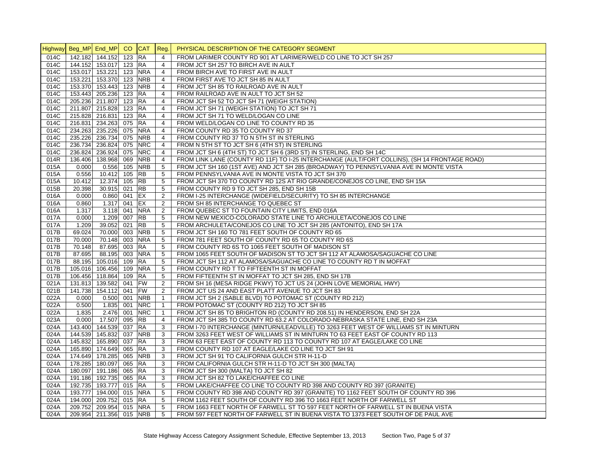|      | Highway Beg_MP End_MP |                         | CO.    | <b>CAT</b> | Reg.           | PHYSICAL DESCRIPTION OF THE CATEGORY SEGMENT                                                  |
|------|-----------------------|-------------------------|--------|------------|----------------|-----------------------------------------------------------------------------------------------|
| 014C |                       | 142.182 144.152         | 123    | <b>RA</b>  | $\overline{4}$ | FROM LARIMER COUNTY RD 901 AT LARIMER/WELD CO LINE TO JCT SH 257                              |
| 014C |                       | 144.152 153.017 123     |        | <b>RA</b>  | 4              | FROM JCT SH 257 TO BIRCH AVE IN AULT                                                          |
| 014C |                       | 153.017 153.221         | 123    | <b>NRA</b> | $\overline{4}$ | FROM BIRCH AVE TO FIRST AVE IN AULT                                                           |
| 014C | 153.221               | 153.370 123             |        | <b>NRB</b> | $\overline{4}$ | FROM FIRST AVE TO JCT SH 85 IN AULT                                                           |
| 014C |                       | 153.370 153.443         | 123    | <b>NRB</b> | $\overline{4}$ | FROM JCT SH 85 TO RAILROAD AVE IN AULT                                                        |
| 014C |                       | 153.443 205.236         | 123    | <b>RA</b>  | $\overline{4}$ | FROM RAILROAD AVE IN AULT TO JCT SH 52                                                        |
| 014C |                       | 205.236 211.807         | 123    | <b>RA</b>  | $\overline{4}$ | FROM JCT SH 52 TO JCT SH 71 (WEIGH STATION)                                                   |
| 014C |                       | 211.807 215.828         | 123    | <b>RA</b>  | $\overline{4}$ | FROM JCT SH 71 (WEIGH STATION) TO JCT SH 71                                                   |
| 014C |                       | 215.828 216.831 123     |        | RA         | $\overline{4}$ | FROM JCT SH 71 TO WELD/LOGAN CO LINE                                                          |
| 014C |                       | 216.831 234.263 075     |        | <b>RA</b>  | 4              | FROM WELD/LOGAN CO LINE TO COUNTY RD 35                                                       |
| 014C |                       | 234.263 235.226         | 075    | <b>NRA</b> | $\overline{4}$ | FROM COUNTY RD 35 TO COUNTY RD 37                                                             |
| 014C |                       | 235.226 236.734 075     |        | <b>NRB</b> | 4              | FROM COUNTY RD 37 TO N 5TH ST IN STERLING                                                     |
| 014C |                       | 236.734 236.824         | 075    | <b>NRC</b> | $\overline{4}$ | FROM N 5TH ST TO JCT SH 6 (4TH ST) IN STERLING                                                |
| 014C |                       | 236.824 236.924         | 075    | <b>NRC</b> | $\overline{4}$ | FROM JCT SH 6 (4TH ST) TO JCT SH 6 (3RD ST) IN STERLING, END SH 14C                           |
| 014R |                       | 136.406 138.968         | 069    | <b>NRB</b> | $\overline{4}$ | FROM LINK LANE (COUNTY RD 11F) TO I-25 INTERCHANGE (AULT/FORT COLLINS), (SH 14 FRONTAGE ROAD) |
| 015A | 0.000                 | 0.556                   | 105    | <b>NRB</b> | 5              | FROM JCT SH 160 (1ST AVE) AND JCT SH 285 (BROADWAY) TO PENNSYLVANIA AVE IN MONTE VISTA        |
| 015A | 0.556                 | 10.412                  | 105    | <b>RB</b>  | 5              | FROM PENNSYLVANIA AVE IN MONTE VISTA TO JCT SH 370                                            |
| 015A | 10.412                | 12.374                  | 105    | <b>RB</b>  | 5              | FROM JCT SH 370 TO COUNTY RD 12S AT RIO GRANDE/CONEJOS CO LINE, END SH 15A                    |
| 015B | 20.398                | 30.915                  | 021    | <b>RB</b>  | 5              | FROM COUNTY RD 9 TO JCT SH 285, END SH 15B                                                    |
| 016A | 0.000                 | 0.860 041               |        | EX         | $\overline{2}$ | FROM I-25 INTERCHANGE (WIDEFIELD/SECURITY) TO SH 85 INTERCHANGE                               |
| 016A | 0.860                 | 1.317                   | 041    | EX         | 2              | FROM SH 85 INTERCHANGE TO QUEBEC ST                                                           |
| 016A | 1.317                 | $3.118$ 041             |        | <b>NRA</b> | $\overline{2}$ | FROM QUEBEC ST TO FOUNTAIN CITY LIMITS, END 016A                                              |
| 017A | 0.000                 | 1.209                   | 007    | <b>RB</b>  | 5              | FROM NEW MEXICO-COLORADO STATE LINE TO ARCHULETA/CONEJOS CO LINE                              |
| 017A | 1.209                 | 39.052                  | 021    | <b>RB</b>  | 5              | FROM ARCHULETA/CONEJOS CO LINE TO JCT SH 285 (ANTONITO), END SH 17A                           |
| 017B | 69.024                | 70.000                  | 003    | <b>NRB</b> | 5              | FROM JCT SH 160 TO 781 FEET SOUTH OF COUNTY RD 65                                             |
| 017B | 70.000                | 70.148                  | 003    | <b>NRA</b> | 5              | FROM 781 FEET SOUTH OF COUNTY RD 65 TO COUNTY RD 6S                                           |
| 017B | 70.148                | 87.695                  | 003    | <b>RA</b>  | 5              | FROM COUNTY RD 6S TO 1065 FEET SOUTH OF MADISON ST                                            |
| 017B | 87.695                | 88.195                  | 003    | <b>NRA</b> | 5              | FROM 1065 FEET SOUTH OF MADISON ST TO JCT SH 112 AT ALAMOSA/SAGUACHE CO LINE                  |
| 017B | 88.195                | 105.016                 | 109    | <b>RA</b>  | 5              | FROM JCT SH 112 AT ALAMOSA/SAGUACHE CO LINE TO COUNTY RD T IN MOFFAT                          |
| 017B |                       | 105.016 106.456         | 109    | <b>NRA</b> | 5              | FROM COUNTY RD T TO FIFTEENTH ST IN MOFFAT                                                    |
| 017B |                       | 106.456 118.864         | 109    | <b>RA</b>  | 5              | FROM FIFTEENTH ST IN MOFFAT TO JCT SH 285, END SH 17B                                         |
| 021A |                       | 131.813 139.582         | 041    | <b>FW</b>  | 2              | FROM SH 16 (MESA RIDGE PKWY) TO JCT US 24 (JOHN LOVE MEMORIAL HWY)                            |
| 021B |                       | 141.738 154.112 041     |        | <b>FW</b>  | $\overline{2}$ | FROM JCT US 24 AND EAST PLATT AVENUE TO JCT SH 83                                             |
| 022A | 0.000                 | $0.500$ 001             |        | <b>NRB</b> | $\mathbf{1}$   | FROM JCT SH 2 (SABLE BLVD) TO POTOMAC ST (COUNTY RD 212)                                      |
| 022A | 0.500                 | 1.835                   | 001    | <b>NRC</b> | $\mathbf{1}$   | FROM POTOMAC ST (COUNTY RD 212) TO JCT SH 85                                                  |
| 022A | 1.835                 | 2.476                   | 001    | <b>NRC</b> | $\mathbf{1}$   | FROM JCT SH 85 TO BRIGHTON RD (COUNTY RD 208.51) IN HENDERSON, END SH 22A                     |
| 023A | 0.000                 | 17.507 095              |        | <b>RB</b>  | 4              | FROM JCT SH 385 TO COUNTY RD 63.2 AT COLORADO-NEBRASKA STATE LINE, END SH 23A                 |
| 024A | 143.400               | 144.539                 | 037    | <b>RA</b>  | 3              | FROM I-70 INTERCHANGE (MINTURN/LEADVILLE) TO 3263 FEET WEST OF WILLIAMS ST IN MINTURN         |
| 024A | 144.539               | 145.832                 | 037    | <b>NRB</b> | 3              | FROM 3263 FEET WEST OF WILLIAMS ST IN MINTURN TO 63 FEET EAST OF COUNTY RD 113                |
| 024A |                       | 145.832 165.890         | 037    | <b>RA</b>  | 3              | FROM 63 FEET EAST OF COUNTY RD 113 TO COUNTY RD 107 AT EAGLE/LAKE CO LINE                     |
| 024A |                       | 165.890 174.649 065     |        | <b>RA</b>  | 3              | FROM COUNTY RD 107 AT EAGLE/LAKE CO LINE TO JCT SH 91                                         |
| 024A |                       | 174.649 178.285         | 065    | <b>NRB</b> | 3              | FROM JCT SH 91 TO CALIFORNIA GULCH STR H-11-D                                                 |
| 024A |                       | 178.285 180.097         | 065    | <b>RA</b>  | 3              | FROM CALIFORNIA GULCH STR H-11-D TO JCT SH 300 (MALTA)                                        |
| 024A |                       | 180.097 191.186         | 065    | <b>RA</b>  | 3              | FROM JCT SH 300 (MALTA) TO JCT SH 82                                                          |
| 024A |                       | 191.186 192.735         | 065 RA |            | 3              | FROM JCT SH 82 TO LAKE/CHAFFEE CO LINE                                                        |
| 024A |                       | 192.735 193.777         | 015    | <b>RA</b>  | 5              | FROM LAKE/CHAFFEE CO LINE TO COUNTY RD 398 AND COUNTY RD 397 (GRANITE)                        |
| 024A |                       | 193.777 194.000 015 NRA |        |            | 5              | FROM COUNTY RD 398 AND COUNTY RD 397 (GRANITE) TO 1162 FEET SOUTH OF COUNTY RD 396            |
| 024A |                       | 194.000 209.752         | 015    | <b>RA</b>  | 5              | FROM 1162 FEET SOUTH OF COUNTY RD 396 TO 1663 FEET NORTH OF FARWELL ST                        |
| 024A |                       | 209.752 209.954         |        | 015 NRA    | 5              | FROM 1663 FEET NORTH OF FARWELL ST TO 597 FEET NORTH OF FARWELL ST IN BUENA VISTA             |
| 024A |                       | 209.954 211.356         |        | 015 NRB    | 5              | FROM 597 FEET NORTH OF FARWELL ST IN BUENA VISTA TO 1373 FEET SOUTH OF DE PAUL AVE            |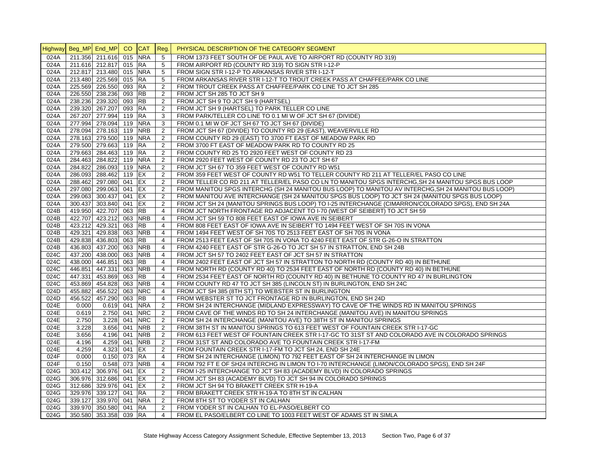|              | Highway Beg_MP End_MP CO CAT Reg. |                         |            |            |                | PHYSICAL DESCRIPTION OF THE CATEGORY SEGMENT                                                                         |
|--------------|-----------------------------------|-------------------------|------------|------------|----------------|----------------------------------------------------------------------------------------------------------------------|
| 024A         |                                   | 211.356 211.616         | 015        | <b>NRA</b> | 5              | FROM 1373 FEET SOUTH OF DE PAUL AVE TO AIRPORT RD (COUNTY RD 319)                                                    |
| 024A         |                                   | 211.616 212.817 015 RA  |            |            | 5              | FROM AIRPORT RD (COUNTY RD 319) TO SIGN STR I-12-P                                                                   |
| 024A         |                                   | 212.817 213.480 015 NRA |            |            | 5              | FROM SIGN STR I-12-P TO ARKANSAS RIVER STR I-12-T                                                                    |
| 024A         |                                   | 213.480 225.569 015 RA  |            |            | 5              | FROM ARKANSAS RIVER STR I-12-T TO TROUT CREEK PASS AT CHAFFEE/PARK CO LINE                                           |
| 024A         |                                   | 225.569 226.550         | 093 RA     |            | 2              | FROM TROUT CREEK PASS AT CHAFFEE/PARK CO LINE TO JCT SH 285                                                          |
| 024A         |                                   | 226.550 238.236         | 093 RB     |            | 2              | FROM JCT SH 285 TO JCT SH 9                                                                                          |
| 024A         |                                   | 238.236 239.320         | 093 RB     |            | $\sqrt{2}$     | FROM JCT SH 9 TO JCT SH 9 (HARTSEL)                                                                                  |
| 024A         |                                   | 239.320 267.207         | 093 RA     |            | $\overline{2}$ | FROM JCT SH 9 (HARTSEL) TO PARK TELLER CO LINE                                                                       |
| 024A         |                                   | 267.207 277.994         | 119 RA     |            | 3              | FROM PARK/TELLER CO LINE TO 0.1 MI W OF JCT SH 67 (DIVIDE)                                                           |
| 024A         |                                   | 277.994 278.094         | 119 NRA    |            | 3              | FROM 0.1 MI W OF JCT SH 67 TO JCT SH 67 (DIVIDE)                                                                     |
| 024A         |                                   | 278.094 278.163 119     |            | <b>NRB</b> | 2              | FROM JCT SH 67 (DIVIDE) TO COUNTY RD 29 (EAST), WEAVERVILLE RD                                                       |
| 024A         |                                   | 278.163 279.500 119 NRA |            |            | 2              | FROM COUNTY RD 29 (EAST) TO 3700 FT EAST OF MEADOW PARK RD                                                           |
| 024A         |                                   | 279.500 279.663 119     |            | <b>RA</b>  | 2              | FROM 3700 FT EAST OF MEADOW PARK RD TO COUNTY RD 25                                                                  |
| 024A         |                                   | 279.663 284.463         | 119 RA     |            | $\overline{2}$ | FROM COUNTY RD 25 TO 2920 FEET WEST OF COUNTY RD 23                                                                  |
| 024A         |                                   | 284.463 284.822         | 119 NRA    |            | 2              | FROM 2920 FEET WEST OF COUNTY RD 23 TO JCT SH 67                                                                     |
| 024A         |                                   | 284.822 286.093 119 NRA |            |            | $\overline{2}$ | FROM JCT SH 67 TO 359 FEET WEST OF COUNTY RD W51                                                                     |
| 024A         |                                   | 286.093 288.462         | 119 EX     |            | 2              | FROM 359 FEET WEST OF COUNTY RD W51 TO TELLER COUNTY RD 211 AT TELLER/EL PASO CO LINE                                |
| 024A         |                                   | 288.462 297.080         | 041 EX     |            | 2              | FROM TELLER CO RD 211 AT TELLER/EL PASO CO LN TO MANITOU SPGS INTERCHG, SH 24 MANITOU SPGS BUS LOOP                  |
| 024A         |                                   | 297.080 299.063         | 041 EX     |            | 2              | FROM MANITOU SPGS INTERCHG (SH 24 MANITOU BUS LOOP) TO MANITOU AV INTERCHG, SH 24 MANITOU BUS LOOP)                  |
| 024A         |                                   | 299.063 300.437         | 041 EX     |            | 2              | FROM MANITOU AVE INTERCHANGE (SH 24 MANITOU SPGS BUS LOOP) TO JCT SH 24 (MANITOU SPGS BUS LOOP)                      |
| 024A         |                                   | 300.437 303.840 041 EX  |            |            | $\overline{2}$ | FROM JCT SH 24 (MANITOU SPRINGS BUS LOOP) TO I-25 INTERCHANGE (CIMARRON/COLORADO SPGS), END SH 24A                   |
| 024B         |                                   | 419.950 422.707         | 063        | <b>RB</b>  | $\overline{4}$ | FROM JCT NORTH FRONTAGE RD ADJACENT TO 1-70 (WEST OF SEIBERT) TO JCT SH 59                                           |
| 024B         |                                   | 422.707 423.212         | 063 NRB    |            | 4              | FROM JCT SH 59 TO 808 FEET EAST OF IOWA AVE IN SEIBERT                                                               |
| 024B         |                                   | 423.212 429.321         | 063        | <b>RB</b>  | $\overline{4}$ | FROM 808 FEET EAST OF IOWA AVE IN SEIBERT TO 1494 FEET WEST OF SH 70S IN VONA                                        |
| 024B         |                                   | 429.321 429.838 063 NRB |            |            | $\overline{4}$ | FROM 1494 FEET WEST OF SH 70S TO 2513 FEET EAST OF SH 70S IN VONA                                                    |
| 024B         |                                   | 429.838 436.803         | 063        | <b>RB</b>  | 4              | FROM 2513 FEET EAST OF SH 70S IN VONA TO 4240 FEET EAST OF STR G-26-O IN STRATTON                                    |
| 024B         |                                   | 436.803 437.200         | 063        | <b>NRB</b> | $\overline{4}$ | FROM 4240 FEET EAST OF STR G-26-O TO JCT SH 57 IN STRATTON, END SH 24B                                               |
| 024C         |                                   | 437.200 438.000         | 063        | <b>NRB</b> | 4              | FROM JCT SH 57 TO 2402 FEET EAST OF JCT SH 57 IN STRATTON                                                            |
| 024C         |                                   | 438.000 446.851         | 063        | <b>RB</b>  | $\overline{4}$ | FROM 2402 FEET EAST OF JCT SH 57 IN STRATTON TO NORTH RD (COUNTY RD 40) IN BETHUNE                                   |
| 024C         |                                   | 446.851 447.331         | 063 NRB    |            | $\overline{4}$ | FROM NORTH RD (COUNTY RD 40) TO 2534 FEET EAST OF NORTH RD (COUNTY RD 40) IN BETHUNE                                 |
| 024C         |                                   | 447.331 453.869         | 063        | <b>RB</b>  | $\overline{4}$ | FROM 2534 FEET EAST OF NORTH RD (COUNTY RD 40) IN BETHUNE TO COUNTY RD 47 IN BURLINGTON                              |
| 024C         |                                   | 453.869 454.828         | 063        | <b>NRB</b> | $\overline{4}$ | FROM COUNTY RD 47 TO JCT SH 385 (LINCOLN ST) IN BURLINGTON, END SH 24C                                               |
|              |                                   | 455.882 456.522         |            | <b>NRC</b> | $\overline{4}$ |                                                                                                                      |
| 024D<br>024D |                                   | 456.522 457.290         | 063<br>063 | <b>RB</b>  | $\overline{4}$ | FROM JCT SH 385 (8TH ST) TO WEBSTER ST IN BURLINGTON<br>FROM WEBSTER ST TO JCT FRONTAGE RD IN BURLINGTON, END SH 24D |
| 024E         | 0.000                             | 0.619                   | 041        | <b>NRA</b> | 2              |                                                                                                                      |
| 024E         |                                   | 2.750 041               |            | <b>NRC</b> | 2              | FROM SH 24 INTERCHANGE (MIDLAND EXPRESSWAY) TO CAVE OF THE WINDS RD IN MANITOU SPRINGS                               |
| 024E         | 0.619                             |                         |            | <b>NRC</b> |                | FROM CAVE OF THE WINDS RD TO SH 24 INTERCHANGE (MANITOU AVE) IN MANITOU SPRINGS                                      |
| 024E         | 2.750                             | 3.228                   | 041        | <b>NRB</b> | 2              | FROM SH 24 INTERCHANGE (MANITOU AVE) TO 38TH ST IN MANITOU SPRINGS                                                   |
| 024E         | 3.228                             | 3.656                   | 041        |            | $\overline{2}$ | FROM 38TH ST IN MANITOU SPRINGS TO 613 FEET WEST OF FOUNTAIN CREEK STR I-17-GC                                       |
|              | 3.656                             | 4.196                   | 041        | <b>NRB</b> | 2              | FROM 613 FEET WEST OF FOUNTAIN CREEK STR I-17-GC TO 31ST ST AND COLORADO AVE IN COLORADO SPRINGS                     |
| 024E         | 4.196                             | 4.259                   | 041        | <b>NRB</b> | 2              | FROM 31ST ST AND COLORADO AVE TO FOUNTAIN CREEK STR I-17-FM                                                          |
| 024E         | 4.259                             | 4.323                   | 041 EX     |            | 2              | FROM FOUNTAIN CREEK STR I-17-FM TO JCT SH 24, END SH 24E                                                             |
| 024F         | 0.000                             | 0.150                   | 073 RA     |            | $\overline{4}$ | FROM SH 24 INTERCHANGE (LIMON) TO 792 FEET EAST OF SH 24 INTERCHANGE IN LIMON                                        |
| 024F         | 0.150                             | 0.548 073               |            | <b>NRB</b> | $\overline{4}$ | FROM 792 FT E OF SH24 INTERCHG IN LIMON TO I-70 INTERCHANGE (LIMON/COLORADO SPGS), END SH 24F                        |
| 024G         |                                   | 303.412 306.976 041     |            | EX         | $\overline{2}$ | FROM I-25 INTERCHANGE TO JCT SH 83 (ACADEMY BLVD) IN COLORADO SPRINGS                                                |
| 024G         |                                   | 306.976 312.686 041 EX  |            |            | $\sqrt{2}$     | FROM JCT SH 83 (ACADEMY BLVD) TO JCT SH 94 IN COLORADO SPRINGS                                                       |
| 024G         |                                   | 312.686 329.976 041 EX  |            |            | 2              | FROM JCT SH 94 TO BRAKETT CREEK STR H-19-A                                                                           |
| 024G         |                                   | 329.976 339.127         | 041 RA     |            | 2              | FROM BRAKETT CREEK STR H-19-A TO 8TH ST IN CALHAN                                                                    |
| 024G         |                                   | 339.127 339.970 041     |            | <b>NRA</b> | 2              | FROM 8TH ST TO YODER ST IN CALHAN                                                                                    |
| 024G         |                                   | 339.970 350.580         | 041 RA     |            | 2              | FROM YODER ST IN CALHAN TO EL-PASO/ELBERT CO                                                                         |
| 024G         |                                   | 350.580 353.358 039 RA  |            |            | $\overline{4}$ | FROM EL PASO/ELBERT CO LINE TO 1003 FEET WEST OF ADAMS ST IN SIMLA                                                   |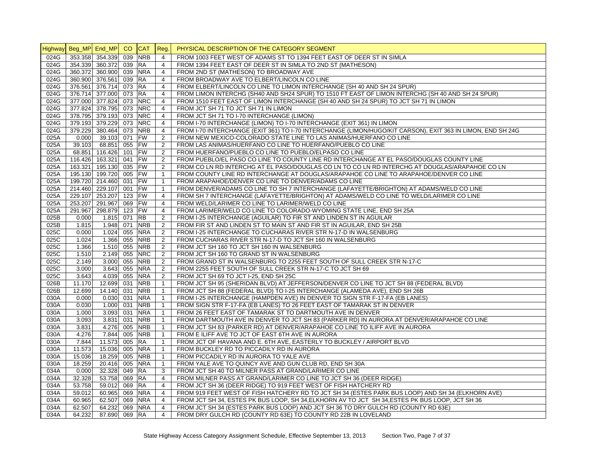|      |                       |                     | CO  |            |                |                                                                                                             |
|------|-----------------------|---------------------|-----|------------|----------------|-------------------------------------------------------------------------------------------------------------|
|      | Highway Beg_MP End_MP |                     |     | <b>CAT</b> | Reg.           | PHYSICAL DESCRIPTION OF THE CATEGORY SEGMENT                                                                |
| 024G |                       | 353.358 354.339     | 039 | <b>NRB</b> | $\overline{4}$ | FROM 1003 FEET WEST OF ADAMS ST TO 1394 FEET EAST OF DEER ST IN SIMLA                                       |
| 024G |                       | 354.339 360.372 039 |     | <b>RA</b>  | $\overline{4}$ | FROM 1394 FEET EAST OF DEER ST IN SIMLA TO 2ND ST (MATHESON)                                                |
| 024G |                       | 360.372 360.900 039 |     | <b>NRA</b> | $\overline{4}$ | FROM 2ND ST (MATHESON) TO BROADWAY AVE                                                                      |
| 024G |                       | 360.900 376.561 039 |     | <b>RA</b>  | $\overline{4}$ | FROM BROADWAY AVE TO ELBERT/LINCOLN CO LINE                                                                 |
| 024G |                       | 376.561 376.714 073 |     | <b>RA</b>  | $\overline{4}$ | FROM ELBERT/LINCOLN CO LINE TO LIMON INTERCHANGE (SH 40 AND SH 24 SPUR)                                     |
| 024G |                       | 376.714 377.000 073 |     | <b>RA</b>  | $\overline{4}$ | FROM LIMON INTERCHG (SH40 AND SH24 SPUR) TO 1510 FT EAST OF LIMON INTERCHG (SH 40 AND SH 24 SPUR)           |
| 024G |                       | 377.000 377.824 073 |     | <b>NRC</b> | 4              | FROM 1510 FEET EAST OF LIMON INTERCHANGE (SH 40 AND SH 24 SPUR) TO JCT SH 71 IN LIMON                       |
| 024G |                       | 377.824 378.795 073 |     | <b>NRC</b> | $\overline{4}$ | FROM JCT SH 71 TO JCT SH 71 IN LIMON                                                                        |
| 024G |                       | 378.795 379.193 073 |     | <b>NRC</b> | $\overline{4}$ | FROM JCT SH 71 TO I-70 INTERCHANGE (LIMON)                                                                  |
| 024G |                       | 379.193 379.229 073 |     | <b>NRC</b> | $\overline{4}$ | FROM I-70 INTERCHANGE (LIMON) TO I-70 INTERCHANGE (EXIT 361) IN LIMON                                       |
| 024G |                       | 379.229 380.464 073 |     | <b>NRB</b> | $\overline{4}$ | FROM I-70 INTERCHANGE (EXIT 361) TO I-70 INTERCHANGE (LIMON/HUGO/KIT CARSON), EXIT 363 IN LIMON, END SH 24G |
| 025A | 0.000                 | 39.103 071          |     | <b>FW</b>  | 2              | FROM NEW MEXICO-COLORADO STATE LINE TO LAS ANIMAS/HUERFANO CO LINE                                          |
| 025A | 39.103                | 68.851 055          |     | <b>FW</b>  | 2              | FROM LAS ANIMAS/HUERFANO CO LINE TO HUERFANO/PUEBLO CO LINE                                                 |
| 025A |                       | 68.851 116.426 101  |     | <b>FW</b>  | 2              | FROM HUERFANO/PUEBLO CO LINE TO PUEBLO/ELPASO CO LINE                                                       |
| 025A |                       | 116.426 163.321 041 |     | <b>FW</b>  | 2              | FROM PUEBLO/EL PASO CO LINE TO COUNTY LINE RD INTERCHANGE AT EL PASO/DOUGLAS COUNTY LINE                    |
| 025A |                       | 163.321 195.130 035 |     | <b>FW</b>  | 2              | FROM CO LN RD INTERCHG AT EL PASO/DOUGLAS CO LN TO CO LN RD INTERCHG AT DOUGLAS/ARAPAHOE CO LN              |
| 025A |                       | 195.130 199.720 005 |     | <b>FW</b>  | $\mathbf{1}$   | FROM COUNTY LINE RD INTERCHANGE AT DOUGLAS/ARAPAHOE CO LINE TO ARAPAHOE/DENVER CO LINE                      |
| 025A |                       | 199.720 214.460 031 |     | <b>FW</b>  | $\mathbf{1}$   | FROM ARAPAHOE/DENVER CO LINE TO DENVER/ADAMS CO LINE                                                        |
| 025A |                       | 214.460 229.107 001 |     | <b>FW</b>  | $\mathbf{1}$   | FROM DENVER/ADAMS CO LINE TO SH 7 INTERCHANGE (LAFAYETTE/BRIGHTON) AT ADAMS/WELD CO LINE                    |
| 025A |                       | 229.107 253.207 123 |     | <b>FW</b>  | 4              | FROM SH 7 INTERCHANGE (LAFAYETTE/BRIGHTON) AT ADAMS/WELD CO LINE TO WELD/LARIMER CO LINE                    |
| 025A |                       | 253.207 291.967 069 |     | <b>FW</b>  | 4              | FROM WELD/LARIMER CO LINE TO LARIMER/WELD CO LINE                                                           |
| 025A |                       | 291.967 298.879 123 |     | <b>FW</b>  | 4              | FROM LARIMER/WELD CO LINE TO COLORADO-WYOMING STATE LINE, END SH 25A                                        |
| 025B | 0.000                 | 1.815 071           |     | <b>RB</b>  | $\overline{2}$ | FROM I-25 INTERCHANGE (AGUILAR) TO FIR ST AND LINDEN ST IN AGUILAR                                          |
| 025B | 1.815                 | 1.948 071           |     | <b>NRB</b> | 2              | FROM FIR ST AND LINDEN ST TO MAIN ST AND FIR ST IN AGUILAR, END SH 25B                                      |
| 025C | 0.000                 | 1.024 055           |     | <b>NRA</b> | $\overline{2}$ | FROM I-25 INTERCHANGE TO CUCHARAS RIVER STR N-17-D IN WALSENBURG                                            |
| 025C | 1.024                 | 1.366 055           |     | <b>NRB</b> | 2              | FROM CUCHARAS RIVER STR N-17-D TO JCT SH 160 IN WALSENBURG                                                  |
| 025C | 1.366                 | 1.510               | 055 | <b>NRB</b> | 2              | FROM JCT SH 160 TO JCT SH 160 IN WALSENBURG                                                                 |
| 025C | 1.510                 | 2.149 055           |     | <b>NRC</b> | 2              | FROM JCT SH 160 TO GRAND ST IN WALSENBURG                                                                   |
| 025C | 2.149                 | 3.000 055           |     | <b>NRB</b> | $\overline{2}$ | FROM GRAND ST IN WALSENBURG TO 2255 FEET SOUTH OF SULL CREEK STR N-17-C                                     |
| 025C | 3.000                 | 3.643 055           |     | <b>NRA</b> | $\overline{2}$ | FROM 2255 FEET SOUTH OF SULL CREEK STR N-17-C TO JCT SH 69                                                  |
| 025C | 3.643                 | 4.039 055           |     | <b>NRA</b> | $\overline{2}$ | FROM JCT SH 69 TO JCT I-25. END SH 25C                                                                      |
| 026B | 11.170                | 12.699 031          |     | <b>NRB</b> | $\mathbf{1}$   | FROM JCT SH 95 (SHERIDAN BLVD) AT JEFFERSON/DENVER CO LINE TO JCT SH 88 (FEDERAL BLVD)                      |
| 026B | 12.699                | 14.140 031          |     | <b>NRB</b> | $\mathbf{1}$   | FROM JCT SH 88 (FEDERAL BLVD) TO I-25 INTERCHANGE (ALAMEDA AVE), END SH 26B                                 |
| 030A | 0.000                 | $0.030$ 031         |     | <b>NRA</b> | $\mathbf{1}$   | FROM I-25 INTERCHANGE (HAMPDEN AVE) IN DENVER TO SIGN STR F-17-FA (EB LANES)                                |
| 030A | 0.030                 | 1.000 031           |     | <b>NRB</b> | $\mathbf{1}$   | FROM SIGN STR F-17-FA (EB LANES) TO 26 FEET EAST OF TAMARAK ST IN DENVER                                    |
| 030A | 1.000                 | 3.093               | 031 | <b>NRA</b> | $\mathbf{1}$   | FROM 26 FEET EAST OF TAMARAK ST TO DARTMOUTH AVE IN DENVER                                                  |
| 030A | 3.093                 | 3.831 031           |     | <b>NRB</b> | $\mathbf{1}$   | FROM DARTMOUTH AVE IN DENVER TO JCT SH 83 (PARKER RD) IN AURORA AT DENVER/ARAPAHOE CO LINE                  |
| 030A | 3.831                 | 4.276 005           |     | <b>NRB</b> | $\mathbf{1}$   | FROM JCT SH 83 (PARKER RD) AT DENVER/ARAPAHOE CO LINE TO ILIFF AVE IN AURORA                                |
| 030A | 4.276                 | 7.844 005           |     | <b>NRB</b> | $\mathbf{1}$   | FROM E ILIFF AVE TO JCT OF EAST 6TH AVE IN AURORA                                                           |
| 030A | 7.844                 | 11.573 005          |     | <b>RA</b>  | $\mathbf{1}$   | FROM JCT OF HAVANA AND E. 6TH AVE, EASTERLY TO BUCKLEY / AIRPORT BLVD                                       |
| 030A | 11.573                | 15.036 005          |     | <b>NRA</b> | $\mathbf{1}$   | FROM BUCKLEY RD TO PICCADILY RD IN AURORA                                                                   |
| 030A | 15.036                | 18.259 005          |     | <b>NRB</b> | $\mathbf{1}$   | FROM PICCADILY RD IN AURORA TO YALE AVE                                                                     |
| 030A | 18.259                | 20.416 005          |     | <b>NRA</b> | $\mathbf{1}$   | FROM YALE AVE TO QUINCY AVE AND GUN CLUB RD, END SH 30A                                                     |
| 034A | 0.000                 | 32.328 049          |     | RA         | 3              | FROM JCT SH 40 TO MILNER PASS AT GRAND/LARIMER CO LINE                                                      |
| 034A | 32.328                | 53.758 069          |     | <b>RA</b>  | $\overline{4}$ | FROM MILNER PASS AT GRAND/LARIMER CO LINE TO JCT SH 36 (DEER RIDGE)                                         |
| 034A | 53.758                | 59.012 069          |     | <b>RA</b>  | $\overline{4}$ | FROM JCT SH 36 (DEER RIDGE) TO 919 FEET WEST OF FISH HATCHERY RD                                            |
| 034A | 59.012                | 60.965 069          |     | <b>NRA</b> | 4              | FROM 919 FEET WEST OF FISH HATCHERY RD TO JCT SH 34 (ESTES PARK BUS LOOP) AND SH 34 (ELKHORN AVE)           |
| 034A | 60.965                | 62.507 069          |     | <b>NRA</b> | 4              | FROM JCT SH 34, ESTES PK BUS LOOP, SH 34, ELKHORN AV TO JCT SH 34, ESTES PK BUS LOOP, JCT SH 36             |
| 034A | 62.507                | 64.232 069          |     | <b>NRA</b> | $\overline{4}$ | FROM JCT SH 34 (ESTES PARK BUS LOOP) AND JCT SH 36 TO DRY GULCH RD (COUNTY RD 63E)                          |
| 034A | 64.232                | 87.690 069 RA       |     |            | $\overline{4}$ | FROM DRY GULCH RD (COUNTY RD 63E) TO COUNTY RD 22B IN LOVELAND                                              |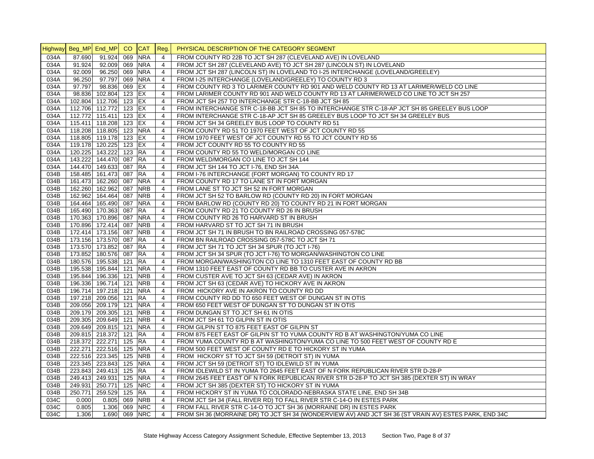|      |        | Highway Beg_MP End_MP CO |        | <b>CAT</b> | Reg.           | PHYSICAL DESCRIPTION OF THE CATEGORY SEGMENT                                                          |
|------|--------|--------------------------|--------|------------|----------------|-------------------------------------------------------------------------------------------------------|
| 034A | 87.690 | $91.924 \ 069$           |        | <b>NRA</b> | $\overline{4}$ | FROM COUNTY RD 22B TO JCT SH 287 (CLEVELAND AVE) IN LOVELAND                                          |
| 034A | 91.924 | 92.009 069               |        | <b>NRA</b> | 4              | FROM JCT SH 287 (CLEVELAND AVE) TO JCT SH 287 (LINCOLN ST) IN LOVELAND                                |
| 034A | 92.009 | 96.250 069               |        | <b>NRA</b> | $\overline{4}$ | FROM JCT SH 287 (LINCOLN ST) IN LOVELAND TO I-25 INTERCHANGE (LOVELAND/GREELEY)                       |
| 034A | 96.250 | 97.797 069 NRA           |        |            | 4              | FROM I-25 INTERCHANGE (LOVELAND/GREELEY) TO COUNTY RD 3                                               |
| 034A | 97.797 | 98.836 069 EX            |        |            | $\overline{4}$ | FROM COUNTY RD 3 TO LARIMER COUNTY RD 901 AND WELD COUNTY RD 13 AT LARIMER/WELD CO LINE               |
| 034A |        | 98.836 102.804 123 EX    |        |            | $\overline{4}$ | FROM LARIMER COUNTY RD 901 AND WELD COUNTY RD 13 AT LARIMER/WELD CO LINE TO JCT SH 257                |
| 034A |        | 102.804 112.706 123 EX   |        |            | $\overline{4}$ | FROM JCT SH 257 TO INTERCHANGE STR C-18-BB JCT SH 85                                                  |
| 034A |        | 112.706 112.772 123 EX   |        |            | $\overline{4}$ | FROM INTERCHANGE STR C-18-BB JCT SH 85 TO INTERCHANGE STR C-18-AP JCT SH 85 GREELEY BUS LOOP          |
| 034A |        | 112.772 115.411 123 EX   |        |            | $\overline{4}$ | FROM INTERCHANGE STR C-18-AP JCT SH 85 GREELEY BUS LOOP TO JCT SH 34 GREELEY BUS                      |
| 034A |        | 115.411 118.208 123 EX   |        |            | $\overline{4}$ | FROM JCT SH 34 GREELEY BUS LOOP TO COUNTY RD 51                                                       |
| 034A |        | 118.208 118.805 123 NRA  |        |            | 4              | FROM COUNTY RD 51 TO 1970 FEET WEST OF JCT COUNTY RD 55                                               |
| 034A |        | 118.805 119.178 123 EX   |        |            | $\overline{4}$ | FROM 1970 FEET WEST OF JCT COUNTY RD 55 TO JCT COUNTY RD 55                                           |
| 034A |        | 119.178 120.225 123 EX   |        |            | $\overline{4}$ | FROM JCT COUNTY RD 55 TO COUNTY RD 55                                                                 |
| 034A |        | 120.225 143.222          | 123 RA |            | $\overline{4}$ | FROM COUNTY RD 55 TO WELD/MORGAN CO LINE                                                              |
| 034A |        | 143.222 144.470 087 RA   |        |            | 4              | FROM WELD/MORGAN CO LINE TO JCT SH 144                                                                |
| 034A |        | 144.470 149.633 087 RA   |        |            | $\overline{4}$ | FROM JCT SH 144 TO JCT I-76, END SH 34A                                                               |
| 034B |        | 158.485 161.473 087      |        | <b>RA</b>  | 4              | FROM I-76 INTERCHANGE (FORT MORGAN) TO COUNTY RD 17                                                   |
| 034B |        | 161.473 162.260 087      |        | <b>NRA</b> | $\overline{4}$ | FROM COUNTY RD 17 TO LANE ST IN FORT MORGAN                                                           |
| 034B |        | 162.260 162.962 087      |        | <b>NRB</b> | $\overline{4}$ | FROM LANE ST TO JCT SH 52 IN FORT MORGAN                                                              |
| 034B |        | 162.962 164.464 087      |        | <b>NRB</b> | $\overline{4}$ | FROM JCT SH 52 TO BARLOW RD (COUNTY RD 20) IN FORT MORGAN                                             |
|      |        | 164.464 165.490 087      |        | <b>NRA</b> | $\overline{4}$ |                                                                                                       |
| 034B |        |                          |        |            |                | FROM BARLOW RD (COUNTY RD 20) TO COUNTY RD 21 IN FORT MORGAN                                          |
| 034B |        | 165.490 170.363 087      |        | <b>RA</b>  | $\overline{4}$ | FROM COUNTY RD 21 TO COUNTY RD 26 IN BRUSH                                                            |
| 034B |        | 170.363 170.896 087      |        | <b>NRA</b> | $\overline{4}$ | FROM COUNTY RD 26 TO HARVARD ST IN BRUSH                                                              |
| 034B |        | 170.896 172.414 087      |        | <b>NRB</b> | $\overline{4}$ | FROM HARVARD ST TO JCT SH 71 IN BRUSH                                                                 |
| 034B |        | 172.414 173.156 087      |        | <b>NRB</b> | $\overline{4}$ | FROM JCT SH 71 IN BRUSH TO BN RAILROAD CROSSING 057-578C                                              |
| 034B |        | 173.156 173.570 087      |        | <b>IRA</b> | 4              | FROM BN RAILROAD CROSSING 057-578C TO JCT SH 71                                                       |
| 034B |        | 173.570 173.852 087 RA   |        |            | $\overline{4}$ | FROM JCT SH 71 TO JCT SH 34 SPUR (TO JCT I-76)                                                        |
| 034B |        | 173.852 180.576 087      |        | <b>RA</b>  | 4              | FROM JCT SH 34 SPUR (TO JCT I-76) TO MORGAN/WASHINGTON CO LINE                                        |
| 034B |        | 180.576 195.538 121      |        | <b>RA</b>  | $\overline{4}$ | FROM MORGAN/WASHINGTON CO LINE TO 1310 FEET EAST OF COUNTY RD BB                                      |
| 034B |        | 195.538 195.844 121      |        | <b>NRA</b> | 4              | FROM 1310 FEET EAST OF COUNTY RD BB TO CUSTER AVE IN AKRON                                            |
| 034B |        | 195.844 196.336 121      |        | <b>NRB</b> | 4              | FROM CUSTER AVE TO JCT SH 63 (CEDAR AVE) IN AKRON                                                     |
| 034B |        | 196.336 196.714 121      |        | <b>NRB</b> | $\overline{4}$ | FROM JCT SH 63 (CEDAR AVE) TO HICKORY AVE IN AKRON                                                    |
| 034B |        | 196.714 197.218 121      |        | <b>NRA</b> | 4              | FROM HICKORY AVE IN AKRON TO COUNTY RD DD                                                             |
| 034B |        | 197.218 209.056 121      |        | <b>RA</b>  | $\overline{4}$ | FROM COUNTY RD DD TO 650 FEET WEST OF DUNGAN ST IN OTIS                                               |
| 034B |        | 209.056 209.179 121      |        | <b>NRA</b> | $\overline{4}$ | FROM 650 FEET WEST OF DUNGAN ST TO DUNGAN ST IN OTIS                                                  |
| 034B |        | 209.179 209.305 121      |        | <b>NRB</b> | $\overline{4}$ | FROM DUNGAN ST TO JCT SH 61 IN OTIS                                                                   |
| 034B |        | 209.305 209.649 121      |        | <b>NRB</b> | $\overline{4}$ | FROM JCT SH 61 TO GILPIN ST IN OTIS                                                                   |
| 034B |        | 209.649 209.815 121      |        | <b>NRA</b> | $\overline{4}$ | FROM GILPIN ST TO 875 FEET EAST OF GILPIN ST                                                          |
| 034B |        | 209.815 218.372 121      |        | <b>RA</b>  | 4              | FROM 875 FEET EAST OF GILPIN ST TO YUMA COUNTY RD B AT WASHINGTON/YUMA CO LINE                        |
| 034B |        | 218.372 222.271 125      |        | <b>RA</b>  | $\overline{4}$ | FROM YUMA COUNTY RD B AT WASHINGTON/YUMA CO LINE TO 500 FEET WEST OF COUNTY RD E                      |
| 034B |        | 222.271 222.516 125      |        | <b>NRA</b> | 4              | FROM 500 FEET WEST OF COUNTY RD E TO HICKORY ST IN YUMA                                               |
| 034B |        | 222.516 223.345 125      |        | <b>NRB</b> | 4              | FROM HICKORY ST TO JCT SH 59 (DETROIT ST) IN YUMA                                                     |
| 034B |        | 223.345 223.843 125      |        | <b>NRA</b> | $\overline{4}$ | FROM JCT SH 59 (DETROIT ST) TO IDLEWILD ST IN YUMA                                                    |
| 034B |        | 223.843 249.413 125      |        | RA         | 4              | FROM IDLEWILD ST IN YUMA TO 2645 FEET EAST OF N FORK REPUBLICAN RIVER STR D-28-P                      |
| 034B |        | 249.413 249.931 125      |        | <b>NRA</b> | $\overline{4}$ | FROM 2645 FEET EAST OF N FORK REPUBLICAN RIVER STR D-28-P TO JCT SH 385 (DEXTER ST) IN WRAY           |
| 034B |        | 249.931 250.771          | 125    | <b>NRC</b> | $\overline{4}$ | FROM JCT SH 385 (DEXTER ST) TO HICKORY ST IN YUMA                                                     |
| 034B |        | 250.771 259.529 125 RA   |        |            | $\overline{4}$ | FROM HICKORY ST IN YUMA TO COLORADO-NEBRASKA STATE LINE, END SH 34B                                   |
| 034C | 0.000  | $0.805$ 069              |        | <b>NRB</b> | 4              | FROM JCT SH 34 (FALL RIVER RD) TO FALL RIVER STR C-14-O IN ESTES PARK                                 |
| 034C | 0.805  | 1.306 069                |        | <b>NRC</b> | $\overline{4}$ | FROM FALL RIVER STR C-14-O TO JCT SH 36 (MORRAINE DR) IN ESTES PARK                                   |
| 034C | 1.306  | 1.690 069 NRC            |        |            | 4              | FROM SH 36 (MORRAINE DR) TO JCT SH 34 (WONDERVIEW AV) AND JCT SH 36 (ST VRAIN AV) ESTES PARK, END 34C |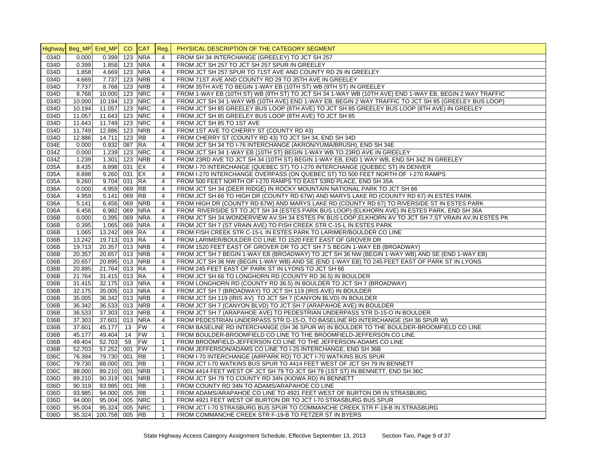|      | Highway Beg_MP End_MP |                       | CO.    | <b>CAT</b>     | Reg.           | PHYSICAL DESCRIPTION OF THE CATEGORY SEGMENT                                                             |
|------|-----------------------|-----------------------|--------|----------------|----------------|----------------------------------------------------------------------------------------------------------|
| 034D | 0.000                 | 0.399                 | 123    | <b>NRA</b>     | $\overline{4}$ | FROM SH 34 INTERCHANGE (GREELEY) TO JCT SH 257                                                           |
| 034D | 0.399                 | 1.858 123 NRA         |        |                | $\overline{4}$ | FROM JCT SH 257 TO JCT SH 257 SPUR IN GREELEY                                                            |
| 034D | 1.858                 | 4.669                 | 123    | <b>NRA</b>     | $\overline{4}$ | FROM JCT SH 257 SPUR TO 71ST AVE AND COUNTY RD 29 IN GREELEY                                             |
| 034D | 4.669                 | 7.737                 | 123    | <b>NRB</b>     | 4              | FROM 71ST AVE AND COUNTY RD 29 TO 35TH AVE IN GREELEY                                                    |
| 034D | 7.737                 | 8.768 123             |        | <b>NRB</b>     | $\overline{4}$ | FROM 35TH AVE TO BEGIN 1-WAY EB (10TH ST) WB (9TH ST) IN GREELEY                                         |
| 034D | 8.768                 | 10.000                | 123    | <b>NRC</b>     | $\overline{4}$ | FROM 1-WAY EB (10TH ST) WB (9TH ST) TO JCT SH 34 1-WAY WB (10TH AVE) END 1-WAY EB, BEGIN 2 WAY TRAFFIC   |
| 034D | 10.000                | 10.194 123            |        | <b>NRC</b>     | $\overline{4}$ | FROM JCT SH 34 1-WAY WB (10TH AVE) END 1-WAY EB, BEGIN 2 WAY TRAFFIC TO JCT SH 85 (GREELEY BUS LOOP)     |
| 034D | 10.194                | 11.057                |        | <b>123 NRC</b> | $\overline{4}$ | FROM JCT SH 85 GREELEY BUS LOOP (8TH AVE) TO JCT SH 85 GREELEY BUS LOOP (8TH AVE) IN GREELEY             |
| 034D | 11.057                | 11.643 123            |        | <b>NRC</b>     | $\overline{4}$ | FROM JCT SH 85 GREELEY BUS LOOP (8TH AVE) TO JCT SH 85                                                   |
| 034D | 11.643                | 11.749 123            |        | <b>NRC</b>     | $\overline{4}$ | FROM JCT SH 85 TO 1ST AVE                                                                                |
| 034D | 11.749                | 12.886 123            |        | <b>NRB</b>     | $\overline{4}$ | FROM 1ST AVE TO CHERRY ST (COUNTY RD 43)                                                                 |
| 034D | 12.886                | 14.711                | 123 RB |                | $\overline{4}$ | FROM CHERRY ST (COUNTY RD 43) TO JCT SH 34, END SH 34D                                                   |
| 034E | 0.000                 | 0.932 087             |        | <b>RA</b>      | $\overline{4}$ | FROM JCT SH 34 TO I-76 INTERCHANGE (AKRON/YUMA/BRUSH), END SH 34E                                        |
| 034Z | 0.000                 | 1.239                 | 123    | <b>NRC</b>     | $\overline{4}$ | FROM JCT SH 34 1-WAY EB (10TH ST) BEGIN 1-WAY WB TO 23RD AVE IN GREELEY                                  |
| 034Z | 1.239                 | 1.301                 | 123    | <b>NRB</b>     | $\overline{4}$ | FROM 23RD AVE TO JCT SH 34 (10TH ST) BEGIN 1-WAY EB, END 1 WAY WB, END SH 34Z IN GREELEY                 |
| 035A | 8.435                 | 8.898 031             |        | EX             | $\overline{4}$ | FROM I-70 INTERCHANGE (QUEBEC ST) TO I-270 INTERCHANGE (QUEBEC ST) IN DENVER                             |
| 035A | 8.898                 | $9.260$ 031           |        | EX             | $\overline{4}$ | FROM I-270 INTERCHANGE OVERPASS (ON QUEBEC ST) TO 500 FEET NORTH OF I-270 RAMPS                          |
| 035A | 9.260                 | 9.704 031             |        | <b>RA</b>      | $\overline{4}$ | FROM 500 FEET NORTH OF I-270 RAMPS TO EAST 53RD PLACE, END SH 35A                                        |
| 036A | 0.000                 | 4.959 069 RB          |        |                | 4              | FROM JCT SH 34 (DEER RIDGE) IN ROCKY MOUNTAIN NATIONAL PARK TO JCT SH 66                                 |
| 036A | 4.959                 | 5.141                 | 069    | <b>RB</b>      | $\overline{4}$ | FROM JCT SH 66 TO HIGH DR (COUNTY RD 67W) AND MARYS LAKE RD (COUNTY RD 67) IN ESTES PARK                 |
| 036A | 5.141                 | 6.456 069             |        | <b>NRB</b>     | 4              | FROM HIGH DR (COUNTY RD 67W) AND MARYS LAKE RD (COUNTY RD 67) TO RIVERSIDE ST IN ESTES PARK              |
| 036A | 6.456                 | 6.982                 | 069    | <b>NRA</b>     | $\overline{4}$ | FROM RIVERSIDE ST TO JCT SH 34 (ESTES PARK BUS LOOP) (ELKHORN AVE) IN ESTES PARK, END SH 36A             |
| 036B | 0.000                 | $0.395$ 069           |        | <b>NRA</b>     | $\overline{4}$ | FROM JCT SH 34, WONDERVIEW AV, SH 34 ESTES PK BUS LOOP, ELKHORN AV TO JCT SH 7, ST VRAIN AV, IN ESTES PK |
| 036B | 0.395                 | 1.065 069             |        | <b>NRA</b>     | $\overline{4}$ | FROM JCT SH 7 (ST VRAIN AVE) TO FISH CREEK STR C-15-L IN ESTES PARK                                      |
| 036B | 1.065                 | 13.242                | 069    | <b>RA</b>      | $\overline{4}$ | FROM FISH CREEK STR C-15-L IN ESTES PARK TO LARIMER/BOULDER CO LINE                                      |
| 036B | 13.242                | 19.713                | 013    | <b>RA</b>      | $\overline{4}$ | FROM LARIMER/BOULDER CO LINE TO 1520 FEET EAST OF GROVER DR                                              |
| 036B | 19.713                | 20.357                |        | 013 NRB        | $\overline{4}$ | FROM 1520 FEET EAST OF GROVER DR TO JCT SH 7 S BEGIN 1-WAY EB (BROADWAY)                                 |
| 036B | 20.357                | 20.657 013 NRB        |        |                | $\overline{4}$ | FROM JCT SH 7 BEGIN 1-WAY EB (BROADWAY) TO JCT SH 36 NW (BEGIN 1-WAY WB) AND SE (END 1-WAY EB)           |
| 036B | 20.657                | 20.895 013 NRB        |        |                | $\overline{4}$ | FROM JCT SH 36 NW (BEGIN 1-WAY WB) AND SE (END 1-WAY EB) TO 245 FEET EAST OF PARK ST IN LYONS            |
| 036B | 20.895                | 21.764 013 RA         |        |                | 4              | FROM 245 FEET EAST OF PARK ST IN LYONS TO JCT SH 66                                                      |
| 036B | 21.764                | 31.415 013 RA         |        |                | $\overline{4}$ | FROM JCT SH 66 TO LONGHORN RD (COUNTY RD 36.5) IN BOULDER                                                |
| 036B | 31.415                | 32.175 013 NRA        |        |                | $\overline{4}$ | FROM LONGHORN RD (COUNTY RD 36.5) IN BOULDER TO JCT SH 7 (BROADWAY)                                      |
| 036B | 32.175                | 35.005 013 NRA        |        |                | $\overline{4}$ | FROM JCT SH 7 (BROADWAY) TO JCT SH 119 (IRIS AVE) IN BOULDER                                             |
| 036B | 35.005                | 36.342 013 NRB        |        |                | $\overline{4}$ | FROM JCT SH 119 (IRIS AV) TO JCT SH 7 (CANYON BLVD) IN BOULDER                                           |
| 036B | 36.342                | 36.533 013 NRB        |        |                | $\overline{4}$ | FROM JCT SH 7 (CANYON BLVD) TO JCT SH 7 (ARAPAHOE AVE) IN BOULDER                                        |
| 036B | 36.533                | 37.303 013 NRB        |        |                | $\overline{4}$ | FROM JCT SH 7 (ARAPAHOE AVE) TO PEDESTRIAN UNDERPASS STR D-15-O IN BOULDER                               |
| 036B | 37.303                | 37.601                | 013    | <b>NRA</b>     | $\overline{4}$ | FROM PEDESTRIAN UNDERPASS STR D-15-O, TO BASELINE RD INTERCHANGE (SH 36 SPUR W)                          |
| 036B | 37.601                | 45.177                | 13     | <b>FW</b>      | $\overline{4}$ | FROM BASELINE RD INTERCHANGE (SH 36 SPUR W) IN BOULDER TO THE BOULDER-BROOMFIELD CO LINE                 |
| 036B | 45.177                | 49.404                | 14     | <b>FW</b>      | $\overline{1}$ | FROM BOULDER-BROOMFIELD CO LINE TO THE BROOMFIELD-JEFFERSON CO LINE                                      |
| 036B | 49.404                | 52.703                | 59     | <b>FW</b>      | $\mathbf{1}$   | FROM BROOMFIELD-JEFFERSON CO LINE TO THE JEFFERSON-ADAMS CO LINE                                         |
| 036B | 52.703                | 57.252 001            |        | <b>FW</b>      | $\mathbf{1}$   | FROM JEFFERSON/ADAMS CO LINE TO I-25 INTERCHANGE, END SH 36B                                             |
| 036C | 76.394                | 79.730 001            |        | <b>RB</b>      | $\mathbf{1}$   | FROM I-70 INTERCHANGE (AIRPARK RD) TO JCT I-70 WATKINS BUS SPUR                                          |
| 036C | 79.730                | 88.000 001 RB         |        |                | $\overline{1}$ | FROM JCT I-70 WATKINS BUS SPUR TO 4414 FEET WEST OF JCT SH 79 IN BENNETT                                 |
| 036C | 88.000                | 89.210 001            |        | <b>NRB</b>     | $\mathbf{1}$   | FROM 4414 FEET WEST OF JCT SH 79 TO JCT SH 79 (1ST ST) IN BENNETT, END SH 36C                            |
| 036D | 89.210                | 90.319 001 NRB        |        |                | $\mathbf{1}$   | FROM JCT SH 79 TO COUNTY RD 34N (KIOWA RD) IN BENNETT                                                    |
| 036D | 90.319                | 93.985 001            |        | <b>RB</b>      | $\mathbf{1}$   | FROM COUNTY RD 34N TO ADAMS/ARAPAHOE CO LINE                                                             |
| 036D | 93.985                | 94.000 005 RB         |        |                | $\overline{1}$ | FROM ADAMS/ARAPAHOE CO LINE TO 4921 FEET WEST OF BURTON DR IN STRASBURG                                  |
| 036D | 94.000                | 95.004 005 NRC        |        |                | $\mathbf{1}$   | FROM 4921 FEET WEST OF BURTON DR TO JCT I-70 STRASBURG BUS SPUR                                          |
| 036D | 95.004                | 95.324 005 NRC        |        |                | $\mathbf{1}$   | FROM JCT I-70 STRASBURG BUS SPUR TO COMMANCHE CREEK STR F-19-B IN STRASBURG                              |
| 036D |                       | 95.324 100.758 005 RB |        |                | $\mathbf{1}$   | FROM COMMANCHE CREEK STR F-19-B TO FETZER ST IN BYERS                                                    |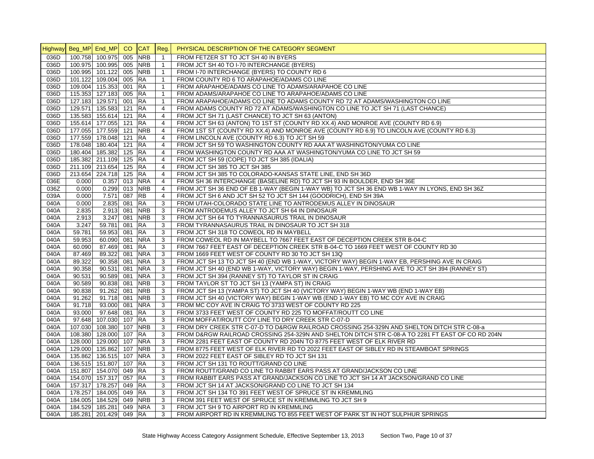|      | Highway Beg_MP End_MP CO |               |        | <b>CAT</b> | Req.           | PHYSICAL DESCRIPTION OF THE CATEGORY SEGMENT                                                     |
|------|--------------------------|---------------|--------|------------|----------------|--------------------------------------------------------------------------------------------------|
| 036D | 100.758 100.975 005      |               |        | <b>NRB</b> | $\mathbf{1}$   | FROM FETZER ST TO JCT SH 40 IN BYERS                                                             |
| 036D | 100.975 100.995 005 NRB  |               |        |            | $\mathbf{1}$   | FROM JCT SH 40 TO I-70 INTERCHANGE (BYERS)                                                       |
| 036D | 100.995 101.122 005 NRB  |               |        |            | $\mathbf{1}$   | FROM I-70 INTERCHANGE (BYERS) TO COUNTY RD 6                                                     |
| 036D | 101.122 109.004 005 RA   |               |        |            | $\mathbf{1}$   | FROM COUNTY RD 6 TO ARAPAHOE/ADAMS CO LINE                                                       |
| 036D | 109.004 115.353 001 RA   |               |        |            | $\mathbf{1}$   | FROM ARAPAHOE/ADAMS CO LINE TO ADAMS/ARAPAHOE CO LINE                                            |
| 036D | 115.353 127.183 005 RA   |               |        |            | $\mathbf{1}$   | FROM ADAMS/ARAPAHOE CO LINE TO ARAPAHOE/ADAMS CO LINE                                            |
| 036D | 127.183 129.571 001 RA   |               |        |            | $\mathbf{1}$   | FROM ARAPAHOE/ADAMS CO LINE TO ADAMS COUNTY RD 72 AT ADAMS/WASHINGTON CO LINE                    |
| 036D | 129.571 135.583 121 RA   |               |        |            | $\overline{4}$ | FROM ADAMS COUNTY RD 72 AT ADAMS/WASHINGTON CO LINE TO JCT SH 71 (LAST CHANCE)                   |
| 036D | 135.583 155.614 121 RA   |               |        |            | $\overline{4}$ | FROM JCT SH 71 (LAST CHANCE) TO JCT SH 63 (ANTON)                                                |
| 036D | 155.614 177.055 121 RA   |               |        |            | $\overline{4}$ | FROM JCT SH 63 (ANTON) TO 1ST ST (COUNTY RD XX.4) AND MONROE AVE (COUNTY RD 6.9)                 |
| 036D | 177.055 177.559 121 NRB  |               |        |            | $\overline{4}$ | FROM 1ST ST (COUNTY RD XX.4) AND MONROE AVE (COUNTY RD 6.9) TO LINCOLN AVE (COUNTY RD 6.3)       |
| 036D | 177.559 178.048 121 RA   |               |        |            | $\overline{4}$ | FROM LINCOLN AVE (COUNTY RD 6.3) TO JCT SH 59                                                    |
| 036D | 178.048 180.404 121 RA   |               |        |            | $\overline{4}$ | FROM JCT SH 59 TO WASHINGTON COUNTY RD AAA AT WASHINGTON/YUMA CO LINE                            |
| 036D | 180.404 185.382 125 RA   |               |        |            | $\overline{4}$ | FROM WASHINGTON COUNTY RD AAA AT WASHINGTON/YUMA CO LINE TO JCT SH 59                            |
| 036D | 185.382 211.109 125 RA   |               |        |            | $\overline{4}$ | FROM JCT SH 59 (COPE) TO JCT SH 385 (IDALIA)                                                     |
| 036D | 211.109 213.654 125 RA   |               |        |            | $\overline{4}$ | FROM JCT SH 385 TO JCT SH 385                                                                    |
| 036D | 213.654 224.718 125 RA   |               |        |            | 4              | FROM JCT SH 385 TO COLORADO-KANSAS STATE LINE, END SH 36D                                        |
| 036E | 0.000                    | 0.357 013 NRA |        |            | $\overline{4}$ | FROM SH 36 INTERCHANGE (BASELINE RD) TO JCT SH 93 IN BOULDER, END SH 36E                         |
| 036Z | 0.000                    | 0.299 013 NRB |        |            | $\overline{4}$ | FROM JCT SH 36 END OF EB 1-WAY (BEGIN 1-WAY WB) TO JCT SH 36 END WB 1-WAY IN LYONS, END SH 36Z   |
| 039A | 0.000                    | 7.571         | 087 RB |            | $\overline{4}$ | FROM JCT SH 6 AND JCT SH 52 TO JCT SH 144 (GOODRICH), END SH 39A                                 |
| 040A | 0.000                    | 2.835 081 RA  |        |            | 3              | FROM UTAH-COLORADO STATE LINE TO ANTRODEMUS ALLEY IN DINOSAUR                                    |
| 040A | 2.835                    | 2.913 081 NRB |        |            | 3              | FROM ANTRODEMUS ALLEY TO JCT SH 64 IN DINOSAUR                                                   |
| 040A | 2.913                    | 3.247 081     |        | <b>NRB</b> | 3              | FROM JCT SH 64 TO TYRANNASAURUS TRAIL IN DINOSAUR                                                |
| 040A | 3.247                    | 59.781 081    |        | <b>RA</b>  | 3              | FROM TYRANNASAURUS TRAIL IN DINOSAUR TO JCT SH 318                                               |
| 040A | 59.781                   | 59.953 081    |        | <b>RA</b>  | 3              | FROM JCT SH 318 TO COWEOL RD IN MAYBELL                                                          |
| 040A | 59.953                   | 60.090 081    |        | <b>NRA</b> | 3              | FROM COWEOL RD IN MAYBELL TO 7667 FEET EAST OF DECEPTION CREEK STR B-04-C                        |
| 040A | 60.090                   | 87.469 081    |        | <b>RA</b>  | 3              | FROM 7667 FEET EAST OF DECEPTION CREEK STR B-04-C TO 1669 FEET WEST OF COUNTY RD 30              |
| 040A | 87.469                   | 89.322 081    |        | <b>NRA</b> | 3              | FROM 1669 FEET WEST OF COUNTY RD 30 TO JCT SH 13Q                                                |
| 040A | 89.322                   | 90.358 081    |        | <b>NRA</b> | 3              | FROM JCT SH 13 TO JCT SH 40 (END WB 1-WAY, VICTORY WAY) BEGIN 1-WAY EB, PERSHING AVE IN CRAIG    |
| 040A | 90.358                   | 90.531 081    |        | <b>NRA</b> | 3              | FROM JCT SH 40 (END WB 1-WAY, VICTORY WAY) BEGIN 1-WAY, PERSHING AVE TO JCT SH 394 (RANNEY ST)   |
| 040A | 90.531                   | 90.589 081    |        | <b>NRA</b> | 3              | FROM JCT SH 394 (RANNEY ST) TO TAYLOR ST IN CRAIG                                                |
| 040A | 90.589                   | 90.838 081    |        | <b>NRB</b> | 3              | FROM TAYLOR ST TO JCT SH 13 (YAMPA ST) IN CRAIG                                                  |
| 040A | 90.838                   | 91.262 081    |        | <b>NRB</b> | 3              | FROM JCT SH 13 (YAMPA ST) TO JCT SH 40 (VICTORY WAY) BEGIN 1-WAY WB (END 1-WAY EB)               |
| 040A | 91.262                   | 91.718 081    |        | <b>NRB</b> | 3              | FROM JCT SH 40 (VICTORY WAY) BEGIN 1-WAY WB (END 1-WAY EB) TO MC COY AVE IN CRAIG                |
| 040A | 91.718                   | 93.000 081    |        | <b>NRA</b> | 3              | FROM MC COY AVE IN CRAIG TO 3733 WEST OF COUNTY RD 225                                           |
| 040A | 93.000                   | 97.648 081    |        | <b>RA</b>  | 3              | FROM 3733 FEET WEST OF COUNTY RD 225 TO MOFFAT/ROUTT CO LINE                                     |
| 040A | 97.648 107.030 107 RA    |               |        |            | 3              | FROM MOFFAT/ROUTT COY LINE TO DRY CREEK STR C-07-D                                               |
| 040A | 107.030 108.380 107      |               |        | <b>NRB</b> | 3              | FROM DRY CREEK STR C-07-D TO D&RGW RAILROAD CROSSING 254-329N AND SHELTON DITCH STR C-08-a       |
| 040A | 108.380 128.000 107 RA   |               |        |            | 3              | FROM D&RGW RAILROAD CROSSING 254-329N AND SHELTON DITCH STR C-08-A TO 2281 FT EAST OF CO RD 204N |
| 040A | 128.000 129.000 107      |               |        | <b>NRA</b> | 3              | FROM 2281 FEET EAST OF COUNTY RD 204N TO 8775 FEET WEST OF ELK RIVER RD                          |
| 040A | 129.000 135.862 107      |               |        | <b>NRB</b> | 3              | FROM 8775 FEET WEST OF ELK RIVER RD TO 2022 FEET EAST OF SIBLEY RD IN STEAMBOAT SPRINGS          |
| 040A | 135.862 136.515 107      |               |        | <b>NRA</b> | 3              | FROM 2022 FEET EAST OF SIBLEY RD TO JCT SH 131                                                   |
| 040A | 136.515 151.807 107      |               |        | <b>RA</b>  | 3              | FROM JCT SH 131 TO ROUTT/GRAND CO LINE                                                           |
| 040A | 151.807 154.070 049 RA   |               |        |            | 3              | FROM ROUTT/GRAND CO LINE TO RABBIT EARS PASS AT GRAND/JACKSON CO LINE                            |
| 040A | 154.070 157.317 057 RA   |               |        |            | 3              | FROM RABBIT EARS PASS AT GRAND/JACKSON CO LINE TO JCT SH 14 AT JACKSON/GRAND CO LINE             |
| 040A | 157.317 178.257 049 RA   |               |        |            | 3              | FROM JCT SH 14 AT JACKSON/GRAND CO LINE TO JCT SH 134                                            |
| 040A | 178.257 184.005 049 RA   |               |        |            | 3              | FROM JCT SH 134 TO 391 FEET WEST OF SPRUCE ST IN KREMMLING                                       |
| 040A | 184.005 184.529 049 NRB  |               |        |            | 3              | FROM 391 FEET WEST OF SPRUCE ST IN KREMMLING TO JCT SH 9                                         |
| 040A | 184.529 185.281 049 NRA  |               |        |            | 3              | FROM JCT SH 9 TO AIRPORT RD IN KREMMLING                                                         |
| 040A | 185.281 201.429 049 RA   |               |        |            | 3              | FROM AIRPORT RD IN KREMMLING TO 855 FEET WEST OF PARK ST IN HOT SULPHUR SPRINGS                  |
|      |                          |               |        |            |                |                                                                                                  |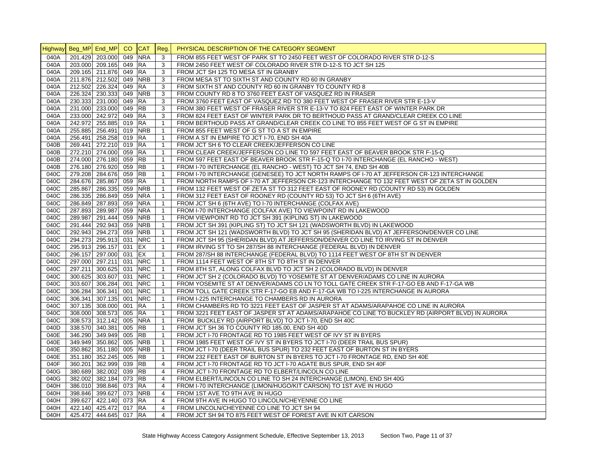|      | Highway Beg_MP End_MP |                        | CO. | <b>CAT</b> | Reg.           | PHYSICAL DESCRIPTION OF THE CATEGORY SEGMENT                                                      |
|------|-----------------------|------------------------|-----|------------|----------------|---------------------------------------------------------------------------------------------------|
| 040A |                       | 201.429 203.000        | 049 | <b>NRA</b> | 3              | FROM 855 FEET WEST OF PARK ST TO 2450 FEET WEST OF COLORADO RIVER STR D-12-S                      |
| 040A |                       | 203.000 209.165 049    |     | <b>RA</b>  | 3              | FROM 2450 FEET WEST OF COLORADO RIVER STR D-12-S TO JCT SH 125                                    |
| 040A |                       | 209.165 211.876 049    |     | <b>RA</b>  | 3              | FROM JCT SH 125 TO MESA ST IN GRANBY                                                              |
| 040A |                       | 211.876 212.502 049    |     | <b>NRB</b> | 3              | FROM MESA ST TO SIXTH ST AND COUNTY RD 60 IN GRANBY                                               |
| 040A |                       | 212.502 226.324 049    |     | RA         | 3              | FROM SIXTH ST AND COUNTY RD 60 IN GRANBY TO COUNTY RD 8                                           |
| 040A |                       | 226.324 230.333 049    |     | <b>NRB</b> | 3              | FROM COUNTY RD 8 TO 3760 FEET EAST OF VASQUEZ RD IN FRASER                                        |
| 040A |                       | 230.333 231.000 049    |     | <b>RA</b>  | 3              | FROM 3760 FEET EAST OF VASQUEZ RD TO 380 FEET WEST OF FRASER RIVER STR E-13-V                     |
| 040A |                       | 231.000 233.000 049    |     | <b>RB</b>  | 3              | FROM 380 FEET WEST OF FRASER RIVER STR E-13-V TO 824 FEET EAST OF WINTER PARK DR                  |
| 040A |                       | 233.000 242.972 049    |     | <b>RA</b>  | 3              | FROM 824 FEET EAST OF WINTER PARK DR TO BERTHOUD PASS AT GRAND/CLEAR CREEK CO LINE                |
| 040A |                       | 242.972 255.885 019    |     | <b>RA</b>  | $\mathbf{1}$   | FROM BERTHOUD PASS AT GRAND/CLEAR CREEK CO LINE TO 855 FEET WEST OF G ST IN EMPIRE                |
| 040A |                       | 255.885 256.491 019    |     | <b>NRB</b> | $\mathbf{1}$   | FROM 855 FEET WEST OF G ST TO A ST IN EMPIRE                                                      |
| 040A |                       | 256.491 258.258 019    |     | <b>RA</b>  | $\mathbf{1}$   | FROM A ST IN EMPIRE TO JCT I-70, END SH 40A                                                       |
| 040B |                       | 269.441 272.210 019    |     | <b>RA</b>  | $\mathbf{1}$   | FROM JCT SH 6 TO CLEAR CREEK/JEFFERSON CO LINE                                                    |
| 040B |                       | 272.210 274.000 059    |     | <b>RA</b>  | $\mathbf{1}$   | FROM CLEAR CREEK/JEFFERSON CO LINE TO 597 FEET EAST OF BEAVER BROOK STR F-15-Q                    |
| 040B |                       | 274.000 276.180 059    |     | <b>RB</b>  | $\mathbf{1}$   | FROM 597 FEET EAST OF BEAVER BROOK STR F-15-Q TO I-70 INTERCHANGE (EL RANCHO - WEST)              |
| 040B |                       | 276.180 276.920 059    |     | <b>RB</b>  | $\mathbf{1}$   | FROM I-70 INTERCHANGE (EL RANCHO - WEST) TO JCT SH 74, END SH 40B                                 |
| 040C |                       | 279.208 284.676 059    |     | <b>RB</b>  | $\mathbf{1}$   | FROM I-70 INTERCHANGE (GENESEE) TO JCT NORTH RAMPS OF I-70 AT JEFFERSON CR-123 INTERCHANGE        |
| 040C |                       | 284.676 285.867 059    |     | <b>RA</b>  | $\mathbf{1}$   | FROM NORTH RAMPS OF I-70 AT JEFFERSON CR-123 INTERCHANGE TO 132 FEET WEST OF ZETA ST IN GOLDEN    |
| 040C |                       | 285.867 286.335 059    |     | <b>NRB</b> | $\mathbf{1}$   | FROM 132 FEET WEST OF ZETA ST TO 312 FEET EAST OF ROONEY RD (COUNTY RD 53) IN GOLDEN              |
| 040C |                       | 286.335 286.849 059    |     | <b>NRA</b> | $\mathbf{1}$   | FROM 312 FEET EAST OF ROONEY RD (COUNTY RD 53) TO JCT SH 6 (6TH AVE)                              |
| 040C |                       | 286.849 287.893 059    |     | <b>NRA</b> | $\mathbf{1}$   | FROM JCT SH 6 (6TH AVE) TO I-70 INTERCHANGE (COLFAX AVE)                                          |
| 040C |                       | 287.893 289.987 059    |     | <b>NRA</b> | $\mathbf{1}$   | FROM I-70 INTERCHANGE (COLFAX AVE) TO VIEWPOINT RD IN LAKEWOOD                                    |
| 040C |                       | 289.987 291.444 059    |     | <b>NRB</b> | $\mathbf{1}$   | FROM VIEWPOINT RD TO JCT SH 391 (KIPLING ST) IN LAKEWOOD                                          |
| 040C |                       | 291.444 292.943 059    |     | <b>NRB</b> | $\mathbf{1}$   | FROM JCT SH 391 (KIPLING ST) TO JCT SH 121 (WADSWORTH BLVD) IN LAKEWOOD                           |
| 040C |                       | 292.943 294.273 059    |     | <b>NRB</b> | $\mathbf{1}$   | FROM JCT SH 121 (WADSWORTH BLVD) TO JCT SH 95 (SHERIDAN BLVD) AT JEFFERSON/DENVER CO LINE         |
| 040C |                       | 294.273 295.913 031    |     | <b>NRC</b> | $\mathbf{1}$   | FROM JCT SH 95 (SHERIDAN BLVD) AT JEFFERSON/DENVER CO LINE TO IRVING ST IN DENVER                 |
| 040C |                       | 295.913 296.157 031    |     | EX         | $\mathbf{1}$   | FROM IRVING ST TO SH 287/SH 88 INTERCHANGE (FEDERAL BLVD) IN DENVER                               |
| 040C |                       | 296.157 297.000 031    |     | EX         | $\mathbf{1}$   | FROM 287/SH 88 INTERCHANGE (FEDERAL BLVD) TO 1114 FEET WEST OF 8TH ST IN DENVER                   |
| 040C |                       | 297.000 297.211 031    |     | <b>NRC</b> | $\mathbf{1}$   | FROM 1114 FEET WEST OF 8TH ST TO 8TH ST IN DENVER                                                 |
| 040C |                       | 297.211 300.625 031    |     | <b>NRC</b> | $\mathbf{1}$   | FROM 8TH ST, ALONG COLFAX BLVD TO JCT SH 2 (COLORADO BLVD) IN DENVER                              |
| 040C |                       | 300.625 303.607 031    |     | <b>NRC</b> | $\mathbf{1}$   | FROM JCT SH 2 (COLORADO BLVD) TO YOSEMITE ST AT DENVER/ADAMS CO LINE IN AURORA                    |
| 040C |                       | 303.607 306.284 001    |     | <b>NRC</b> | $\mathbf{1}$   | FROM YOSEMITE ST AT DENVER/ADAMS CO LN TO TOLL GATE CREEK STR F-17-GO EB AND F-17-GA WB           |
| 040C |                       | 306.284 306.341 001    |     | <b>NRC</b> | $\mathbf{1}$   | FROM TOLL GATE CREEK STR F-17-GO EB AND F-17-GA WB TO I-225 INTERCHANGE IN AURORA                 |
| 040C |                       | 306.341 307.135 001    |     | <b>NRC</b> | $\mathbf{1}$   | FROM I-225 INTERCHANGE TO CHAMBERS RD IN AURORA                                                   |
| 040C |                       | 307.135 308.000 001    |     | <b>RA</b>  | $\mathbf{1}$   | FROM CHAMBERS RD TO 3221 FEET EAST OF JASPER ST AT ADAMS/ARAPAHOE CO LINE IN AURORA               |
| 040C |                       | 308.000 308.573 005    |     | <b>RA</b>  | $\mathbf{1}$   | FROM 3221 FEET EAST OF JASPER ST AT ADAMS/ARAPAHOE CO LINE TO BUCKLEY RD (AIRPORT BLVD) IN AURORA |
| 040C |                       | 308.573 312.142 005    |     | <b>NRA</b> | $\mathbf{1}$   | FROM BUCKLEY RD (AIRPORT BLVD) TO JCT I-70, END SH 40C                                            |
| 040D |                       | 338.570 340.381 005    |     | <b>RB</b>  | $\mathbf{1}$   | FROM JCT SH 36 TO COUNTY RD 185.00, END SH 40D                                                    |
| 040E |                       | 346.290 349.949 005    |     | <b>RB</b>  | $\mathbf{1}$   | FROM JCT I-70 FRONTAGE RD TO 1985 FEET WEST OF IVY ST IN BYERS                                    |
| 040E |                       | 349.949 350.862 005    |     | <b>NRB</b> | $\mathbf{1}$   | FROM 1985 FEET WEST OF IVY ST IN BYERS TO JCT I-70 (DEER TRAIL BUS SPUR)                          |
| 040E |                       | 350.862 351.180 005    |     | <b>NRB</b> | $\mathbf{1}$   | FROM JCT I-70 (DEER TRAIL BUS SPUR) TO 232 FEET EAST OF BURTON ST IN BYERS                        |
| 040E |                       | 351.180 352.245 005    |     | <b>RB</b>  | $\mathbf{1}$   | FROM 232 FEET EAST OF BURTON ST IN BYERS TO JCT I-70 FRONTAGE RD, END SH 40E                      |
| 040F |                       | 360.201 362.999 039    |     | <b>RB</b>  | 4              | FROM JCT I-70 FRONTAGE RD TO JCT I-70 AGATE BUS SPUR, END SH 40F                                  |
| 040G |                       | 380.689 382.002 039    |     | <b>RB</b>  | $\overline{4}$ | FROM JCT I-70 FRONTAGE RD TO ELBERT/LINCOLN CO LINE                                               |
| 040G |                       | 382.002 382.184 073    |     | <b>RB</b>  | 4              | FROM ELBERT/LINCOLN CO LINE TO SH 24 INTERCHANGE (LIMON), END SH 40G                              |
| 040H |                       | 386.010 398.846 073    |     | <b>RA</b>  | $\overline{4}$ | FROM I-70 INTERCHANGE (LIMON/HUGO/KIT CARSON) TO 1ST AVE IN HUGO                                  |
| 040H |                       | 398.846 399.627 073    |     | <b>NRB</b> | $\overline{4}$ | FROM 1ST AVE TO 9TH AVE IN HUGO                                                                   |
| 040H |                       | 399.627 422.140 073    |     | <b>RA</b>  | $\overline{4}$ | FROM 9TH AVE IN HUGO TO LINCOLN/CHEYENNE CO LINE                                                  |
| 040H |                       | 422.140 425.472 017 RA |     |            | $\overline{4}$ | FROM LINCOLN/CHEYENNE CO LINE TO JCT SH 94                                                        |
| 040H |                       | 425.472 444.645 017 RA |     |            | $\overline{4}$ | FROM JCT SH 94 TO 875 FEET WEST OF FOREST AVE IN KIT CARSON                                       |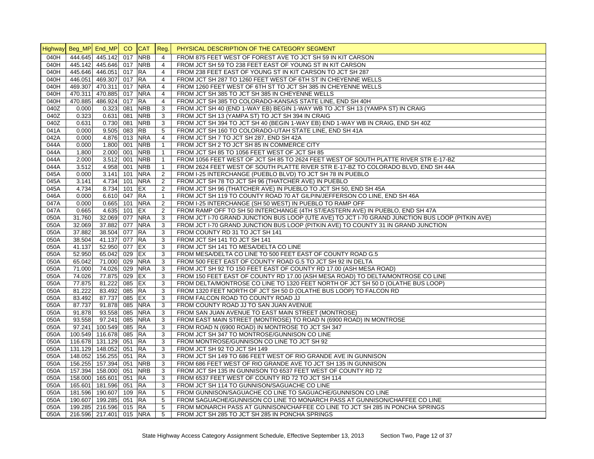|              | Highway Beg_MP End_MP CO |                         |        | <b>CAT</b>           | Req.           | PHYSICAL DESCRIPTION OF THE CATEGORY SEGMENT                                                                            |
|--------------|--------------------------|-------------------------|--------|----------------------|----------------|-------------------------------------------------------------------------------------------------------------------------|
| 040H         |                          | 444.645 445.142         | 017    | <b>NRB</b>           | 4              | FROM 875 FEET WEST OF FOREST AVE TO JCT SH 59 IN KIT CARSON                                                             |
| 040H         |                          | 445.142 445.646 017 NRB |        |                      | 4              | FROM JCT SH 59 TO 238 FEET EAST OF YOUNG ST IN KIT CARSON                                                               |
| 040H         |                          | 445.646 446.051 017 RA  |        |                      | $\overline{4}$ | FROM 238 FEET EAST OF YOUNG ST IN KIT CARSON TO JCT SH 287                                                              |
| 040H         |                          | 446.051 469.307 017 RA  |        |                      | $\overline{4}$ | FROM JCT SH 287 TO 1260 FEET WEST OF 6TH ST IN CHEYENNE WELLS                                                           |
| 040H         |                          | 469.307 470.311         | 017    | <b>NRA</b>           | $\overline{4}$ | FROM 1260 FEET WEST OF 6TH ST TO JCT SH 385 IN CHEYENNE WELLS                                                           |
| 040H         |                          | 470.311 470.885         | 017    | <b>NRA</b>           | $\overline{4}$ | FROM JCT SH 385 TO JCT SH 385 IN CHEYENNE WELLS                                                                         |
| 040H         |                          | 470.885 486.924         | 017    | <b>RA</b>            | $\overline{4}$ | FROM JCT SH 385 TO COLORADO-KANSAS STATE LINE, END SH 40H                                                               |
| 040Z         | 0.000                    | 0.323                   | 081    | <b>NRB</b>           | 3              | FROM JCT SH 40 (END 1-WAY EB) BEGIN 1-WAY WB TO JCT SH 13 (YAMPA ST) IN CRAIG                                           |
| 040Z         | 0.323                    | 0.631                   | 081    | <b>NRB</b>           | 3              | FROM JCT SH 13 (YAMPA ST) TO JCT SH 394 IN CRAIG                                                                        |
| 040Z         | 0.631                    | 0.730                   | 081    | <b>NRB</b>           | 3              | FROM JCT SH 394 TO JCT SH 40 (BEGIN 1-WAY EB) END 1-WAY WB IN CRAIG, END SH 40Z                                         |
| 041A         | 0.000                    | 9.505                   | 083    | <b>RB</b>            | 5              | FROM JCT SH 160 TO COLORADO-UTAH STATE LINE, END SH 41A                                                                 |
| 042A         | 0.000                    | 4.876                   |        | 013 NRA              | $\overline{4}$ | FROM JCT SH 7 TO JCT SH 287, END SH 42A                                                                                 |
| 044A         | 0.000                    | 1.800                   | 001    | <b>NRB</b>           | $\mathbf{1}$   | FROM JCT SH 2 TO JCT SH 85 IN COMMERCE CITY                                                                             |
| 044A         | 1.800                    | 2.000                   | 001    | <b>NRB</b>           | $\mathbf{1}$   | FROM JCT SH 85 TO 1056 FEET WEST OF JCT SH 85                                                                           |
| 044A         | 2.000                    | $3.512$ 001             |        | <b>NRB</b>           | $\mathbf{1}$   | FROM 1056 FEET WEST OF JCT SH 85 TO 2624 FEET WEST OF SOUTH PLATTE RIVER STR E-17-BZ                                    |
| 044A         | 3.512                    | 4.958                   | 001    | <b>NRB</b>           | $\mathbf{1}$   | FROM 2624 FEET WEST OF SOUTH PLATTE RIVER STR E-17-BZ TO COLORADO BLVD, END SH 44A                                      |
| 045A         | 0.000                    | 3.141                   | 101    | <b>NRA</b>           | 2              | FROM I-25 INTERCHANGE (PUEBLO BLVD) TO JCT SH 78 IN PUEBLO                                                              |
| 045A         | 3.141                    | 4.734                   | 101    | <b>NRA</b>           | 2              | FROM JCT SH 78 TO JCT SH 96 (THATCHER AVE) IN PUEBLO                                                                    |
| 045A         | 4.734                    | 8.734                   | 101    | E X                  | $\overline{2}$ | FROM JCT SH 96 (THATCHER AVE) IN PUEBLO TO JCT SH 50, END SH 45A                                                        |
| 046A         | 0.000                    | 6.610 047 RA            |        |                      | $\mathbf{1}$   | FROM JCT SH 119 TO COUNTY ROAD 70 AT GILPIN/JEFFERSON CO LINE, END SH 46A                                               |
| 047A         | 0.000                    | 0.665                   |        | 101 NRA              | $\overline{2}$ | FROM I-25 INTERCHANGE (SH 50 WEST) IN PUEBLO TO RAMP OFF                                                                |
| 047A         | 0.665                    | 4.635                   | 101 EX |                      | 2              | FROM RAMP OFF TO SH 50 INTERCHANGE (4TH ST/EASTERN AVE) IN PUEBLO, END SH 47A                                           |
| 050A         | 31.760                   | 32.069                  | 077    | <b>NRA</b>           | 3              | FROM JCT I-70 GRAND JUNCTION BUS LOOP (UTE AVE) TO JCT I-70 GRAND JUNCTION BUS LOOP (PITKIN AVE)                        |
| 050A         | 32.069                   | 37.882                  | 077    | <b>NRA</b>           | 3              | FROM JCT I-70 GRAND JUNCTION BUS LOOP (PITKIN AVE) TO COUNTY 31 IN GRAND JUNCTION                                       |
| 050A         | 37.882                   | 38.504 077 RA           |        |                      | 3              | FROM COUNTY RD 31 TO JCT SH 141                                                                                         |
| 050A         | 38.504                   | 41.137 077 RA           |        |                      | 3              | FROM JCT SH 141 TO JCT SH 141                                                                                           |
| 050A         | 41.137                   | 52.950                  | 077    | EX                   | 3              | FROM JCT SH 141 TO MESA/DELTA CO LINE                                                                                   |
| 050A         | 52.950                   | 65.042                  | 029 EX |                      | 3              | FROM MESA/DELTA CO LINE TO 500 FEET EAST OF COUNTY ROAD G.5                                                             |
| 050A         | 65.042                   | 71.000                  | 029    | <b>NRA</b>           | 3              | FROM 500 FEET EAST OF COUNTY ROAD G.5 TO JCT SH 92 IN DELTA                                                             |
| 050A         | 71.000                   | 74.026                  |        | 029 NRA              | 3              | FROM JCT SH 92 TO 150 FEET EAST OF COUNTY RD 17.00 (ASH MESA ROAD)                                                      |
| 050A         | 74.026                   | 77.875                  | 029    | EX                   | 3              | FROM 150 FEET EAST OF COUNTY RD 17.00 (ASH MESA ROAD) TO DELTA/MONTROSE CO LINE                                         |
| 050A         | 77.875                   | 81.222                  | 085 EX |                      | 3              | FROM DELTA/MONTROSE CO LINE TO 1320 FEET NORTH OF JCT SH 50 D (OLATHE BUS LOOP)                                         |
| 050A         | 81.222                   | 83.492                  | 085 RA |                      | 3              | FROM 1320 FEET NORTH OF JCT SH 50 D (OLATHE BUS LOOP) TO FALCON RD                                                      |
| 050A         | 83.492                   | 87.737                  | 085 EX |                      | 3              | FROM FALCON ROAD TO COUNTY ROAD JJ                                                                                      |
| 050A         | 87.737                   | 91.878                  |        | 085 NRA              | 3              | FROM COUNTY ROAD JJ TO SAN JUAN AVENUE                                                                                  |
|              |                          | 93.558                  |        | 085 NRA              | 3              | FROM SAN JUAN AVENUE TO EAST MAIN STREET (MONTROSE)                                                                     |
| 050A<br>050A | 91.878                   | 97.241                  | 085    | <b>NRA</b>           |                |                                                                                                                         |
| 050A         | 93.558<br>97.241         | 100.549                 | 085 RA |                      | 3<br>3         | FROM EAST MAIN STREET (MONTROSE) TO ROAD N (6900 ROAD) IN MONTROSE<br>FROM ROAD N (6900 ROAD) IN MONTROSE TO JCT SH 347 |
| 050A         |                          | 100.549 116.678 085 RA  |        |                      | 3              |                                                                                                                         |
| 050A         |                          | 116.678 131.129         | 051 RA |                      | 3              | FROM JCT SH 347 TO MONTROSE/GUNNISON CO LINE<br>FROM MONTROSE/GUNNISON CO LINE TO JCT SH 92                             |
| 050A         |                          | 131.129 148.052         | 051 RA |                      |                |                                                                                                                         |
|              |                          |                         |        |                      | 3              | FROM JCT SH 92 TO JCT SH 149                                                                                            |
| 050A         |                          | 148.052 156.255         | 051    | <b>RA</b><br>051 NRB | 3              | FROM JCT SH 149 TO 686 FEET WEST OF RIO GRANDE AVE IN GUNNISON                                                          |
| 050A         |                          | 156.255 157.394         |        |                      | 3              | FROM 686 FEET WEST OF RIO GRANDE AVE TO JCT SH 135 IN GUNNISON                                                          |
| 050A         |                          | 157.394 158.000         | 051    | <b>NRB</b>           | 3              | FROM JCT SH 135 IN GUNNISON TO 6537 FEET WEST OF COUNTY RD 72                                                           |
| 050A         |                          | 158.000 165.601         | 051 RA |                      | 3              | FROM 6537 FEET WEST OF COUNTY RD 72 TO JCT SH 114                                                                       |
| 050A         |                          | 165.601 181.596         | 051 RA |                      | 3              | FROM JCT SH 114 TO GUNNISON/SAGUACHE CO LINE                                                                            |
| 050A         |                          | 181.596 190.607         | 109 RA |                      | 5              | FROM GUNNISON/SAGUACHE CO LINE TO SAGUACHE/GUNNISON CO LINE                                                             |
| 050A         |                          | 190.607 199.285         | 051 RA |                      | 5              | FROM SAGUACHE/GUNNISON CO LINE TO MONARCH PASS AT GUNNISON/CHAFFEE CO LINE                                              |
| 050A         |                          | 199.285 216.596         | 015 RA |                      | 5              | FROM MONARCH PASS AT GUNNISON/CHAFFEE CO LINE TO JCT SH 285 IN PONCHA SPRINGS                                           |
| 050A         |                          | 216.596 217.401 015 NRA |        |                      | 5              | FROM JCT SH 285 TO JCT SH 285 IN PONCHA SPRINGS                                                                         |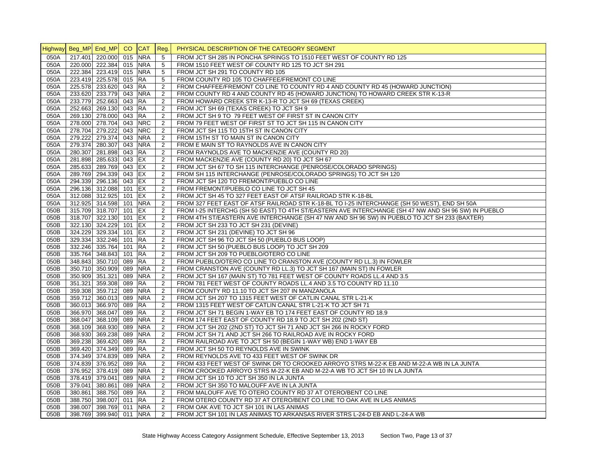|      | Highway Beg_MP End_MP CO CAT |     |            | Reg.           | PHYSICAL DESCRIPTION OF THE CATEGORY SEGMENT                                                        |
|------|------------------------------|-----|------------|----------------|-----------------------------------------------------------------------------------------------------|
| 050A | 217.401 220.000 015          |     | <b>NRA</b> | 5              | FROM JCT SH 285 IN PONCHA SPRINGS TO 1510 FEET WEST OF COUNTY RD 125                                |
| 050A | 220.000 222.384 015 NRA      |     |            | 5              | FROM 1510 FEET WEST OF COUNTY RD 125 TO JCT SH 291                                                  |
| 050A | 222.384 223.419 015          |     | <b>NRA</b> | 5              | FROM JCT SH 291 TO COUNTY RD 105                                                                    |
| 050A | 223.419 225.578 015 RA       |     |            | 5              | FROM COUNTY RD 105 TO CHAFFEE/FREMONT CO LINE                                                       |
| 050A | 225.578 233.620 043 RA       |     |            | $\overline{2}$ | FROM CHAFFEE/FREMONT CO LINE TO COUNTY RD 4 AND COUNTY RD 45 (HOWARD JUNCTION)                      |
| 050A | 233.620 233.779 043 NRA      |     |            | $\overline{2}$ | FROM COUNTY RD 4 AND COUNTY RD 45 (HOWARD JUNCTION) TO HOWARD CREEK STR K-13-R                      |
| 050A | 233.779 252.663 043          |     | <b>RA</b>  | $\overline{2}$ | FROM HOWARD CREEK STR K-13-R TO JCT SH 69 (TEXAS CREEK)                                             |
| 050A | 252.663 269.130 043 RA       |     |            | 2              | FROM JCT SH 69 (TEXAS CREEK) TO JCT SH 9                                                            |
| 050A | 269.130 278.000 043          |     | <b>RA</b>  | 2              | FROM JCT SH 9 TO 79 FEET WEST OF FIRST ST IN CANON CITY                                             |
| 050A | 278.000 278.704 043 NRC      |     |            | $\overline{2}$ | FROM 79 FEET WEST OF FIRST ST TO JCT SH 115 IN CANON CITY                                           |
| 050A | 278.704 279.222 043          |     | <b>NRC</b> | $\overline{2}$ | FROM JCT SH 115 TO 15TH ST IN CANON CITY                                                            |
| 050A | 279.222 279.374 043          |     | <b>NRA</b> | 2              | FROM 15TH ST TO MAIN ST IN CANON CITY                                                               |
| 050A | 279.374 280.307 043          |     | <b>NRA</b> | $\overline{2}$ | FROM E MAIN ST TO RAYNOLDS AVE IN CANON CITY                                                        |
| 050A | 280.307 281.898 043 RA       |     |            | 2              | FROM RAYNOLDS AVE TO MACKENZIE AVE (COUNTY RD 20)                                                   |
| 050A | 281.898 285.633 043 EX       |     |            | $\overline{2}$ | FROM MACKENZIE AVE (COUNTY RD 20) TO JCT SH 67                                                      |
| 050A | 285.633 289.769 043 EX       |     |            | 2              | FROM JCT SH 67 TO SH 115 INTERCHANGE (PENROSE/COLORADO SPRINGS)                                     |
| 050A | 289.769 294.339 043 EX       |     |            | $\overline{2}$ | FROM SH 115 INTERCHANGE (PENROSE/COLORADO SPRINGS) TO JCT SH 120                                    |
| 050A | 294.339 296.136 043 EX       |     |            | 2              | FROM JCT SH 120 TO FREMONT/PUEBLO CO LINE                                                           |
| 050A | 296.136 312.088 101 EX       |     |            | $\overline{2}$ | FROM FREMONT/PUEBLO CO LINE TO JCT SH 45                                                            |
| 050A | 312.088 312.925 101 EX       |     |            | 2              | FROM JCT SH 45 TO 327 FEET EAST OF ATSF RAILROAD STR K-18-BL                                        |
| 050A | 312.925 314.598 101 NRA      |     |            | $\overline{2}$ | FROM 327 FEET EAST OF ATSF RAILROAD STR K-18-BL TO I-25 INTERCHANGE (SH 50 WEST), END SH 50A        |
| 050B | 315.709 318.707 101 EX       |     |            | 2              | FROM I-25 INTERCHG (SH 50 EAST) TO 4TH ST/EASTERN AVE INTERCHANGE (SH 47 NW AND SH 96 SW) IN PUEBLO |
| 050B | 318.707 322.130 101 EX       |     |            | 2              | FROM 4TH ST/EASTERN AVE INTERCHANGE (SH 47 NW AND SH 96 SW) IN PUEBLO TO JCT SH 233 (BAXTER)        |
| 050B | 322.130 324.229 101 EX       |     |            | $\overline{2}$ | FROM JCT SH 233 TO JCT SH 231 (DEVINE)                                                              |
| 050B | 324.229 329.334 101 EX       |     |            | 2              | FROM JCT SH 231 (DEVINE) TO JCT SH 96                                                               |
| 050B | 329.334 332.246 101          |     | <b>RA</b>  | 2              | FROM JCT SH 96 TO JCT SH 50 (PUEBLO BUS LOOP)                                                       |
| 050B | 332.246 335.764 101          |     | <b>RA</b>  | $\overline{2}$ | FROM JCT SH 50 (PUEBLO BUS LOOP) TO JCT SH 209                                                      |
| 050B | 335.764 348.843 101 RA       |     |            | 2              | FROM JCT SH 209 TO PUEBLO/OTERO CO LINE                                                             |
| 050B | 348.843 350.710 089 RA       |     |            | $\overline{2}$ | FROM PUEBLO/OTERO CO LINE TO CRANSTON AVE (COUNTY RD LL.3) IN FOWLER                                |
| 050B | 350.710 350.909 089          |     | <b>NRA</b> | $\overline{2}$ | FROM CRANSTON AVE (COUNTY RD LL.3) TO JCT SH 167 (MAIN ST) IN FOWLER                                |
| 050B | 350.909 351.321              | 089 | <b>NRA</b> | $\overline{2}$ | FROM JCT SH 167 (MAIN ST) TO 781 FEET WEST OF COUNTY ROADS LL.4 AND 3.5                             |
| 050B | 351.321 359.308 089          |     | <b>RA</b>  | $\overline{2}$ | FROM 781 FEET WEST OF COUNTY ROADS LL.4 AND 3.5 TO COUNTY RD 11.10                                  |
| 050B | 359.308 359.712 089          |     | <b>NRA</b> | $\overline{2}$ | FROM COUNTY RD 11.10 TO JCT SH 207 IN MANZANOLA                                                     |
| 050B | 359.712 360.013 089          |     | <b>NRA</b> | $\overline{2}$ | FROM JCT SH 207 TO 1315 FEET WEST OF CATLIN CANAL STR L-21-K                                        |
| 050B | 360.013 366.970 089          |     | <b>RA</b>  | 2              | FROM 1315 FEET WEST OF CATLIN CANAL STR L-21-K TO JCT SH 71                                         |
| 050B | 366.970 368.047              | 089 | <b>RA</b>  | 2              | FROM JCT SH 71 BEGIN 1-WAY EB TO 174 FEET EAST OF COUNTY RD 18.9                                    |
| 050B | 368.047 368.109 089          |     | <b>NRA</b> | $\overline{2}$ | FROM 174 FEET EAST OF COUNTY RD 18.9 TO JCT SH 202 (2ND ST)                                         |
| 050B | 368.109 368.930 089          |     | <b>NRA</b> | 2              | FROM JCT SH 202 (2ND ST) TO JCT SH 71 AND JCT SH 266 IN ROCKY FORD                                  |
| 050B | 368.930 369.238 089          |     | <b>NRA</b> | $\overline{2}$ | FROM JCT SH 71 AND JCT SH 266 TO RAILROAD AVE IN ROCKY FORD                                         |
| 050B | 369.238 369.420 089          |     | <b>RA</b>  | 2              | FROM RAILROAD AVE TO JCT SH 50 (BEGIN 1-WAY WB) END 1-WAY EB                                        |
| 050B | 369.420 374.349 089 RA       |     |            | $\overline{2}$ | FROM JCT SH 50 TO REYNOLDS AVE IN SWINK                                                             |
| 050B | 374.349 374.839 089          |     | <b>NRA</b> | $\overline{2}$ | FROM REYNOLDS AVE TO 433 FEET WEST OF SWINK DR                                                      |
| 050B | 374.839 376.952 089          |     | <b>RA</b>  | 2              | FROM 433 FEET WEST OF SWINK DR TO CROOKED ARROYO STRS M-22-K EB AND M-22-A WB IN LA JUNTA           |
| 050B | 376.952 378.419 089          |     | <b>NRA</b> | $\overline{2}$ | FROM CROOKED ARROYO STRS M-22-K EB AND M-22-A WB TO JCT SH 10 IN LA JUNTA                           |
| 050B | 378.419 379.041 089          |     | <b>NRA</b> | $\overline{2}$ | FROM JCT SH 10 TO JCT SH 350 IN LA JUNTA                                                            |
| 050B | 379.041 380.861 089          |     | <b>NRA</b> | $\overline{2}$ | FROM JCT SH 350 TO MALOUFF AVE IN LA JUNTA                                                          |
| 050B | 380.861 388.750 089          |     | <b>RA</b>  | 2              | FROM MALOUFF AVE TO OTERO COUNTY RD 37 AT OTERO/BENT CO LINE                                        |
| 050B | 388.750 398.007 011 RA       |     |            | 2              | FROM OTERO COUNTY RD 37 AT OTERO/BENT CO LINE TO OAK AVE IN LAS ANIMAS                              |
| 050B | 398.007 398.769 011 NRA      |     |            | 2              | FROM OAK AVE TO JCT SH 101 IN LAS ANIMAS                                                            |
| 050B | 398.769 399.940 011 NRA      |     |            | 2              | FROM JCT SH 101 IN LAS ANIMAS TO ARKANSAS RIVER STRS L-24-D EB AND L-24-A WB                        |
|      |                              |     |            |                |                                                                                                     |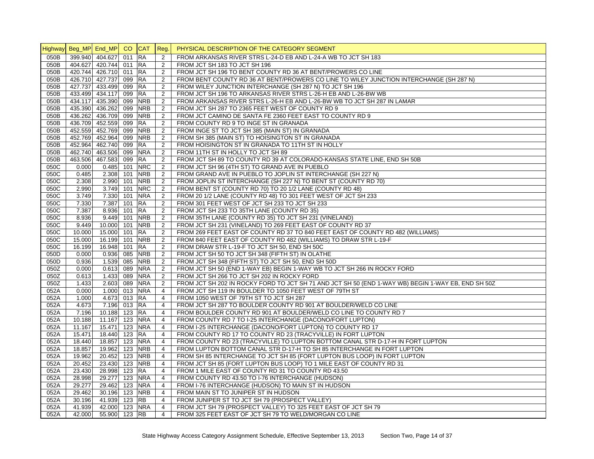|              | Highway Beg_MP End_MP CO CAT Reg. |                        |            |                          |                                  | PHYSICAL DESCRIPTION OF THE CATEGORY SEGMENT                                                       |
|--------------|-----------------------------------|------------------------|------------|--------------------------|----------------------------------|----------------------------------------------------------------------------------------------------|
| 050B         |                                   | 399.940 404.627        | 011 RA     |                          | 2                                | FROM ARKANSAS RIVER STRS L-24-D EB AND L-24-A WB TO JCT SH 183                                     |
| 050B         |                                   | 404.627 420.744 011 RA |            |                          | 2                                | FROM JCT SH 183 TO JCT SH 196                                                                      |
| 050B         |                                   | 420.744 426.710 011 RA |            |                          | 2                                | FROM JCT SH 196 TO BENT COUNTY RD 36 AT BENT/PROWERS CO LINE                                       |
| 050B         |                                   | 426.710 427.737        | 099 RA     |                          | 2                                | FROM BENT COUNTY RD 36 AT BENT/PROWERS CO LINE TO WILEY JUNCTION INTERCHANGE (SH 287 N)            |
| 050B         |                                   | 427.737 433.499        | 099        | <b>RA</b>                | 2                                | FROM WILEY JUNCTION INTERCHANGE (SH 287 N) TO JCT SH 196                                           |
| 050B         |                                   | 433.499 434.117        | 099        | <b>RA</b>                | $\overline{2}$                   | FROM JCT SH 196 TO ARKANSAS RIVER STRS L-26-H EB AND L-26-BW WB                                    |
| 050B         |                                   | 434.117 435.390        | 099        | <b>NRB</b>               | $\overline{2}$                   | FROM ARKANSAS RIVER STRS L-26-H EB AND L-26-BW WB TO JCT SH 287 IN LAMAR                           |
| 050B         |                                   | 435.390 436.262        | 099        | <b>NRB</b>               | $\overline{2}$                   | FROM JCT SH 287 TO 2365 FEET WEST OF COUNTY RD 9                                                   |
| 050B         |                                   | 436.262 436.709        | 099        | <b>NRB</b>               | $\overline{2}$                   | FROM JCT CAMINO DE SANTA FE 2360 FEET EAST TO COUNTY RD 9                                          |
| 050B         |                                   | 436.709 452.559        | 099        | <b>RA</b>                | 2                                | FROM COUNTY RD 9 TO INGE ST IN GRANADA                                                             |
| 050B         |                                   | 452.559 452.769        | 099        | <b>NRB</b>               | 2                                | FROM INGE ST TO JCT SH 385 (MAIN ST) IN GRANADA                                                    |
| 050B         |                                   | 452.769 452.964        | 099        | <b>NRB</b>               | 2                                | FROM SH 385 (MAIN ST) TO HOISINGTON ST IN GRANADA                                                  |
| 050B         |                                   | 452.964 462.740        | 099        | <b>RA</b>                | 2                                | FROM HOISINGTON ST IN GRANADA TO 11TH ST IN HOLLY                                                  |
| 050B         |                                   | 462.740 463.506        | 099        | <b>NRA</b>               | 2                                | FROM 11TH ST IN HOLLY TO JCT SH 89                                                                 |
| 050B         |                                   | 463.506 467.583        | 099        | <b>RA</b>                | 2                                | FROM JCT SH 89 TO COUNTY RD 39 AT COLORADO-KANSAS STATE LINE, END SH 50B                           |
| 050C         | 0.000                             | 0.485                  | 101        | <b>NRC</b>               | 2                                | FROM JCT SH 96 (4TH ST) TO GRAND AVE IN PUEBLO                                                     |
| 050C         | 0.485                             | 2.308                  | 101        | <b>NRB</b>               | $\overline{2}$                   | FROM GRAND AVE IN PUEBLO TO JOPLIN ST INTERCHANGE (SH 227 N)                                       |
| 050C         | 2.308                             | 2.990                  | 101        | <b>NRB</b>               | $\overline{2}$                   | FROM JOPLIN ST INTERCHANGE (SH 227 N) TO BENT ST (COUNTY RD 70)                                    |
| 050C         | 2.990                             | 3.749                  | 101        | <b>NRC</b>               | $\overline{2}$                   | FROM BENT ST (COUNTY RD 70) TO 20 1/2 LANE (COUNTY RD 48)                                          |
| 050C         | 3.749                             | 7.330                  | 101        | <b>NRA</b>               | 2                                | FROM 20 1/2 LANE (COUNTY RD 48) TO 301 FEET WEST OF JCT SH 233                                     |
| 050C         | 7.330                             | 7.387                  | $101$ RA   |                          | 2                                | FROM 301 FEET WEST OF JCT SH 233 TO JCT SH 233                                                     |
| 050C         | 7.387                             | 8.936                  | 101        | <b>RA</b>                | 2                                | FROM JCT SH 233 TO 35TH LANE (COUNTY RD 35)                                                        |
| 050C         | 8.936                             | 9.449                  | 101        | <b>NRB</b>               | 2                                | FROM 35TH LANE (COUNTY RD 35) TO JCT SH 231 (VINELAND)                                             |
| 050C         | 9.449                             | 10.000                 | 101        | <b>NRB</b>               | 2                                | FROM JCT SH 231 (VINELAND) TO 269 FEET EAST OF COUNTY RD 37                                        |
| 050C         | 10.000                            | 15.000                 | 101        | <b>RA</b>                | 2                                | FROM 269 FEET EAST OF COUNTY RD 37 TO 840 FEET EAST OF COUNTY RD 482 (WILLIAMS)                    |
| 050C         | 15.000                            | 16.199                 | 101        | <b>NRB</b>               | 2                                | FROM 840 FEET EAST OF COUNTY RD 482 (WILLIAMS) TO DRAW STR L-19-F                                  |
| 050C         | 16.199                            | 16.948                 | 101        | <b>RA</b>                | 2                                | FROM DRAW STR L-19-F TO JCT SH 50, END SH 50C                                                      |
| 050D         | 0.000                             | 0.936                  | 085        | <b>NRB</b>               | $\overline{2}$                   | FROM JCT SH 50 TO JCT SH 348 (FIFTH ST) IN OLATHE                                                  |
| 050D         | 0.936                             | 1.539                  | 085        | <b>NRB</b>               | 2                                | FROM JCT SH 348 (FIFTH ST) TO JCT SH 50, END SH 50D                                                |
| 050Z         |                                   | 0.613 089              |            | <b>NRA</b>               | $\overline{2}$                   | FROM JCT SH 50 (END 1-WAY EB) BEGIN 1-WAY WB TO JCT SH 266 IN ROCKY FORD                           |
| 050Z         | 0.000<br>0.613                    | 1.433                  | 089        | <b>NRA</b>               | 2                                |                                                                                                    |
| 050Z         | 1.433                             |                        | 089        | <b>NRA</b>               |                                  | FROM JCT SH 266 TO JCT SH 202 IN ROCKY FORD                                                        |
| 052A         |                                   | 2.603<br>1.000 013 NRA |            |                          | $\overline{2}$                   | FROM JCT SH 202 IN ROCKY FORD TO JCT SH 71 AND JCT SH 50 (END 1-WAY WB) BEGIN 1-WAY EB, END SH 50Z |
|              | 0.000                             |                        |            |                          | $\overline{4}$                   | FROM JCT SH 119 IN BOULDER TO 1050 FEET WEST OF 79TH ST                                            |
| 052A         | 1.000                             | 4.673                  | 013 RA     |                          | $\overline{4}$                   | FROM 1050 WEST OF 79TH ST TO JCT SH 287                                                            |
| 052A         | 4.673                             | 7.196                  | $013$ RA   |                          | $\overline{4}$<br>$\overline{4}$ | FROM JCT SH 287 TO BOULDER COUNTY RD 901 AT BOULDER/WELD CO LINE                                   |
| 052A         | 7.196                             | 10.188                 | 123 RA     |                          |                                  | FROM BOULDER COUNTY RD 901 AT BOULDER/WELD CO LINE TO COUNTY RD 7                                  |
| 052A<br>052A | 10.188<br>11.167                  | 11.167<br>15.471       | 123<br>123 | <b>NRA</b><br><b>NRA</b> | 4                                | FROM COUNTY RD 7 TO I-25 INTERCHANGE (DACONO/FORT LUPTON)                                          |
|              |                                   |                        |            |                          | $\overline{4}$                   | FROM I-25 INTERCHANGE (DACONO/FORT LUPTON) TO COUNTY RD 17                                         |
| 052A         | 15.471                            | 18.440                 | 123        | <b>RA</b>                | $\overline{4}$                   | FROM COUNTY RD 17 TO COUNTY RD 23 (TRACYVILLE) IN FORT LUPTON                                      |
| 052A         | 18.440                            | 18.857                 |            | 123 NRA                  | $\overline{4}$                   | FROM COUNTY RD 23 (TRACYVILLE) TO LUPTON BOTTOM CANAL STR D-17-H IN FORT LUPTON                    |
| 052A         | 18.857                            | 19.962                 |            | 123 NRB                  | 4                                | FROM LUPTON BOTTOM CANAL STR D-17-H TO SH 85 INTERCHANGE IN FORT LUPTON                            |
| 052A         | 19.962                            | 20.452                 | 123        | <b>NRB</b>               | $\overline{4}$                   | FROM SH 85 INTERCHANGE TO JCT SH 85 (FORT LUPTON BUS LOOP) IN FORT LUPTON                          |
| 052A         | 20.452                            | 23.430                 |            | 123 NRB                  | $\overline{4}$                   | FROM JCT SH 85 (FORT LUPTON BUS LOOP) TO 1 MILE EAST OF COUNTY RD 31                               |
| 052A         | 23.430                            | 28.998                 | 123 RA     |                          | $\overline{4}$                   | FROM 1 MILE EAST OF COUNTY RD 31 TO COUNTY RD 43.50                                                |
| 052A         | 28.998                            | 29.277                 |            | 123 NRA                  | $\overline{4}$                   | FROM COUNTY RD 43.50 TO I-76 INTERCHANGE (HUDSON)                                                  |
| 052A         | 29.277                            | 29.462                 | 123        | <b>NRA</b>               | $\overline{4}$                   | FROM I-76 INTERCHANGE (HUDSON) TO MAIN ST IN HUDSON                                                |
| 052A         | 29.462                            | 30.196                 |            | 123 NRB                  | $\overline{4}$                   | FROM MAIN ST TO JUNIPER ST IN HUDSON                                                               |
| 052A         | 30.196                            | 41.939                 | 123        | <b>RB</b>                | 4                                | FROM JUNIPER ST TO JCT SH 79 (PROSPECT VALLEY)                                                     |
| 052A         | 41.939                            | 42.000                 |            | 123 NRA                  | $\overline{4}$                   | FROM JCT SH 79 (PROSPECT VALLEY) TO 325 FEET EAST OF JCT SH 79                                     |
| 052A         | 42.000                            | 55.900 123 RB          |            |                          | $\overline{4}$                   | FROM 325 FEET EAST OF JCT SH 79 TO WELD/MORGAN CO LINE                                             |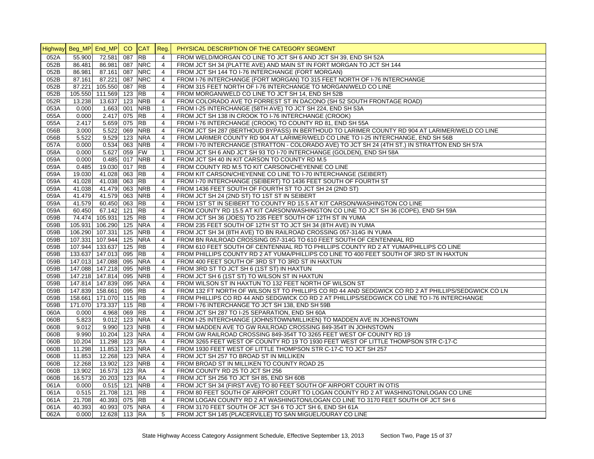|              | Highway Beg_MP End_MP CO CAT |                                  |     |            | Reg.           | PHYSICAL DESCRIPTION OF THE CATEGORY SEGMENT                                                        |
|--------------|------------------------------|----------------------------------|-----|------------|----------------|-----------------------------------------------------------------------------------------------------|
| 052A         | 55.900                       | 72.581                           | 087 | <b>RB</b>  | $\overline{4}$ | FROM WELD/MORGAN CO LINE TO JCT SH 6 AND JCT SH 39. END SH 52A                                      |
| 052B         | 86.481                       | 86.981 087                       |     | <b>NRC</b> | $\overline{4}$ | FROM JCT SH 34 (PLATTE AVE) AND MAIN ST IN FORT MORGAN TO JCT SH 144                                |
| 052B         | 86.981                       | 87.161 087                       |     | <b>NRC</b> | $\overline{4}$ | FROM JCT SH 144 TO I-76 INTERCHANGE (FORT MORGAN)                                                   |
| 052B         | 87.161                       | 87.221                           | 087 | <b>NRC</b> | $\overline{4}$ | FROM I-76 INTERCHANGE (FORT MORGAN) TO 315 FEET NORTH OF I-76 INTERCHANGE                           |
| 052B         | 87.221                       | 105.550 087                      |     | <b>RB</b>  | $\overline{4}$ | FROM 315 FEET NORTH OF 1-76 INTERCHANGE TO MORGAN/WELD CO LINE                                      |
| 052B         | 105.550                      | 111.569 123                      |     | <b>RB</b>  | 4              | FROM MORGAN/WELD CO LINE TO JCT SH 14, END SH 52B                                                   |
| 052R         | 13.238                       | 13.637 123                       |     | <b>NRB</b> | $\overline{4}$ | FROM COLORADO AVE TO FORREST ST IN DACONO (SH 52 SOUTH FRONTAGE ROAD)                               |
| 053A         | 0.000                        | 1.663 001                        |     | <b>NRB</b> | $\mathbf{1}$   | FROM I-25 INTERCHANGE (58TH AVE) TO JCT SH 224, END SH 53A                                          |
| 055A         | 0.000                        | 2.417 075                        |     | <b>RB</b>  | $\overline{4}$ | FROM JCT SH 138 IN CROOK TO I-76 INTERCHANGE (CROOK)                                                |
| 055A         | 2.417                        | 5.659 075                        |     | <b>RB</b>  | $\overline{4}$ | FROM I-76 INTERCHANGE (CROOK) TO COUNTY RD 81, END SH 55A                                           |
| 056B         | 3.000                        | 5.522 069                        |     | <b>NRB</b> | $\overline{4}$ | FROM JCT SH 287 (BERTHOUD BYPASS) IN BERTHOUD TO LARIMER COUNTY RD 904 AT LARIMER/WELD CO LINE      |
| 056B         | 5.522                        | 9.529 123                        |     | <b>NRA</b> | $\overline{4}$ | FROM LARIMER COUNTY RD 904 AT LARIMER/WELD CO LINE TO I-25 INTERCHANGE, END SH 56B                  |
| 057A         | 0.000                        | $0.534$ 063                      |     | <b>NRB</b> | $\overline{4}$ | FROM I-70 INTERCHANGE (STRATTON - COLORADO AVE) TO JCT SH 24 (4TH ST.) IN STRATTON END SH 57A       |
| 058A         | 0.000                        | 5.627 059                        |     | FW         | $\mathbf{1}$   | FROM JCT SH 6 AND JCT SH 93 TO I-70 INTERCHANGE (GOLDEN), END SH 58A                                |
| 059A         | 0.000                        | $0.485$ 017                      |     | <b>NRB</b> | $\overline{4}$ | FROM JCT SH 40 IN KIT CARSON TO COUNTY RD M.5                                                       |
| 059A         | 0.485                        | 19.030 017                       |     | <b>RB</b>  | $\overline{4}$ | FROM COUNTY RD M.5 TO KIT CARSON/CHEYENNE CO LINE                                                   |
| 059A         | 19.030                       | 41.028 063 RB                    |     |            | $\overline{4}$ | FROM KIT CARSON/CHEYENNE CO LINE TO I-70 INTERCHANGE (SEIBERT)                                      |
| 059A         | 41.028                       | 41.038 063                       |     | <b>RB</b>  | $\overline{4}$ | FROM I-70 INTERCHANGE (SEIBERT) TO 1436 FEET SOUTH OF FOURTH ST                                     |
| 059A         | 41.038                       | 41.479 063 NRB                   |     |            | $\overline{4}$ | FROM 1436 FEET SOUTH OF FOURTH ST TO JCT SH 24 (2ND ST)                                             |
| 059A         | 41.479                       | 41.579 063                       |     | <b>NRB</b> | $\overline{4}$ | FROM JCT SH 24 (2ND ST) TO 1ST ST IN SEIBERT                                                        |
| 059A         | 41.579                       | 60.450 063                       |     | <b>RB</b>  | 4              | FROM 1ST ST IN SEIBERT TO COUNTY RD 15.5 AT KIT CARSON/WASHINGTON CO LINE                           |
| 059A         | 60.450                       | 67.142 121                       |     | <b>RB</b>  | $\overline{4}$ | FROM COUNTY RD 15.5 AT KIT CARSON/WASHINGTON CO LINE TO JCT SH 36 (COPE), END SH 59A                |
| 059B         | 74.474                       | 105.931 125                      |     | <b>RB</b>  | $\overline{4}$ | FROM JCT SH 36 (JOES) TO 235 FEET SOUTH OF 12TH ST IN YUMA                                          |
| 059B         | 105.931                      | 106.290 125                      |     | <b>NRA</b> | $\overline{4}$ | FROM 235 FEET SOUTH OF 12TH ST TO JCT SH 34 (8TH AVE) IN YUMA                                       |
| 059B         | 106.290                      | 107.331 125                      |     | <b>NRB</b> | $\overline{4}$ | FROM JCT SH 34 (8TH AVE) TO BN RAILROAD CROSSING 057-314G IN YUMA                                   |
| 059B         | 107.331                      | 107.944 125                      |     | <b>NRA</b> | $\overline{4}$ | FROM BN RAILROAD CROSSING 057-314G TO 610 FEET SOUTH OF CENTENNIAL RD                               |
| 059B         | 107.944                      | 133.637 125                      |     | <b>RB</b>  | $\overline{4}$ | FROM 610 FEET SOUTH OF CENTENNIAL RD TO PHILLIPS COUNTY RD 2 AT YUMA/PHILLIPS CO LINE               |
| 059B         | 133.637                      | 147.013 095                      |     | <b>RB</b>  | $\overline{4}$ | FROM PHILLIPS COUNTY RD 2 AT YUMA/PHILLIPS CO LINE TO 400 FEET SOUTH OF 3RD ST IN HAXTUN            |
| 059B         |                              | 147.013 147.088 095              |     | <b>NRA</b> | $\overline{4}$ | FROM 400 FEET SOUTH OF 3RD ST TO 3RD ST IN HAXTUN                                                   |
| 059B         |                              | 147.088 147.218 095              |     | <b>NRB</b> | $\overline{4}$ | FROM 3RD ST TO JCT SH 6 (1ST ST) IN HAXTUN                                                          |
| 059B         | 147.218                      | 147.814 095                      |     | <b>NRB</b> | $\overline{4}$ | FROM JCT SH 6 (1ST ST) TO WILSON ST IN HAXTUN                                                       |
| 059B         |                              | 147.814 147.839 095              |     | <b>NRA</b> | $\overline{4}$ | FROM WILSON ST IN HAXTUN TO 132 FEET NORTH OF WILSON ST                                             |
| 059B         |                              | 147.839 158.661 095              |     | <b>RB</b>  | $\overline{4}$ | FROM 132 FT NORTH OF WILSON ST TO PHILLIPS CO RD 44 AND SEDGWICK CO RD 2 AT PHILLIPS/SEDGWICK CO LN |
| 059B         |                              | 158.661 171.070 115              |     | <b>RB</b>  | $\overline{4}$ | FROM PHILLIPS CO RD 44 AND SEDGWICK CO RD 2 AT PHILLIPS/SEDGWICK CO LINE TO I-76 INTERCHANGE        |
|              |                              |                                  |     | <b>RB</b>  | $\overline{4}$ |                                                                                                     |
| 059B<br>060A | 0.000                        | 171.070 173.337 115<br>4.968 069 |     | <b>RB</b>  | $\overline{4}$ | FROM I-76 INTERCHANGE TO JCT SH 138, END SH 59B<br>FROM JCT SH 287 TO I-25 SEPARATION, END SH 60A   |
| 060B         | 5.823                        | $9.012$ 123                      |     | <b>NRA</b> | $\overline{4}$ | FROM I-25 INTERCHANGE (JOHNSTOWN/MILLIKEN) TO MADDEN AVE IN JOHNSTOWN                               |
| 060B         | 9.012                        | 9.990 123                        |     | <b>NRB</b> | $\overline{4}$ | FROM MADDEN AVE TO GW RAILROAD CROSSING 849-354T IN JOHNSTOWN                                       |
| 060B         | 9.990                        | 10.204 123 NRA                   |     |            | $\overline{4}$ | FROM GW RAILROAD CROSSING 849-354T TO 3265 FEET WEST OF COUNTY RD 19                                |
| 060B         | 10.204                       | 11.298 123                       |     | <b>RA</b>  | $\overline{4}$ | FROM 3265 FEET WEST OF COUNTY RD 19 TO 1930 FEET WEST OF LITTLE THOMPSON STR C-17-C                 |
| 060B         | 11.298                       | 11.853 123                       |     | <b>NRA</b> | $\overline{4}$ | FROM 1930 FEET WEST OF LITTLE THOMPSON STR C-17-C TO JCT SH 257                                     |
| 060B         | 11.853                       | 12.268 123                       |     | <b>NRA</b> | $\overline{4}$ | FROM JCT SH 257 TO BROAD ST IN MILLIKEN                                                             |
|              | 12.268                       |                                  |     |            | $\overline{4}$ |                                                                                                     |
| 060B<br>060B | 13.902                       | 13.902 123 NRB                   |     | <b>RA</b>  | $\overline{4}$ | FROM BROAD ST IN MILLIKEN TO COUNTY ROAD 25                                                         |
|              |                              | 16.573 123                       |     |            | $\overline{4}$ | FROM COUNTY RD 25 TO JCT SH 256                                                                     |
| 060B         | 16.573                       | 20.203 123                       |     | <b>RA</b>  |                | FROM JCT SH 256 TO JCT SH 85, END SH 60B                                                            |
| 061A         | 0.000                        | $0.515$ 121                      |     | <b>NRB</b> | $\overline{4}$ | FROM JCT SH 34 (FIRST AVE) TO 80 FEET SOUTH OF AIRPORT COURT IN OTIS                                |
| 061A         | 0.515                        | 21.708 121                       |     | <b>RB</b>  | $\overline{4}$ | FROM 80 FEET SOUTH OF AIRPORT COURT TO LOGAN COUNTY RD 2 AT WASHINGTON/LOGAN CO LINE                |
| 061A         | 21.708                       | 40.393 075                       |     | <b>RB</b>  | $\overline{4}$ | FROM LOGAN COUNTY RD 2 AT WASHINGTON/LOGAN CO LINE TO 3170 FEET SOUTH OF JCT SH 6                   |
| 061A         | 40.393                       | 40.993 075 NRA                   |     |            | $\overline{4}$ | FROM 3170 FEET SOUTH OF JCT SH 6 TO JCT SH 6, END SH 61A                                            |
| 062A         | 0.000                        | 12.628 113 RA                    |     |            | 5              | FROM JCT SH 145 (PLACERVILLE) TO SAN MIGUEL/OURAY CO LINE                                           |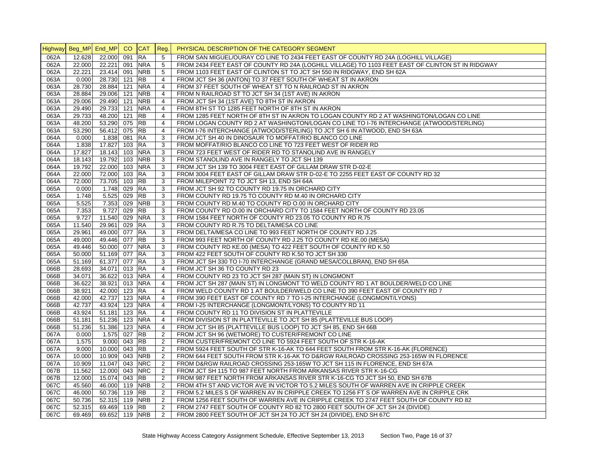|              | Highway Beg_MP End_MP |                         | CO  | <b>CAT</b>               | Reg.                             | PHYSICAL DESCRIPTION OF THE CATEGORY SEGMENT                                                      |
|--------------|-----------------------|-------------------------|-----|--------------------------|----------------------------------|---------------------------------------------------------------------------------------------------|
| 062A         | 12.628                | 22.000                  | 091 | <b>RA</b>                | 5                                | FROM SAN MIGUEL/OURAY CO LINE TO 2434 FEET EAST OF COUNTY RD 24A (LOGHILL VILLAGE)                |
| 062A         | 22.000                | 22.221 091              |     | <b>NRA</b>               | 5                                | FROM 2434 FEET EAST OF COUNTY RD 24A (LOGHILL VILLAGE) TO 1103 FEET EAST OF CLINTON ST IN RIDGWAY |
| 062A         | 22.221                | 23.414 091              |     | <b>NRB</b>               | 5                                | FROM 1103 FEET EAST OF CLINTON ST TO JCT SH 550 IN RIDGWAY, END SH 62A                            |
| 063A         | 0.000                 | 28.730 121              |     | <b>RB</b>                | $\overline{4}$                   | FROM JCT SH 36 (ANTON) TO 37 FEET SOUTH OF WHEAT ST IN AKRON                                      |
| 063A         | 28.730                | 28.884 121              |     | <b>NRA</b>               | $\overline{4}$                   | FROM 37 FEET SOUTH OF WHEAT ST TO N RAILROAD ST IN AKRON                                          |
| 063A         | 28.884                | 29.006 121              |     | <b>NRB</b>               | $\overline{4}$                   | FROM N RAILROAD ST TO JCT SH 34 (1ST AVE) IN AKRON                                                |
| 063A         | 29.006                | 29.490 121              |     | <b>NRB</b>               | $\overline{4}$                   | FROM JCT SH 34 (1ST AVE) TO 8TH ST IN AKRON                                                       |
| 063A         | 29.490                | 29.733 121              |     | <b>NRA</b>               | $\overline{4}$                   | FROM 8TH ST TO 1285 FEET NORTH OF 8TH ST IN AKRON                                                 |
| 063A         | 29.733                | 48.200 121              |     | <b>RB</b>                | $\overline{4}$                   | FROM 1285 FEET NORTH OF 8TH ST IN AKRON TO LOGAN COUNTY RD 2 AT WASHINGTON/LOGAN CO LINE          |
| 063A         | 48.200                | 53.290 075              |     | <b>RB</b>                | $\overline{4}$                   | FROM LOGAN COUNTY RD 2 AT WASHINGTON/LOGAN CO LINE TO I-76 INTERCHANGE (ATWOOD/STERLING)          |
| 063A         | 53.290                | 56.412 075              |     | <b>RB</b>                | $\overline{4}$                   | FROM I-76 INTERCHANGE (ATWOOD/STERLING) TO JCT SH 6 IN ATWOOD, END SH 63A                         |
| 064A         | 0.000                 | 1.838 081               |     | <b>RA</b>                | 3                                | FROM JCT SH 40 IN DINOSAUR TO MOFFAT/RIO BLANCO CO LINE                                           |
| 064A         | 1.838                 | 17.827 103              |     | <b>RA</b>                | 3                                | FROM MOFFAT/RIO BLANCO CO LINE TO 723 FEET WEST OF RIDER RD                                       |
| 064A         | 17.827                | 18.143 103              |     | <b>NRA</b>               | 3                                | FROM 723 FEET WEST OF RIDER RD TO STANOLIND AVE IN RANGELY                                        |
| 064A         | 18.143                | 19.792 103              |     | <b>NRB</b>               | 3                                | FROM STANOLIND AVE IN RANGELY TO JCT SH 139                                                       |
| 064A         | 19.792                | 22.000 103              |     | <b>NRA</b>               | 3                                | FROM JCT SH 139 TO 3004 FEET EAST OF GILLAM DRAW STR D-02-E                                       |
| 064A         | 22.000                | 72.000 103              |     | <b>RA</b>                | 3                                | FROM 3004 FEET EAST OF GILLAM DRAW STR D-02-E TO 2255 FEET EAST OF COUNTY RD 32                   |
| 064A         | 72.000                | 73.705 103              |     | <b>RB</b>                | 3                                | FROM MILEPOINT 72 TO JCT SH 13, END SH 64A                                                        |
| 065A         | 0.000                 | 1.748 029               |     | <b>RA</b>                | 3                                | FROM JCT SH 92 TO COUNTY RD 19.75 IN ORCHARD CITY                                                 |
| 065A         | 1.748                 | 5.525                   | 029 | <b>RB</b>                | 3                                | FROM COUNTY RD 19.75 TO COUNTY RD M.40 IN ORCHARD CITY                                            |
| 065A         | 5.525                 | 7.353 029               |     | <b>NRB</b>               | 3                                | FROM COUNTY RD M.40 TO COUNTY RD 0.00 IN ORCHARD CITY                                             |
| 065A         | 7.353                 | 9.727 029               |     | <b>RB</b>                | 3                                | FROM COUNTY RD 0.00 IN ORCHARD CITY TO 1584 FEET NORTH OF COUNTY RD 23.05                         |
| 065A         | 9.727                 | 11.540 029              |     | <b>NRA</b>               | 3                                | FROM 1584 FEET NORTH OF COUNTY RD 23.05 TO COUNTY RD R.75                                         |
| 065A         | 11.540                | 29.961 029              |     | <b>RA</b>                | 3                                | FROM COUNTY RD R.75 TO DELTA/MESA CO LINE                                                         |
| 065A         | 29.961                | 49.000 077              |     | <b>RA</b>                | 3                                | FROM DELTA/MESA CO LINE TO 993 FEET NORTH OF COUNTY RD J.25                                       |
| 065A         | 49.000                | 49.446 077              |     | <b>RB</b>                | 3                                | FROM 993 FEET NORTH OF COUNTY RD J.25 TO COUNTY RD KE.00 (MESA)                                   |
| 065A         | 49.446                | 50.000 077              |     | <b>NRA</b>               | 3                                | FROM COUNTY RD KE.00 (MESA) TO 422 FEET SOUTH OF COUNTY RD K.50                                   |
| 065A         | 50.000                | 51.169 077              |     | <b>RA</b>                | 3                                | FROM 422 FEET SOUTH OF COUNTY RD K.50 TO JCT SH 330                                               |
| 065A         | 51.169                | 61.377 077              |     | <b>RA</b>                | 3                                | FROM JCT SH 330 TO I-70 INTERCHANGE (GRAND MESA/COLLBRAN), END SH 65A                             |
| 066B         | 28.693                | 34.071 013              |     | <b>RA</b>                | $\overline{4}$                   | FROM JCT SH 36 TO COUNTY RD 23                                                                    |
| 066B         | 34.071                | 36.622 013 NRA          |     |                          | $\overline{4}$                   | FROM COUNTY RD 23 TO JCT SH 287 (MAIN ST) IN LONGMONT                                             |
| 066B         | 36.622                | 38.921 013              |     | <b>NRA</b>               | $\overline{4}$                   | FROM JCT SH 287 (MAIN ST) IN LONGMONT TO WELD COUNTY RD 1 AT BOULDER/WELD CO LINE                 |
| 066B         | 38.921                | 42.000 123              |     | <b>RA</b>                | $\overline{4}$                   | FROM WELD COUNTY RD 1 AT BOULDER/WELD CO LINE TO 390 FEET EAST OF COUNTY RD 7                     |
| 066B         | 42.000                | 42.737 123 NRA          |     |                          | $\overline{4}$                   | FROM 390 FEET EAST OF COUNTY RD 7 TO I-25 INTERCHANGE (LONGMONT/LYONS)                            |
| 066B         | 42.737                | 43.924 123              |     | <b>NRA</b>               | $\overline{4}$                   | FROM I-25 INTERCHANGE (LONGMONT/LYONS) TO COUNTY RD 11                                            |
| 066B         | 43.924                | 51.181 123              |     | <b>RA</b>                | $\overline{4}$<br>$\overline{4}$ | FROM COUNTY RD 11 TO DIVISION ST IN PLATTEVILLE                                                   |
| 066B         | 51.181                | 51.236 123              |     | <b>NRA</b><br><b>NRA</b> |                                  | FROM DIVISION ST IN PLATTEVILLE TO JCT SH 85 (PLATTEVILLE BUS LOOP)                               |
| 066B<br>067A | 51.236<br>0.000       | 51.386 123<br>1.575 027 |     | <b>RB</b>                | $\overline{4}$<br>2              | FROM JCT SH 85 (PLATTEVILLE BUS LOOP) TO JCT SH 85, END SH 66B                                    |
|              |                       | 9.000 043               |     | <b>RB</b>                | 2                                | FROM JCT SH 96 (WETMORE) TO CUSTER/FREMONT CO LINE                                                |
| 067A         | 1.575                 |                         |     |                          |                                  | FROM CUSTER/FREMONT CO LINE TO 5924 FEET SOUTH OF STR K-16-AK                                     |
| 067A         | 9.000                 | 10.000 043              |     | <b>RB</b>                | 2                                | FROM 5924 FEET SOUTH OF STR K-16-AK TO 644 FEET SOUTH FROM STR K-16-AK (FLORENCE)                 |
| 067A         | 10.000                | 10.909 043              |     | <b>NRB</b><br><b>NRC</b> | $\overline{2}$                   | FROM 644 FEET SOUTH FROM STR K-16-AK TO D&RGW RAILROAD CROSSING 253-165W IN FLORENCE              |
| 067A         | 10.909                | 11.047 043              |     | <b>NRC</b>               | $\overline{2}$                   | FROM D&RGW RAILROAD CROSSING 253-165W TO JCT SH 115 IN FLORENCE, END SH 67A                       |
| 067B         | 11.562                | 12.000 043              |     |                          | $\overline{2}$                   | FROM JCT SH 115 TO 987 FEET NORTH FROM ARKANSAS RIVER STR K-16-CG                                 |
| 067B         | 12.000                | 15.074 043              |     | <b>RB</b>                | 2                                | FROM 987 FEET NORTH FROM ARKANSAS RIVER STR K-16-CG TO JCT SH 50, END SH 67B                      |
| 067C         | 45.560                | 46.000 119              |     | <b>NRB</b><br><b>RB</b>  | 2<br>2                           | FROM 4TH ST AND VICTOR AVE IN VICTOR TO 5.2 MILES SOUTH OF WARREN AVE IN CRIPPLE CREEK            |
| 067C         | 46.000                | 50.736 119              |     |                          |                                  | FROM 5.2 MILES S OF WARREN AV IN CRIPPLE CREEK TO 1256 FT S OF WARREN AVE IN CRIPPLE CRK          |
| 067C         | 50.736                | 52.315 119              |     | <b>NRB</b>               | 2                                | FROM 1256 FEET SOUTH OF WARREN AVE IN CRIPPLE CREEK TO 2747 FEET SOUTH OF COUNTY RD 82            |
| 067C         | 52.315                | 69.469 119              |     | <b>RB</b>                | 2                                | FROM 2747 FEET SOUTH OF COUNTY RD 82 TO 2800 FEET SOUTH OF JCT SH 24 (DIVIDE)                     |
| 067C         | 69.469                | 69.652 119 NRB          |     |                          | $\overline{2}$                   | FROM 2800 FEET SOUTH OF JCT SH 24 TO JCT SH 24 (DIVIDE), END SH 67C                               |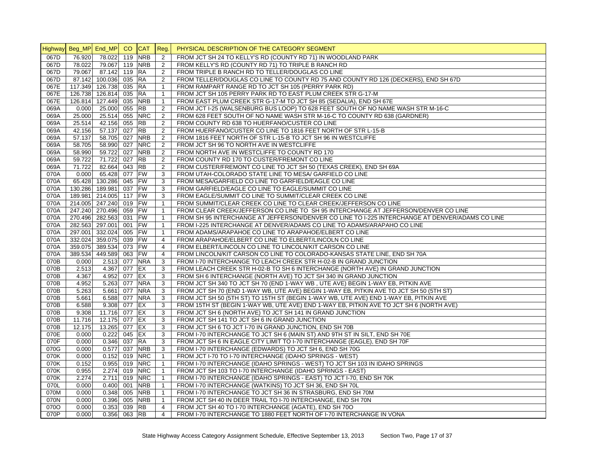|      | Highway Beg_MP End_MP CO |                        |        | <b>CAT</b> | Req.           | PHYSICAL DESCRIPTION OF THE CATEGORY SEGMENT                                                    |
|------|--------------------------|------------------------|--------|------------|----------------|-------------------------------------------------------------------------------------------------|
| 067D | 76.920                   | 78.022                 | 119    | <b>NRB</b> | 2              | FROM JCT SH 24 TO KELLY'S RD (COUNTY RD 71) IN WOODLAND PARK                                    |
| 067D | 78.022                   | 79.067                 | 119    | <b>NRB</b> | 2              | FROM KELLY'S RD (COUNTY RD 71) TO TRIPLE B RANCH RD                                             |
| 067D | 79.067                   | 87.142                 | 119 RA |            | 2              | FROM TRIPLE B RANCH RD TO TELLER/DOUGLAS CO LINE                                                |
| 067D | 87.142                   | 100.036                | 035    | <b>RA</b>  | 2              | FROM TELLER/DOUGLAS CO LINE TO COUNTY RD 75 AND COUNTY RD 126 (DECKERS), END SH 67D             |
| 067E | 117.349                  | 126.738                | 035 RA |            | $\overline{1}$ | FROM RAMPART RANGE RD TO JCT SH 105 (PERRY PARK RD)                                             |
| 067E | 126.738                  | 126.814                | 035 RA |            | $\mathbf{1}$   | FROM JCT SH 105 PERRY PARK RD TO EAST PLUM CREEK STR G-17-M                                     |
| 067E |                          | 126.814 127.449        | 035    | <b>NRB</b> | $\mathbf{1}$   | FROM EAST PLUM CREEK STR G-17-M TO JCT SH 85 (SEDALIA), END SH 67E                              |
| 069A | 0.000                    | 25.000                 | 055    | <b>RB</b>  | 2              | FROM JCT I-25 (WALSENBURG BUS LOOP) TO 628 FEET SOUTH OF NO NAME WASH STR M-16-C                |
| 069A | 25.000                   | 25.514                 | 055    | <b>NRC</b> | $\overline{2}$ | FROM 628 FEET SOUTH OF NO NAME WASH STR M-16-C TO COUNTY RD 638 (GARDNER)                       |
| 069A | 25.514                   | 42.156                 | 055 RB |            | 2              | FROM COUNTY RD 638 TO HUERFANO/CUSTER CO LINE                                                   |
| 069A | 42.156                   | 57.137                 | 027    | <b>RB</b>  | $\overline{2}$ | FROM HUERFANO/CUSTER CO LINE TO 1816 FEET NORTH OF STR L-15-B                                   |
| 069A | 57.137                   | 58.705                 |        | 027 NRB    | 2              | FROM 1816 FEET NORTH OF STR L-15-B TO JCT SH 96 IN WESTCLIFFE                                   |
| 069A | 58.705                   | 58.990                 | 027    | <b>NRC</b> | 2              | FROM JCT SH 96 TO NORTH AVE IN WESTCLIFFE                                                       |
| 069A | 58.990                   | 59.722                 | 027    | <b>NRB</b> | 2              | FROM NORTH AVE IN WESTCLIFFE TO COUNTY RD 170                                                   |
| 069A | 59.722                   | 71.722                 | 027    | <b>RB</b>  | $\overline{2}$ | FROM COUNTY RD 170 TO CUSTER/FREMONT CO LINE                                                    |
| 069A | 71.722                   | 82.664                 | 043 RB |            | 2              | FROM CUSTER/FREMONT CO LINE TO JCT SH 50 (TEXAS CREEK), END SH 69A                              |
| 070A | 0.000                    | 65.428                 | 077    | <b>FW</b>  | 3              | FROM UTAH-COLORADO STATE LINE TO MESA/ GARFIELD CO LINE                                         |
| 070A | 65.428                   | 130.286                | 045 FW |            | 3              | FROM MESA/GARFIELD CO LINE TO GARFIELD/EAGLE CO LINE                                            |
| 070A | 130.286                  | 189.981                | 037 FW |            | 3              | FROM GARFIELD/EAGLE CO LINE TO EAGLE/SUMMIT CO LINE                                             |
| 070A |                          | 189.981 214.005 117    |        | <b>FW</b>  | 3              | FROM EAGLE/SUMMIT CO LINE TO SUMMIT/CLEAR CREEK CO LINE                                         |
| 070A |                          | 214.005 247.240 019 FW |        |            | $\mathbf{1}$   | FROM SUMMIT/CLEAR CREEK CO LINE TO CLEAR CREEK/JEFFERSON CO LINE                                |
| 070A |                          | 247.240 270.496        | 059    | <b>FW</b>  | $\overline{1}$ | FROM CLEAR CREEK/JEFFERSON CO LINE TO SH 95 INTERCHANGE AT JEFFERSON/DENVER CO LINE             |
| 070A |                          | 270.496 282.563        | 031 FW |            | $\overline{1}$ | FROM SH 95 INTERCHANGE AT JEFFERSON/DENVER CO LINE TO I-225 INTERCHANGE AT DENVER/ADAMS CO LINE |
| 070A |                          | 282.563 297.001        | 001    | FW         | $\mathbf{1}$   | FROM I-225 INTERCHANGE AT DENVER/ADAMS CO LINE TO ADAMS/ARAPAHO CO LINE                         |
| 070A |                          | 297.001 332.024        | 005    | <b>FW</b>  | $\mathbf{1}$   | FROM ADAMS/ARAPAHOE CO LINE TO ARAPAHOE/ELBERT CO LINE                                          |
| 070A |                          | 332.024 359.075        | 039    | <b>FW</b>  | $\overline{4}$ | FROM ARAPAHOE/ELBERT CO LINE TO ELBERT/LINCOLN CO LINE                                          |
| 070A |                          | 359.075 389.534        | 073    | FW         | $\overline{4}$ | FROM ELBERT/LINCOLN CO LINE TO LINCOLN/KIT CARSON CO LINE                                       |
| 070A |                          | 389.534 449.589        | 063    | <b>FW</b>  | $\overline{4}$ | FROM LINCOLN/KIT CARSON CO LINE TO COLORADO-KANSAS STATE LINE, END SH 70A                       |
| 070B | 0.000                    | 2.513                  | 077    | <b>NRA</b> | 3              | FROM I-70 INTERCHANGE TO LEACH CREEK STR H-02-B IN GRAND JUNCTION                               |
| 070B | 2.513                    | 4.367                  | 077 EX |            | 3              | FROM LEACH CREEK STR H-02-B TO SH 6 INTERCHANGE (NORTH AVE) IN GRAND JUNCTION                   |
| 070B | 4.367                    | 4.952                  | 077 EX |            | 3              | FROM SH 6 INTERCHANGE (NORTH AVE) TO JCT SH 340 IN GRAND JUNCTION                               |
| 070B | 4.952                    | 5.263                  |        | 077 NRA    | 3              | FROM JCT SH 340 TO JCT SH 70 (END 1-WAY WB, UTE AVE) BEGIN 1-WAY EB, PITKIN AVE                 |
| 070B | 5.263                    | 5.661                  | 077    | <b>NRA</b> | 3              | FROM JCT SH 70 (END 1-WAY WB, UTE AVE) BEGIN 1-WAY EB, PITKIN AVE TO JCT SH 50 (5TH ST)         |
| 070B | 5.661                    | 6.588                  |        | 077 NRA    | 3              | FROM JCT SH 50 (5TH ST) TO 15TH ST (BEGIN 1-WAY WB, UTE AVE) END 1-WAY EB, PITKIN AVE           |
| 070B | 6.588                    | 9.308 077 EX           |        |            | 3              | FROM 15TH ST (BEGIN 1-WAY WB, UTE AVE) END 1-WAY EB, PITKIN AVE TO JCT SH 6 (NORTH AVE)         |
| 070B | 9.308                    | 11.716                 | 077 EX |            | 3              | FROM JCT SH 6 (NORTH AVE) TO JCT SH 141 IN GRAND JUNCTION                                       |
| 070B | 11.716                   | 12.175                 | 077 EX |            | 3              | FROM JCT SH 141 TO JCT SH 6 IN GRAND JUNCTION                                                   |
| 070B | 12.175                   | 13.265                 | 077 EX |            | 3              | FROM JCT SH 6 TO JCT I-70 IN GRAND JUNCTION, END SH 70B                                         |
| 070E | 0.000                    | 0.222                  | 045 EX |            | 3              | FROM I-70 INTERCHANGE TO JCT SH 6 (MAIN ST) AND 9TH ST IN SILT, END SH 70E                      |
| 070F | 0.000                    | 0.346                  | 037    | <b>RA</b>  | 3              | FROM JCT SH 6 IN EAGLE CITY LIMIT TO 1-70 INTERCHANGE (EAGLE), END SH 70F                       |
| 070G | 0.000                    | 0.577                  | 037    | <b>NRB</b> | 3              | FROM I-70 INTERCHANGE (EDWARDS) TO JCT SH 6, END SH 70G                                         |
| 070K | 0.000                    | 0.152                  | 019    | <b>NRC</b> | $\mathbf{1}$   | FROM JCT I-70 TO I-70 INTERCHANGE (IDAHO SPRINGS - WEST)                                        |
| 070K | 0.152                    | 0.955                  | 019    | <b>NRC</b> | $\mathbf{1}$   | FROM I-70 INTERCHANGE (IDAHO SPRINGS - WEST) TO JCT SH 103 IN IDAHO SPRINGS                     |
| 070K | 0.955                    | 2.274                  | 019    | <b>NRC</b> | $\mathbf{1}$   | FROM JCT SH 103 TO I-70 INTERCHANGE (IDAHO SPRINGS - EAST)                                      |
| 070K | 2.274                    | 2.711                  | 019    | <b>NRC</b> | $\mathbf{1}$   | FROM I-70 INTERCHANGE (IDAHO SPRINGS - EAST) TO JCT I-70, END SH 70K                            |
| 070L | 0.000                    | 0.400                  | 001    | <b>NRB</b> | $\mathbf{1}$   | FROM I-70 INTERCHANGE (WATKINS) TO JCT SH 36, END SH 70L                                        |
| 070M | 0.000                    | 0.348                  | 005    | <b>NRB</b> | $\mathbf{1}$   | FROM I-70 INTERCHANGE TO JCT SH 36 IN STRASBURG, END SH 70M                                     |
| 070N | 0.000                    | 0.396                  | 005    | <b>NRB</b> | $\mathbf{1}$   | FROM JCT SH 40 IN DEER TRAIL TO I-70 INTERCHANGE, END SH 70N                                    |
| 070O | 0.000                    | 0.353                  | 039 RB |            | $\overline{4}$ | FROM JCT SH 40 TO I-70 INTERCHANGE (AGATE), END SH 70O                                          |
| 070P | 0.000                    | 0.356                  | 063 RB |            | $\overline{4}$ | FROM I-70 INTERCHANGE TO 1880 FEET NORTH OF I-70 INTERCHANGE IN VONA                            |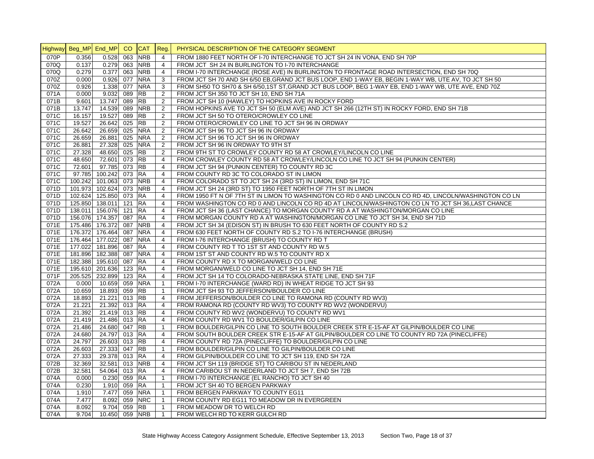|      | Highway Beg_MP End_MP |                         | CO CAT     | Reg.           | PHYSICAL DESCRIPTION OF THE CATEGORY SEGMENT                                                           |
|------|-----------------------|-------------------------|------------|----------------|--------------------------------------------------------------------------------------------------------|
| 070P | 0.356                 | $0.528$ 063             | <b>NRB</b> | $\overline{4}$ | FROM 1880 FEET NORTH OF I-70 INTERCHANGE TO JCT SH 24 IN VONA. END SH 70P                              |
| 070Q | 0.137                 | 0.279 063               | <b>NRB</b> | $\overline{4}$ | FROM JCT SH 24 IN BURLINGTON TO I-70 INTERCHANGE                                                       |
| 070Q | 0.279                 | $0.377$ 063             | <b>NRB</b> | $\overline{4}$ | FROM I-70 INTERCHANGE (ROSE AVE) IN BURLINGTON TO FRONTAGE ROAD INTERSECTION, END SH 70Q               |
| 070Z | 0.000                 | 0.926 077               | <b>NRA</b> | 3              | FROM JCT SH 70 AND SH 6/50 EB, GRAND JCT BUS LOOP, END 1-WAY EB, BEGIN 1-WAY WB, UTE AV, TO JCT SH 50  |
| 070Z | 0.926                 | 1.338 077               | <b>NRA</b> | 3              | FROM SH50 TO SH70 & SH 6/50,1ST ST, GRAND JCT BUS LOOP, BEG 1-WAY EB, END 1-WAY WB, UTE AVE, END 70Z   |
| 071A | 0.000                 | 9.032 089               | <b>RB</b>  | 2              | FROM JCT SH 350 TO JCT SH 10, END SH 71A                                                               |
| 071B | 9.601                 | 13.747 089              | <b>RB</b>  | $\overline{2}$ | FROM JCT SH 10 (HAWLEY) TO HOPKINS AVE IN ROCKY FORD                                                   |
| 071B | 13.747                | 14.539 089              | <b>NRB</b> | 2              | FROM HOPKINS AVE TO JCT SH 50 (ELM AVE) AND JCT SH 266 (12TH ST) IN ROCKY FORD, END SH 71B             |
| 071C | 16.157                | 19.527 089              | <b>RB</b>  | $\overline{2}$ | FROM JCT SH 50 TO OTERO/CROWLEY CO LINE                                                                |
| 071C | 19.527                | 26.642 025              | <b>RB</b>  | 2              | FROM OTERO/CROWLEY CO LINE TO JCT SH 96 IN ORDWAY                                                      |
| 071C | 26.642                | 26.659 025              | <b>NRA</b> | 2              | FROM JCT SH 96 TO JCT SH 96 IN ORDWAY                                                                  |
| 071C | 26.659                | 26.881 025              | <b>NRA</b> | 2              | FROM JCT SH 96 TO JCT SH 96 IN ORDWAY                                                                  |
| 071C | 26.881                | 27.328 025              | <b>NRA</b> | 2              | FROM JCT SH 96 IN ORDWAY TO 9TH ST                                                                     |
| 071C | 27.328                | 48.650 025              | <b>RB</b>  | 2              | FROM 9TH ST TO CROWLEY COUNTY RD 58 AT CROWLEY/LINCOLN CO LINE                                         |
| 071C | 48.650                | 72.601 073              | <b>RB</b>  | $\overline{4}$ | FROM CROWLEY COUNTY RD 58 AT CROWLEY/LINCOLN CO LINE TO JCT SH 94 (PUNKIN CENTER)                      |
| 071C | 72.601                | 97.785 073              | <b>RB</b>  | $\overline{4}$ | FROM JCT SH 94 (PUNKIN CENTER) TO COUNTY RD 3C                                                         |
| 071C | 97.785                | 100.242 073 RA          |            | $\overline{4}$ | FROM COUNTY RD 3C TO COLORADO ST IN LIMON                                                              |
| 071C | 100.242               | 101.063 073             | <b>NRB</b> | $\overline{4}$ | FROM COLORADO ST TO JCT SH 24 (3RD ST) IN LIMON, END SH 71C                                            |
|      |                       |                         |            |                |                                                                                                        |
| 071D |                       | 101.973 102.624 073 NRB |            | $\overline{4}$ | FROM JCT SH 24 (3RD ST) TO 1950 FEET NORTH OF 7TH ST IN LIMON                                          |
| 071D | 102.624               | 125.850 073             | <b>RA</b>  | $\overline{4}$ | FROM 1950 FT N OF 7TH ST IN LIMON TO WASHINGTON CO RD 0 AND LINCOLN CO RD 4D, LINCOLN/WASHINGTON CO LN |
| 071D |                       | 125.850 138.011 121 RA  |            | $\overline{4}$ | FROM WASHINGTON CO RD 0 AND LINCOLN CO RD 4D AT LINCOLN/WASHINGTON CO LN TO JCT SH 36,LAST CHANCE      |
| 071D |                       | 138.011 156.076 121     | <b>RA</b>  | $\overline{4}$ | FROM JCT SH 36 (LAST CHANCE) TO MORGAN COUNTY RD A AT WASHINGTON/MORGAN CO LINE                        |
| 071D |                       | 156.076 174.357 087     | <b>RA</b>  | $\overline{4}$ | FROM MORGAN COUNTY RD A AT WASHINGTON/MORGAN CO LINE TO JCT SH 34, END SH 71D                          |
| 071E |                       | 175.486 176.372 087     | <b>NRB</b> | $\overline{4}$ | FROM JCT SH 34 (EDISON ST) IN BRUSH TO 630 FEET NORTH OF COUNTY RD S.2                                 |
| 071E |                       | 176.372 176.464 087     | <b>NRA</b> | $\overline{4}$ | FROM 630 FEET NORTH OF COUNTY RD S.2 TO I-76 INTERCHANGE (BRUSH)                                       |
| 071E | 176.464               | 177.022 087             | <b>NRA</b> | $\overline{4}$ | FROM I-76 INTERCHANGE (BRUSH) TO COUNTY RD T                                                           |
| 071E | 177.022               | 181.896 087             | <b>RA</b>  | $\overline{4}$ | FROM COUNTY RD T TO 1ST ST AND COUNTY RD W.5                                                           |
| 071E |                       | 181.896 182.388 087     | <b>NRA</b> | $\overline{4}$ | FROM 1ST ST AND COUNTY RD W.5 TO COUNTY RD X                                                           |
| 071E |                       | 182.388 195.610 087     | <b>RA</b>  | $\overline{4}$ | FROM COUNTY RD X TO MORGAN/WELD CO LINE                                                                |
| 071E |                       | 195.610 201.636 123 RA  |            | $\overline{4}$ | FROM MORGAN/WELD CO LINE TO JCT SH 14, END SH 71E                                                      |
| 071F |                       | 205.525 232.899 123     | <b>RA</b>  | $\overline{4}$ | FROM JCT SH 14 TO COLORADO-NEBRASKA STATE LINE, END SH 71F                                             |
| 072A | 0.000                 | 10.659 059 NRA          |            | $\overline{1}$ | FROM I-70 INTERCHANGE (WARD RD) IN WHEAT RIDGE TO JCT SH 93                                            |
| 072A | 10.659                | 18.893 059              | <b>RB</b>  | $\overline{1}$ | FROM JCT SH 93 TO JEFFERSON/BOULDER CO LINE                                                            |
| 072A | 18.893                | 21.221 013 RB           |            | $\overline{4}$ | FROM JEFFERSON/BOULDER CO LINE TO RAMONA RD (COUNTY RD WV3)                                            |
| 072A | 21.221                | 21.392 013              | <b>RA</b>  | $\overline{4}$ | FROM RAMONA RD (COUNTY RD WV3) TO COUNTY RD WV2 (WONDERVU)                                             |
| 072A | 21.392                | 21.419 013              | <b>RB</b>  | $\overline{4}$ | FROM COUNTY RD WV2 (WONDERVU) TO COUNTY RD WV1                                                         |
| 072A | 21.419                | 21.486 013              | <b>RA</b>  | $\overline{4}$ | FROM COUNTY RD WV1 TO BOULDER/GILPIN CO LINE                                                           |
| 072A | 21.486                | 24.680 047              | <b>RB</b>  | $\overline{1}$ | FROM BOULDER/GILPIN CO LINE TO SOUTH BOULDER CREEK STR E-15-AF AT GILPIN/BOULDER CO LINE               |
| 072A | 24.680                | 24.797 013 RA           |            | $\overline{4}$ | FROM SOUTH BOULDER CREEK STR E-15-AF AT GILPIN/BOULDER CO LINE TO COUNTY RD 72A (PINECLIFFE)           |
| 072A | 24.797                | 26.603 013 RB           |            | $\overline{4}$ | FROM COUNTY RD 72A (PINECLIFFE) TO BOULDER/GILPIN CO LINE                                              |
| 072A | 26.603                | 27.333 047 RB           |            | $\mathbf{1}$   | FROM BOULDER/GILPIN CO LINE TO GILPIN/BOULDER CO LINE                                                  |
| 072A | 27.333                | 29.378 013 RA           |            | $\overline{4}$ | FROM GILPIN/BOULDER CO LINE TO JCT SH 119, END SH 72A                                                  |
| 072B | 32.369                | 32.581 013 NRB          |            | $\overline{4}$ | FROM JCT SH 119 (BRIDGE ST) TO CARIBOU ST IN NEDERLAND                                                 |
| 072B | 32.581                | 54.064 013 RA           |            | $\overline{4}$ | FROM CARIBOU ST IN NEDERLAND TO JCT SH 7, END SH 72B                                                   |
| 074A | 0.000                 | $0.230$ 059 RA          |            | $\overline{1}$ | FROM I-70 INTERCHANGE (EL RANCHO) TO JCT SH 40                                                         |
| 074A | 0.230                 | 1.910 059               | <b>RA</b>  | $\mathbf{1}$   | FROM JCT SH 40 TO BERGEN PARKWAY                                                                       |
| 074A | 1.910                 | 7.477 059               | <b>NRA</b> | $\mathbf{1}$   | FROM BERGEN PARKWAY TO COUNTY EG11                                                                     |
| 074A | 7.477                 | 8.092 059               | <b>NRC</b> | $\mathbf{1}$   | FROM COUNTY RD EG11 TO MEADOW DR IN EVERGREEN                                                          |
| 074A | 8.092                 | 9.704 059               | <b>RB</b>  | $\mathbf{1}$   | FROM MEADOW DR TO WELCH RD                                                                             |
| 074A | 9.704                 | 10.450 059 NRB          |            | $\overline{1}$ | FROM WELCH RD TO KERR GULCH RD                                                                         |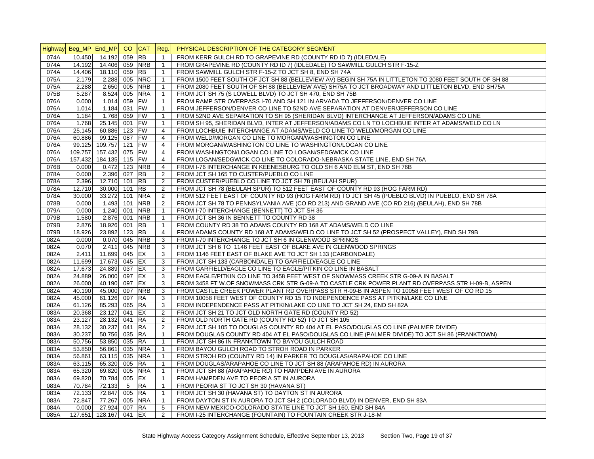|                |               |                         | CO  | <b>CAT</b> |                |                                                                                                        |
|----------------|---------------|-------------------------|-----|------------|----------------|--------------------------------------------------------------------------------------------------------|
| <b>Highway</b> | Beg_MP End_MP |                         |     |            | Reg.           | PHYSICAL DESCRIPTION OF THE CATEGORY SEGMENT                                                           |
| 074A           | 10.450        | 14.192                  | 059 | <b>RB</b>  | $\mathbf{1}$   | FROM KERR GULCH RD TO GRAPEVINE RD (COUNTY RD ID 7) (IDLEDALE)                                         |
| 074A           | 14.192        | $14.\overline{406}$ 059 |     | <b>NRB</b> | $\mathbf{1}$   | FROM GRAPEVINE RD (COUNTY RD ID 7) (IDLEDALE) TO SAWMILL GULCH STR F-15-Z                              |
| 074A           | 14.406        | 18.110 059              |     | <b>RB</b>  | $\mathbf{1}$   | FROM SAWMILL GULCH STR F-15-Z TO JCT SH 8, END SH 74A                                                  |
| 075A           | 2.179         | 2.288 005               |     | <b>NRC</b> | $\mathbf{1}$   | FROM 1500 FEET SOUTH OF JCT SH 88 (BELLEVIEW AV) BEGIN SH 75A IN LITTLETON TO 2080 FEET SOUTH OF SH 88 |
| 075A           | 2.288         | 2.650 005               |     | <b>NRB</b> | $\mathbf{1}$   | FROM 2080 FEET SOUTH OF SH 88 (BELLEVIEW AVE) SH75A TO JCT BROADWAY AND LITTLETON BLVD, END SH75A      |
| 075B           | 5.287         | 8.524 005               |     | <b>NRA</b> | $\mathbf{1}$   | FROM JCT SH 75 (S LOWELL BLVD) TO JCT SH 470, END SH 75B                                               |
| 076A           | 0.000         | 1.014 059               |     | <b>FW</b>  | $\mathbf{1}$   | FROM RAMP STR OVERPASS I-70 AND SH 121 IN ARVADA TO JEFFERSON/DENVER CO LINE                           |
| 076A           | 1.014         | 1.184 031               |     | <b>FW</b>  | $\mathbf{1}$   | FROM JEFFERSON/DENVER CO LINE TO 52ND AVE SEPARATION AT DENVER/JEFFERSON CO LINE                       |
| 076A           | 1.184         | 1.768 059               |     | <b>FW</b>  | $\mathbf{1}$   | FROM 52ND AVE SEPARATION TO SH 95 (SHERIDAN BLVD) INTERCHANGE AT JEFFERSON/ADAMS CO LINE               |
| 076A           | 1.768         | 25.145 001              |     | <b>FW</b>  | $\mathbf{1}$   | FROM SH 95, SHERIDAN BLVD, INTER AT JEFFERSON/ADAMS CO LN TO LOCHBUIE INTER AT ADAMS/WELD CO LN        |
| 076A           | 25.145        | 60.886 123              |     | <b>FW</b>  | $\overline{4}$ | FROM LOCHBUIE INTERCHANGE AT ADAMS/WELD CO LINE TO WELD/MORGAN CO LINE                                 |
| 076A           | 60.886        | 99.125 087              |     | <b>FW</b>  | $\overline{4}$ | FROM WELD/MORGAN CO LINE TO MORGAN/WASHINGTON CO LINE                                                  |
| 076A           |               | 99.125 109.757 121      |     | <b>FW</b>  | $\overline{4}$ | FROM MORGAN/WASHINGTON CO LINE TO WASHINGTON/LOGAN CO LINE                                             |
| 076A           | 109.757       | 157.432 075             |     | <b>FW</b>  | 4              | FROM WASHINGTON/LOGAN CO LINE TO LOGAN/SEDGWICK CO LINE                                                |
| 076A           | 157.432       | 184.135 115             |     | <b>FW</b>  | $\overline{4}$ | FROM LOGAN/SEDGWICK CO LINE TO COLORADO-NEBRASKA STATE LINE, END SH 76A                                |
| 076B           | 0.000         | $0.472$ 123             |     | <b>NRB</b> | $\overline{4}$ | FROM I-76 INTERCHANGE IN KEENESBURG TO OLD SH 6 AND ELM ST, END SH 76B                                 |
| 078A           | 0.000         | 2.396 027               |     | <b>RB</b>  | $\overline{2}$ | FROM JCT SH 165 TO CUSTER/PUEBLO CO LINE                                                               |
| 078A           | 2.396         | 12.710 101              |     | <b>RB</b>  | $\overline{c}$ | FROM CUSTER/PUEBLO CO LINE TO JCT SH 78 (BEULAH SPUR)                                                  |
| 078A           | 12.710        | 30.000 101              |     | <b>RB</b>  | 2              | FROM JCT SH 78 (BEULAH SPUR) TO 512 FEET EAST OF COUNTY RD 93 (HOG FARM RD)                            |
| 078A           | 30.000        | 33.272 101              |     | <b>NRA</b> | 2              | FROM 512 FEET EAST OF COUNTY RD 93 (HOG FARM RD) TO JCT SH 45 (PUEBLO BLVD) IN PUEBLO, END SH 78A      |
| 078B           | 0.000         | 1.493 101               |     | <b>NRB</b> | 2              | FROM JCT SH 78 TO PENNSYLVANIA AVE (CO RD 213) AND GRAND AVE (CO RD 216) (BEULAH), END SH 78B          |
| 079A           | 0.000         | $1.240$ 001             |     | <b>NRB</b> | $\mathbf{1}$   | FROM I-70 INTERCHANGE (BENNETT) TO JCT SH 36                                                           |
| 079B           | 1.580         | 2.876 001               |     | <b>NRB</b> | $\mathbf{1}$   | FROM JCT SH 36 IN BENNETT TO COUNTY RD 38                                                              |
| 079B           | 2.876         | 18.926 001              |     | <b>RB</b>  | $\mathbf{1}$   | FROM COUNTY RD 38 TO ADAMS COUNTY RD 168 AT ADAMS/WELD CO LINE                                         |
| 079B           | 18.926        | 23.892 123              |     | <b>RB</b>  | $\overline{4}$ | FROM ADAMS COUNTY RD 168 AT ADAMS/WELD CO LINE TO JCT SH 52 (PROSPECT VALLEY), END SH 79B              |
| 082A           | 0.000         | $0.070$ 045             |     | <b>NRB</b> | 3              | FROM I-70 INTERCHANGE TO JCT SH 6 IN GLENWOOD SPRINGS                                                  |
| 082A           | 0.070         | 2.411 045               |     | <b>NRB</b> | 3              | FROM JCT SH 6 TO 1146 FEET EAST OF BLAKE AVE IN GLENWOOD SPRINGS                                       |
| 082A           | 2.411         | 11.699 045              |     | EX         | 3              | FROM 1146 FEET EAST OF BLAKE AVE TO JCT SH 133 (CARBONDALE)                                            |
| 082A           | 11.699        | 17.673 045              |     | EX         | 3              | FROM JCT SH 133 (CARBONDALE) TO GARFIELD/EAGLE CO LINE                                                 |
| 082A           | 17.673        | 24.889 037              |     | EX         | 3              | FROM GARFIELD/EAGLE CO LINE TO EAGLE/PITKIN CO LINE IN BASALT                                          |
| 082A           | 24.889        | 26.000 097              |     | EX         | 3              | FROM EAGLE/PITKIN CO LINE TO 3458 FEET WEST OF SNOWMASS CREEK STR G-09-A IN BASALT                     |
| 082A           | 26.000        | 40.190 097              |     | EX         | 3              | FROM 3458 FT W.OF SNOWMASS CRK STR G-09-A TO CASTLE CRK POWER PLANT RD OVERPASS STR H-09-B, ASPEN      |
| 082A           | 40.190        | 45.000 097              |     | <b>NRB</b> | 3              | FROM CASTLE CREEK POWER PLANT RD OVERPASS STR H-09-B IN ASPEN TO 10058 FEET WEST OF CO RD 15           |
| 082A           | 45.000        | 61.126 097              |     | <b>RA</b>  | 3              | FROM 10058 FEET WEST OF COUNTY RD 15 TO INDEPENDENCE PASS AT PITKIN/LAKE CO LINE                       |
| 082A           | 61.126        | 85.293 065              |     | <b>RA</b>  | 3              | FROM INDEPENDENCE PASS AT PITKIN/LAKE CO LINE TO JCT SH 24, END SH 82A                                 |
| 083A           | 20.368        | 23.127 041              |     | EX         | 2              | FROM JCT SH 21 TO JCT OLD NORTH GATE RD (COUNTY RD 52)                                                 |
| 083A           | 23.127        | 28.132 041              |     | <b>RA</b>  | 2              | FROM OLD NORTH GATE RD (COUNTY RD 52) TO JCT SH 105                                                    |
| 083A           | 28.132        | 30.237 041              |     | <b>RA</b>  | 2              | FROM JCT SH 105 TO DOUGLAS COUNTY RD 404 AT EL PASO/DOUGLAS CO LINE (PALMER DIVIDE)                    |
| 083A           | 30.237        | 50.756 035              |     | <b>RA</b>  | $\mathbf{1}$   | FROM DOUGLAS COUNTY RD 404 AT EL PASO/DOUGLAS CO LINE (PALMER DIVIDE) TO JCT SH 86 (FRANKTOWN)         |
| 083A           | 50.756        | 53.850 035              |     | <b>RA</b>  | $\mathbf{1}$   | FROM JCT SH 86 IN FRANKTOWN TO BAYOU GULCH ROAD                                                        |
| 083A           | 53.850        | 56.861 035              |     | <b>NRA</b> | $\mathbf{1}$   | FROM BAYOU GULCH ROAD TO STROH ROAD IN PARKER                                                          |
| 083A           | 56.861        | 63.115 035              |     | <b>NRA</b> | $\mathbf{1}$   | FROM STROH RD (COUNTY RD 14) IN PARKER TO DOUGLAS/ARAPAHOE CO LINE                                     |
| 083A           | 63.115        | 65.320 005              |     | <b>RA</b>  | $\mathbf{1}$   | FROM DOUGLAS/ARAPAHOE CO LINE TO JCT SH 88 (ARAPAHOE RD) IN AURORA                                     |
| 083A           | 65.320        | 69.820 005              |     | <b>NRA</b> | $\mathbf{1}$   | FROM JCT SH 88 (ARAPAHOE RD) TO HAMPDEN AVE IN AURORA                                                  |
| 083A           | 69.820        | 70.784 005              |     | <b>IEX</b> | $\mathbf{1}$   | FROM HAMPDEN AVE TO PEORIA ST IN AURORA                                                                |
| 083A           | 70.784        | 72.133                  | 5   | <b>RA</b>  | $\mathbf{1}$   | FROM PEORIA ST TO JCT SH 30 (HAVANA ST)                                                                |
| 083A           | 72.133        | 72.847 005              |     | <b>RA</b>  | $\mathbf{1}$   | FROM JCT SH 30 (HAVANA ST) TO DAYTON ST IN AURORA                                                      |
| 083A           | 72.847        | 77.267 005              |     | <b>NRA</b> | $\mathbf{1}$   | FROM DAYTON ST IN AURORA TO JCT SH 2 (COLORADO BLVD) IN DENVER, END SH 83A                             |
| 084A           | 0.000         | 27.924 007              |     | <b>RA</b>  | 5              | FROM NEW MEXICO-COLORADO STATE LINE TO JCT SH 160, END SH 84A                                          |
| 085A           | 127.651       | 128.167 041 EX          |     |            | 2              | FROM I-25 INTERCHANGE (FOUNTAIN) TO FOUNTAIN CREEK STR J-18-M                                          |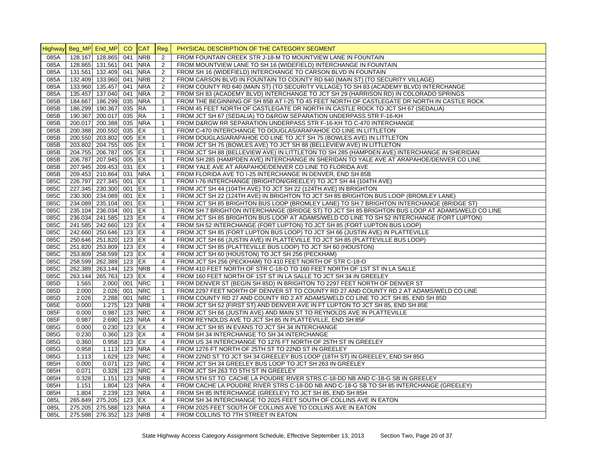| Highway Beg_MP End_MP<br><b>NRB</b><br>FROM FOUNTAIN CREEK STR J-18-M TO MOUNTVIEW LANE IN FOUNTAIN<br>085A<br>128.167 128.865<br>041<br>2<br><b>NRA</b><br>085A<br>128.865 131.561 041<br>2<br>FROM MOUNTVIEW LANE TO SH 16 (WIDEFIELD) INTERCHANGE IN FOUNTAIN<br>085A<br>131.561 132.409 041<br><b>NRA</b><br>2<br>FROM SH 16 (WIDEFIELD) INTERCHANGE TO CARSON BLVD IN FOUNTAIN<br><b>NRB</b><br>132.409 133.960 041<br>2<br>FROM CARSON BLVD IN FOUNTAIN TO COUNTY RD 640 (MAIN ST) (TO SECURITY VILLAGE)<br>085A<br>085A<br>133.960 135.457 041<br><b>NRA</b><br>2<br>FROM COUNTY RD 640 (MAIN ST) (TO SECURITY VILLAGE) TO SH 83 (ACADEMY BLVD) INTERCHANGE<br>085A<br>135.457 137.040 041<br><b>NRA</b><br>$\overline{2}$<br>FROM SH 83 (ACADEMY BLVD) INTERCHANGE TO JCT SH 29 (HARRISON RD) IN COLORADO SPRINGS<br>184.667 186.299 035<br><b>NRA</b><br>085B<br>$\mathbf{1}$<br>FROM THE BEGINNING OF SH 85B AT I-25 TO 45 FEET NORTH OF CASTLEGATE DR NORTH IN CASTLE ROCK<br>186.299 190.367 035<br><b>RA</b><br>085B<br>$\mathbf{1}$<br>FROM 45 FEET NORTH OF CASTLEGATE DR NORTH IN CASTLE ROCK TO JCT SH 67 (SEDALIA)<br>190.367 200.017 035<br><b>RA</b><br>085B<br>$\mathbf{1}$<br>FROM JCT SH 67 (SEDALIA) TO D&RGW SEPARATION UNDERPASS STR F-16-KH<br>$\mathbf{1}$<br>085B<br>200.017 200.388 035<br><b>NRA</b><br>FROM D&RGW RR SEPARATION UNDERPASS STR F-16-KH TO C-470 INTERCHANGE<br>085B<br>200.388 200.550 035<br><b>IEX</b><br>$\mathbf{1}$<br>FROM C-470 INTERCHANGE TO DOUGLAS/ARAPAHOE CO LINE IN LITTLETON<br>200.550 203.802 005<br>EX<br>$\mathbf{1}$<br>FROM DOUGLAS/ARAPAHOE CO LINE TO JCT SH 75 (BOWLES AVE) IN LITTLETON<br>085B<br>203.802 204.755 005<br>EX<br>085B<br>$\mathbf{1}$<br>FROM JCT SH 75 (BOWLES AVE) TO JCT SH 88 (BELLEVIEW AVE) IN LITTLETON<br>204.755 206.787 005<br>085B<br>EX<br>$\mathbf{1}$<br>FROM JCT SH 88 (BELLEVIEW AVE) IN LITTLETON TO SH 285 (HAMPDEN AVE) INTERCHANGE IN SHERIDAN<br>206.787 207.945 005<br>EX<br>085B<br>$\mathbf{1}$<br>FROM SH 285 (HAMPDEN AVE) INTERCHANGE IN SHERIDAN TO YALE AVE AT ARAPAHOE/DENVER CO LINE<br>085B<br>207.945 209.453 031<br>EX<br>FROM YALE AVE AT ARAPAHOE/DENVER CO LINE TO FLORIDA AVE<br>$\mathbf{1}$<br>209.453 210.864 031<br><b>NRA</b><br>FROM FLORIDA AVE TO I-25 INTERCHANGE IN DENVER, END SH 85B<br>085B<br>$\mathbf{1}$<br>EX<br>085C<br>226.797 227.345 001<br>$\mathbf{1}$<br>FROM I-76 INTERCHANGE (BRIGHTON/GREELEY) TO JCT SH 44 (104TH AVE)<br>085C<br>227.345 230.300 001<br>EX<br>$\mathbf{1}$<br>FROM JCT SH 44 (104TH AVE) TO JCT SH 22 (124TH AVE) IN BRIGHTON<br>230.300 234.089 001<br><b>IEX</b><br>FROM JCT SH 22 (124TH AVE) IN BRIGHTON TO JCT SH 85 BRIGHTON BUS LOOP (BROMLEY LANE)<br>085C<br>$\mathbf{1}$<br>EX<br>085C<br>234.089 235.104 001<br>$\mathbf{1}$<br>FROM JCT SH 85 BRIGHTON BUS LOOP (BROMLEY LANE) TO SH 7 BRIGHTON INTERCHANGE (BRIDGE ST)<br>EX<br>085C<br>235.104 236.034 001<br>$\mathbf{1}$<br>FROM SH 7 BRIGHTON INTERCHANGE (BRIDGE ST) TO JCT SH 85 BRIGHTON BUS LOOP AT ADAMS/WELD CO LINE<br>085C<br>236.034 241.585 123<br>EX<br>$\overline{4}$<br>FROM JCT SH 85 BRIGHTON BUS LOOP AT ADAMS/WELD CO LINE TO SH 52 INTERCHANGE (FORT LUPTON)<br>085C<br>241.585 242.660 123<br>EX<br>$\overline{4}$<br>FROM SH 52 INTERCHANGE (FORT LUPTON) TO JCT SH 85 (FORT LUPTON BUS LOOP)<br>085C<br>242.660 250.646 123 EX<br>FROM JCT SH 85 (FORT LUPTON BUS LOOP) TO JCT SH 66 (JUSTIN AVE) IN PLATTEVILLE<br>$\overline{4}$<br>250.646 251.820 123 EX<br>$\overline{4}$<br>FROM JCT SH 66 (JUSTIN AVE) IN PLATTEVILLE TO JCT SH 85 (PLATTEVILLE BUS LOOP)<br>085C<br>251.820 253.809 123 EX<br>085C<br>FROM JCT SH 85 (PLATTEVILLE BUS LOOP) TO JCT SH 60 (HOUSTON)<br>4<br>253.809 258.599 123<br>EX<br>085C<br>$\overline{4}$<br>FROM JCT SH 60 (HOUSTON) TO JCT SH 256 (PECKHAM)<br>085C<br>258.599 262.389 123<br><b>EX</b><br>$\overline{4}$<br>FROM JCT SH 256 (PECKHAM) TO 410 FEET NORTH OF STR C-18-O<br>085C<br>262.389 263.144 123<br><b>NRB</b><br>$\overline{4}$<br>FROM 410 FEET NORTH OF STR C-18-O TO 160 FEET NORTH OF 1ST ST IN LA SALLE<br>085C<br>263.144 265.763 123<br>EX<br>FROM 160 FEET NORTH OF 1ST ST IN LA SALLE TO JCT SH 34 IN GREELEY<br>4<br>085D<br>1.565<br>2.000 001<br><b>NRC</b><br>FROM DENVER ST (BEGIN SH 85D) IN BRIGHTON TO 2297 FEET NORTH OF DENVER ST<br>$\mathbf{1}$<br>085D<br>$2.026$ 001<br><b>NRC</b><br>$\mathbf{1}$<br>2.000<br>FROM 2297 FEET NORTH OF DENVER ST TO COUNTY RD 27 AND COUNTY RD 2 AT ADAMS/WELD CO LINE<br><b>NRC</b><br>085D<br>2.026<br>2.288 001<br>$\mathbf{1}$<br>FROM COUNTY RD 27 AND COUNTY RD 2 AT ADAMS/WELD CO LINE TO JCT SH 85, END SH 85D<br><b>NRB</b><br>$\overline{4}$<br>085E<br>1.275 123<br>FROM JCT SH 52 (FIRST ST) AND DENVER AVE IN FT LUPTON TO JCT SH 85, END SH 85E<br>0.000<br><b>NRC</b><br>085F<br>0.000<br>0.987 123<br>$\overline{4}$<br>FROM JCT SH 66 (JUSTIN AVE) AND MAIN ST TO REYNOLDS AVE IN PLATTEVILLE<br>085F<br>0.987<br>2.690 123<br><b>NRA</b><br>$\overline{4}$<br>FROM REYNOLDS AVE TO JCT SH 85 IN PLATTEVILLE, END SH 85F<br>$0.230$ 123<br>EX<br>085G<br>0.000<br>4<br>FROM JCT SH 85 IN EVANS TO JCT SH 34 INTERCHANGE<br>EX<br>085G<br>0.230<br>0.360 123<br>$\overline{4}$<br>FROM SH 34 INTERCHANGE TO SH 34 INTERCHANGE<br>$0.958$ 123<br>EX<br>085G<br>0.360<br>$\overline{4}$<br>FROM US 34 INTERCHANGE TO 1276 FT NORTH OF 25TH ST IN GREELEY<br>$1.113$ 123<br>085G<br>0.958<br><b>NRA</b><br>$\overline{4}$<br>FROM 1276 FT NORTH OF 25TH ST TO 22ND ST IN GREELEY<br>$1.629$ 123<br><b>NRC</b><br>085G<br>$\overline{4}$<br>FROM 22ND ST TO JCT SH 34 GREELEY BUS LOOP (18TH ST) IN GREELEY, END SH 85G<br>1.113<br><b>NRC</b><br>085H<br>0.000<br>$0.071$ 123<br>FROM JCT SH 34 GREELEY BUS LOOP TO JCT SH 263 IN GREELEY<br>$\overline{4}$<br>$0.328$ 123<br><b>NRC</b><br>$\overline{4}$<br>085H<br>0.071<br>FROM JCT SH 263 TO 5TH ST IN GREELEY<br>1.151 123<br><b>NRB</b><br>FROM 5TH ST TO CACHE LA POUDRE RIVER STRS C-18-DD NB AND C-18-G SB IN GREELEY<br>085H<br>0.328<br>4<br>085H<br>1.804 123<br><b>NRA</b><br>FROM CACHE LA POUDRE RIVER STRS C-18-DD NB AND C-18-G SB TO SH 85 INTERCHANGE (GREELEY)<br>1.151<br>$\overline{4}$<br>085H<br>1.804<br>2.239 123<br><b>NRA</b><br>$\overline{4}$<br>FROM SH 85 INTERCHANGE (GREELEY) TO JCT SH 85, END SH 85H<br>265.849 275.205 123<br>EX<br>085L<br>$\overline{4}$<br>FROM SH 34 INTERCHANGE TO 2025 FEET SOUTH OF COLLINS AVE IN EATON<br>085L<br>275.205 275.588 123<br><b>NRA</b><br>$\overline{4}$<br>FROM 2025 FEET SOUTH OF COLLINS AVE TO COLLINS AVE IN EATON<br>275.588 276.352 123 NRB |      |  |    |            |                |                                              |
|-------------------------------------------------------------------------------------------------------------------------------------------------------------------------------------------------------------------------------------------------------------------------------------------------------------------------------------------------------------------------------------------------------------------------------------------------------------------------------------------------------------------------------------------------------------------------------------------------------------------------------------------------------------------------------------------------------------------------------------------------------------------------------------------------------------------------------------------------------------------------------------------------------------------------------------------------------------------------------------------------------------------------------------------------------------------------------------------------------------------------------------------------------------------------------------------------------------------------------------------------------------------------------------------------------------------------------------------------------------------------------------------------------------------------------------------------------------------------------------------------------------------------------------------------------------------------------------------------------------------------------------------------------------------------------------------------------------------------------------------------------------------------------------------------------------------------------------------------------------------------------------------------------------------------------------------------------------------------------------------------------------------------------------------------------------------------------------------------------------------------------------------------------------------------------------------------------------------------------------------------------------------------------------------------------------------------------------------------------------------------------------------------------------------------------------------------------------------------------------------------------------------------------------------------------------------------------------------------------------------------------------------------------------------------------------------------------------------------------------------------------------------------------------------------------------------------------------------------------------------------------------------------------------------------------------------------------------------------------------------------------------------------------------------------------------------------------------------------------------------------------------------------------------------------------------------------------------------------------------------------------------------------------------------------------------------------------------------------------------------------------------------------------------------------------------------------------------------------------------------------------------------------------------------------------------------------------------------------------------------------------------------------------------------------------------------------------------------------------------------------------------------------------------------------------------------------------------------------------------------------------------------------------------------------------------------------------------------------------------------------------------------------------------------------------------------------------------------------------------------------------------------------------------------------------------------------------------------------------------------------------------------------------------------------------------------------------------------------------------------------------------------------------------------------------------------------------------------------------------------------------------------------------------------------------------------------------------------------------------------------------------------------------------------------------------------------------------------------------------------------------------------------------------------------------------------------------------------------------------------------------------------------------------------------------------------------------------------------------------------------------------------------------------------------------------------------------------------------------------------------------------------------------------------------------------------------------------------------------------------------------------------------------------------------------------------------------------------------------------------------------------------------------------------------------------------------------------------------------------------------------------------------------------------------------------------------------------------------------------------------------------------------------------------------------------------------------------------------------------------------------------------------------------------------------------------------------------------------------------------------------------------------------------------------------------------------------------------------------------------------------------------------------------------------------------------------------------------------------------------------------------------------------------------------------------------------------------------------------------------------------------------------------------------------------------------------------------------------------------------------------------------------------------------------------------------------------------------------------------------------------------------------------------------------------------------------------------------------------------------------------------------------------------------------|------|--|----|------------|----------------|----------------------------------------------|
|                                                                                                                                                                                                                                                                                                                                                                                                                                                                                                                                                                                                                                                                                                                                                                                                                                                                                                                                                                                                                                                                                                                                                                                                                                                                                                                                                                                                                                                                                                                                                                                                                                                                                                                                                                                                                                                                                                                                                                                                                                                                                                                                                                                                                                                                                                                                                                                                                                                                                                                                                                                                                                                                                                                                                                                                                                                                                                                                                                                                                                                                                                                                                                                                                                                                                                                                                                                                                                                                                                                                                                                                                                                                                                                                                                                                                                                                                                                                                                                                                                                                                                                                                                                                                                                                                                                                                                                                                                                                                                                                                                                                                                                                                                                                                                                                                                                                                                                                                                                                                                                                                                                                                                                                                                                                                                                                                                                                                                                                                                                                                                                                                                                                                                                                                                                                                                                                                                                                                                                                                                                                                                                                                                                                                                                                                                                                                                                                                                                                                                                                                                                                                                                                         |      |  | CO | <b>CAT</b> | Reg.           | PHYSICAL DESCRIPTION OF THE CATEGORY SEGMENT |
|                                                                                                                                                                                                                                                                                                                                                                                                                                                                                                                                                                                                                                                                                                                                                                                                                                                                                                                                                                                                                                                                                                                                                                                                                                                                                                                                                                                                                                                                                                                                                                                                                                                                                                                                                                                                                                                                                                                                                                                                                                                                                                                                                                                                                                                                                                                                                                                                                                                                                                                                                                                                                                                                                                                                                                                                                                                                                                                                                                                                                                                                                                                                                                                                                                                                                                                                                                                                                                                                                                                                                                                                                                                                                                                                                                                                                                                                                                                                                                                                                                                                                                                                                                                                                                                                                                                                                                                                                                                                                                                                                                                                                                                                                                                                                                                                                                                                                                                                                                                                                                                                                                                                                                                                                                                                                                                                                                                                                                                                                                                                                                                                                                                                                                                                                                                                                                                                                                                                                                                                                                                                                                                                                                                                                                                                                                                                                                                                                                                                                                                                                                                                                                                                         |      |  |    |            |                |                                              |
|                                                                                                                                                                                                                                                                                                                                                                                                                                                                                                                                                                                                                                                                                                                                                                                                                                                                                                                                                                                                                                                                                                                                                                                                                                                                                                                                                                                                                                                                                                                                                                                                                                                                                                                                                                                                                                                                                                                                                                                                                                                                                                                                                                                                                                                                                                                                                                                                                                                                                                                                                                                                                                                                                                                                                                                                                                                                                                                                                                                                                                                                                                                                                                                                                                                                                                                                                                                                                                                                                                                                                                                                                                                                                                                                                                                                                                                                                                                                                                                                                                                                                                                                                                                                                                                                                                                                                                                                                                                                                                                                                                                                                                                                                                                                                                                                                                                                                                                                                                                                                                                                                                                                                                                                                                                                                                                                                                                                                                                                                                                                                                                                                                                                                                                                                                                                                                                                                                                                                                                                                                                                                                                                                                                                                                                                                                                                                                                                                                                                                                                                                                                                                                                                         |      |  |    |            |                |                                              |
|                                                                                                                                                                                                                                                                                                                                                                                                                                                                                                                                                                                                                                                                                                                                                                                                                                                                                                                                                                                                                                                                                                                                                                                                                                                                                                                                                                                                                                                                                                                                                                                                                                                                                                                                                                                                                                                                                                                                                                                                                                                                                                                                                                                                                                                                                                                                                                                                                                                                                                                                                                                                                                                                                                                                                                                                                                                                                                                                                                                                                                                                                                                                                                                                                                                                                                                                                                                                                                                                                                                                                                                                                                                                                                                                                                                                                                                                                                                                                                                                                                                                                                                                                                                                                                                                                                                                                                                                                                                                                                                                                                                                                                                                                                                                                                                                                                                                                                                                                                                                                                                                                                                                                                                                                                                                                                                                                                                                                                                                                                                                                                                                                                                                                                                                                                                                                                                                                                                                                                                                                                                                                                                                                                                                                                                                                                                                                                                                                                                                                                                                                                                                                                                                         |      |  |    |            |                |                                              |
|                                                                                                                                                                                                                                                                                                                                                                                                                                                                                                                                                                                                                                                                                                                                                                                                                                                                                                                                                                                                                                                                                                                                                                                                                                                                                                                                                                                                                                                                                                                                                                                                                                                                                                                                                                                                                                                                                                                                                                                                                                                                                                                                                                                                                                                                                                                                                                                                                                                                                                                                                                                                                                                                                                                                                                                                                                                                                                                                                                                                                                                                                                                                                                                                                                                                                                                                                                                                                                                                                                                                                                                                                                                                                                                                                                                                                                                                                                                                                                                                                                                                                                                                                                                                                                                                                                                                                                                                                                                                                                                                                                                                                                                                                                                                                                                                                                                                                                                                                                                                                                                                                                                                                                                                                                                                                                                                                                                                                                                                                                                                                                                                                                                                                                                                                                                                                                                                                                                                                                                                                                                                                                                                                                                                                                                                                                                                                                                                                                                                                                                                                                                                                                                                         |      |  |    |            |                |                                              |
|                                                                                                                                                                                                                                                                                                                                                                                                                                                                                                                                                                                                                                                                                                                                                                                                                                                                                                                                                                                                                                                                                                                                                                                                                                                                                                                                                                                                                                                                                                                                                                                                                                                                                                                                                                                                                                                                                                                                                                                                                                                                                                                                                                                                                                                                                                                                                                                                                                                                                                                                                                                                                                                                                                                                                                                                                                                                                                                                                                                                                                                                                                                                                                                                                                                                                                                                                                                                                                                                                                                                                                                                                                                                                                                                                                                                                                                                                                                                                                                                                                                                                                                                                                                                                                                                                                                                                                                                                                                                                                                                                                                                                                                                                                                                                                                                                                                                                                                                                                                                                                                                                                                                                                                                                                                                                                                                                                                                                                                                                                                                                                                                                                                                                                                                                                                                                                                                                                                                                                                                                                                                                                                                                                                                                                                                                                                                                                                                                                                                                                                                                                                                                                                                         |      |  |    |            |                |                                              |
|                                                                                                                                                                                                                                                                                                                                                                                                                                                                                                                                                                                                                                                                                                                                                                                                                                                                                                                                                                                                                                                                                                                                                                                                                                                                                                                                                                                                                                                                                                                                                                                                                                                                                                                                                                                                                                                                                                                                                                                                                                                                                                                                                                                                                                                                                                                                                                                                                                                                                                                                                                                                                                                                                                                                                                                                                                                                                                                                                                                                                                                                                                                                                                                                                                                                                                                                                                                                                                                                                                                                                                                                                                                                                                                                                                                                                                                                                                                                                                                                                                                                                                                                                                                                                                                                                                                                                                                                                                                                                                                                                                                                                                                                                                                                                                                                                                                                                                                                                                                                                                                                                                                                                                                                                                                                                                                                                                                                                                                                                                                                                                                                                                                                                                                                                                                                                                                                                                                                                                                                                                                                                                                                                                                                                                                                                                                                                                                                                                                                                                                                                                                                                                                                         |      |  |    |            |                |                                              |
|                                                                                                                                                                                                                                                                                                                                                                                                                                                                                                                                                                                                                                                                                                                                                                                                                                                                                                                                                                                                                                                                                                                                                                                                                                                                                                                                                                                                                                                                                                                                                                                                                                                                                                                                                                                                                                                                                                                                                                                                                                                                                                                                                                                                                                                                                                                                                                                                                                                                                                                                                                                                                                                                                                                                                                                                                                                                                                                                                                                                                                                                                                                                                                                                                                                                                                                                                                                                                                                                                                                                                                                                                                                                                                                                                                                                                                                                                                                                                                                                                                                                                                                                                                                                                                                                                                                                                                                                                                                                                                                                                                                                                                                                                                                                                                                                                                                                                                                                                                                                                                                                                                                                                                                                                                                                                                                                                                                                                                                                                                                                                                                                                                                                                                                                                                                                                                                                                                                                                                                                                                                                                                                                                                                                                                                                                                                                                                                                                                                                                                                                                                                                                                                                         |      |  |    |            |                |                                              |
|                                                                                                                                                                                                                                                                                                                                                                                                                                                                                                                                                                                                                                                                                                                                                                                                                                                                                                                                                                                                                                                                                                                                                                                                                                                                                                                                                                                                                                                                                                                                                                                                                                                                                                                                                                                                                                                                                                                                                                                                                                                                                                                                                                                                                                                                                                                                                                                                                                                                                                                                                                                                                                                                                                                                                                                                                                                                                                                                                                                                                                                                                                                                                                                                                                                                                                                                                                                                                                                                                                                                                                                                                                                                                                                                                                                                                                                                                                                                                                                                                                                                                                                                                                                                                                                                                                                                                                                                                                                                                                                                                                                                                                                                                                                                                                                                                                                                                                                                                                                                                                                                                                                                                                                                                                                                                                                                                                                                                                                                                                                                                                                                                                                                                                                                                                                                                                                                                                                                                                                                                                                                                                                                                                                                                                                                                                                                                                                                                                                                                                                                                                                                                                                                         |      |  |    |            |                |                                              |
|                                                                                                                                                                                                                                                                                                                                                                                                                                                                                                                                                                                                                                                                                                                                                                                                                                                                                                                                                                                                                                                                                                                                                                                                                                                                                                                                                                                                                                                                                                                                                                                                                                                                                                                                                                                                                                                                                                                                                                                                                                                                                                                                                                                                                                                                                                                                                                                                                                                                                                                                                                                                                                                                                                                                                                                                                                                                                                                                                                                                                                                                                                                                                                                                                                                                                                                                                                                                                                                                                                                                                                                                                                                                                                                                                                                                                                                                                                                                                                                                                                                                                                                                                                                                                                                                                                                                                                                                                                                                                                                                                                                                                                                                                                                                                                                                                                                                                                                                                                                                                                                                                                                                                                                                                                                                                                                                                                                                                                                                                                                                                                                                                                                                                                                                                                                                                                                                                                                                                                                                                                                                                                                                                                                                                                                                                                                                                                                                                                                                                                                                                                                                                                                                         |      |  |    |            |                |                                              |
|                                                                                                                                                                                                                                                                                                                                                                                                                                                                                                                                                                                                                                                                                                                                                                                                                                                                                                                                                                                                                                                                                                                                                                                                                                                                                                                                                                                                                                                                                                                                                                                                                                                                                                                                                                                                                                                                                                                                                                                                                                                                                                                                                                                                                                                                                                                                                                                                                                                                                                                                                                                                                                                                                                                                                                                                                                                                                                                                                                                                                                                                                                                                                                                                                                                                                                                                                                                                                                                                                                                                                                                                                                                                                                                                                                                                                                                                                                                                                                                                                                                                                                                                                                                                                                                                                                                                                                                                                                                                                                                                                                                                                                                                                                                                                                                                                                                                                                                                                                                                                                                                                                                                                                                                                                                                                                                                                                                                                                                                                                                                                                                                                                                                                                                                                                                                                                                                                                                                                                                                                                                                                                                                                                                                                                                                                                                                                                                                                                                                                                                                                                                                                                                                         |      |  |    |            |                |                                              |
|                                                                                                                                                                                                                                                                                                                                                                                                                                                                                                                                                                                                                                                                                                                                                                                                                                                                                                                                                                                                                                                                                                                                                                                                                                                                                                                                                                                                                                                                                                                                                                                                                                                                                                                                                                                                                                                                                                                                                                                                                                                                                                                                                                                                                                                                                                                                                                                                                                                                                                                                                                                                                                                                                                                                                                                                                                                                                                                                                                                                                                                                                                                                                                                                                                                                                                                                                                                                                                                                                                                                                                                                                                                                                                                                                                                                                                                                                                                                                                                                                                                                                                                                                                                                                                                                                                                                                                                                                                                                                                                                                                                                                                                                                                                                                                                                                                                                                                                                                                                                                                                                                                                                                                                                                                                                                                                                                                                                                                                                                                                                                                                                                                                                                                                                                                                                                                                                                                                                                                                                                                                                                                                                                                                                                                                                                                                                                                                                                                                                                                                                                                                                                                                                         |      |  |    |            |                |                                              |
|                                                                                                                                                                                                                                                                                                                                                                                                                                                                                                                                                                                                                                                                                                                                                                                                                                                                                                                                                                                                                                                                                                                                                                                                                                                                                                                                                                                                                                                                                                                                                                                                                                                                                                                                                                                                                                                                                                                                                                                                                                                                                                                                                                                                                                                                                                                                                                                                                                                                                                                                                                                                                                                                                                                                                                                                                                                                                                                                                                                                                                                                                                                                                                                                                                                                                                                                                                                                                                                                                                                                                                                                                                                                                                                                                                                                                                                                                                                                                                                                                                                                                                                                                                                                                                                                                                                                                                                                                                                                                                                                                                                                                                                                                                                                                                                                                                                                                                                                                                                                                                                                                                                                                                                                                                                                                                                                                                                                                                                                                                                                                                                                                                                                                                                                                                                                                                                                                                                                                                                                                                                                                                                                                                                                                                                                                                                                                                                                                                                                                                                                                                                                                                                                         |      |  |    |            |                |                                              |
|                                                                                                                                                                                                                                                                                                                                                                                                                                                                                                                                                                                                                                                                                                                                                                                                                                                                                                                                                                                                                                                                                                                                                                                                                                                                                                                                                                                                                                                                                                                                                                                                                                                                                                                                                                                                                                                                                                                                                                                                                                                                                                                                                                                                                                                                                                                                                                                                                                                                                                                                                                                                                                                                                                                                                                                                                                                                                                                                                                                                                                                                                                                                                                                                                                                                                                                                                                                                                                                                                                                                                                                                                                                                                                                                                                                                                                                                                                                                                                                                                                                                                                                                                                                                                                                                                                                                                                                                                                                                                                                                                                                                                                                                                                                                                                                                                                                                                                                                                                                                                                                                                                                                                                                                                                                                                                                                                                                                                                                                                                                                                                                                                                                                                                                                                                                                                                                                                                                                                                                                                                                                                                                                                                                                                                                                                                                                                                                                                                                                                                                                                                                                                                                                         |      |  |    |            |                |                                              |
|                                                                                                                                                                                                                                                                                                                                                                                                                                                                                                                                                                                                                                                                                                                                                                                                                                                                                                                                                                                                                                                                                                                                                                                                                                                                                                                                                                                                                                                                                                                                                                                                                                                                                                                                                                                                                                                                                                                                                                                                                                                                                                                                                                                                                                                                                                                                                                                                                                                                                                                                                                                                                                                                                                                                                                                                                                                                                                                                                                                                                                                                                                                                                                                                                                                                                                                                                                                                                                                                                                                                                                                                                                                                                                                                                                                                                                                                                                                                                                                                                                                                                                                                                                                                                                                                                                                                                                                                                                                                                                                                                                                                                                                                                                                                                                                                                                                                                                                                                                                                                                                                                                                                                                                                                                                                                                                                                                                                                                                                                                                                                                                                                                                                                                                                                                                                                                                                                                                                                                                                                                                                                                                                                                                                                                                                                                                                                                                                                                                                                                                                                                                                                                                                         |      |  |    |            |                |                                              |
|                                                                                                                                                                                                                                                                                                                                                                                                                                                                                                                                                                                                                                                                                                                                                                                                                                                                                                                                                                                                                                                                                                                                                                                                                                                                                                                                                                                                                                                                                                                                                                                                                                                                                                                                                                                                                                                                                                                                                                                                                                                                                                                                                                                                                                                                                                                                                                                                                                                                                                                                                                                                                                                                                                                                                                                                                                                                                                                                                                                                                                                                                                                                                                                                                                                                                                                                                                                                                                                                                                                                                                                                                                                                                                                                                                                                                                                                                                                                                                                                                                                                                                                                                                                                                                                                                                                                                                                                                                                                                                                                                                                                                                                                                                                                                                                                                                                                                                                                                                                                                                                                                                                                                                                                                                                                                                                                                                                                                                                                                                                                                                                                                                                                                                                                                                                                                                                                                                                                                                                                                                                                                                                                                                                                                                                                                                                                                                                                                                                                                                                                                                                                                                                                         |      |  |    |            |                |                                              |
|                                                                                                                                                                                                                                                                                                                                                                                                                                                                                                                                                                                                                                                                                                                                                                                                                                                                                                                                                                                                                                                                                                                                                                                                                                                                                                                                                                                                                                                                                                                                                                                                                                                                                                                                                                                                                                                                                                                                                                                                                                                                                                                                                                                                                                                                                                                                                                                                                                                                                                                                                                                                                                                                                                                                                                                                                                                                                                                                                                                                                                                                                                                                                                                                                                                                                                                                                                                                                                                                                                                                                                                                                                                                                                                                                                                                                                                                                                                                                                                                                                                                                                                                                                                                                                                                                                                                                                                                                                                                                                                                                                                                                                                                                                                                                                                                                                                                                                                                                                                                                                                                                                                                                                                                                                                                                                                                                                                                                                                                                                                                                                                                                                                                                                                                                                                                                                                                                                                                                                                                                                                                                                                                                                                                                                                                                                                                                                                                                                                                                                                                                                                                                                                                         |      |  |    |            |                |                                              |
|                                                                                                                                                                                                                                                                                                                                                                                                                                                                                                                                                                                                                                                                                                                                                                                                                                                                                                                                                                                                                                                                                                                                                                                                                                                                                                                                                                                                                                                                                                                                                                                                                                                                                                                                                                                                                                                                                                                                                                                                                                                                                                                                                                                                                                                                                                                                                                                                                                                                                                                                                                                                                                                                                                                                                                                                                                                                                                                                                                                                                                                                                                                                                                                                                                                                                                                                                                                                                                                                                                                                                                                                                                                                                                                                                                                                                                                                                                                                                                                                                                                                                                                                                                                                                                                                                                                                                                                                                                                                                                                                                                                                                                                                                                                                                                                                                                                                                                                                                                                                                                                                                                                                                                                                                                                                                                                                                                                                                                                                                                                                                                                                                                                                                                                                                                                                                                                                                                                                                                                                                                                                                                                                                                                                                                                                                                                                                                                                                                                                                                                                                                                                                                                                         |      |  |    |            |                |                                              |
|                                                                                                                                                                                                                                                                                                                                                                                                                                                                                                                                                                                                                                                                                                                                                                                                                                                                                                                                                                                                                                                                                                                                                                                                                                                                                                                                                                                                                                                                                                                                                                                                                                                                                                                                                                                                                                                                                                                                                                                                                                                                                                                                                                                                                                                                                                                                                                                                                                                                                                                                                                                                                                                                                                                                                                                                                                                                                                                                                                                                                                                                                                                                                                                                                                                                                                                                                                                                                                                                                                                                                                                                                                                                                                                                                                                                                                                                                                                                                                                                                                                                                                                                                                                                                                                                                                                                                                                                                                                                                                                                                                                                                                                                                                                                                                                                                                                                                                                                                                                                                                                                                                                                                                                                                                                                                                                                                                                                                                                                                                                                                                                                                                                                                                                                                                                                                                                                                                                                                                                                                                                                                                                                                                                                                                                                                                                                                                                                                                                                                                                                                                                                                                                                         |      |  |    |            |                |                                              |
|                                                                                                                                                                                                                                                                                                                                                                                                                                                                                                                                                                                                                                                                                                                                                                                                                                                                                                                                                                                                                                                                                                                                                                                                                                                                                                                                                                                                                                                                                                                                                                                                                                                                                                                                                                                                                                                                                                                                                                                                                                                                                                                                                                                                                                                                                                                                                                                                                                                                                                                                                                                                                                                                                                                                                                                                                                                                                                                                                                                                                                                                                                                                                                                                                                                                                                                                                                                                                                                                                                                                                                                                                                                                                                                                                                                                                                                                                                                                                                                                                                                                                                                                                                                                                                                                                                                                                                                                                                                                                                                                                                                                                                                                                                                                                                                                                                                                                                                                                                                                                                                                                                                                                                                                                                                                                                                                                                                                                                                                                                                                                                                                                                                                                                                                                                                                                                                                                                                                                                                                                                                                                                                                                                                                                                                                                                                                                                                                                                                                                                                                                                                                                                                                         |      |  |    |            |                |                                              |
|                                                                                                                                                                                                                                                                                                                                                                                                                                                                                                                                                                                                                                                                                                                                                                                                                                                                                                                                                                                                                                                                                                                                                                                                                                                                                                                                                                                                                                                                                                                                                                                                                                                                                                                                                                                                                                                                                                                                                                                                                                                                                                                                                                                                                                                                                                                                                                                                                                                                                                                                                                                                                                                                                                                                                                                                                                                                                                                                                                                                                                                                                                                                                                                                                                                                                                                                                                                                                                                                                                                                                                                                                                                                                                                                                                                                                                                                                                                                                                                                                                                                                                                                                                                                                                                                                                                                                                                                                                                                                                                                                                                                                                                                                                                                                                                                                                                                                                                                                                                                                                                                                                                                                                                                                                                                                                                                                                                                                                                                                                                                                                                                                                                                                                                                                                                                                                                                                                                                                                                                                                                                                                                                                                                                                                                                                                                                                                                                                                                                                                                                                                                                                                                                         |      |  |    |            |                |                                              |
|                                                                                                                                                                                                                                                                                                                                                                                                                                                                                                                                                                                                                                                                                                                                                                                                                                                                                                                                                                                                                                                                                                                                                                                                                                                                                                                                                                                                                                                                                                                                                                                                                                                                                                                                                                                                                                                                                                                                                                                                                                                                                                                                                                                                                                                                                                                                                                                                                                                                                                                                                                                                                                                                                                                                                                                                                                                                                                                                                                                                                                                                                                                                                                                                                                                                                                                                                                                                                                                                                                                                                                                                                                                                                                                                                                                                                                                                                                                                                                                                                                                                                                                                                                                                                                                                                                                                                                                                                                                                                                                                                                                                                                                                                                                                                                                                                                                                                                                                                                                                                                                                                                                                                                                                                                                                                                                                                                                                                                                                                                                                                                                                                                                                                                                                                                                                                                                                                                                                                                                                                                                                                                                                                                                                                                                                                                                                                                                                                                                                                                                                                                                                                                                                         |      |  |    |            |                |                                              |
|                                                                                                                                                                                                                                                                                                                                                                                                                                                                                                                                                                                                                                                                                                                                                                                                                                                                                                                                                                                                                                                                                                                                                                                                                                                                                                                                                                                                                                                                                                                                                                                                                                                                                                                                                                                                                                                                                                                                                                                                                                                                                                                                                                                                                                                                                                                                                                                                                                                                                                                                                                                                                                                                                                                                                                                                                                                                                                                                                                                                                                                                                                                                                                                                                                                                                                                                                                                                                                                                                                                                                                                                                                                                                                                                                                                                                                                                                                                                                                                                                                                                                                                                                                                                                                                                                                                                                                                                                                                                                                                                                                                                                                                                                                                                                                                                                                                                                                                                                                                                                                                                                                                                                                                                                                                                                                                                                                                                                                                                                                                                                                                                                                                                                                                                                                                                                                                                                                                                                                                                                                                                                                                                                                                                                                                                                                                                                                                                                                                                                                                                                                                                                                                                         |      |  |    |            |                |                                              |
|                                                                                                                                                                                                                                                                                                                                                                                                                                                                                                                                                                                                                                                                                                                                                                                                                                                                                                                                                                                                                                                                                                                                                                                                                                                                                                                                                                                                                                                                                                                                                                                                                                                                                                                                                                                                                                                                                                                                                                                                                                                                                                                                                                                                                                                                                                                                                                                                                                                                                                                                                                                                                                                                                                                                                                                                                                                                                                                                                                                                                                                                                                                                                                                                                                                                                                                                                                                                                                                                                                                                                                                                                                                                                                                                                                                                                                                                                                                                                                                                                                                                                                                                                                                                                                                                                                                                                                                                                                                                                                                                                                                                                                                                                                                                                                                                                                                                                                                                                                                                                                                                                                                                                                                                                                                                                                                                                                                                                                                                                                                                                                                                                                                                                                                                                                                                                                                                                                                                                                                                                                                                                                                                                                                                                                                                                                                                                                                                                                                                                                                                                                                                                                                                         |      |  |    |            |                |                                              |
|                                                                                                                                                                                                                                                                                                                                                                                                                                                                                                                                                                                                                                                                                                                                                                                                                                                                                                                                                                                                                                                                                                                                                                                                                                                                                                                                                                                                                                                                                                                                                                                                                                                                                                                                                                                                                                                                                                                                                                                                                                                                                                                                                                                                                                                                                                                                                                                                                                                                                                                                                                                                                                                                                                                                                                                                                                                                                                                                                                                                                                                                                                                                                                                                                                                                                                                                                                                                                                                                                                                                                                                                                                                                                                                                                                                                                                                                                                                                                                                                                                                                                                                                                                                                                                                                                                                                                                                                                                                                                                                                                                                                                                                                                                                                                                                                                                                                                                                                                                                                                                                                                                                                                                                                                                                                                                                                                                                                                                                                                                                                                                                                                                                                                                                                                                                                                                                                                                                                                                                                                                                                                                                                                                                                                                                                                                                                                                                                                                                                                                                                                                                                                                                                         |      |  |    |            |                |                                              |
|                                                                                                                                                                                                                                                                                                                                                                                                                                                                                                                                                                                                                                                                                                                                                                                                                                                                                                                                                                                                                                                                                                                                                                                                                                                                                                                                                                                                                                                                                                                                                                                                                                                                                                                                                                                                                                                                                                                                                                                                                                                                                                                                                                                                                                                                                                                                                                                                                                                                                                                                                                                                                                                                                                                                                                                                                                                                                                                                                                                                                                                                                                                                                                                                                                                                                                                                                                                                                                                                                                                                                                                                                                                                                                                                                                                                                                                                                                                                                                                                                                                                                                                                                                                                                                                                                                                                                                                                                                                                                                                                                                                                                                                                                                                                                                                                                                                                                                                                                                                                                                                                                                                                                                                                                                                                                                                                                                                                                                                                                                                                                                                                                                                                                                                                                                                                                                                                                                                                                                                                                                                                                                                                                                                                                                                                                                                                                                                                                                                                                                                                                                                                                                                                         |      |  |    |            |                |                                              |
|                                                                                                                                                                                                                                                                                                                                                                                                                                                                                                                                                                                                                                                                                                                                                                                                                                                                                                                                                                                                                                                                                                                                                                                                                                                                                                                                                                                                                                                                                                                                                                                                                                                                                                                                                                                                                                                                                                                                                                                                                                                                                                                                                                                                                                                                                                                                                                                                                                                                                                                                                                                                                                                                                                                                                                                                                                                                                                                                                                                                                                                                                                                                                                                                                                                                                                                                                                                                                                                                                                                                                                                                                                                                                                                                                                                                                                                                                                                                                                                                                                                                                                                                                                                                                                                                                                                                                                                                                                                                                                                                                                                                                                                                                                                                                                                                                                                                                                                                                                                                                                                                                                                                                                                                                                                                                                                                                                                                                                                                                                                                                                                                                                                                                                                                                                                                                                                                                                                                                                                                                                                                                                                                                                                                                                                                                                                                                                                                                                                                                                                                                                                                                                                                         |      |  |    |            |                |                                              |
|                                                                                                                                                                                                                                                                                                                                                                                                                                                                                                                                                                                                                                                                                                                                                                                                                                                                                                                                                                                                                                                                                                                                                                                                                                                                                                                                                                                                                                                                                                                                                                                                                                                                                                                                                                                                                                                                                                                                                                                                                                                                                                                                                                                                                                                                                                                                                                                                                                                                                                                                                                                                                                                                                                                                                                                                                                                                                                                                                                                                                                                                                                                                                                                                                                                                                                                                                                                                                                                                                                                                                                                                                                                                                                                                                                                                                                                                                                                                                                                                                                                                                                                                                                                                                                                                                                                                                                                                                                                                                                                                                                                                                                                                                                                                                                                                                                                                                                                                                                                                                                                                                                                                                                                                                                                                                                                                                                                                                                                                                                                                                                                                                                                                                                                                                                                                                                                                                                                                                                                                                                                                                                                                                                                                                                                                                                                                                                                                                                                                                                                                                                                                                                                                         |      |  |    |            |                |                                              |
|                                                                                                                                                                                                                                                                                                                                                                                                                                                                                                                                                                                                                                                                                                                                                                                                                                                                                                                                                                                                                                                                                                                                                                                                                                                                                                                                                                                                                                                                                                                                                                                                                                                                                                                                                                                                                                                                                                                                                                                                                                                                                                                                                                                                                                                                                                                                                                                                                                                                                                                                                                                                                                                                                                                                                                                                                                                                                                                                                                                                                                                                                                                                                                                                                                                                                                                                                                                                                                                                                                                                                                                                                                                                                                                                                                                                                                                                                                                                                                                                                                                                                                                                                                                                                                                                                                                                                                                                                                                                                                                                                                                                                                                                                                                                                                                                                                                                                                                                                                                                                                                                                                                                                                                                                                                                                                                                                                                                                                                                                                                                                                                                                                                                                                                                                                                                                                                                                                                                                                                                                                                                                                                                                                                                                                                                                                                                                                                                                                                                                                                                                                                                                                                                         |      |  |    |            |                |                                              |
|                                                                                                                                                                                                                                                                                                                                                                                                                                                                                                                                                                                                                                                                                                                                                                                                                                                                                                                                                                                                                                                                                                                                                                                                                                                                                                                                                                                                                                                                                                                                                                                                                                                                                                                                                                                                                                                                                                                                                                                                                                                                                                                                                                                                                                                                                                                                                                                                                                                                                                                                                                                                                                                                                                                                                                                                                                                                                                                                                                                                                                                                                                                                                                                                                                                                                                                                                                                                                                                                                                                                                                                                                                                                                                                                                                                                                                                                                                                                                                                                                                                                                                                                                                                                                                                                                                                                                                                                                                                                                                                                                                                                                                                                                                                                                                                                                                                                                                                                                                                                                                                                                                                                                                                                                                                                                                                                                                                                                                                                                                                                                                                                                                                                                                                                                                                                                                                                                                                                                                                                                                                                                                                                                                                                                                                                                                                                                                                                                                                                                                                                                                                                                                                                         |      |  |    |            |                |                                              |
|                                                                                                                                                                                                                                                                                                                                                                                                                                                                                                                                                                                                                                                                                                                                                                                                                                                                                                                                                                                                                                                                                                                                                                                                                                                                                                                                                                                                                                                                                                                                                                                                                                                                                                                                                                                                                                                                                                                                                                                                                                                                                                                                                                                                                                                                                                                                                                                                                                                                                                                                                                                                                                                                                                                                                                                                                                                                                                                                                                                                                                                                                                                                                                                                                                                                                                                                                                                                                                                                                                                                                                                                                                                                                                                                                                                                                                                                                                                                                                                                                                                                                                                                                                                                                                                                                                                                                                                                                                                                                                                                                                                                                                                                                                                                                                                                                                                                                                                                                                                                                                                                                                                                                                                                                                                                                                                                                                                                                                                                                                                                                                                                                                                                                                                                                                                                                                                                                                                                                                                                                                                                                                                                                                                                                                                                                                                                                                                                                                                                                                                                                                                                                                                                         |      |  |    |            |                |                                              |
|                                                                                                                                                                                                                                                                                                                                                                                                                                                                                                                                                                                                                                                                                                                                                                                                                                                                                                                                                                                                                                                                                                                                                                                                                                                                                                                                                                                                                                                                                                                                                                                                                                                                                                                                                                                                                                                                                                                                                                                                                                                                                                                                                                                                                                                                                                                                                                                                                                                                                                                                                                                                                                                                                                                                                                                                                                                                                                                                                                                                                                                                                                                                                                                                                                                                                                                                                                                                                                                                                                                                                                                                                                                                                                                                                                                                                                                                                                                                                                                                                                                                                                                                                                                                                                                                                                                                                                                                                                                                                                                                                                                                                                                                                                                                                                                                                                                                                                                                                                                                                                                                                                                                                                                                                                                                                                                                                                                                                                                                                                                                                                                                                                                                                                                                                                                                                                                                                                                                                                                                                                                                                                                                                                                                                                                                                                                                                                                                                                                                                                                                                                                                                                                                         |      |  |    |            |                |                                              |
|                                                                                                                                                                                                                                                                                                                                                                                                                                                                                                                                                                                                                                                                                                                                                                                                                                                                                                                                                                                                                                                                                                                                                                                                                                                                                                                                                                                                                                                                                                                                                                                                                                                                                                                                                                                                                                                                                                                                                                                                                                                                                                                                                                                                                                                                                                                                                                                                                                                                                                                                                                                                                                                                                                                                                                                                                                                                                                                                                                                                                                                                                                                                                                                                                                                                                                                                                                                                                                                                                                                                                                                                                                                                                                                                                                                                                                                                                                                                                                                                                                                                                                                                                                                                                                                                                                                                                                                                                                                                                                                                                                                                                                                                                                                                                                                                                                                                                                                                                                                                                                                                                                                                                                                                                                                                                                                                                                                                                                                                                                                                                                                                                                                                                                                                                                                                                                                                                                                                                                                                                                                                                                                                                                                                                                                                                                                                                                                                                                                                                                                                                                                                                                                                         |      |  |    |            |                |                                              |
|                                                                                                                                                                                                                                                                                                                                                                                                                                                                                                                                                                                                                                                                                                                                                                                                                                                                                                                                                                                                                                                                                                                                                                                                                                                                                                                                                                                                                                                                                                                                                                                                                                                                                                                                                                                                                                                                                                                                                                                                                                                                                                                                                                                                                                                                                                                                                                                                                                                                                                                                                                                                                                                                                                                                                                                                                                                                                                                                                                                                                                                                                                                                                                                                                                                                                                                                                                                                                                                                                                                                                                                                                                                                                                                                                                                                                                                                                                                                                                                                                                                                                                                                                                                                                                                                                                                                                                                                                                                                                                                                                                                                                                                                                                                                                                                                                                                                                                                                                                                                                                                                                                                                                                                                                                                                                                                                                                                                                                                                                                                                                                                                                                                                                                                                                                                                                                                                                                                                                                                                                                                                                                                                                                                                                                                                                                                                                                                                                                                                                                                                                                                                                                                                         |      |  |    |            |                |                                              |
|                                                                                                                                                                                                                                                                                                                                                                                                                                                                                                                                                                                                                                                                                                                                                                                                                                                                                                                                                                                                                                                                                                                                                                                                                                                                                                                                                                                                                                                                                                                                                                                                                                                                                                                                                                                                                                                                                                                                                                                                                                                                                                                                                                                                                                                                                                                                                                                                                                                                                                                                                                                                                                                                                                                                                                                                                                                                                                                                                                                                                                                                                                                                                                                                                                                                                                                                                                                                                                                                                                                                                                                                                                                                                                                                                                                                                                                                                                                                                                                                                                                                                                                                                                                                                                                                                                                                                                                                                                                                                                                                                                                                                                                                                                                                                                                                                                                                                                                                                                                                                                                                                                                                                                                                                                                                                                                                                                                                                                                                                                                                                                                                                                                                                                                                                                                                                                                                                                                                                                                                                                                                                                                                                                                                                                                                                                                                                                                                                                                                                                                                                                                                                                                                         |      |  |    |            |                |                                              |
|                                                                                                                                                                                                                                                                                                                                                                                                                                                                                                                                                                                                                                                                                                                                                                                                                                                                                                                                                                                                                                                                                                                                                                                                                                                                                                                                                                                                                                                                                                                                                                                                                                                                                                                                                                                                                                                                                                                                                                                                                                                                                                                                                                                                                                                                                                                                                                                                                                                                                                                                                                                                                                                                                                                                                                                                                                                                                                                                                                                                                                                                                                                                                                                                                                                                                                                                                                                                                                                                                                                                                                                                                                                                                                                                                                                                                                                                                                                                                                                                                                                                                                                                                                                                                                                                                                                                                                                                                                                                                                                                                                                                                                                                                                                                                                                                                                                                                                                                                                                                                                                                                                                                                                                                                                                                                                                                                                                                                                                                                                                                                                                                                                                                                                                                                                                                                                                                                                                                                                                                                                                                                                                                                                                                                                                                                                                                                                                                                                                                                                                                                                                                                                                                         |      |  |    |            |                |                                              |
|                                                                                                                                                                                                                                                                                                                                                                                                                                                                                                                                                                                                                                                                                                                                                                                                                                                                                                                                                                                                                                                                                                                                                                                                                                                                                                                                                                                                                                                                                                                                                                                                                                                                                                                                                                                                                                                                                                                                                                                                                                                                                                                                                                                                                                                                                                                                                                                                                                                                                                                                                                                                                                                                                                                                                                                                                                                                                                                                                                                                                                                                                                                                                                                                                                                                                                                                                                                                                                                                                                                                                                                                                                                                                                                                                                                                                                                                                                                                                                                                                                                                                                                                                                                                                                                                                                                                                                                                                                                                                                                                                                                                                                                                                                                                                                                                                                                                                                                                                                                                                                                                                                                                                                                                                                                                                                                                                                                                                                                                                                                                                                                                                                                                                                                                                                                                                                                                                                                                                                                                                                                                                                                                                                                                                                                                                                                                                                                                                                                                                                                                                                                                                                                                         |      |  |    |            |                |                                              |
|                                                                                                                                                                                                                                                                                                                                                                                                                                                                                                                                                                                                                                                                                                                                                                                                                                                                                                                                                                                                                                                                                                                                                                                                                                                                                                                                                                                                                                                                                                                                                                                                                                                                                                                                                                                                                                                                                                                                                                                                                                                                                                                                                                                                                                                                                                                                                                                                                                                                                                                                                                                                                                                                                                                                                                                                                                                                                                                                                                                                                                                                                                                                                                                                                                                                                                                                                                                                                                                                                                                                                                                                                                                                                                                                                                                                                                                                                                                                                                                                                                                                                                                                                                                                                                                                                                                                                                                                                                                                                                                                                                                                                                                                                                                                                                                                                                                                                                                                                                                                                                                                                                                                                                                                                                                                                                                                                                                                                                                                                                                                                                                                                                                                                                                                                                                                                                                                                                                                                                                                                                                                                                                                                                                                                                                                                                                                                                                                                                                                                                                                                                                                                                                                         |      |  |    |            |                |                                              |
|                                                                                                                                                                                                                                                                                                                                                                                                                                                                                                                                                                                                                                                                                                                                                                                                                                                                                                                                                                                                                                                                                                                                                                                                                                                                                                                                                                                                                                                                                                                                                                                                                                                                                                                                                                                                                                                                                                                                                                                                                                                                                                                                                                                                                                                                                                                                                                                                                                                                                                                                                                                                                                                                                                                                                                                                                                                                                                                                                                                                                                                                                                                                                                                                                                                                                                                                                                                                                                                                                                                                                                                                                                                                                                                                                                                                                                                                                                                                                                                                                                                                                                                                                                                                                                                                                                                                                                                                                                                                                                                                                                                                                                                                                                                                                                                                                                                                                                                                                                                                                                                                                                                                                                                                                                                                                                                                                                                                                                                                                                                                                                                                                                                                                                                                                                                                                                                                                                                                                                                                                                                                                                                                                                                                                                                                                                                                                                                                                                                                                                                                                                                                                                                                         |      |  |    |            |                |                                              |
|                                                                                                                                                                                                                                                                                                                                                                                                                                                                                                                                                                                                                                                                                                                                                                                                                                                                                                                                                                                                                                                                                                                                                                                                                                                                                                                                                                                                                                                                                                                                                                                                                                                                                                                                                                                                                                                                                                                                                                                                                                                                                                                                                                                                                                                                                                                                                                                                                                                                                                                                                                                                                                                                                                                                                                                                                                                                                                                                                                                                                                                                                                                                                                                                                                                                                                                                                                                                                                                                                                                                                                                                                                                                                                                                                                                                                                                                                                                                                                                                                                                                                                                                                                                                                                                                                                                                                                                                                                                                                                                                                                                                                                                                                                                                                                                                                                                                                                                                                                                                                                                                                                                                                                                                                                                                                                                                                                                                                                                                                                                                                                                                                                                                                                                                                                                                                                                                                                                                                                                                                                                                                                                                                                                                                                                                                                                                                                                                                                                                                                                                                                                                                                                                         |      |  |    |            |                |                                              |
|                                                                                                                                                                                                                                                                                                                                                                                                                                                                                                                                                                                                                                                                                                                                                                                                                                                                                                                                                                                                                                                                                                                                                                                                                                                                                                                                                                                                                                                                                                                                                                                                                                                                                                                                                                                                                                                                                                                                                                                                                                                                                                                                                                                                                                                                                                                                                                                                                                                                                                                                                                                                                                                                                                                                                                                                                                                                                                                                                                                                                                                                                                                                                                                                                                                                                                                                                                                                                                                                                                                                                                                                                                                                                                                                                                                                                                                                                                                                                                                                                                                                                                                                                                                                                                                                                                                                                                                                                                                                                                                                                                                                                                                                                                                                                                                                                                                                                                                                                                                                                                                                                                                                                                                                                                                                                                                                                                                                                                                                                                                                                                                                                                                                                                                                                                                                                                                                                                                                                                                                                                                                                                                                                                                                                                                                                                                                                                                                                                                                                                                                                                                                                                                                         |      |  |    |            |                |                                              |
|                                                                                                                                                                                                                                                                                                                                                                                                                                                                                                                                                                                                                                                                                                                                                                                                                                                                                                                                                                                                                                                                                                                                                                                                                                                                                                                                                                                                                                                                                                                                                                                                                                                                                                                                                                                                                                                                                                                                                                                                                                                                                                                                                                                                                                                                                                                                                                                                                                                                                                                                                                                                                                                                                                                                                                                                                                                                                                                                                                                                                                                                                                                                                                                                                                                                                                                                                                                                                                                                                                                                                                                                                                                                                                                                                                                                                                                                                                                                                                                                                                                                                                                                                                                                                                                                                                                                                                                                                                                                                                                                                                                                                                                                                                                                                                                                                                                                                                                                                                                                                                                                                                                                                                                                                                                                                                                                                                                                                                                                                                                                                                                                                                                                                                                                                                                                                                                                                                                                                                                                                                                                                                                                                                                                                                                                                                                                                                                                                                                                                                                                                                                                                                                                         |      |  |    |            |                |                                              |
|                                                                                                                                                                                                                                                                                                                                                                                                                                                                                                                                                                                                                                                                                                                                                                                                                                                                                                                                                                                                                                                                                                                                                                                                                                                                                                                                                                                                                                                                                                                                                                                                                                                                                                                                                                                                                                                                                                                                                                                                                                                                                                                                                                                                                                                                                                                                                                                                                                                                                                                                                                                                                                                                                                                                                                                                                                                                                                                                                                                                                                                                                                                                                                                                                                                                                                                                                                                                                                                                                                                                                                                                                                                                                                                                                                                                                                                                                                                                                                                                                                                                                                                                                                                                                                                                                                                                                                                                                                                                                                                                                                                                                                                                                                                                                                                                                                                                                                                                                                                                                                                                                                                                                                                                                                                                                                                                                                                                                                                                                                                                                                                                                                                                                                                                                                                                                                                                                                                                                                                                                                                                                                                                                                                                                                                                                                                                                                                                                                                                                                                                                                                                                                                                         |      |  |    |            |                |                                              |
|                                                                                                                                                                                                                                                                                                                                                                                                                                                                                                                                                                                                                                                                                                                                                                                                                                                                                                                                                                                                                                                                                                                                                                                                                                                                                                                                                                                                                                                                                                                                                                                                                                                                                                                                                                                                                                                                                                                                                                                                                                                                                                                                                                                                                                                                                                                                                                                                                                                                                                                                                                                                                                                                                                                                                                                                                                                                                                                                                                                                                                                                                                                                                                                                                                                                                                                                                                                                                                                                                                                                                                                                                                                                                                                                                                                                                                                                                                                                                                                                                                                                                                                                                                                                                                                                                                                                                                                                                                                                                                                                                                                                                                                                                                                                                                                                                                                                                                                                                                                                                                                                                                                                                                                                                                                                                                                                                                                                                                                                                                                                                                                                                                                                                                                                                                                                                                                                                                                                                                                                                                                                                                                                                                                                                                                                                                                                                                                                                                                                                                                                                                                                                                                                         |      |  |    |            |                |                                              |
|                                                                                                                                                                                                                                                                                                                                                                                                                                                                                                                                                                                                                                                                                                                                                                                                                                                                                                                                                                                                                                                                                                                                                                                                                                                                                                                                                                                                                                                                                                                                                                                                                                                                                                                                                                                                                                                                                                                                                                                                                                                                                                                                                                                                                                                                                                                                                                                                                                                                                                                                                                                                                                                                                                                                                                                                                                                                                                                                                                                                                                                                                                                                                                                                                                                                                                                                                                                                                                                                                                                                                                                                                                                                                                                                                                                                                                                                                                                                                                                                                                                                                                                                                                                                                                                                                                                                                                                                                                                                                                                                                                                                                                                                                                                                                                                                                                                                                                                                                                                                                                                                                                                                                                                                                                                                                                                                                                                                                                                                                                                                                                                                                                                                                                                                                                                                                                                                                                                                                                                                                                                                                                                                                                                                                                                                                                                                                                                                                                                                                                                                                                                                                                                                         |      |  |    |            |                |                                              |
|                                                                                                                                                                                                                                                                                                                                                                                                                                                                                                                                                                                                                                                                                                                                                                                                                                                                                                                                                                                                                                                                                                                                                                                                                                                                                                                                                                                                                                                                                                                                                                                                                                                                                                                                                                                                                                                                                                                                                                                                                                                                                                                                                                                                                                                                                                                                                                                                                                                                                                                                                                                                                                                                                                                                                                                                                                                                                                                                                                                                                                                                                                                                                                                                                                                                                                                                                                                                                                                                                                                                                                                                                                                                                                                                                                                                                                                                                                                                                                                                                                                                                                                                                                                                                                                                                                                                                                                                                                                                                                                                                                                                                                                                                                                                                                                                                                                                                                                                                                                                                                                                                                                                                                                                                                                                                                                                                                                                                                                                                                                                                                                                                                                                                                                                                                                                                                                                                                                                                                                                                                                                                                                                                                                                                                                                                                                                                                                                                                                                                                                                                                                                                                                                         |      |  |    |            |                |                                              |
|                                                                                                                                                                                                                                                                                                                                                                                                                                                                                                                                                                                                                                                                                                                                                                                                                                                                                                                                                                                                                                                                                                                                                                                                                                                                                                                                                                                                                                                                                                                                                                                                                                                                                                                                                                                                                                                                                                                                                                                                                                                                                                                                                                                                                                                                                                                                                                                                                                                                                                                                                                                                                                                                                                                                                                                                                                                                                                                                                                                                                                                                                                                                                                                                                                                                                                                                                                                                                                                                                                                                                                                                                                                                                                                                                                                                                                                                                                                                                                                                                                                                                                                                                                                                                                                                                                                                                                                                                                                                                                                                                                                                                                                                                                                                                                                                                                                                                                                                                                                                                                                                                                                                                                                                                                                                                                                                                                                                                                                                                                                                                                                                                                                                                                                                                                                                                                                                                                                                                                                                                                                                                                                                                                                                                                                                                                                                                                                                                                                                                                                                                                                                                                                                         |      |  |    |            |                |                                              |
|                                                                                                                                                                                                                                                                                                                                                                                                                                                                                                                                                                                                                                                                                                                                                                                                                                                                                                                                                                                                                                                                                                                                                                                                                                                                                                                                                                                                                                                                                                                                                                                                                                                                                                                                                                                                                                                                                                                                                                                                                                                                                                                                                                                                                                                                                                                                                                                                                                                                                                                                                                                                                                                                                                                                                                                                                                                                                                                                                                                                                                                                                                                                                                                                                                                                                                                                                                                                                                                                                                                                                                                                                                                                                                                                                                                                                                                                                                                                                                                                                                                                                                                                                                                                                                                                                                                                                                                                                                                                                                                                                                                                                                                                                                                                                                                                                                                                                                                                                                                                                                                                                                                                                                                                                                                                                                                                                                                                                                                                                                                                                                                                                                                                                                                                                                                                                                                                                                                                                                                                                                                                                                                                                                                                                                                                                                                                                                                                                                                                                                                                                                                                                                                                         |      |  |    |            |                |                                              |
|                                                                                                                                                                                                                                                                                                                                                                                                                                                                                                                                                                                                                                                                                                                                                                                                                                                                                                                                                                                                                                                                                                                                                                                                                                                                                                                                                                                                                                                                                                                                                                                                                                                                                                                                                                                                                                                                                                                                                                                                                                                                                                                                                                                                                                                                                                                                                                                                                                                                                                                                                                                                                                                                                                                                                                                                                                                                                                                                                                                                                                                                                                                                                                                                                                                                                                                                                                                                                                                                                                                                                                                                                                                                                                                                                                                                                                                                                                                                                                                                                                                                                                                                                                                                                                                                                                                                                                                                                                                                                                                                                                                                                                                                                                                                                                                                                                                                                                                                                                                                                                                                                                                                                                                                                                                                                                                                                                                                                                                                                                                                                                                                                                                                                                                                                                                                                                                                                                                                                                                                                                                                                                                                                                                                                                                                                                                                                                                                                                                                                                                                                                                                                                                                         |      |  |    |            |                |                                              |
|                                                                                                                                                                                                                                                                                                                                                                                                                                                                                                                                                                                                                                                                                                                                                                                                                                                                                                                                                                                                                                                                                                                                                                                                                                                                                                                                                                                                                                                                                                                                                                                                                                                                                                                                                                                                                                                                                                                                                                                                                                                                                                                                                                                                                                                                                                                                                                                                                                                                                                                                                                                                                                                                                                                                                                                                                                                                                                                                                                                                                                                                                                                                                                                                                                                                                                                                                                                                                                                                                                                                                                                                                                                                                                                                                                                                                                                                                                                                                                                                                                                                                                                                                                                                                                                                                                                                                                                                                                                                                                                                                                                                                                                                                                                                                                                                                                                                                                                                                                                                                                                                                                                                                                                                                                                                                                                                                                                                                                                                                                                                                                                                                                                                                                                                                                                                                                                                                                                                                                                                                                                                                                                                                                                                                                                                                                                                                                                                                                                                                                                                                                                                                                                                         |      |  |    |            |                |                                              |
|                                                                                                                                                                                                                                                                                                                                                                                                                                                                                                                                                                                                                                                                                                                                                                                                                                                                                                                                                                                                                                                                                                                                                                                                                                                                                                                                                                                                                                                                                                                                                                                                                                                                                                                                                                                                                                                                                                                                                                                                                                                                                                                                                                                                                                                                                                                                                                                                                                                                                                                                                                                                                                                                                                                                                                                                                                                                                                                                                                                                                                                                                                                                                                                                                                                                                                                                                                                                                                                                                                                                                                                                                                                                                                                                                                                                                                                                                                                                                                                                                                                                                                                                                                                                                                                                                                                                                                                                                                                                                                                                                                                                                                                                                                                                                                                                                                                                                                                                                                                                                                                                                                                                                                                                                                                                                                                                                                                                                                                                                                                                                                                                                                                                                                                                                                                                                                                                                                                                                                                                                                                                                                                                                                                                                                                                                                                                                                                                                                                                                                                                                                                                                                                                         | 085L |  |    |            | $\overline{4}$ | FROM COLLINS TO 7TH STREET IN EATON          |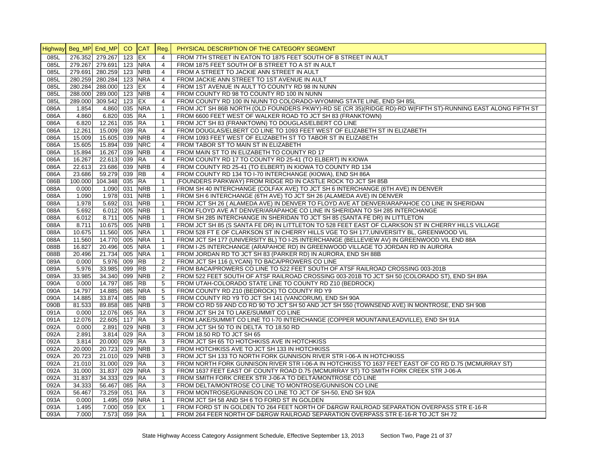|      |         | Highway Beg_MP End_MP CO CAT Reg. |          |            |                | PHYSICAL DESCRIPTION OF THE CATEGORY SEGMENT                                                                 |
|------|---------|-----------------------------------|----------|------------|----------------|--------------------------------------------------------------------------------------------------------------|
| 085L |         | 276.352 279.267                   | $123$ EX |            | $\overline{4}$ | FROM 7TH STREET IN EATON TO 1875 FEET SOUTH OF B STREET IN AULT                                              |
| 085L |         | 279.267 279.691 123 NRA           |          |            | 4              | FROM 1875 FEET SOUTH OF B STREET TO A ST IN AULT                                                             |
| 085L |         | 279.691 280.259 123 NRB           |          |            | $\overline{4}$ | FROM A STREET TO JACKIE ANN STREET IN AULT                                                                   |
| 085L |         | 280.259 280.284                   |          | 123 NRA    | $\overline{4}$ | FROM JACKIE ANN STREET TO 1ST AVENUE IN AULT                                                                 |
| 085L |         | 280.284 288.000                   | 123 EX   |            | $\overline{4}$ | FROM 1ST AVENUE IN AULT TO COUNTY RD 98 IN NUNN                                                              |
| 085L |         | 288.000 289.000                   |          | 123 NRB    | 4              | FROM COUNTY RD 98 TO COUNTY RD 100 IN NUNN                                                                   |
| 085L |         | 289.000 309.542                   | 123 EX   |            | $\overline{4}$ | FROM COUNTY RD 100 IN NUNN TO COLORADO-WYOMING STATE LINE, END SH 85L                                        |
| 086A | 1.854   | 4.860                             |          | 035 NRA    | $\mathbf{1}$   | FROM JCT SH 86B NORTH (OLD FOUNDERS PKWY)-RD SE (CR 35)(RIDGE RD)-RD W(FIFTH ST)-RUNNING EAST ALONG FIFTH ST |
| 086A | 4.860   | 6.820                             | 035 RA   |            | $\mathbf{1}$   | FROM 6600 FEET WEST OF WALKER ROAD TO JCT SH 83 (FRANKTOWN)                                                  |
| 086A | 6.820   | 12.261                            | 035 RA   |            | $\mathbf{1}$   | FROM JCT SH 83 (FRANKTOWN) TO DOUGLAS/ELBERT CO LINE                                                         |
| 086A | 12.261  | 15.009                            | 039      | <b>RA</b>  | $\overline{4}$ | FROM DOUGLAS/ELBERT CO LINE TO 1093 FEET WEST OF ELIZABETH ST IN ELIZABETH                                   |
| 086A | 15.009  | 15.605                            |          | 039 NRB    | $\overline{4}$ | FROM 1093 FEET WEST OF ELIZABETH ST TO TABOR ST IN ELIZABETH                                                 |
| 086A | 15.605  | 15.894                            | 039      | <b>NRC</b> | 4              | FROM TABOR ST TO MAIN ST IN ELIZABETH                                                                        |
| 086A | 15.894  | 16.267                            | 039      | <b>NRB</b> | $\overline{4}$ | FROM MAIN ST TO IN ELIZABETH TO COUNTY RD 17                                                                 |
| 086A | 16.267  | 22.613                            | 039 RA   |            | $\overline{4}$ | FROM COUNTY RD 17 TO COUNTY RD 25-41 (TO ELBERT) IN KIOWA                                                    |
| 086A | 22.613  | 23.686                            |          | 039 NRB    | $\overline{4}$ | FROM COUNTY RD 25-41 (TO ELBERT) IN KIOWA TO COUNTY RD 134                                                   |
| 086A | 23.686  | 59.279 039 RB                     |          |            | $\overline{4}$ | FROM COUNTY RD 134 TO I-70 INTERCHANGE (KIOWA), END SH 86A                                                   |
| 086B | 100.000 | 104.348                           | 035 RA   |            | $\mathbf{1}$   | (FOUNDERS PARKWAY) FROM RIDGE RD IN CASTLE ROCK TO JCT SH 85B                                                |
| 088A | 0.000   | 1.090                             |          | 031 NRB    | $\mathbf{1}$   | FROM SH 40 INTERCHANGE (COLFAX AVE) TO JCT SH 6 INTERCHANGE (6TH AVE) IN DENVER                              |
| 088A | 1.090   | 1.978                             | 031      | <b>NRB</b> | $\mathbf{1}$   | FROM SH 6 INTERCHANGE (6TH AVE) TO JCT SH 26 (ALAMEDA AVE) IN DENVER                                         |
| 088A | 1.978   | 5.692                             | 031      | <b>NRB</b> | $\mathbf{1}$   | FROM JCT SH 26 (ALAMEDA AVE) IN DENVER TO FLOYD AVE AT DENVER/ARAPAHOE CO LINE IN SHERIDAN                   |
| 088A | 5.692   | 6.012                             | 005      | <b>NRB</b> | $\mathbf{1}$   | FROM FLOYD AVE AT DENVER/ARAPAHOE CO LINE IN SHERIDAN TO SH 285 INTERCHANGE                                  |
| 088A | 6.012   | 8.711                             |          | 005 NRB    | $\mathbf{1}$   | FROM SH 285 INTERCHANGE IN SHERIDAN TO JCT SH 85 (SANTA FE DR) IN LITTLETON                                  |
| 088A | 8.711   | 10.675 005 NRB                    |          |            | $\mathbf{1}$   | FROM JCT SH 85 (S SANTA FE DR) IN LITTLETON TO 528 FEET EAST OF CLARKSON ST IN CHERRY HILLS VILLAGE          |
| 088A | 10.675  | 11.560 005 NRA                    |          |            | $\mathbf{1}$   | FROM 528 FT E OF CLARKSON ST IN CHERRY HILLS VGE TO SH 177, UNIVERSITY BL, GREENWOOD VIL                     |
| 088A | 11.560  | 14.770 005                        |          | <b>NRA</b> | $\mathbf{1}$   | FROM JCT SH 177 (UNIVERSITY BL) TO I-25 INTERCHANGE (BELLEVIEW AV) IN GREENWOOD VIL END 88A                  |
| 088B | 16.827  | 20.496                            | 005      | <b>NRA</b> | $\mathbf{1}$   | FROM I-25 INTERCHANGE (ARAPAHOE RD) IN GREENWOOD VILLAGE TO JORDAN RD IN AURORA                              |
| 088B | 20.496  | 21.734                            |          | 005 NRA    | $\mathbf{1}$   | FROM JORDAN RD TO JCT SH 83 (PARKER RD) IN AURORA, END SH 88B                                                |
| 089A | 0.000   | 5.976                             | 009      | <b>RB</b>  | $\overline{c}$ | FROM JCT SH 116 (LYCAN) TO BACA/PROWERS CO LINE                                                              |
| 089A | 5.976   | 33.985                            | 099 RB   |            | $\overline{2}$ | FROM BACA/PROWERS CO LINE TO 522 FEET SOUTH OF ATSF RAILROAD CROSSING 003-201B                               |
| 089A | 33.985  | 34.340                            | 099      | <b>NRB</b> | $\overline{2}$ | FROM 522 FEET SOUTH OF ATSF RAILROAD CROSSING 003-201B TO JCT SH 50 (COLORADO ST), END SH 89A                |
| 090A | 0.000   | 14.797                            | 085 RB   |            | 5              | FROM UTAH-COLORADO STATE LINE TO COUNTY RD Z10 (BEDROCK)                                                     |
| 090A | 14.797  | 14.885                            | 085      | <b>NRA</b> | 5              | FROM COUNTY RD Z10 (BEDROCK) TO COUNTY RD Y9                                                                 |
| 090A | 14.885  | 33.874                            | 085 RB   |            | 5              | FROM COUNTY RD Y9 TO JCT SH 141 (VANCORUM), END SH 90A                                                       |
| 090B | 81.533  | 89.858                            |          | 085 NRB    | 3              | FROM CO RD 59 AND CO RD 90 TO JCT SH 50 AND JCT SH 550 (TOWNSEND AVE) IN MONTROSE, END SH 90B                |
| 091A | 0.000   | 12.076                            | 065 RA   |            | 3              | FROM JCT SH 24 TO LAKE/SUMMIT CO LINE                                                                        |
| 091A | 12.076  | 22.605                            | 117 RA   |            | 3              | FROM LAKE/SUMMIT CO LINE TO I-70 INTERCHANGE (COPPER MOUNTAIN/LEADVILLE), END SH 91A                         |
| 092A | 0.000   | 2.891                             |          | 029 NRB    | 3              | FROM JCT SH 50 TO IN DELTA TO 18.50 RD                                                                       |
| 092A | 2.891   | 3.814                             | 029 RA   |            | 3              | FROM 18.50 RD TO JCT SH 65                                                                                   |
| 092A | 3.814   | 20.000                            | 029 RA   |            | 3              | FROM JCT SH 65 TO HOTCHKISS AVE IN HOTCHKISS                                                                 |
| 092A | 20.000  | 20.723                            |          | 029 NRB    | 3              | FROM HOTCHKISS AVE TO JCT SH 133 IN HOTCHKISS                                                                |
| 092A | 20.723  | 21.010                            | 029      | <b>NRB</b> | 3              | FROM JCT SH 133 TO NORTH FORK GUNNISON RIVER STR I-06-A IN HOTCHKISS                                         |
| 092A | 21.010  | 31.000                            | 029 RA   |            | 3              | FROM NORTH FORK GUNNISON RIVER STR I-06-A IN HOTCHKISS TO 1637 FEET EAST OF CO RD D.75 (MCMURRAY ST)         |
| 092A | 31.000  | 31.837 029                        |          | <b>NRA</b> | 3              | FROM 1637 FEET EAST OF COUNTY ROAD D.75 (MCMURRAY ST) TO SMITH FORK CREEK STR J-06-A                         |
| 092A | 31.837  | 34.333 029 RA                     |          |            | 3              | FROM SMITH FORK CREEK STR J-06-A TO DELTA/MONTROSE CO LINE                                                   |
| 092A | 34.333  | 56.467                            | 085 RA   |            | 3              | FROM DELTA/MONTROSE CO LINE TO MONTROSE/GUNNISON CO LINE                                                     |
| 092A | 56.467  | 73.259                            | 051 RA   |            | 3              | FROM MONTROSE/GUNNISON CO LINE TO JCT OF SH-50, END SH 92A                                                   |
| 093A | 0.000   | 1.495                             |          | 059 NRA    | $\mathbf{1}$   | FROM JCT SH 58 AND SH 6 TO FORD ST IN GOLDEN                                                                 |
| 093A | 1.495   | 7.000                             | 059 EX   |            | $\mathbf{1}$   | FROM FORD ST IN GOLDEN TO 264 FEET NORTH OF D&RGW RAILROAD SEPARATION OVERPASS STR E-16-R                    |
| 093A | 7.000   | 7.573                             | 059 RA   |            | $\mathbf{1}$   | FROM 264 FEER NORTH OF D&RGW RAILROAD SEPARATION OVERPASS STR E-16-R TO JCT SH 72                            |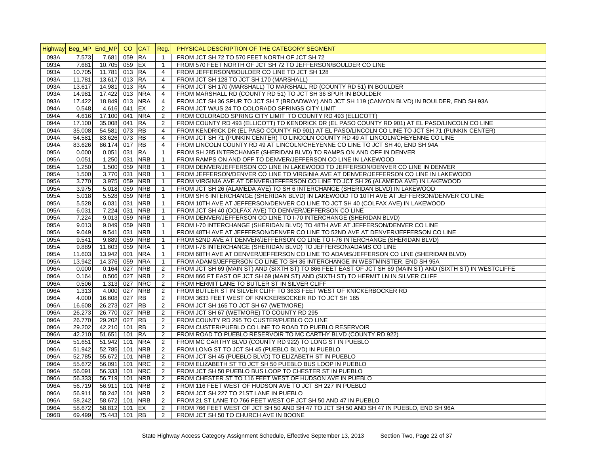|              |                       |                          | CO. | <b>CAT</b>               |                     | PHYSICAL DESCRIPTION OF THE CATEGORY SEGMENT                                                                 |
|--------------|-----------------------|--------------------------|-----|--------------------------|---------------------|--------------------------------------------------------------------------------------------------------------|
|              | Highway Beg_MP End_MP |                          |     |                          | Reg.                |                                                                                                              |
| 093A         | 7.573                 | 7.681                    | 059 | <b>RA</b>                | $\mathbf{1}$        | FROM JCT SH 72 TO 570 FEET NORTH OF JCT SH 72                                                                |
| 093A         | 7.681                 | 10.705 059               |     | EX                       | $\mathbf{1}$        | FROM 570 FEET NORTH OF JCT SH 72 TO JEFFERSON/BOULDER CO LINE                                                |
| 093A         | 10.705                | 11.781 013               |     | <b>RA</b>                | $\overline{4}$      | FROM JEFFERSON/BOULDER CO LINE TO JCT SH 128                                                                 |
| 093A         | 11.781                | 13.617 013               |     | <b>RA</b>                | $\overline{4}$      | FROM JCT SH 128 TO JCT SH 170 (MARSHALL)                                                                     |
| 093A         | 13.617                | 14.981 013               |     | <b>RA</b>                | $\overline{4}$      | FROM JCT SH 170 (MARSHALL) TO MARSHALL RD (COUNTY RD 51) IN BOULDER                                          |
| 093A         | 14.981                | 17.422 013               |     | <b>NRA</b>               | $\overline{4}$      | FROM MARSHALL RD (COUNTY RD 51) TO JCT SH 36 SPUR IN BOULDER                                                 |
| 093A         | 17.422                | 18.849 013               |     | <b>NRA</b>               | $\overline{4}$      | FROM JCT SH 36 SPUR TO JCT SH 7 (BROADWAY) AND JCT SH 119 (CANYON BLVD) IN BOULDER, END SH 93A               |
| 094A         | 0.548                 | 4.616 041                |     | EX                       | 2                   | FROM JCT W/US 24 TO COLORADO SPRINGS CITY LIMIT                                                              |
| 094A         | 4.616                 | 17.100 041               |     | <b>NRA</b>               | $\overline{2}$      | FROM COLORADO SPRING CITY LIMIT TO COUNTY RD 493 (ELLICOTT)                                                  |
| 094A         | 17.100                | 35.008 041               |     | <b>RA</b>                | $\overline{c}$      | FROM COUNTY RD 493 (ELLICOTT) TO KENDRICK DR (EL PASO COUNTY RD 901) AT EL PASO/LINCOLN CO LINE              |
| 094A         | 35.008                | 54.581 073               |     | <b>RB</b>                | $\overline{4}$      | FROM KENDRICK DR (EL PASO COUNTY RD 901) AT EL PASO/LINCOLN CO LINE TO JCT SH 71 (PUNKIN CENTER)             |
| 094A         | 54.581                | 83.626 073               |     | <b>RB</b>                | $\overline{4}$      | FROM JCT SH 71 (PUNKIN CENTER) TO LINCOLN COUNTY RD 49 AT LINCOLN/CHEYENNE CO LINE                           |
| 094A         | 83.626                | 86.174 017               |     | <b>RB</b>                | $\overline{4}$      | FROM LINCOLN COUNTY RD 49 AT LINCOLN/CHEYENNE CO LINE TO JCT SH 40, END SH 94A                               |
| 095A         | 0.000                 | $0.051$ 031              |     | <b>RA</b>                | $\mathbf{1}$        | FROM SH 285 INTERCHANGE (SHERIDAN BLVD) TO RAMPS ON AND OFF IN DENVER                                        |
| 095A         | 0.051                 | 1.250 031                |     | <b>NRB</b>               | $\mathbf{1}$        | FROM RAMPS ON AND OFF TO DENVER/JEFFERSON CO LINE IN LAKEWOOD                                                |
| 095A         | 1.250                 | 1.500 059                |     | <b>NRB</b>               | $\mathbf{1}$        | FROM DENVER/JEFFERSON CO LINE IN LAKEWOOD TO JEFFERSON/DENVER CO LINE IN DENVER                              |
| 095A         | 1.500                 | 3.770 031                |     | <b>NRB</b>               | $\mathbf{1}$        | FROM JEFFERSON/DENVER CO LINE TO VIRGINIA AVE AT DENVER/JEFFERSON CO LINE IN LAKEWOOD                        |
| 095A         | 3.770                 | 3.975 059                |     | <b>NRB</b>               | $\mathbf{1}$        | FROM VIRGINIA AVE AT DENVER/JEFFERSON CO LINE TO JCT SH 26 (ALAMEDA AVE) IN LAKEWOOD                         |
| 095A         | 3.975                 | 5.018 059                |     | <b>NRB</b>               | $\mathbf{1}$        | FROM JCT SH 26 (ALAMEDA AVE) TO SH 6 INTERCHANGE (SHERIDAN BLVD) IN LAKEWOOD                                 |
| 095A         | 5.018                 | 5.528 059                |     | <b>NRB</b>               | $\mathbf{1}$        | FROM SH 6 INTERCHANGE (SHERIDAN BLVD) IN LAKEWOOD TO 10TH AVE AT JEFFERSON/DENVER CO LINE                    |
| 095A         | 5.528                 | 6.031 031                |     | <b>NRB</b>               | $\mathbf{1}$        | FROM 10TH AVE AT JEFFERSON/DENVER CO LINE TO JCT SH 40 (COLFAX AVE) IN LAKEWOOD                              |
| 095A         | 6.031                 | 7.224 031                |     | <b>NRB</b>               | $\mathbf{1}$        | FROM JCT SH 40 (COLFAX AVE) TO DENVER/JEFFERSON CO LINE                                                      |
| 095A         | 7.224                 | $9.013$ 059              |     | <b>NRB</b>               | $\mathbf{1}$        | FROM DENVER/JEFFERSON CO LINE TO 1-70 INTERCHANGE (SHERIDAN BLVD)                                            |
| 095A         | 9.013                 | 9.049 059                |     | <b>NRB</b>               | $\mathbf{1}$        | FROM I-70 INTERCHANGE (SHERIDAN BLVD) TO 48TH AVE AT JEFFERSON/DENVER CO LINE                                |
| 095A         | 9.049                 | 9.541                    | 031 | <b>NRB</b>               | $\mathbf{1}$        | FROM 48TH AVE AT JEFFERSON/DENVER CO LINE TO 52ND AVE AT DENVER/JEFFERSON CO LINE                            |
| 095A         | 9.541                 | 9.889 059                |     | <b>NRB</b>               | $\mathbf{1}$        | FROM 52ND AVE AT DENVER/JEFFERSON CO LINE TO I-76 INTERCHANGE (SHERIDAN BLVD)                                |
| 095A         | 9.889                 | 11.603 059               |     | <b>NRA</b>               | $\mathbf{1}$        | FROM I-76 INTERCHANGE (SHERIDAN BLVD) TO JEFFERSON/ADAMS CO LINE                                             |
| 095A         | 11.603                | 13.942 001               |     | <b>NRA</b>               | $\mathbf{1}$        | FROM 68TH AVE AT DENVER/JEFFERSON CO LINE TO ADAMS/JEFFERSON CO LINE (SHERIDAN BLVD)                         |
| 095A         | 13.942                | 14.376 059               |     | <b>NRA</b>               | $\mathbf{1}$        | FROM ADAMS/JEFFERSON CO LINE TO SH 36 INTERCHANGE IN WESTMINSTER, END SH 95A                                 |
| 096A         | 0.000                 | $0.164$ 027              |     | <b>NRB</b>               | $\overline{2}$      | FROM JCT SH 69 (MAIN ST) AND (SIXTH ST) TO 866 FEET EAST OF JCT SH 69 (MAIN ST) AND (SIXTH ST) IN WESTCLIFFE |
| 096A         | 0.164                 | 0.506 027                |     | <b>NRB</b>               | $\overline{2}$      | FROM 866 FT EAST OF JCT SH 69 (MAIN ST) AND (SIXTH ST) TO HERMIT LN IN SILVER CLIFF                          |
| 096A         | 0.506                 | 1.313 027                |     | <b>NRC</b>               | $\overline{2}$      | FROM HERMIT LANE TO BUTLER ST IN SILVER CLIFF                                                                |
| 096A         | 1.313                 | 4.000 027                |     | <b>NRB</b>               | 2                   | FROM BUTLER ST IN SILVER CLIFF TO 3633 FEET WEST OF KNICKERBOCKER RD                                         |
| 096A         | 4.000                 | 16.608 027               |     | <b>RB</b><br><b>RB</b>   | 2                   | FROM 3633 FEET WEST OF KNICKERBOCKER RD TO JCT SH 165                                                        |
| 096A         | 16.608                | 26.273 027<br>26.770 027 |     | <b>NRB</b>               | $\overline{c}$      | FROM JCT SH 165 TO JCT SH 67 (WETMORE)                                                                       |
| 096A         | 26.273                | 29.202 027               |     | <b>RB</b>                | 2                   | FROM JCT SH 67 (WETMORE) TO COUNTY RD 295                                                                    |
| 096A         | 26.770                | 42.210 101               |     | <b>RB</b>                | 2<br>2              | FROM COUNTY RD 295 TO CUSTER/PUEBLO CO LINE                                                                  |
| 096A         | 29.202                |                          |     |                          | 2                   | FROM CUSTER/PUEBLO CO LINE TO ROAD TO PUEBLO RESERVOIR                                                       |
| 096A         | 42.210                | 51.651 101               |     | <b>RA</b>                | $\overline{2}$      | FROM ROAD TO PUEBLO RESERVOIR TO MC CARTHY BLVD (COUNTY RD 922)                                              |
| 096A         | 51.651                | 51.942 101               |     | <b>NRA</b>               |                     | FROM MC CARTHY BLVD (COUNTY RD 922) TO LONG ST IN PUEBLO                                                     |
| 096A         | 51.942                | 52.785                   | 101 | <b>NRB</b>               | 2                   | FROM LONG ST TO JCT SH 45 (PUEBLO BLVD) IN PUEBLO                                                            |
| 096A         | 52.785                | 55.672 101               |     | <b>NRB</b><br><b>NRC</b> | $\overline{2}$      | FROM JCT SH 45 (PUEBLO BLVD) TO ELIZABETH ST IN PUEBLO                                                       |
| 096A         | 55.672                | 56.091 101               |     | <b>NRC</b>               | $\overline{2}$      | FROM ELIZABETH ST TO JCT SH 50 PUEBLO BUS LOOP IN PUEBLO                                                     |
| 096A<br>096A | 56.091                | 56.333 101<br>56.719 101 |     | <b>NRB</b>               | $\overline{2}$<br>2 | FROM JCT SH 50 PUEBLO BUS LOOP TO CHESTER ST IN PUEBLO                                                       |
| 096A         | 56.333<br>56.719      | 56.911 101               |     | <b>NRB</b>               | 2                   | FROM CHESTER ST TO 116 FEET WEST OF HUDSON AVE IN PUEBLO                                                     |
|              |                       |                          |     | <b>NRB</b>               | 2                   | FROM 116 FEET WEST OF HUDSON AVE TO JCT SH 227 IN PUEBLO                                                     |
| 096A<br>096A | 56.911<br>58.242      | 58.242 101<br>58.672 101 |     | <b>NRB</b>               | 2                   | FROM JCT SH 227 TO 21ST LANE IN PUEBLO<br>FROM 21 ST LANE TO 766 FEET WEST OF JCT SH 50 AND 47 IN PUEBLO     |
| 096A         | 58.672                | 58.812 101               |     | EX                       | 2                   | FROM 766 FEET WEST OF JCT SH 50 AND SH 47 TO JCT SH 50 AND SH 47 IN PUEBLO, END SH 96A                       |
| 096B         | 69.499                | 75.443 101 RB            |     |                          | 2                   |                                                                                                              |
|              |                       |                          |     |                          |                     | FROM JCT SH 50 TO CHURCH AVE IN BOONE                                                                        |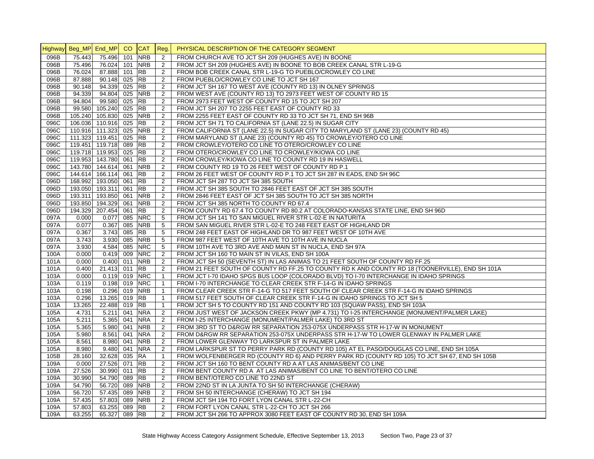|              | Highway Beg_MP End_MP CO |                        |            | CAT Reg.   |                      | PHYSICAL DESCRIPTION OF THE CATEGORY SEGMENT                                                                                      |
|--------------|--------------------------|------------------------|------------|------------|----------------------|-----------------------------------------------------------------------------------------------------------------------------------|
| 096B         | 75.443                   | 75.496                 | 101        | <b>NRB</b> | 2                    | FROM CHURCH AVE TO JCT SH 209 (HUGHES AVE) IN BOONE                                                                               |
| 096B         | 75.496                   | 76.024                 | 101        | <b>NRB</b> | 2                    | FROM JCT SH 209 (HUGHES AVE) IN BOONE TO BOB CREEK CANAL STR L-19-G                                                               |
| 096B         | 76.024                   | 87.888                 | 101        | <b>RB</b>  | 2                    | FROM BOB CREEK CANAL STR L-19-G TO PUEBLO/CROWLEY CO LINE                                                                         |
| 096B         | 87.888                   | 90.148                 | 025        | <b>RB</b>  | 2                    | FROM PUEBLO/CROWLEY CO LINE TO JCT SH 167                                                                                         |
| 096B         | 90.148                   | 94.339                 | 025        | <b>RB</b>  | 2                    | FROM JCT SH 167 TO WEST AVE (COUNTY RD 13) IN OLNEY SPRINGS                                                                       |
| 096B         | 94.339                   | 94.804                 |            | 025 NRB    | $\overline{2}$       | FROM WEST AVE (COUNTY RD 13) TO 2973 FEET WEST OF COUNTY RD 15                                                                    |
| 096B         | 94.804                   | 99.580                 | 025        | <b>RB</b>  | 2                    | FROM 2973 FEET WEST OF COUNTY RD 15 TO JCT SH 207                                                                                 |
| 096B         | 99.580                   | 105.240 025 RB         |            |            | $\overline{2}$       | FROM JCT SH 207 TO 2255 FEET EAST OF COUNTY RD 33                                                                                 |
| 096B         |                          | 105.240 105.830 025    |            | <b>NRB</b> | $\overline{2}$       | FROM 2255 FEET EAST OF COUNTY RD 33 TO JCT SH 71, END SH 96B                                                                      |
| 096C         |                          | 106.036 110.916        | 025 RB     |            | 2                    | FROM JCT SH 71 TO CALIFORNIA ST (LANE 22.5) IN SUGAR CITY                                                                         |
| 096C         |                          | 110.916 111.323        | 025        | <b>NRB</b> | 2                    | FROM CALIFORNIA ST (LANE 22.5) IN SUGAR CITY TO MARYLAND ST (LANE 23) (COUNTY RD 45)                                              |
| 096C         |                          | 111.323 119.451 025 RB |            |            | 2                    | FROM MARYLAND ST (LANE 23) (COUNTY RD 45) TO CROWLEY/OTERO CO LINE                                                                |
| 096C         |                          | 119.451 119.718        | 089        | <b>RB</b>  | 2                    | FROM CROWLEY/OTERO CO LINE TO OTERO/CROWLEY CO LINE                                                                               |
| 096C         |                          | 119.718 119.953 025 RB |            |            | 2                    | FROM OTERO/CROWLEY CO LINE TO CROWLEY/KIOWA CO LINE                                                                               |
| 096C         |                          | 119.953 143.780 061    |            | <b>RB</b>  | $\overline{2}$       | FROM CROWLEY/KIOWA CO LINE TO COUNTY RD 19 IN HASWELL                                                                             |
| 096C         |                          | 143.780 144.614        | 061        | <b>NRB</b> | $\overline{2}$       | FROM COUNTY RD 19 TO 26 FEET WEST OF COUNTY RD P.1                                                                                |
| 096C         |                          | 144.614 166.114 061 RB |            |            | 2                    | FROM 26 FEET WEST OF COUNTY RD P.1 TO JCT SH 287 IN EADS, END SH 96C                                                              |
| 096D         |                          | 168.992 193.050 061 RB |            |            | 2                    | FROM JCT SH 287 TO JCT SH 385 SOUTH                                                                                               |
| 096D         |                          | 193.050 193.311        | 061 RB     |            | $\overline{2}$       | FROM JCT SH 385 SOUTH TO 2846 FEET EAST OF JCT SH 385 SOUTH                                                                       |
| 096D         |                          | 193.311 193.850        | 061        | <b>NRB</b> | $\overline{2}$       | FROM 2846 FEET EAST OF JCT SH 385 SOUTH TO JCT SH 385 NORTH                                                                       |
| 096D         |                          | 193.850 194.329        | 061        | <b>NRB</b> | 2                    | FROM JCT SH 385 NORTH TO COUNTY RD 67.4                                                                                           |
| 096D         |                          | 194.329 207.454        | 061        | <b>RB</b>  | $\overline{2}$       | FROM COUNTY RD 67.4 TO COUNTY RD 80.2 AT COLORADO-KANSAS STATE LINE, END SH 96D                                                   |
| 097A         | 0.000                    | 0.077                  | 085        | <b>NRC</b> | 5                    | FROM JCT SH 141 TO SAN MIGUEL RIVER STR L-02-E IN NATURITA                                                                        |
|              |                          |                        |            | <b>NRB</b> |                      |                                                                                                                                   |
| 097A<br>097A | 0.077<br>0.367           | 0.367<br>3.743         | 085<br>085 | <b>RB</b>  | 5<br>5               | FROM SAN MIGUEL RIVER STR L-02-E TO 248 FEET EAST OF HIGHLAND DR                                                                  |
|              |                          |                        |            | <b>NRB</b> |                      | FROM 248 FEET EAST OF HIGHLAND DR TO 987 FEET WEST OF 10TH AVE                                                                    |
| 097A<br>097A | 3.743<br>3.930           | 3.930<br>4.584         | 085<br>085 | <b>NRC</b> | $5\phantom{.0}$<br>5 | FROM 987 FEET WEST OF 10TH AVE TO 10TH AVE IN NUCLA<br>FROM 10TH AVE TO 3RD AVE AND MAIN ST IN NUCLA, END SH 97A                  |
|              |                          |                        |            | <b>NRC</b> |                      |                                                                                                                                   |
| 100A         | 0.000                    | 0.419 009              |            | <b>NRB</b> | 2<br>$\overline{2}$  | FROM JCT SH 160 TO MAIN ST IN VILAS, END SH 100A<br>FROM JCT SH 50 (SEVENTH ST) IN LAS ANIMAS TO 21 FEET SOUTH OF COUNTY RD FF.25 |
| 101A         | 0.000                    | 0.400                  | 011        |            |                      |                                                                                                                                   |
| 101A         | 0.400                    | 21.413 011 RB          |            |            | 2                    | FROM 21 FEET SOUTH OF COUNTY RD FF.25 TO COUNTY RD K AND COUNTY RD 18 (TOONERVILLE), END SH 101A                                  |
| 103A         | 0.000                    | $0.119$ 019            |            | <b>NRC</b> | $\mathbf{1}$         | FROM JCT I-70 IDAHO SPGS BUS LOOP (COLORADO BLVD) TO I-70 INTERCHANGE IN IDAHO SPRINGS                                            |
| 103A         | 0.119                    | 0.198                  |            | 019 NRC    | $\mathbf{1}$         | FROM I-70 INTERCHANGE TO CLEAR CREEK STR F-14-G IN IDAHO SPRINGS                                                                  |
| 103A         | 0.198                    | 0.296                  | 019        | <b>NRB</b> | $\mathbf{1}$         | FROM CLEAR CREEK STR F-14-G TO 517 FEET SOUTH OF CLEAR CREEK STR F-14-G IN IDAHO SPRINGS                                          |
| 103A         | 0.296                    | 13.265                 | 019 RB     |            | $\mathbf{1}$         | FROM 517 FEET SOUTH OF CLEAR CREEK STR F-14-G IN IDAHO SPRINGS TO JCT SH 5                                                        |
| 103A         | 13.265                   | 22.488                 | 019        | <b>RB</b>  | $\mathbf{1}$         | FROM JCT SH 5 TO COUNTY RD 151 AND COUNTY RD 103 (SQUAW PASS), END SH 103A                                                        |
| 105A         | 4.731                    | 5.211                  | 041        | <b>NRA</b> | 2                    | FROM JUST WEST OF JACKSON CREEK PKWY (MP 4.731) TO I-25 INTERCHANGE (MONUMENT/PALMER LAKE)                                        |
| 105A         | 5.211                    | 5.365                  | 041        | <b>NRA</b> | 2                    | FROM I-25 INTERCHANGE (MONUMENT/PALMER LAKE) TO 3RD ST                                                                            |
| 105A         | 5.365                    | 5.980                  | 041        | <b>NRB</b> | $\overline{2}$       | FROM 3RD ST TO D&RGW RR SEPARATION 253-075X UNDERPASS STR H-17-W IN MONUMENT                                                      |
| 105A         | 5.980                    | 8.561                  | 041        | <b>NRA</b> | $\overline{2}$       | FROM D&RGW RR SEPARATION 253-075X UNDERPASS STR H-17-W TO LOWER GLENWAY IN PALMER LAKE                                            |
| 105A         | 8.561                    | 8.980                  | 041        | <b>NRB</b> | 2                    | FROM LOWER GLENWAY TO LARKSPUR ST IN PALMER LAKE                                                                                  |
| 105A         | 8.980                    | 9.480 041 NRA          |            |            | 2                    | FROM LARKSPUR ST TO PERRY PARK RD (COUNTY RD 105) AT EL PASO/DOUGLAS CO LINE, END SH 105A                                         |
| 105B         | 28.160                   | 32.628                 | 035 RA     |            | $\overline{1}$       | FROM WOLFENBERGER RD (COUNTY RD 6) AND PERRY PARK RD (COUNTY RD 105) TO JCT SH 67, END SH 105B                                    |
| 109A         | 0.000                    | 27.526                 | 071 RB     |            | $\overline{c}$       | FROM JCT SH 160 TO BENT COUNTY RD A AT LAS ANIMAS/BENT CO LINE                                                                    |
| 109A         | 27.526                   | 30.990                 | 011 RB     |            | $\overline{2}$       | FROM BENT COUNTY RD A AT LAS ANIMAS/BENT CO LINE TO BENT/OTERO CO LINE                                                            |
| 109A         | 30.990                   | 54.790                 | 089 RB     |            | 2                    | FROM BENT/OTERO CO LINE TO 22ND ST                                                                                                |
| 109A         | 54.790                   | 56.720                 | 089        | <b>NRB</b> | 2                    | FROM 22ND ST IN LA JUNTA TO SH 50 INTERCHANGE (CHERAW)                                                                            |
| 109A         | 56.720                   | 57.435                 | 089        | <b>NRB</b> | 2                    | FROM SH 50 INTERCHANGE (CHERAW) TO JCT SH 194                                                                                     |
| 109A         | 57.435                   | 57.803                 | 089        | <b>NRB</b> | 2                    | FROM JCT SH 194 TO FORT LYON CANAL STR L-22-CH                                                                                    |
| 109A         | 57.803                   | 63.255                 | 089 RB     |            | 2                    | FROM FORT LYON CANAL STR L-22-CH TO JCT SH 266                                                                                    |
| 109A         | 63.255                   | 65.327                 | 089 RB     |            | 2                    | FROM JCT SH 266 TO APPROX 3080 FEET EAST OF COUNTY RD 30, END SH 109A                                                             |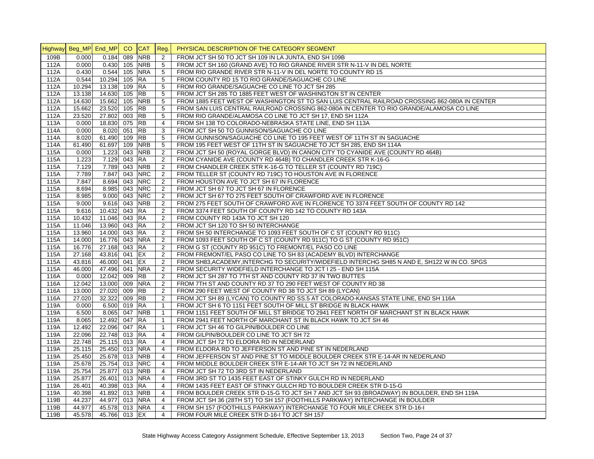|      | Highway Beg_MP End_MP |                | CO  | <b>CAT</b> | Reg.                             | PHYSICAL DESCRIPTION OF THE CATEGORY SEGMENT                                                  |
|------|-----------------------|----------------|-----|------------|----------------------------------|-----------------------------------------------------------------------------------------------|
| 109B | 0.000                 | 0.184          | 089 | <b>NRB</b> | $\overline{2}$                   | FROM JCT SH 50 TO JCT SH 109 IN LA JUNTA. END SH 109B                                         |
| 112A | 0.000                 | $0.430$ 105    |     | <b>NRB</b> | 5                                | FROM JCT SH 160 (GRAND AVE) TO RIO GRANDE RIVER STR N-11-V IN DEL NORTE                       |
| 112A | 0.430                 | 0.544          | 105 | <b>NRA</b> | 5                                | FROM RIO GRANDE RIVER STR N-11-V IN DEL NORTE TO COUNTY RD 15                                 |
| 112A | 0.544                 | 10.294 105     |     | <b>RA</b>  | 5                                | FROM COUNTY RD 15 TO RIO GRANDE/SAGUACHE CO LINE                                              |
| 112A | 10.294                | 13.138 109     |     | <b>RA</b>  | 5                                | FROM RIO GRANDE/SAGUACHE CO LINE TO JCT SH 285                                                |
| 112A | 13.138                | 14.630 105     |     | <b>RB</b>  | 5                                | FROM JCT SH 285 TO 1885 FEET WEST OF WASHINGTON ST IN CENTER                                  |
| 112A | 14.630                | 15.662 105     |     | <b>NRB</b> | 5                                | FROM 1885 FEET WEST OF WASHINGTON ST TO SAN LUIS CENTRAL RAILROAD CROSSING 862-080A IN CENTER |
| 112A | 15.662                | 23.520 105     |     | <b>RB</b>  | 5                                | FROM SAN LUIS CENTRAL RAILROAD CROSSING 862-080A IN CENTER TO RIO GRANDE/ALAMOSA CO LINE      |
| 112A | 23.520                | 27.802 003     |     | <b>RB</b>  | $5\phantom{.0}$                  | FROM RIO GRANDE/ALAMOSA CO LINE TO JCT SH 17, END SH 112A                                     |
| 113A | 0.000                 | 18.830 075     |     | <b>RB</b>  | $\overline{4}$                   | FROM SH 138 TO COLORADO-NEBRASKA STATE LINE, END SH 113A                                      |
| 114A | 0.000                 | 8.020 051      |     | <b>RB</b>  | 3                                | FROM JCT SH 50 TO GUNNISON/SAGUACHE CO LINE                                                   |
| 114A | 8.020                 | 61.490 109     |     | <b>RB</b>  | 5                                | FROM GUNNISON/SAGUACHE CO LINE TO 195 FEET WEST OF 11TH ST IN SAGUACHE                        |
| 114A | 61.490                | 61.697 109     |     | <b>NRB</b> | 5                                | FROM 195 FEET WEST OF 11TH ST IN SAGUACHE TO JCT SH 285, END SH 114A                          |
| 115A | 0.000                 | 1.223 043      |     | <b>NRB</b> | 2                                | FROM JCT SH 50 (ROYAL GORGE BLVD) IN CANON CITY TO CYANIDE AVE (COUNTY RD 464B)               |
| 115A | 1.223                 | 7.129 043      |     | <b>RA</b>  | 2                                | FROM CYANIDE AVE (COUNTY RD 464B) TO CHANDLER CREEK STR K-16-G                                |
| 115A | 7.129                 | 7.789 043      |     | <b>NRB</b> | $\overline{2}$                   | FROM CHANDLER CREEK STR K-16-G TO TELLER ST (COUNTY RD 719C)                                  |
| 115A | 7.789                 | 7.847 043      |     | <b>NRC</b> | 2                                | FROM TELLER ST (COUNTY RD 719C) TO HOUSTON AVE IN FLORENCE                                    |
| 115A | 7.847                 | 8.694 043      |     | <b>NRC</b> | $\overline{2}$                   | FROM HOUSTON AVE TO JCT SH 67 IN FLORENCE                                                     |
| 115A | 8.694                 | 8.985 043      |     | <b>NRC</b> | 2                                | FROM JCT SH 67 TO JCT SH 67 IN FLORENCE                                                       |
| 115A | 8.985                 | 9.000 043      |     | <b>NRC</b> | 2                                | FROM JCT SH 67 TO 275 FEET SOUTH OF CRAWFORD AVE IN FLORENCE                                  |
| 115A | 9.000                 | $9.616$ 043    |     | <b>NRB</b> | 2                                | FROM 275 FEET SOUTH OF CRAWFORD AVE IN FLORENCE TO 3374 FEET SOUTH OF COUNTY RD 142           |
| 115A | 9.616                 | 10.432 043     |     | <b>RA</b>  | 2                                | FROM 3374 FEET SOUTH OF COUNTY RD 142 TO COUNTY RD 143A                                       |
| 115A | 10.432                | 11.046 043     |     | <b>RA</b>  | 2                                | FROM COUNTY RD 143A TO JCT SH 120                                                             |
| 115A | 11.046                | 13.960 043     |     | <b>RA</b>  | 2                                | FROM JCT SH 120 TO SH 50 INTERCHANGE                                                          |
| 115A | 13.960                | 14.000 043     |     | <b>RA</b>  | $\overline{2}$                   | FROM SH 50 INTERCHANGE TO 1093 FEET SOUTH OF C ST (COUNTY RD 911C)                            |
| 115A | 14.000                | 16.776 043     |     | <b>NRA</b> | $\overline{2}$                   | FROM 1093 FEET SOUTH OF C ST (COUNTY RD 911C) TO G ST (COUNTY RD 951C)                        |
| 115A | 16.776                | 27.168 043     |     | <b>RA</b>  | $\overline{c}$                   | FROM G ST (COUNTY RD 951C) TO FREMONT/EL PASO CO LINE                                         |
| 115A | 27.168                | 43.816 041     |     | EX         | 2                                | FROM FREMONT/EL PASO CO LINE TO SH 83 (ACADEMY BLVD) INTERCHANGE                              |
| 115A | 43.816                | 46.000 041     |     | EX         | 2                                | FROM SH83, ACADEMY, INTERCHG TO SECURITY/WIDEFIELD INTERCHG SH85 N AND E, SH122 W IN CO. SPGS |
| 115A | 46.000                | 47.496 041     |     | <b>NRA</b> | 2                                | FROM SECURITY WIDEFIELD INTERCHANGE TO JCT I 25 - END SH 115A                                 |
| 116A | 0.000                 | 12.042 009     |     | <b>RB</b>  | 2                                | FROM JCT SH 287 TO 7TH ST AND COUNTY RD 37 IN TWO BUTTES                                      |
| 116A | 12.042                | 13.000 009     |     | <b>NRA</b> | 2                                | FROM 7TH ST AND COUNTY RD 37 TO 290 FEET WEST OF COUNTY RD 38                                 |
| 116A | 13.000                | 27.020 009     |     | <b>RB</b>  | 2                                | FROM 290 FEET WEST OF COUNTY RD 38 TO JCT SH 89 (LYCAN)                                       |
| 116A | 27.020                | 32.322 009     |     | <b>RB</b>  | 2                                | FROM JCT SH 89 (LYCAN) TO COUNTY RD SS.5 AT COLORADO-KANSAS STATE LINE, END SH 116A           |
| 119A | 0.000                 | 6.500 019      |     | <b>RA</b>  | $\mathbf{1}$                     | FROM JCT SH 6 TO 1151 FEET SOUTH OF MILL ST BRIDGE IN BLACK HAWK                              |
| 119A | 6.500                 | 8.065 047      |     | <b>NRB</b> | $\overline{1}$                   | FROM 1151 FEET SOUTH OF MILL ST BRIDGE TO 2941 FEET NORTH OF MARCHANT ST IN BLACK HAWK        |
| 119A | 8.065                 | 12.492 047     |     | <b>RA</b>  | $\mathbf{1}$                     | FROM 2941 FEET NORTH OF MARCHANT ST IN BLACK HAWK TO JCT SH 46                                |
| 119A | 12.492                | 22.096 047     |     | <b>RA</b>  | $\mathbf{1}$                     | FROM JCT SH 46 TO GILPIN/BOULDER CO LINE                                                      |
| 119A | 22.096                | 22.748 013     |     | <b>RA</b>  | $\overline{4}$                   | FROM GILPIN/BOULDER CO LINE TO JCT SH 72                                                      |
| 119A | 22.748                | 25.115 013     |     | <b>RA</b>  | $\overline{4}$                   | FROM JCT SH 72 TO ELDORA RD IN NEDERLAND                                                      |
| 119A | 25.115                | 25.450 013     |     | <b>NRA</b> | 4                                | FROM ELDORA RD TO JEFFERSON ST AND PINE ST IN NEDERLAND                                       |
| 119A | 25.450                | 25.678 013     |     | <b>NRB</b> | $\overline{4}$                   | FROM JEFFERSON ST AND PINE ST TO MIDDLE BOULDER CREEK STR E-14-AR IN NEDERLAND                |
| 119A | 25.678                | 25.754 013 NRC |     |            | $\overline{4}$                   | FROM MIDDLE BOULDER CREEK STR E-14-AR TO JCT SH 72 IN NEDERLAND                               |
| 119A | 25.754                | 25.877 013 NRB |     |            | $\overline{4}$                   | FROM JCT SH 72 TO 3RD ST IN NEDERLAND                                                         |
| 119A | 25.877                | 26.401 013 NRA |     |            | $\overline{4}$                   | FROM 3RD ST TO 1435 FEET EAST OF STINKY GULCH RD IN NEDERLAND                                 |
| 119A | 26.401                | 40.398 013     |     | <b>RA</b>  | $\overline{4}$<br>$\overline{4}$ | FROM 1435 FEET EAST OF STINKY GULCH RD TO BOULDER CREEK STR D-15-G                            |
| 119A | 40.398                | 41.892 013 NRB |     |            |                                  | FROM BOULDER CREEK STR D-15-G TO JCT SH 7 AND JCT SH 93 (BROADWAY) IN BOULDER, END SH 119A    |
| 119B | 44.237                | 44.977 013     |     | <b>NRA</b> | $\overline{4}$                   | FROM JCT SH 36 (28TH ST) TO SH 157 (FOOTHILLS PARKWAY) INTERCHANGE IN BOULDER                 |
| 119B | 44.977                | 45.578 013 NRA |     |            | $\overline{4}$                   | FROM SH 157 (FOOTHILLS PARKWAY) INTERCHANGE TO FOUR MILE CREEK STR D-16-I                     |
| 119B | 45.578                | 45.766 013 EX  |     |            | $\overline{4}$                   | FROM FOUR MILE CREEK STR D-16-I TO JCT SH 157                                                 |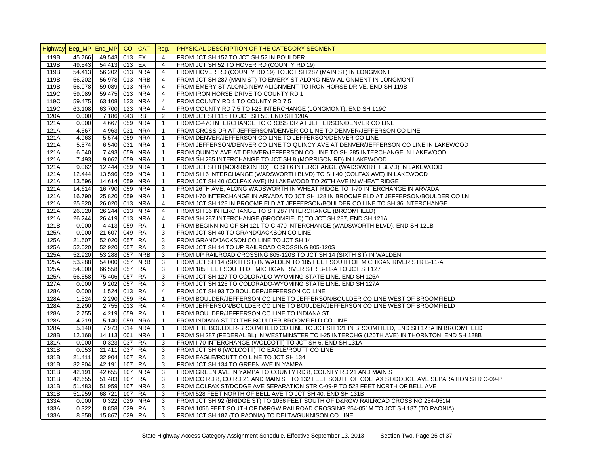|      | Highway Beg_MP End_MP CO CAT Reg. |                |        |                          |                | PHYSICAL DESCRIPTION OF THE CATEGORY SEGMENT                                                                                                    |
|------|-----------------------------------|----------------|--------|--------------------------|----------------|-------------------------------------------------------------------------------------------------------------------------------------------------|
| 119B | 45.766                            | 49.543         | 013 EX |                          | $\overline{4}$ | FROM JCT SH 157 TO JCT SH 52 IN BOULDER                                                                                                         |
| 119B | 49.543                            | 54.413 013 EX  |        |                          | $\overline{4}$ | FROM JCT SH 52 TO HOVER RD (COUNTY RD 19)                                                                                                       |
| 119B | 54.413                            | 56.202 013 NRA |        |                          | $\overline{4}$ | FROM HOVER RD (COUNTY RD 19) TO JCT SH 287 (MAIN ST) IN LONGMONT                                                                                |
| 119B | 56.202                            | 56.978 013 NRB |        |                          | $\overline{4}$ | FROM JCT SH 287 (MAIN ST) TO EMERY ST ALONG NEW ALIGNMENT IN LONGMONT                                                                           |
| 119B | 56.978                            | 59.089 013 NRA |        |                          | $\overline{4}$ | FROM EMERY ST ALONG NEW ALIGNMENT TO IRON HORSE DRIVE, END SH 119B                                                                              |
| 119C | 59.089                            | 59.475 013 NRA |        |                          | $\overline{4}$ | FROM IRON HORSE DRIVE TO COUNTY RD 1                                                                                                            |
| 119C | 59.475                            | 63.108 123     |        | <b>NRA</b>               | $\overline{4}$ | FROM COUNTY RD 1 TO COUNTY RD 7.5                                                                                                               |
| 119C | 63.108                            | 63.700 123     |        | <b>NRA</b>               | $\overline{4}$ | FROM COUNTY RD 7.5 TO I-25 INTERCHANGE (LONGMONT), END SH 119C                                                                                  |
| 120A | 0.000                             | 7.186 043      |        | <b>RB</b>                | $\overline{2}$ | FROM JCT SH 115 TO JCT SH 50, END SH 120A                                                                                                       |
| 121A | 0.000                             | 4.667 059      |        | <b>NRA</b>               | $\mathbf{1}$   | FROM C-470 INTERCHANGE TO CROSS DR AT JEFFERSON/DENVER CO LINE                                                                                  |
| 121A | 4.667                             | 4.963 031      |        | <b>NRA</b>               | $\mathbf{1}$   | FROM CROSS DR AT JEFFERSON/DENVER CO LINE TO DENVER/JEFFERSON CO LINE                                                                           |
| 121A | 4.963                             | 5.574 059      |        | <b>NRA</b>               | $\mathbf{1}$   | FROM DENVER/JEFFERSON CO LINE TO JEFFERSON/DENVER CO LINE                                                                                       |
| 121A | 5.574                             | 6.540 031      |        | <b>NRA</b>               | $\overline{1}$ | FROM JEFFERSON/DENVER CO LINE TO QUINCY AVE AT DENVER/JEFFERSON CO LINE IN LAKEWOOD                                                             |
| 121A | 6.540                             | 7.493 059      |        | <b>NRA</b>               | $\mathbf{1}$   | FROM QUINCY AVE AT DENVER/JEFFERSON CO LINE TO SH 285 INTERCHANGE IN LAKEWOOD                                                                   |
| 121A | 7.493                             | 9.062 059      |        | <b>NRA</b>               | $\mathbf{1}$   | FROM SH 285 INTERCHANGE TO JCT SH 8 (MORRISON RD) IN LAKEWOOD                                                                                   |
| 121A | 9.062                             | 12.444 059     |        | <b>NRA</b>               | $\overline{1}$ | FROM JCT SH 8 (MORRISON RD) TO SH 6 INTERCHANGE (WADSWORTH BLVD) IN LAKEWOOD                                                                    |
| 121A | 12.444                            | 13.596 059     |        | <b>NRA</b>               | $\overline{1}$ | FROM SH 6 INTERCHANGE (WADSWORTH BLVD) TO SH 40 (COLFAX AVE) IN LAKEWOOD                                                                        |
| 121A | 13.596                            | 14.614 059     |        | <b>NRA</b>               | $\mathbf{1}$   | FROM JCT SH 40 (COLFAX AVE) IN LAKEWOOD TO 26TH AVE IN WHEAT RIDGE                                                                              |
| 121A | 14.614                            | 16.790 059     |        | <b>NRA</b>               | $\mathbf{1}$   | FROM 26TH AVE, ALONG WADSWORTH IN WHEAT RIDGE TO 1-70 INTERCHANGE IN ARVADA                                                                     |
| 121A | 16.790                            | 25.820 059     |        | <b>NRA</b>               | $\mathbf{1}$   | FROM I-70 INTERCHANGE IN ARVADA TO JCT SH 128 IN BROOMFIELD AT JEFFERSON/BOULDER CO LN                                                          |
| 121A | 25.820                            | 26.020 013     |        | <b>NRA</b>               | $\overline{4}$ | FROM JCT SH 128 IN BROOMFIELD AT JEFFERSON/BOULDER CO LINE TO SH 36 INTERCHANGE                                                                 |
| 121A | 26.020                            | 26.244 013     |        | <b>NRA</b>               | $\overline{4}$ | FROM SH 36 INTERCHANGE TO SH 287 INTERCHANGE (BROOMFIELD)                                                                                       |
| 121A | 26.244                            | 26.419 013     |        | <b>NRA</b>               | $\overline{4}$ | FROM SH 287 INTERCHANGE (BROOMFIELD) TO JCT SH 287, END SH 121A                                                                                 |
| 121B | 0.000                             | 4.413 059      |        | <b>RA</b>                | $\mathbf{1}$   | FROM BEGINNING OF SH 121 TO C-470 INTERCHANGE (WADSWORTH BLVD), END SH 121B                                                                     |
| 125A | 0.000                             | 21.607         | 049    | <b>RA</b>                | 3              | FROM JCT SH 40 TO GRAND/JACKSON CO LINE                                                                                                         |
| 125A | 21.607                            | 52.020 057 RA  |        |                          | 3              | FROM GRAND/JACKSON CO LINE TO JCT SH 14                                                                                                         |
| 125A | 52.020                            | 52.920 057 RA  |        |                          | 3              | FROM JCT SH 14 TO UP RAILROAD CROSSING 805-120S                                                                                                 |
| 125A | 52.920                            | 53.288 057 NRB |        |                          | 3              | FROM UP RAILROAD CROSSING 805-120S TO JCT SH 14 (SIXTH ST) IN WALDEN                                                                            |
| 125A | 53.288                            | 54.000 057     |        | <b>NRB</b>               | 3              | FROM JCT SH 14 (SIXTH ST) IN WALDEN TO 185 FEET SOUTH OF MICHIGAN RIVER STR B-11-A                                                              |
| 125A | 54.000                            | 66.558 057 RA  |        |                          | 3              | FROM 185 FEET SOUTH OF MICHIGAN RIVER STR B-11-A TO JCT SH 127                                                                                  |
| 125A | 66.558                            | 75.406 057     |        | <b>RA</b>                | 3              | FROM JCT SH 127 TO COLORADO-WYOMING STATE LINE, END SH 125A                                                                                     |
| 127A | 0.000                             | 9.202          | 057 RA |                          | 3              | FROM JCT SH 125 TO COLORADO-WYOMING STATE LINE, END SH 127A                                                                                     |
| 128A | 0.000                             | 1.524 013 RA   |        |                          | $\overline{4}$ | FROM JCT SH 93 TO BOULDER/JEFFERSON CO LINE                                                                                                     |
| 128A | 1.524                             | 2.290 059 RA   |        |                          | $\mathbf{1}$   | FROM BOULDER/JEFFERSON CO LINE TO JEFFERSON/BOULDER CO LINE WEST OF BROOMFIELD                                                                  |
| 128A | 2.290                             | 2.755 013 RA   |        |                          | 4              | FROM JEFFERSON/BOULDER CO LINE TO BOULDER/JEFFERSON CO LINE WEST OF BROOMFIELD                                                                  |
|      |                                   |                |        |                          |                |                                                                                                                                                 |
| 128A | 2.755                             | 4.219 059 RA   |        |                          | $\overline{1}$ | FROM BOULDER/JEFFERSON CO LINE TO INDIANA ST                                                                                                    |
| 128A | 4.219                             | 5.140 059      |        | <b>NRA</b><br><b>NRA</b> | $\mathbf{1}$   | FROM INDIANA ST TO THE BOULDER-BROOMFIELD CO LINE<br>FROM THE BOULDER-BROOMFIELD CO LINE TO JCT SH 121 IN BROOMFIELD, END SH 128A IN BROOMFIELD |
| 128A | 5.140                             | 7.973 014      |        |                          | $\overline{1}$ |                                                                                                                                                 |
| 128B | 12.168                            | 14.113 001     |        | <b>NRA</b>               | $\mathbf{1}$   | FROM SH 287 (FEDERAL BL) IN WESTMINSTER TO I-25 INTERCHG (120TH AVE) IN THORNTON, END SH 128B                                                   |
| 131A | 0.000                             | 0.323 037 RA   |        |                          | 3              | FROM I-70 INTERCHANGE (WOLCOTT) TO JCT SH 6, END SH 131A                                                                                        |
| 131B | 0.053                             | 21.411         | 037 RA |                          | 3              | FROM JCT SH 6 (WOLCOTT) TO EAGLE/ROUTT CO LINE                                                                                                  |
| 131B | 21.411                            | 32.904 107 RA  |        |                          | 3              | FROM EAGLE/ROUTT CO LINE TO JCT SH 134                                                                                                          |
| 131B | 32.904                            | 42.191         | 107 RA |                          | 3              | FROM JCT SH 134 TO GREEN AVE IN YAMPA                                                                                                           |
| 131B | 42.191                            | 42.655 107     |        | <b>NRA</b>               | 3              | FROM GREEN AVE IN YAMPA TO COUNTY RD 8, COUNTY RD 21 AND MAIN ST                                                                                |
| 131B | 42.655                            | 51.483         | 107 RA |                          | 3              | FROM CO RD 8, CO RD 21 AND MAIN ST TO 132 FEET SOUTH OF COLFAX ST/DODGE AVE SEPARATION STR C-09-P                                               |
| 131B | 51.483                            | 51.959 107     |        | <b>NRA</b>               | 3              | FROM COLFAX ST/DODGE AVE SEPARATION STR C-09-P TO 528 FEET NORTH OF BELL AVE                                                                    |
| 131B | 51.959                            | 68.721         | 107 RA |                          | 3              | FROM 528 FEET NORTH OF BELL AVE TO JCT SH 40, END SH 131B                                                                                       |
| 133A | 0.000                             | 0.322          | 029    | <b>NRA</b>               | 3              | FROM JCT SH 92 (BRIDGE ST) TO 1056 FEET SOUTH OF D&RGW RAILROAD CROSSING 254-051M                                                               |
| 133A | 0.322                             | 8.858 029 RA   |        |                          | 3              | FROM 1056 FEET SOUTH OF D&RGW RAILROAD CROSSING 254-051M TO JCT SH 187 (TO PAONIA)                                                              |
| 133A | 8.858                             | 15.867 029 RA  |        |                          | 3              | FROM JCT SH 187 (TO PAONIA) TO DELTA/GUNNISON CO LINE                                                                                           |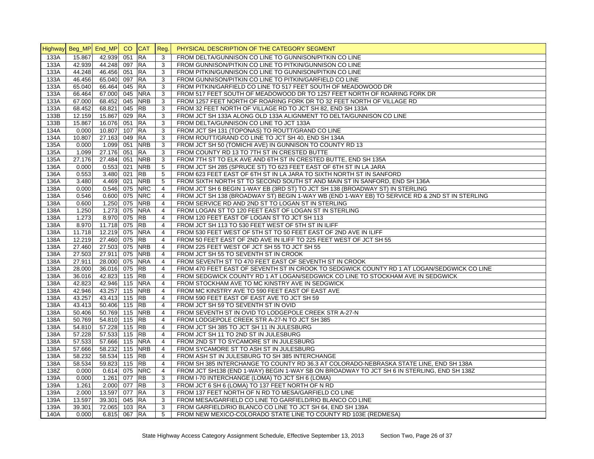|      | Highway Beg_MP End_MP CO CAT Reg. |                |            |                     | PHYSICAL DESCRIPTION OF THE CATEGORY SEGMENT                                                   |
|------|-----------------------------------|----------------|------------|---------------------|------------------------------------------------------------------------------------------------|
| 133A | 15.867                            | 42.939 051     | <b>RA</b>  | 3                   | FROM DELTA/GUNNISON CO LINE TO GUNNISON/PITKIN CO LINE                                         |
| 133A | 42.939                            | 44.248 097     | <b>RA</b>  | 3                   | FROM GUNNISON/PITKIN CO LINE TO PITKIN/GUNNISON CO LINE                                        |
| 133A | 44.248                            | 46.456 051     | <b>RA</b>  | 3                   | FROM PITKIN/GUNNISON CO LINE TO GUNNISON/PITKIN CO LINE                                        |
| 133A | 46.456                            | 65.040 097     | <b>RA</b>  | 3                   | FROM GUNNISON/PITKIN CO LINE TO PITKIN/GARFIELD CO LINE                                        |
| 133A | 65.040                            | 66.464 045     | <b>RA</b>  | 3                   | FROM PITKIN/GARFIELD CO LINE TO 517 FEET SOUTH OF MEADOWOOD DR                                 |
| 133A | 66.464                            | 67.000 045     | <b>NRA</b> | 3                   | FROM 517 FEET SOUTH OF MEADOWOOD DR TO 1257 FEET NORTH OF ROARING FORK DR                      |
| 133A | 67.000                            | 68.452 045     | <b>NRB</b> | 3                   | FROM 1257 FEET NORTH OF ROARING FORK DR TO 32 FEET NORTH OF VILLAGE RD                         |
| 133A | 68.452                            | 68.821 045     | <b>RB</b>  | 3                   | FROM 32 FEET NORTH OF VILLAGE RD TO JCT SH 82, END SH 133A                                     |
| 133B | 12.159                            | 15.867 029     | <b>RA</b>  | 3                   | FROM JCT SH 133A ALONG OLD 133A ALIGNMENT TO DELTA/GUNNISON CO LINE                            |
| 133B | 15.867                            | 16.076 051     | <b>RA</b>  | 3                   | FROM DELTA/GUNNISON CO LINE TO JCT 133A                                                        |
| 134A | 0.000                             | 10.807 107     | <b>RA</b>  | 3                   | FROM JCT SH 131 (TOPONAS) TO ROUTT/GRAND CO LINE                                               |
| 134A | 10.807                            | 27.163 049     | <b>RA</b>  | 3                   | FROM ROUTT/GRAND CO LINE TO JCT SH 40, END SH 134A                                             |
| 135A | 0.000                             | 1.099 051      | <b>NRB</b> | 3                   | FROM JCT SH 50 (TOMICHI AVE) IN GUNNISON TO COUNTY RD 13                                       |
| 135A | 1.099                             | 27.176 051     | <b>RA</b>  | 3                   | FROM COUNTY RD 13 TO 7TH ST IN CRESTED BUTTE                                                   |
| 135A | 27.176                            | 27.484 051     | <b>NRB</b> | 3                   | FROM 7TH ST TO ELK AVE AND 6TH ST IN CRESTED BUTTE, END SH 135A                                |
| 136A | 0.000                             | $0.553$ 021    | <b>NRB</b> | 5                   | FROM JCT SH 285 (SPRUCE ST) TO 623 FEET EAST OF 6TH ST IN LA JARA                              |
| 136A | 0.553                             | 3.480 021      | <b>RB</b>  | 5                   | FROM 623 FEET EAST OF 6TH ST IN LA JARA TO SIXTH NORTH ST IN SANFORD                           |
| 136A | 3.480                             | 4.469 021      | <b>NRB</b> | 5                   | FROM SIXTH NORTH ST TO SECOND SOUTH ST AND MAIN ST IN SANFORD, END SH 136A                     |
| 138A | 0.000                             | 0.546 075      | <b>NRC</b> | $\overline{4}$      | FROM JCT SH 6 BEGIN 1-WAY EB (3RD ST) TO JCT SH 138 (BROADWAY ST) IN STERLING                  |
| 138A | 0.546                             | 0.600 075      | <b>NRC</b> | $\overline{4}$      | FROM JCT SH 138 (BROADWAY ST) BEGIN 1-WAY WB (END 1-WAY EB) TO SERVICE RD & 2ND ST IN STERLING |
| 138A | 0.600                             | $1.250$ 075    | <b>NRB</b> | $\overline{4}$      | FROM SERVICE RD AND 2ND ST TO LOGAN ST IN STERLING                                             |
| 138A | 1.250                             | 1.273 075      | <b>NRA</b> | $\overline{4}$      | FROM LOGAN ST TO 120 FEET EAST OF LOGAN ST IN STERLING                                         |
| 138A | 1.273                             | 8.970 075      | <b>RB</b>  | $\overline{4}$      | FROM 120 FEET EAST OF LOGAN ST TO JCT SH 113                                                   |
| 138A | 8.970                             | 11.718 075     | <b>RB</b>  | $\overline{4}$      | FROM JCT SH 113 TO 530 FEET WEST OF 5TH ST IN ILIFF                                            |
| 138A | 11.718                            | 12.219 075     | <b>NRA</b> | $\overline{4}$      | FROM 530 FEET WEST OF 5TH ST TO 50 FEET EAST OF 2ND AVE IN ILIFF                               |
| 138A | 12.219                            | 27.460 075     | <b>RB</b>  | $\overline{4}$      | FROM 50 FEET EAST OF 2ND AVE IN ILIFF TO 225 FEET WEST OF JCT SH 55                            |
| 138A | 27.460                            | 27.503 075     | <b>NRB</b> | $\overline{4}$      | FROM 225 FEET WEST OF JCT SH 55 TO JCT SH 55                                                   |
| 138A | 27.503                            | 27.911 075     | <b>NRB</b> | 4                   | FROM JCT SH 55 TO SEVENTH ST IN CROOK                                                          |
| 138A | 27.911                            | 28.000 075     | <b>NRA</b> | $\overline{4}$      | FROM SEVENTH ST TO 470 FEET EAST OF SEVENTH ST IN CROOK                                        |
| 138A | 28.000                            | 36.016 075     | <b>RB</b>  |                     | FROM 470 FEET EAST OF SEVENTH ST IN CROOK TO SEDGWICK COUNTY RD 1 AT LOGAN/SEDGWICK CO LINE    |
| 138A | 36.016                            | 42.823 115     | <b>RB</b>  | 4<br>$\overline{4}$ |                                                                                                |
|      |                                   |                |            |                     | FROM SEDGWICK COUNTY RD 1 AT LOGAN/SEDGWICK CO LINE TO STOCKHAM AVE IN SEDGWICK                |
| 138A | 42.823                            | 42.946 115 NRA |            | $\overline{4}$      | FROM STOCKHAM AVE TO MC KINSTRY AVE IN SEDGWICK                                                |
| 138A | 42.946                            | 43.257 115     | <b>NRB</b> | $\overline{4}$      | FROM MC KINSTRY AVE TO 590 FEET EAST OF EAST AVE                                               |
| 138A | 43.257                            | 43.413 115     | <b>RB</b>  | $\overline{4}$      | FROM 590 FEET EAST OF EAST AVE TO JCT SH 59                                                    |
| 138A | 43.413                            | 50.406 115     | <b>RB</b>  | $\overline{4}$      | FROM JCT SH 59 TO SEVENTH ST IN OVID                                                           |
| 138A | 50.406                            | 50.769 115     | <b>NRB</b> | $\overline{4}$      | FROM SEVENTH ST IN OVID TO LODGEPOLE CREEK STR A-27-N                                          |
| 138A | 50.769                            | 54.810 115     | <b>RB</b>  | 4                   | FROM LODGEPOLE CREEK STR A-27-N TO JCT SH 385                                                  |
| 138A | 54.810                            | 57.228 115     | <b>RB</b>  | $\overline{4}$      | FROM JCT SH 385 TO JCT SH 11 IN JULESBURG                                                      |
| 138A | 57.228                            | 57.533 115     | <b>RB</b>  | $\overline{4}$      | FROM JCT SH 11 TO 2ND ST IN JULESBURG                                                          |
| 138A | 57.533                            | 57.666 115     | <b>NRA</b> | $\overline{4}$      | FROM 2ND ST TO SYCAMORE ST IN JULESBURG                                                        |
| 138A | 57.666                            | 58.232 115 NRB |            | 4                   | FROM SYCAMORE ST TO ASH ST IN JULESBURG                                                        |
| 138A | 58.232                            | 58.534 115     | <b>RB</b>  | $\overline{4}$      | FROM ASH ST IN JULESBURG TO SH 385 INTERCHANGE                                                 |
| 138A | 58.534                            | 59.823 115 RB  |            | 4                   | FROM SH 385 INTERCHANGE TO COUNTY RD 36.3 AT COLORADO-NEBRASKA STATE LINE, END SH 138A         |
| 138Z | 0.000                             | $0.614$ 075    | <b>NRC</b> | $\overline{4}$      | FROM JCT SH138 (END 1-WAY) BEGIN 1-WAY SB ON BROADWAY TO JCT SH 6 IN STERLING, END SH 138Z     |
| 139A | 0.000                             | 1.261 077      | <b>RB</b>  | 3                   | FROM I-70 INTERCHANGE (LOMA) TO JCT SH 6 (LOMA)                                                |
| 139A | 1.261                             | 2.000 077      | <b>RB</b>  | 3                   | FROM JCT 6 SH 6 (LOMA) TO 137 FEET NORTH OF N RD                                               |
| 139A | 2.000                             | 13.597 077     | <b>RA</b>  | 3                   | FROM 137 FEET NORTH OF N RD TO MESA/GARFIELD CO LINE                                           |
| 139A | 13.597                            | 39.301 045     | <b>RA</b>  | 3                   | FROM MESA/GARFIELD CO LINE TO GARFIELD/RIO BLANCO CO LINE                                      |
| 139A | 39.301                            | 72.065 103 RA  |            | 3                   | FROM GARFIELD/RIO BLANCO CO LINE TO JCT SH 64, END SH 139A                                     |
| 140A | 0.000                             | 6.815 067 RA   |            | 5                   | FROM NEW MEXICO-COLORADO STATE LINE TO COUNTY RD 103E (REDMESA)                                |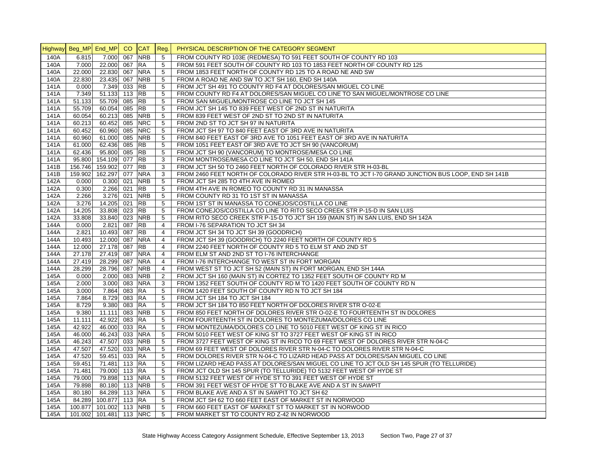|              | Highway Beg_MP End_MP CO CAT |                          |                          | Reg.                             | PHYSICAL DESCRIPTION OF THE CATEGORY SEGMENT                                                                            |
|--------------|------------------------------|--------------------------|--------------------------|----------------------------------|-------------------------------------------------------------------------------------------------------------------------|
| 140A         | 6.815                        | 7.000 067                | <b>NRB</b>               | 5                                | FROM COUNTY RD 103E (REDMESA) TO 591 FEET SOUTH OF COUNTY RD 103                                                        |
| 140A         | 7.000                        | 22.000 067               | <b>RA</b>                | 5                                | FROM 591 FEET SOUTH OF COUNTY RD 103 TO 1853 FEET NORTH OF COUNTY RD 125                                                |
| 140A         | 22.000                       | 22.830 067               | <b>NRA</b>               | 5                                | FROM 1853 FEET NORTH OF COUNTY RD 125 TO A ROAD NE AND SW                                                               |
| 140A         | 22.830                       | 23.435 067               | <b>NRB</b>               | 5                                | FROM A ROAD NE AND SW TO JCT SH 160, END SH 140A                                                                        |
| 141A         | 0.000                        | 7.349 033                | <b>RB</b>                | 5                                | FROM JCT SH 491 TO COUNTY RD F4 AT DOLORES/SAN MIGUEL CO LINE                                                           |
| 141A         | 7.349                        | 51.133 113 RB            |                          | 5                                | FROM COUNTY RD F4 AT DOLORES/SAN MIGUEL CO LINE TO SAN MIGUEL/MONTROSE CO LINE                                          |
| 141A         | 51.133                       | 55.709 085               | <b>RB</b>                | 5                                | FROM SAN MIGUEL/MONTROSE CO LINE TO JCT SH 145                                                                          |
| 141A         | 55.709                       | 60.054 085               | <b>RB</b>                | $\sqrt{5}$                       | FROM JCT SH 145 TO 839 FEET WEST OF 2ND ST IN NATURITA                                                                  |
| 141A         | 60.054                       | 60.213 085               | <b>NRB</b>               | 5                                | FROM 839 FEET WEST OF 2ND ST TO 2ND ST IN NATURITA                                                                      |
| 141A         | 60.213                       | 60.452 085               | <b>NRC</b>               | 5                                | FROM 2ND ST TO JCT SH 97 IN NATURITA                                                                                    |
| 141A         | 60.452                       | 60.960 085               | <b>NRC</b>               | 5                                | FROM JCT SH 97 TO 840 FEET EAST OF 3RD AVE IN NATURITA                                                                  |
| 141A         | 60.960                       | 61.000 085               | <b>NRB</b>               | 5                                | FROM 840 FEET EAST OF 3RD AVE TO 1051 FEET EAST OF 3RD AVE IN NATURITA                                                  |
| 141A         | 61.000                       | 62.436 085               | <b>RB</b>                | 5                                | FROM 1051 FEET EAST OF 3RD AVE TO JCT SH 90 (VANCORUM)                                                                  |
| 141A         | 62.436                       | 95.800 085               | <b>RB</b>                | 5                                | FROM JCT SH 90 (VANCORUM) TO MONTROSE/MESA CO LINE                                                                      |
| 141A         | 95.800                       | 154.109 077              | <b>RB</b>                | 3                                | FROM MONTROSE/MESA CO LINE TO JCT SH 50, END SH 141A                                                                    |
| 141B         | 156.746                      | 159.902 077              | <b>RB</b>                | 3                                | FROM JCT SH 50 TO 2460 FEET NORTH OF COLORADO RIVER STR H-03-BL                                                         |
| 141B         | 159.902                      | 162.297 077              | <b>NRA</b>               | 3                                | FROM 2460 FEET NORTH OF COLORADO RIVER STR H-03-BL TO JCT I-70 GRAND JUNCTION BUS LOOP, END SH 141B                     |
| 142A         | 0.000                        | $0.300$ 021              | <b>NRB</b>               | 5                                | FROM JCT SH 285 TO 4TH AVE IN ROMEO                                                                                     |
| 142A         | 0.300                        | 2.266 021                | <b>RB</b>                | 5                                | FROM 4TH AVE IN ROMEO TO COUNTY RD 31 IN MANASSA                                                                        |
| 142A         | 2.266                        | 3.276 021                | <b>NRB</b>               | 5                                | FROM COUNTY RD 31 TO 1ST ST IN MANASSA                                                                                  |
| 142A         | 3.276                        | 14.205 021               | <b>RB</b>                | 5                                | FROM 1ST ST IN MANASSA TO CONEJOS/COSTILLA CO LINE                                                                      |
| 142A         | 14.205                       | 33.808 023               | <b>RB</b>                | 5                                | FROM CONEJOS/COSTILLA CO LINE TO RITO SECO CREEK STR P-15-D IN SAN LUIS                                                 |
| 142A         | 33.808                       | 33.840 023               | <b>NRB</b>               | 5                                | FROM RITO SECO CREEK STR P-15-D TO JCT SH 159 (MAIN ST) IN SAN LUIS, END SH 142A                                        |
|              |                              |                          | <b>RB</b>                | $\overline{4}$                   | FROM I-76 SEPARATION TO JCT SH 34                                                                                       |
| 144A<br>144A | 0.000<br>2.821               | 2.821 087<br>10.493 087  | RB                       | $\overline{4}$                   |                                                                                                                         |
|              |                              |                          |                          |                                  | FROM JCT SH 34 TO JCT SH 39 (GOODRICH)                                                                                  |
| 144A<br>144A | 10.493<br>12.000             | 12.000 087<br>27.178 087 | <b>NRA</b><br><b>RB</b>  | $\overline{4}$<br>$\overline{4}$ | FROM JCT SH 39 (GOODRICH) TO 2240 FEET NORTH OF COUNTY RD 5<br>FROM 2240 FEET NORTH OF COUNTY RD 5 TO ELM ST AND 2ND ST |
|              |                              |                          |                          |                                  |                                                                                                                         |
| 144A         | 27.178                       | 27.419 087<br>28.299 087 | <b>NRA</b><br><b>NRA</b> | $\overline{4}$                   | FROM ELM ST AND 2ND ST TO I-76 INTERCHANGE<br>FROM I-76 INTERCHANGE TO WEST ST IN FORT MORGAN                           |
| 144A         | 27.419                       |                          |                          | $\overline{4}$                   |                                                                                                                         |
| 144A         | 28.299                       | 28.796 087               | <b>NRB</b>               | $\overline{4}$                   | FROM WEST ST TO JCT SH 52 (MAIN ST) IN FORT MORGAN, END SH 144A                                                         |
| 145A         | 0.000                        | 2.000 083                | <b>NRB</b>               | $\overline{2}$                   | FROM JCT SH 160 (MAIN ST) IN CORTEZ TO 1352 FEET SOUTH OF COUNTY RD M                                                   |
| 145A         | 2.000                        | 3.000 083                | <b>NRA</b>               | 3                                | FROM 1352 FEET SOUTH OF COUNTY RD M TO 1420 FEET SOUTH OF COUNTY RD N                                                   |
| 145A         | 3.000                        | 7.864 083                | <b>RA</b>                | 5                                | FROM 1420 FEET SOUTH OF COUNTY RD N TO JCT SH 184                                                                       |
| 145A         | 7.864                        | 8.729 083 RA             |                          | 5                                | FROM JCT SH 184 TO JCT SH 184                                                                                           |
| 145A         | 8.729                        | 9.380 083                | <b>RA</b>                | 5                                | FROM JCT SH 184 TO 850 FEET NORTH OF DOLORES RIVER STR O-02-E                                                           |
| 145A         | 9.380                        | 11.111 083               | <b>NRB</b>               | 5                                | FROM 850 FEET NORTH OF DOLORES RIVER STR O-02-E TO FOURTEENTH ST IN DOLORES                                             |
| 145A         | 11.111                       | 42.922 083               | <b>RA</b>                | 5                                | FROM FOURTEENTH ST IN DOLORES TO MONTEZUMA/DOLORES CO LINE                                                              |
| 145A         | 42.922                       | 46.000 033               | <b>RA</b>                | 5                                | FROM MONTEZUMA/DOLORES CO LINE TO 5010 FEET WEST OF KING ST IN RICO                                                     |
| 145A         | 46.000                       | 46.243 033               | <b>NRA</b>               | 5                                | FROM 5010 FEET WEST OF KING ST TO 3727 FEET WEST OF KING ST IN RICO                                                     |
| 145A         | 46.243                       | 47.507 033               | <b>NRB</b>               | 5                                | FROM 3727 FEET WEST OF KING ST IN RICO TO 69 FEET WEST OF DOLORES RIVER STR N-04-C                                      |
| 145A         | 47.507                       | 47.520 033               | <b>NRA</b>               | $5\phantom{.0}$                  | FROM 69 FEET WEST OF DOLORES RIVER STR N-04-C TO DOLORES RIVER STR N-04-C                                               |
| 145A         | 47.520                       | 59.451 033               | <b>RA</b>                | 5                                | FROM DOLORES RIVER STR N-04-C TO LIZARD HEAD PASS AT DOLORES/SAN MIGUEL CO LINE                                         |
| 145A         | 59.451                       | 71.481 113 RA            |                          | 5                                | FROM LIZARD HEAD PASS AT DOLORES/SAN MIGUEL CO LINE TO JCT OLD SH 145 SPUR (TO TELLURIDE)                               |
| 145A         | 71.481                       | 79.000 113 RA            |                          | 5                                | FROM JCT OLD SH 145 SPUR (TO TELLURIDE) TO 5132 FEET WEST OF HYDE ST                                                    |
| 145A         | 79.000                       | 79.898 113 NRA           |                          | 5                                | FROM 5132 FEET WEST OF HYDE ST TO 391 FEET WEST OF HYDE ST                                                              |
| 145A         | 79.898                       | 80.180 113 NRB           |                          | 5                                | FROM 391 FEET WEST OF HYDE ST TO BLAKE AVE AND A ST IN SAWPIT                                                           |
| 145A         | 80.180                       | 84.289 113 NRA           |                          | 5                                | FROM BLAKE AVE AND A ST IN SAWPIT TO JCT SH 62                                                                          |
| 145A         | 84.289                       | 100.877 113              | <b>RA</b>                | 5                                | FROM JCT SH 62 TO 660 FEET EAST OF MARKET ST IN NORWOOD                                                                 |
| 145A         |                              | 100.877 101.002 113 NRB  |                          | 5                                | FROM 660 FEET EAST OF MARKET ST TO MARKET ST IN NORWOOD                                                                 |
| 145A         |                              | 101.002 101.481 113 NRC  |                          | $5^{\circ}$                      | FROM MARKET ST TO COUNTY RD Z-42 IN NORWOOD                                                                             |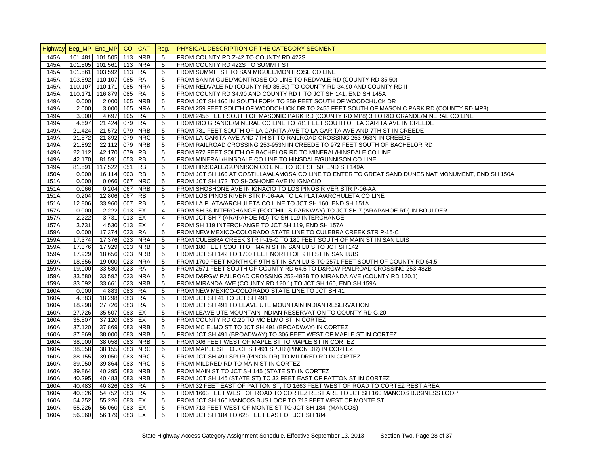|      | Highway Beg_MP End_MP |                     | CO.          | $ICAT$     | Reg.            | PHYSICAL DESCRIPTION OF THE CATEGORY SEGMENT                                                       |
|------|-----------------------|---------------------|--------------|------------|-----------------|----------------------------------------------------------------------------------------------------|
| 145A | 101.481               | 101.505 113         |              | <b>NRB</b> | 5               | FROM COUNTY RD Z-42 TO COUNTY RD 422S                                                              |
| 145A |                       | 101.505 101.561 113 |              | <b>NRA</b> | 5               | FROM COUNTY RD 422S TO SUMMIT ST                                                                   |
| 145A | 101.561               | 103.592 113         |              | <b>RA</b>  | 5               | FROM SUMMIT ST TO SAN MIGUEL/MONTROSE CO LINE                                                      |
| 145A |                       | 103.592 110.107 085 |              | <b>RA</b>  | 5               | FROM SAN MIGUEL/MONTROSE CO LINE TO REDVALE RD (COUNTY RD 35.50)                                   |
| 145A | 110.107               | 110.171             | 085          | <b>NRA</b> | 5               | FROM REDVALE RD (COUNTY RD 35.50) TO COUNTY RD 34.90 AND COUNTY RD II                              |
| 145A | 110.171               | 116.879 085         |              | <b>RA</b>  | 5               | FROM COUNTY RD 34.90 AND COUNTY RD II TO JCT SH 141, END SH 145A                                   |
| 149A | 0.000                 | 2.000 105           |              | <b>NRB</b> | 5               | FROM JCT SH 160 IN SOUTH FORK TO 259 FEET SOUTH OF WOODCHUCK DR                                    |
| 149A | 2.000                 | 3.000 105           |              | <b>NRA</b> | 5               | FROM 259 FEET SOUTH OF WOODCHUCK DR TO 2455 FEET SOUTH OF MASONIC PARK RD (COUNTY RD MP8)          |
| 149A | 3.000                 | 4.697 105           |              | RA         | 5               | FROM 2455 FEET SOUTH OF MASONIC PARK RD (COUNTY RD MP8) 3 TO RIO GRANDE/MINERAL CO LINE            |
| 149A | 4.697                 | 21.424 079          |              | <b>RA</b>  | 5               | FROM RIO GRANDE/MINERAL CO LINE TO 781 FEET SOUTH OF LA GARITA AVE IN CREEDE                       |
| 149A | 21.424                | 21.572 079          |              | <b>NRB</b> | 5               | FROM 781 FEET SOUTH OF LA GARITA AVE TO LA GARITA AVE AND 7TH ST IN CREEDE                         |
| 149A | 21.572                | 21.892 079          |              | <b>NRC</b> | 5               | FROM LA GARITA AVE AND 7TH ST TO RAILROAD CROSSING 253-953N IN CREEDE                              |
| 149A | 21.892                | 22.112 079          |              | <b>NRB</b> | 5               | FROM RAILROAD CROSSING 253-953N IN CREEDE TO 972 FEET SOUTH OF BACHELOR RD                         |
| 149A | 22.112                | 42.170 079          |              | <b>RB</b>  | 5               | FROM 972 FEET SOUTH OF BACHELOR RD TO MINERAL/HINSDALE CO LINE                                     |
| 149A | 42.170                | 81.591 053          |              | <b>RB</b>  | 5               | FROM MINERAL/HINSDALE CO LINE TO HINSDALE/GUNNISON CO LINE                                         |
| 149A | 81.591                | 117.522             | 051          | <b>RB</b>  | 5               | FROM HINSDALE/GUNNISON CO LINE TO JCT SH 50, END SH 149A                                           |
| 150A | 0.000                 | 16.114 003          |              | <b>RB</b>  | 5               | FROM JCT SH 160 AT COSTILLA/ALAMOSA CO LINE TO ENTER TO GREAT SAND DUNES NAT MONUMENT, END SH 150A |
| 151A | 0.000                 | 0.066 067           |              | <b>NRC</b> | 5               | FROM JCT SH 172 TO SHOSHONE AVE IN IGNACIO                                                         |
| 151A | 0.066                 | $0.204$ 067         |              | <b>NRB</b> | 5               | FROM SHOSHONE AVE IN IGNACIO TO LOS PINOS RIVER STR P-06-AA                                        |
| 151A | 0.204                 | 12.806 067          |              | <b>RB</b>  | 5               | FROM LOS PINOS RIVER STR P-06-AA TO LA PLATA/ARCHULETA CO LINE                                     |
| 151A | 12.806                | 33.960 007          |              | <b>RB</b>  | 5               | FROM LA PLATA/ARCHULETA CO LINE TO JCT SH 160, END SH 151A                                         |
| 157A | 0.000                 | 2.222 013 EX        |              |            | $\overline{4}$  | FROM SH 36 INTERCHANGE (FOOTHILLS PARKWAY) TO JCT SH 7 (ARAPAHOE RD) IN BOULDER                    |
| 157A | 2.222                 |                     | 3.731 013 EX |            | $\overline{4}$  | FROM JCT SH 7 (ARAPAHOE RD) TO SH 119 INTERCHANGE                                                  |
| 157A | 3.731                 | 4.530 013           |              | EX         | $\overline{4}$  | FROM SH 119 INTERCHANGE TO JCT SH 119, END SH 157A                                                 |
| 159A | 0.000                 | 17.374 023          |              | <b>RA</b>  | $5\phantom{.0}$ | FROM NEW MEXICO-COLORADO STATE LINE TO CULEBRA CREEK STR P-15-C                                    |
| 159A | 17.374                | 17.376 023          |              | <b>NRA</b> | $5\phantom{.0}$ | FROM CULEBRA CREEK STR P-15-C TO 180 FEET SOUTH OF MAIN ST IN SAN LUIS                             |
| 159A | 17.376                | 17.929 023          |              | <b>NRB</b> | 5               | FROM 180 FEET SOUTH OF MAIN ST IN SAN LUIS TO JCT SH 142                                           |
| 159A | 17.929                | 18.656 023          |              | <b>NRB</b> | 5               | FROM JCT SH 142 TO 1700 FEET NORTH OF 9TH ST IN SAN LUIS                                           |
| 159A | 18.656                | 19.000 023          |              | <b>NRA</b> | 5               | FROM 1700 FEET NORTH OF 9TH ST IN SAN LUIS TO 2571 FEET SOUTH OF COUNTY RD 64.5                    |
| 159A | 19.000                | 33.580 023          |              | <b>RA</b>  | 5               | FROM 2571 FEET SOUTH OF COUNTY RD 64.5 TO D&RGW RAILROAD CROSSING 253-482B                         |
|      |                       |                     |              |            | 5               |                                                                                                    |
| 159A | 33.580                | 33.592 023          |              | <b>NRA</b> |                 | FROM D&RGW RAILROAD CROSSING 253-482B TO MIRANDA AVE (COUNTY RD 120.1)                             |
| 159A | 33.592                | 33.661 023          |              | <b>NRB</b> | 5               | FROM MIRANDA AVE (COUNTY RD 120.1) TO JCT SH 160, END SH 159A                                      |
| 160A | 0.000                 | 4.883 083           |              | <b>RA</b>  | 5               | FROM NEW MEXICO-COLORADO STATE LINE TO JCT SH 41                                                   |
| 160A | 4.883                 | 18.298 083 RA       |              |            | 5               | FROM JCT SH 41 TO JCT SH 491                                                                       |
| 160A | 18.298                | 27.726 083          |              | <b>RA</b>  | 5               | FROM JCT SH 491 TO LEAVE UTE MOUNTAIN INDIAN RESERVATION                                           |
| 160A | 27.726                | 35.507 083          |              | EX         | $5\phantom{.0}$ | FROM LEAVE UTE MOUNTAIN INDIAN RESERVATION TO COUNTY RD G.20                                       |
| 160A | 35.507                | 37.120 083          |              | EX         | $5\phantom{.0}$ | FROM COUNTY RD G.20 TO MC ELMO ST IN CORTEZ                                                        |
| 160A | 37.120                | 37.869 083          |              | <b>NRB</b> | 5               | FROM MC ELMO ST TO JCT SH 491 (BROADWAY) IN CORTEZ                                                 |
| 160A | 37.869                | 38.000 083          |              | <b>NRB</b> | $5\phantom{.0}$ | FROM JCT SH 491 (BROADWAY) TO 306 FEET WEST OF MAPLE ST IN CORTEZ                                  |
| 160A | 38.000                | 38.058 083          |              | <b>NRB</b> | 5               | FROM 306 FEET WEST OF MAPLE ST TO MAPLE ST IN CORTEZ                                               |
| 160A | 38.058                | 38.155 083          |              | <b>NRC</b> | 5               | FROM MAPLE ST TO JCT SH 491 SPUR (PINON DR) IN CORTEZ                                              |
| 160A | 38.155                | 39.050 083          |              | <b>NRC</b> | 5               | FROM JCT SH 491 SPUR (PINON DR) TO MILDRED RD IN CORTEZ                                            |
| 160A | 39.050                | 39.864 083          |              | <b>NRC</b> | $5\phantom{.0}$ | FROM MILDRED RD TO MAIN ST IN CORTEZ                                                               |
| 160A | 39.864                | 40.295              | 083          | <b>NRB</b> | 5               | FROM MAIN ST TO JCT SH 145 (STATE ST) IN CORTEZ                                                    |
| 160A | 40.295                | 40.483 083          |              | <b>NRB</b> | 5               | FROM JCT SH 145 (STATE ST) TO 32 FEET EAST OF PATTON ST IN CORTEZ                                  |
| 160A | 40.483                | 40.826 083          |              | <b>RA</b>  | 5               | FROM 32 FEET EAST OF PATTON ST, TO 1663 FEET WEST OF ROAD TO CORTEZ REST AREA                      |
| 160A | 40.826                | 54.752 083 RA       |              |            | 5               | FROM 1663 FEET WEST OF ROAD TO CORTEZ REST ARE TO JCT SH 160 MANCOS BUSINESS LOOP                  |
| 160A | 54.752                | 55.226 083          |              | EX         | 5               | FROM JCT SH 160 MANCOS BUS LOOP TO 713 FEET WEST OF MONTE ST                                       |
| 160A | 55.226                | 56.060 083 EX       |              |            | 5               | FROM 713 FEET WEST OF MONTE ST TO JCT SH 184 (MANCOS)                                              |
| 160A | 56.060                | 56.179 083 EX       |              |            | 5               | FROM JCT SH 184 TO 628 FEET EAST OF JCT SH 184                                                     |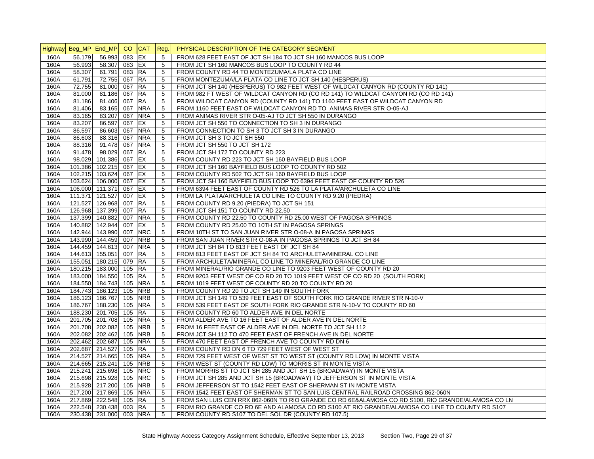|      | Highway Beg_MP End_MP CO |                        |        | CAT Reg.   |                 | PHYSICAL DESCRIPTION OF THE CATEGORY SEGMENT                                                       |
|------|--------------------------|------------------------|--------|------------|-----------------|----------------------------------------------------------------------------------------------------|
| 160A | 56.179                   | 56.993                 | 083    | <b>IEX</b> | 5               | FROM 628 FEET EAST OF JCT SH 184 TO JCT SH 160 MANCOS BUS LOOP                                     |
| 160A | 56.993                   | 58.307                 | 083 EX |            | 5               | FROM JCT SH 160 MANCOS BUS LOOP TO COUNTY RD 44                                                    |
| 160A | 58.307                   | 61.791                 | 083 RA |            | 5               | FROM COUNTY RD 44 TO MONTEZUMA/LA PLATA CO LINE                                                    |
| 160A | 61.791                   | 72.755                 | 067 RA |            | 5               | FROM MONTEZUMA/LA PLATA CO LINE TO JCT SH 140 (HESPERUS)                                           |
| 160A | 72.755                   | 81.000                 | 067    | RA         | 5               | FROM JCT SH 140 (HESPERUS) TO 982 FEET WEST OF WILDCAT CANYON RD (COUNTY RD 141)                   |
| 160A | 81.000                   | 81.186                 | 067    | <b>RA</b>  | $5\phantom{.0}$ | FROM 982 FT WEST OF WILDCAT CANYON RD (CO RD 141) TO WILDCAT CANYON RD (CO RD 141)                 |
| 160A | 81.186                   | 81.406                 | 067    | <b>RA</b>  | 5               | FROM WILDCAT CANYON RD (COUNTY RD 141) TO 1160 FEET EAST OF WILDCAT CANYON RD                      |
| 160A | 81.406                   | 83.165                 | 067    | <b>NRA</b> | $5\phantom{.0}$ | FROM 1160 FEET EAST OF WILDCAT CANYON RD TO ANIMAS RIVER STR O-05-AJ                               |
| 160A | 83.165                   | 83.207                 | 067    | <b>NRA</b> | 5               | FROM ANIMAS RIVER STR O-05-AJ TO JCT SH 550 IN DURANGO                                             |
| 160A | 83.207                   | 86.597                 | 067 EX |            | 5               | FROM JCT SH 550 TO CONNECTION TO SH 3 IN DURANGO                                                   |
| 160A | 86.597                   | 86.603                 | 067    | <b>NRA</b> | 5               | FROM CONNECTION TO SH 3 TO JCT SH 3 IN DURANGO                                                     |
| 160A | 86.603                   | 88.316                 | 067    | <b>NRA</b> | 5               | FROM JCT SH 3 TO JCT SH 550                                                                        |
| 160A | 88.316                   | 91.478                 | 067    | <b>NRA</b> | 5               | FROM JCT SH 550 TO JCT SH 172                                                                      |
| 160A | 91.478                   | 98.029                 | 067    | <b>RA</b>  | 5               | FROM JCT SH 172 TO COUNTY RD 223                                                                   |
| 160A | 98.029                   | 101.386                | 067    | EX         | 5               | FROM COUNTY RD 223 TO JCT SH 160 BAYFIELD BUS LOOP                                                 |
| 160A |                          | 101.386 102.215 067 EX |        |            | 5               | FROM JCT SH 160 BAYFIELD BUS LOOP TO COUNTY RD 502                                                 |
| 160A |                          | 102.215 103.624 067 EX |        |            | 5               | FROM COUNTY RD 502 TO JCT SH 160 BAYFIELD BUS LOOP                                                 |
| 160A |                          | 103.624 106.000        | 067 EX |            | 5               | FROM JCT SH 160 BAYFIELD BUS LOOP TO 6394 FEET EAST OF COUNTY RD 526                               |
| 160A |                          | 106.000 111.371        | 067 EX |            | $5\phantom{.0}$ | FROM 6394 FEET EAST OF COUNTY RD 526 TO LA PLATA/ARCHULETA CO LINE                                 |
| 160A |                          | 111.371 121.527        | 007 EX |            | 5               | FROM LA PLATA/ARCHULETA CO LINE TO COUNTY RD 9.20 (PIEDRA)                                         |
| 160A |                          | 121.527 126.968        | 007 RA |            | 5               | FROM COUNTY RD 9.20 (PIEDRA) TO JCT SH 151                                                         |
| 160A |                          | 126.968 137.399        | 007 RA |            | 5               | FROM JCT SH 151 TO COUNTY RD 22.50                                                                 |
| 160A |                          | 137.399 140.882        | 007    | <b>NRA</b> | 5               | FROM COUNTY RD 22.50 TO COUNTY RD 25.00 WEST OF PAGOSA SPRINGS                                     |
| 160A |                          | 140.882 142.944        | 007    | EX         | 5               | FROM COUNTY RD 25.00 TO 10TH ST IN PAGOSA SPRINGS                                                  |
| 160A |                          | 142.944 143.990        | 007    | <b>NRC</b> | 5               | FROM 10TH ST TO SAN JUAN RIVER STR O-08-A IN PAGOSA SPRINGS                                        |
| 160A |                          | 143.990 144.459        | 007    | <b>NRB</b> | 5               | FROM SAN JUAN RIVER STR O-08-A IN PAGOSA SPRINGS TO JCT SH 84                                      |
| 160A |                          | 144.459 144.613 007    |        | <b>NRA</b> | 5               |                                                                                                    |
| 160A |                          | 144.613 155.051        | 007    | <b>RA</b>  | 5               | FROM JCT SH 84 TO 813 FEET EAST OF JCT SH 84                                                       |
| 160A |                          | 155.051 180.215 079 RA |        |            | 5               | FROM 813 FEET EAST OF JCT SH 84 TO ARCHULETA/MINERAL CO LINE                                       |
|      |                          | 180.215 183.000 105 RA |        |            |                 | FROM ARCHULETA/MINERAL CO LINE TO MINERAL/RIO GRANDE CO LINE                                       |
| 160A |                          |                        |        |            | $5\phantom{.0}$ | FROM MINERAL/RIO GRANDE CO LINE TO 9203 FEET WEST OF COUNTY RD 20                                  |
| 160A |                          | 183.000 184.550        | 105    | <b>RA</b>  | 5               | FROM 9203 FEET WEST OF CO RD 20 TO 1019 FEET WEST OF CO RD 20 (SOUTH FORK)                         |
| 160A |                          | 184.550 184.743        |        | 105 NRA    | $5\phantom{.0}$ | FROM 1019 FEET WEST OF COUNTY RD 20 TO COUNTY RD 20                                                |
| 160A |                          | 184.743 186.123        | 105    | <b>NRB</b> | 5               | FROM COUNTY RD 20 TO JCT SH 149 IN SOUTH FORK                                                      |
| 160A |                          | 186.123 186.767        | 105    | <b>NRB</b> | 5               | FROM JCT SH 149 TO 539 FEET EAST OF SOUTH FORK RIO GRANDE RIVER STR N-10-V                         |
| 160A |                          | 186.767 188.230        | 105    | <b>NRA</b> | 5               | FROM 539 FEET EAST OF SOUTH FORK RIO GRANDE STR N-10-V TO COUNTY RD 60                             |
| 160A |                          | 188.230 201.705        | 105    | <b>RA</b>  | 5               | FROM COUNTY RD 60 TO ALDER AVE IN DEL NORTE                                                        |
| 160A |                          | 201.705 201.708        | 105    | <b>NRA</b> | 5               | FROM ALDER AVE TO 16 FEET EAST OF ALDER AVE IN DEL NORTE                                           |
| 160A |                          | 201.708 202.082        | 105    | <b>NRB</b> | 5               | FROM 16 FEET EAST OF ALDER AVE IN DEL NORTE TO JCT SH 112                                          |
| 160A |                          | 202.082 202.462        | 105    | <b>NRB</b> | 5               | FROM JCT SH 112 TO 470 FEET EAST OF FRENCH AVE IN DEL NORTE                                        |
| 160A |                          | 202.462 202.687        | 105    | <b>NRA</b> | $\sqrt{5}$      | FROM 470 FEET EAST OF FRENCH AVE TO COUNTY RD DN 6                                                 |
| 160A |                          | 202.687 214.527        | 105 RA |            | 5               | FROM COUNTY RD DN 6 TO 729 FEET WEST OF WEST ST                                                    |
| 160A |                          | 214.527 214.665        | 105    | <b>NRA</b> | 5               | FROM 729 FEET WEST OF WEST ST TO WEST ST (COUNTY RD LOW) IN MONTE VISTA                            |
| 160A |                          | 214.665 215.241        | 105    | <b>NRB</b> | $5\phantom{.0}$ | FROM WEST ST (COUNTY RD LOW) TO MORRIS ST IN MONTE VISTA                                           |
| 160A |                          | 215.241 215.698        | 105    | <b>NRC</b> | 5               | FROM MORRIS ST TO JCT SH 285 AND JCT SH 15 (BROADWAY) IN MONTE VISTA                               |
| 160A |                          | 215.698 215.928        | 105    | <b>NRC</b> | 5               | FROM JCT SH 285 AND JCT SH 15 (BROADWAY) TO JEFFERSON ST IN MONTE VISTA                            |
| 160A |                          | 215.928 217.200        | 105    | <b>NRB</b> | 5               | FROM JEFFERSON ST TO 1542 FEET EAST OF SHERMAN ST IN MONTE VISTA                                   |
| 160A |                          | 217.200 217.869        |        | 105 NRA    | 5               | FROM 1542 FEET EAST OF SHERMAN ST TO SAN LUIS CENTRAL RAILROAD CROSSING 862-060N                   |
| 160A |                          | 217.869 222.548        | 105    | <b>RA</b>  | 5               | FROM SAN LUIS CEN RRX 862-060N TO RIO GRANDE CO RD 6E&ALAMOSA CO RD S100, RIO GRANDE/ALAMOSA CO LN |
| 160A |                          | 222.548 230.438        | 003 RA |            | 5               | FROM RIO GRANDE CO RD 6E AND ALAMOSA CO RD S100 AT RIO GRANDE/ALAMOSA CO LINE TO COUNTY RD S107    |
| 160A |                          | 230.438 231.000        |        | 003 NRA    | 5               | FROM COUNTY RD S107 TO DEL SOL DR (COUNTY RD 107.5)                                                |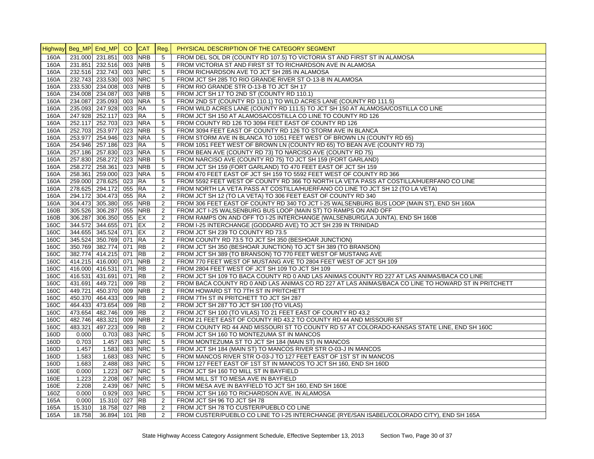|              |         | Highway Beg_MP End_MP CO                   |            | CAT Reg.               |                 | PHYSICAL DESCRIPTION OF THE CATEGORY SEGMENT                                                        |
|--------------|---------|--------------------------------------------|------------|------------------------|-----------------|-----------------------------------------------------------------------------------------------------|
| 160A         |         | 231.000 231.851                            | 003        | <b>NRB</b>             | 5               | FROM DEL SOL DR (COUNTY RD 107.5) TO VICTORIA ST AND FIRST ST IN ALAMOSA                            |
| 160A         |         | 231.851 232.516 003                        |            | <b>NRB</b>             | 5               | FROM VICTORIA ST AND FIRST ST TO RICHARDSON AVE IN ALAMOSA                                          |
| 160A         |         | 232.516 232.743 003                        |            | <b>NRC</b>             | 5               | FROM RICHARDSON AVE TO JCT SH 285 IN ALAMOSA                                                        |
| 160A         |         | 232.743 233.530                            | 003        | <b>NRC</b>             | 5               | FROM JCT SH 285 TO RIO GRANDE RIVER ST O-13-B IN ALAMOSA                                            |
| 160A         |         | 233.530 234.008                            | 003        | <b>NRB</b>             | 5               | FROM RIO GRANDE STR O-13-B TO JCT SH 17                                                             |
| 160A         |         | 234.008 234.087                            | 003        | <b>NRB</b>             | $\sqrt{5}$      | FROM JCT SH 17 TO 2ND ST (COUNTY RD 110.1)                                                          |
| 160A         |         | 234.087 235.093                            | 003        | <b>NRA</b>             | $5\phantom{.0}$ | FROM 2ND ST (COUNTY RD 110.1) TO WILD ACRES LANE (COUNTY RD 111.5)                                  |
| 160A         |         | 235.093 247.928                            | 003 RA     |                        | 5               | FROM WILD ACRES LANE (COUNTY RD 111.5) TO JCT SH 150 AT ALAMOSA/COSTILLA CO LINE                    |
| 160A         |         | 247.928 252.117                            | 023        | <b>RA</b>              | 5               | FROM JCT SH 150 AT ALAMOSA/COSTILLA CO LINE TO COUNTY RD 126                                        |
| 160A         |         | 252.117 252.703 023 NRA                    |            |                        | 5               | FROM COUNTY RD 126 TO 3094 FEET EAST OF COUNTY RD 126                                               |
| 160A         |         | 252.703 253.977 023                        |            | <b>NRB</b>             | 5               | FROM 3094 FEET EAST OF COUNTY RD 126 TO STORM AVE IN BLANCA                                         |
| 160A         |         | 253.977 254.946                            | 023        | <b>NRA</b>             | 5               | FROM STORM AVE IN BLANCA TO 1051 FEET WEST OF BROWN LN (COUNTY RD 65)                               |
| 160A         |         | 254.946 257.186                            | 023        | <b>RA</b>              | 5               | FROM 1051 FEET WEST OF BROWN LN (COUNTY RD 65) TO BEAN AVE (COUNTY RD 73)                           |
| 160A         |         | 257.186 257.830                            | 023        | <b>NRA</b>             | 5               | FROM BEAN AVE (COUNTY RD 73) TO NARCISO AVE (COUNTY RD 75)                                          |
| 160A         |         | 257.830 258.272                            | 023        | <b>NRB</b>             | 5               | FROM NARCISO AVE (COUNTY RD 75) TO JCT SH 159 (FORT GARLAND)                                        |
| 160A         |         | 258.272 258.361                            | 023        | <b>NRB</b>             | $\sqrt{5}$      | FROM JCT SH 159 (FORT GARLAND) TO 470 FEET EAST OF JCT SH 159                                       |
| 160A         |         | 258.361 259.000                            |            | 023 NRA                | 5               | FROM 470 FEET EAST OF JCT SH 159 TO 5592 FEET WEST OF COUNTY RD 366                                 |
| 160A         |         | 259.000 278.625                            | 023        | <b>RA</b>              | 5               | FROM 5592 FEET WEST OF COUNTY RD 366 TO NORTH LA VETA PASS AT COSTILLA/HUERFANO CO LINE             |
| 160A         |         | 278.625 294.172                            | 055 RA     |                        | $\overline{2}$  | FROM NORTH LA VETA PASS AT COSTILLA/HUERFANO CO LINE TO JCT SH 12 (TO LA VETA)                      |
| 160A         |         | 294.172 304.473                            | 055        | <b>RA</b>              | 2               | FROM JCT SH 12 (TO LA VETA) TO 306 FEET EAST OF COUNTY RD 340                                       |
| 160A         |         | 304.473 305.380                            |            | 055 NRB                | 2               | FROM 306 FEET EAST OF COUNTY RD 340 TO JCT I-25 WALSENBURG BUS LOOP (MAIN ST), END SH 160A          |
| 160B         |         | 305.526 306.287                            | 055        | <b>NRB</b>             | 2               | FROM JCT I-25 WALSENBURG BUS LOOP (MAIN ST) TO RAMPS ON AND OFF                                     |
| 160B         |         | 306.287 306.350                            | 055 EX     |                        | 2               | FROM RAMPS ON AND OFF TO I-25 INTERCHANGE (WALSENBURG/LA JUNTA), END SH 160B                        |
| 160C         |         | 344.572 344.655                            | 071        | EX                     | 2               | FROM I-25 INTERCHANGE (GODDARD AVE) TO JCT SH 239 IN TRINIDAD                                       |
| 160C         |         | 344.655 345.524                            | 071 EX     |                        | 2               | FROM JCT SH 239 TO COUNTY RD 73.5                                                                   |
| 160C         |         | 345.524 350.769 071 RA                     |            |                        | $\overline{2}$  | FROM COUNTY RD 73.5 TO JCT SH 350 (BESHOAR JUNCTION)                                                |
| 160C         |         | 350.769 382.774 071 RB                     |            |                        | 2               | FROM JCT SH 350 (BESHOAR JUNCTION) TO JCT SH 389 (TO BRANSON)                                       |
| 160C         |         | 382.774 414.215 071 RB                     |            |                        | $\overline{2}$  | FROM JCT SH 389 (TO BRANSON) TO 770 FEET WEST OF MUSTANG AVE                                        |
| 160C         |         | 414.215 416.000 071                        |            | <b>NRB</b>             | $\overline{2}$  | FROM 770 FEET WEST OF MUSTANG AVE TO 2804 FEET WEST OF JCT SH 109                                   |
| 160C         |         | 416.000 416.531 071 RB                     |            |                        | 2               | FROM 2804 FEET WEST OF JCT SH 109 TO JCT SH 109                                                     |
| 160C         |         | 416.531 431.691 071                        |            | <b>RB</b>              | $\overline{2}$  | FROM JCT SH 109 TO BACA COUNTY RD 0 AND LAS ANIMAS COUNTY RD 227 AT LAS ANIMAS/BACA CO LINE         |
| 160C         |         |                                            |            | <b>RB</b>              | 2               |                                                                                                     |
|              |         | 431.691 449.721 009<br>449.721 450.370 009 |            | <b>NRB</b>             |                 | FROM BACA COUNTY RD 0 AND LAS ANIMAS CO RD 227 AT LAS ANIMAS/BACA CO LINE TO HOWARD ST IN PRITCHETT |
| 160C         |         |                                            |            |                        | 2               | FROM HOWARD ST TO 7TH ST IN PRITCHETT                                                               |
| 160C<br>160C |         | 450.370 464.433                            | 009<br>009 | <b>RB</b><br><b>RB</b> | 2<br>2          | FROM 7TH ST IN PRITCHETT TO JCT SH 287                                                              |
|              |         | 464.433 473.654                            |            |                        |                 | FROM JCT SH 287 TO JCT SH 100 (TO VILAS)                                                            |
| 160C         |         | 473.654 482.746                            | 009 RB     |                        | $\overline{2}$  | FROM JCT SH 100 (TO VILAS) TO 21 FEET EAST OF COUNTY RD 43.2                                        |
| 160C         |         | 482.746 483.321                            |            | 009 NRB                | $\overline{2}$  | FROM 21 FEET EAST OF COUNTY RD 43.2 TO COUNTY RD 44 AND MISSOURI ST                                 |
| 160C         | 483.321 | 497.223                                    | 009        | <b>RB</b>              | $\overline{2}$  | FROM COUNTY RD 44 AND MISSOURI ST TO COUNTY RD 57 AT COLORADO-KANSAS STATE LINE, END SH 160C        |
| 160D         | 0.000   | 0.703                                      | 083        | <b>NRC</b>             | 5               | FROM JCT SH 160 TO MONTEZUMA ST IN MANCOS                                                           |
| 160D         | 0.703   | 1.457                                      | 083        | <b>NRC</b>             | 5               | FROM MONTEZUMA ST TO JCT SH 184 (MAIN ST) IN MANCOS                                                 |
| 160D         | 1.457   | 1.583                                      | 083        | <b>NRC</b>             | 5               | FROM JCT SH 184 (MAIN ST) TO MANCOS RIVER STR O-03-J IN MANCOS                                      |
| 160D         | 1.583   | 1.683                                      | 083        | <b>NRC</b>             | 5               | FROM MANCOS RIVER STR O-03-J TO 127 FEET EAST OF 1ST ST IN MANCOS                                   |
| 160D         | 1.683   | 2.488                                      | 083        | <b>NRC</b>             | 5               | FROM 127 FEET EAST OF 1ST ST IN MANCOS TO JCT SH 160, END SH 160D                                   |
| 160E         | 0.000   | 1.223                                      | 067        | <b>NRC</b>             | 5               | FROM JCT SH 160 TO MILL ST IN BAYFIELD                                                              |
| 160E         | 1.223   | 2.208                                      | 067        | <b>NRC</b>             | 5               | FROM MILL ST TO MESA AVE IN BAYFIELD                                                                |
| 160E         | 2.208   | 2.439                                      | 067        | <b>NRC</b>             | 5               | FROM MESA AVE IN BAYFIELD TO JCT SH 160, END SH 160E                                                |
| 160Z         | 0.000   | 0.929                                      | 003        | <b>NRC</b>             | 5               | FROM JCT SH 160 TO RICHARDSON AVE. IN ALAMOSA                                                       |
| 165A         | 0.000   | 15.310                                     | 027        | <b>RB</b>              | 2               | FROM JCT SH 96 TO JCT SH 78                                                                         |
| 165A         | 15.310  | 18.758                                     | 027 RB     |                        | 2               | FROM JCT SH 78 TO CUSTER/PUEBLO CO LINE                                                             |
| 165A         | 18.758  | 36.894 101 RB                              |            |                        | 2               | FROM CUSTER/PUEBLO CO LINE TO I-25 INTERCHANGE (RYE/SAN ISABEL/COLORADO CITY), END SH 165A          |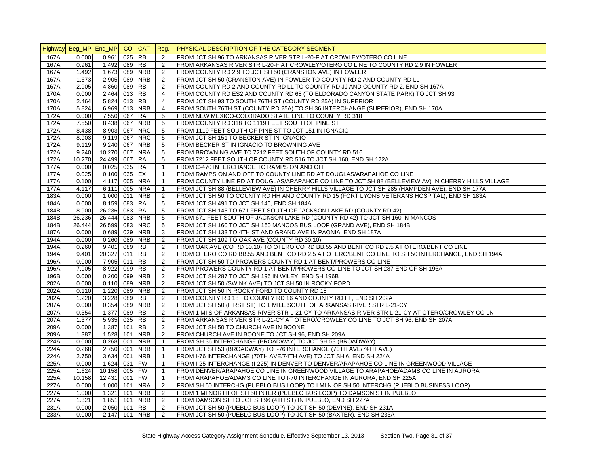|      | Highway Beg_MP End_MP |             | CO  | <b>CAT</b> | Reg.            | PHYSICAL DESCRIPTION OF THE CATEGORY SEGMENT                                                        |
|------|-----------------------|-------------|-----|------------|-----------------|-----------------------------------------------------------------------------------------------------|
| 167A | 0.000                 | 0.961       | 025 | <b>RB</b>  | 2               | FROM JCT SH 96 TO ARKANSAS RIVER STR L-20-F AT CROWLEY/OTERO CO LINE                                |
| 167A | 0.961                 | 1.492       | 089 | <b>RB</b>  | 2               | FROM ARKANSAS RIVER STR L-20-F AT CROWLEY/OTERO CO LINE TO COUNTY RD 2.9 IN FOWLER                  |
| 167A | 1.492                 | 1.673       | 089 | <b>NRB</b> | 2               | FROM COUNTY RD 2.9 TO JCT SH 50 (CRANSTON AVE) IN FOWLER                                            |
| 167A | 1.673                 | 2.905 089   |     | <b>NRB</b> | 2               | FROM JCT SH 50 (CRANSTON AVE) IN FOWLER TO COUNTY RD 2 AND COUNTY RD LL                             |
| 167A | 2.905                 | 4.860 089   |     | RB         | 2               | FROM COUNTY RD 2 AND COUNTY RD LL TO COUNTY RD JJ AND COUNTY RD 2, END SH 167A                      |
| 170A | 0.000                 | $2.464$ 013 |     | <b>RB</b>  | $\overline{4}$  | FROM COUNTY RD ES2 AND COUNTY RD 68 (TO ELDORADO CANYON STATE PARK) TO JCT SH 93                    |
| 170A | 2.464                 | 5.824 013   |     | <b>RB</b>  | $\overline{4}$  | FROM JCT SH 93 TO SOUTH 76TH ST (COUNTY RD 25A) IN SUPERIOR                                         |
| 170A | 5.824                 | 6.969 013   |     | <b>NRB</b> | $\overline{4}$  | FROM SOUTH 76TH ST (COUNTY RD 25A) TO SH 36 INTERCHANGE (SUPERIOR), END SH 170A                     |
| 172A | 0.000                 | 7.550 067   |     | <b>RA</b>  | 5               | FROM NEW MEXICO-COLORADO STATE LINE TO COUNTY RD 318                                                |
| 172A | 7.550                 | 8.438 067   |     | <b>NRB</b> | 5               | FROM COUNTY RD 318 TO 1119 FEET SOUTH OF PINE ST                                                    |
| 172A | 8.438                 | 8.903 067   |     | <b>NRC</b> | 5               | FROM 1119 FEET SOUTH OF PINE ST TO JCT 151 IN IGNACIO                                               |
| 172A | 8.903                 | 9.119 067   |     | <b>NRC</b> | 5               | FROM JCT SH 151 TO BECKER ST IN IGNACIO                                                             |
| 172A | 9.119                 | 9.240 067   |     | <b>NRB</b> | 5               | FROM BECKER ST IN IGNACIO TO BROWNING AVE                                                           |
| 172A | 9.240                 | 10.270 067  |     | <b>NRA</b> | 5               | FROM BROWNING AVE TO 7212 FEET SOUTH OF COUNTY RD 516                                               |
| 172A | 10.270                | 24.499 067  |     | <b>RA</b>  | 5               | FROM 7212 FEET SOUTH OF COUNTY RD 516 TO JCT SH 160, END SH 172A                                    |
| 177A | 0.000                 | $0.025$ 035 |     | <b>RA</b>  | $\mathbf{1}$    | FROM C-470 INTERCHANGE TO RAMPS ON AND OFF                                                          |
| 177A | 0.025                 | $0.100$ 035 |     | EX         | $\mathbf{1}$    | FROM RAMPS ON AND OFF TO COUNTY LINE RD AT DOUGLAS/ARAPAHOE CO LINE                                 |
| 177A | 0.100                 | 4.117 005   |     | <b>NRA</b> | $\mathbf{1}$    | FROM COUNTY LINE RD AT DOUGLAS/ARAPAHOE CO LINE TO JCT SH 88 (BELLEVIEW AV) IN CHERRY HILLS VILLAGE |
| 177A | 4.117                 | 6.111 005   |     | <b>NRA</b> | $\mathbf{1}$    | FROM JCT SH 88 (BELLEVIEW AVE) IN CHERRY HILLS VILLAGE TO JCT SH 285 (HAMPDEN AVE), END SH 177A     |
| 183A | 0.000                 | $1.000$ 011 |     | <b>NRB</b> | 2               | FROM JCT SH 50 TO COUNTY RD HH AND COUNTY RD 15 (FORT LYONS VETERANS HOSPITAL), END SH 183A         |
| 184A | 0.000                 | 8.159 083   |     | <b>RA</b>  | 5               | FROM JCT SH 491 TO JCT SH 145, END SH 184A                                                          |
| 184B | 8.900                 | 26.236 083  |     | <b>RA</b>  | 5               | FROM JCT SH 145 TO 671 FEET SOUTH OF JACKSON LAKE RD (COUNTY RD 42)                                 |
| 184B | 26.236                | 26.444 083  |     | <b>NRB</b> | $5\phantom{.0}$ | FROM 671 FEET SOUTH OF JACKSON LAKE RD (COUNTY RD 42) TO JCT SH 160 IN MANCOS                       |
| 184B | 26.444                | 26.599 083  |     | <b>NRC</b> | 5               | FROM JCT SH 160 TO JCT SH 160 MANCOS BUS LOOP (GRAND AVE), END SH 184B                              |
| 187A | 0.000                 | $0.689$ 029 |     | <b>NRB</b> | 3               | FROM JCT SH 133 TO 4TH ST AND GRAND AVE IN PAONIA, END SH 187A                                      |
| 194A | 0.000                 | $0.260$ 089 |     | <b>NRB</b> | 2               | FROM JCT SH 109 TO OAK AVE (COUNTY RD 30.10)                                                        |
| 194A | 0.260                 | 9.401       | 089 | <b>RB</b>  | 2               | FROM OAK AVE (CO RD 30.10) TO OTERO CO RD BB.55 AND BENT CO RD 2.5 AT OTERO/BENT CO LINE            |
| 194A | 9.401                 | 20.327 011  |     | <b>RB</b>  | $\overline{2}$  | FROM OTERO CO RD BB.55 AND BENT CO RD 2.5 AT OTERO/BENT CO LINE TO SH 50 INTERCHANGE, END SH 194A   |
| 196A | 0.000                 | 7.905 011   |     | <b>RB</b>  | 2               | FROM JCT SH 50 TO PROWERS COUNTY RD 1 AT BENT/PROWERS CO LINE                                       |
| 196A | 7.905                 | 8.922 099   |     | <b>RB</b>  | 2               | FROM PROWERS COUNTY RD 1 AT BENT/PROWERS CO LINE TO JCT SH 287 END OF SH 196A                       |
| 196B | 0.000                 | $0.200$ 099 |     | <b>NRB</b> | 2               | FROM JCT SH 287 TO JCT SH 196 IN WILEY, END SH 196B                                                 |
| 202A | 0.000                 | $0.110$ 089 |     | <b>NRB</b> | $\overline{2}$  | FROM JCT SH 50 (SWINK AVE) TO JCT SH 50 IN ROCKY FORD                                               |
| 202A | 0.110                 | 1.220 089   |     | <b>NRB</b> | 2               | FROM JCT SH 50 IN ROCKY FORD TO COUNTY RD 18                                                        |
| 202A | 1.220                 | 3.228 089   |     | <b>RB</b>  | $\overline{2}$  | FROM COUNTY RD 18 TO COUNTY RD 16 AND COUNTY RD FF, END SH 202A                                     |
| 207A | 0.000                 | 0.354       | 089 | <b>NRB</b> | 2               | FROM JCT SH 50 (FIRST ST) TO 1 MILE SOUTH OF ARKANSAS RIVER STR L-21-CY                             |
| 207A | 0.354                 | 1.377 089   |     | <b>RB</b>  | 2               | FROM 1 MI S OF ARKANSAS RIVER STR L-21-CY TO ARKANSAS RIVER STR L-21-CY AT OTERO/CROWLEY CO LN      |
| 207A | 1.377                 | 5.935 025   |     | <b>RB</b>  | 2               | FROM ARKANSAS RIVER STR L-21-CY AT OTERO/CROWLEY CO LINE TO JCT SH 96, END SH 207A                  |
| 209A | 0.000                 | 1.387 101   |     | <b>RB</b>  | 2               | FROM JCT SH 50 TO CHURCH AVE IN BOONE                                                               |
| 209A | 1.387                 | 1.528 101   |     | <b>NRB</b> | 2               | FROM CHURCH AVE IN BOONE TO JCT SH 96, END SH 209A                                                  |
| 224A | 0.000                 | 0.268 001   |     | <b>NRB</b> | $\mathbf{1}$    | FROM SH 36 INTERCHANGE (BROADWAY) TO JCT SH 53 (BROADWAY)                                           |
| 224A | 0.268                 | 2.750 001   |     | <b>NRB</b> | $\mathbf{1}$    | FROM JCT SH 53 (BROADWAY) TO I-76 INTERCHANGE (70TH AVE/74TH AVE)                                   |
| 224A | 2.750                 | 3.634 001   |     | <b>NRB</b> | $\mathbf{1}$    | FROM I-76 INTERCHANGE (70TH AVE/74TH AVE) TO JCT SH 6, END SH 224A                                  |
| 225A | 0.000                 | 1.624 031   |     | <b>FW</b>  | $\mathbf{1}$    | FROM I-25 INTERCHANGE (I-225) IN DENVER TO DENVER/ARAPAHOE CO LINE IN GREENWOOD VILLAGE             |
| 225A | 1.624                 | 10.158 005  |     | <b>FW</b>  | $\mathbf{1}$    | FROM DENVER/ARAPAHOE CO LINE IN GREENWOOD VILLAGE TO ARAPAHOE/ADAMS CO LINE IN AURORA               |
| 225A | 10.158                | 12.431 001  |     | <b>FW</b>  | $\mathbf{1}$    | FROM ARAPAHOE/ADAMS CO LINE TO 1-70 INTERCHANGE IN AURORA, END SH 225A                              |
| 227A | 0.000                 | $1.000$ 101 |     | <b>NRA</b> | 2               | FROM SH 50 INTERCHG (PUEBLO BUS LOOP) TO I MI N OF SH 50 INTERCHG (PUEBLO BUSINESS LOOP)            |
| 227A | 1.000                 | $1.321$ 101 |     | <b>NRB</b> | 2               | FROM 1 MI NORTH OF SH 50 INTER (PUEBLO BUS LOOP) TO DAMSON ST IN PUEBLO                             |
| 227A | 1.321                 | 1.851 101   |     | <b>NRB</b> | 2               | FROM DAMSON ST TO JCT SH 96 (4TH ST) IN PUEBLO, END SH 227A                                         |
| 231A | 0.000                 | 2.050 101   |     | <b>RB</b>  | 2               | FROM JCT SH 50 (PUEBLO BUS LOOP) TO JCT SH 50 (DEVINE), END SH 231A                                 |
| 233A | 0.000                 | $2.147$ 101 |     | <b>NRB</b> | 2               | FROM JCT SH 50 (PUEBLO BUS LOOP) TO JCT SH 50 (BAXTER), END SH 233A                                 |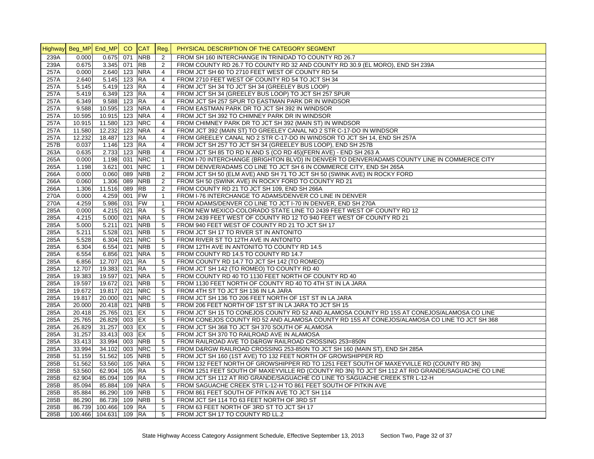|      | Highway Beg_MP End_MP CO |                 |          | CAT Reg.                 |                 | PHYSICAL DESCRIPTION OF THE CATEGORY SEGMENT                                                      |
|------|--------------------------|-----------------|----------|--------------------------|-----------------|---------------------------------------------------------------------------------------------------|
| 239A | 0.000                    | 0.675           | 071      | <b>NRB</b>               | 2               | FROM SH 160 INTERCHANGE IN TRINIDAD TO COUNTY RD 26.7                                             |
| 239A | 0.675                    | $3.345$ 071     |          | <b>RB</b>                | 2               | FROM COUNTY RD 26.7 TO COUNTY RD 32 AND COUNTY RD 30.9 (EL MORO), END SH 239A                     |
| 257A | 0.000                    | 2.640 123 NRA   |          |                          | $\overline{4}$  | FROM JCT SH 60 TO 2710 FEET WEST OF COUNTY RD 54                                                  |
| 257A | 2.640                    | 5.145           | 123 RA   |                          | $\overline{4}$  | FROM 2710 FEET WEST OF COUNTY RD 54 TO JCT SH 34                                                  |
| 257A | 5.145                    | 5.419           | $123$ RA |                          | $\overline{4}$  | FROM JCT SH 34 TO JCT SH 34 (GREELEY BUS LOOP)                                                    |
| 257A | 5.419                    | 6.349           | 123 RA   |                          | $\overline{4}$  | FROM JCT SH 34 (GREELEY BUS LOOP) TO JCT SH 257 SPUR                                              |
| 257A | 6.349                    | 9.588           | $123$ RA |                          | $\overline{4}$  | FROM JCT SH 257 SPUR TO EASTMAN PARK DR IN WINDSOR                                                |
| 257A | 9.588                    | 10.595          |          | 123 NRA                  | 4               | FROM EASTMAN PARK DR TO JCT SH 392 IN WINDSOR                                                     |
| 257A | 10.595                   | 10.915 123      |          | <b>NRA</b>               | $\overline{4}$  | FROM JCT SH 392 TO CHIMNEY PARK DR IN WINDSOR                                                     |
| 257A | 10.915                   | 11.580 123 NRC  |          |                          | $\overline{4}$  | FROM CHIMNEY PARK DR TO JCT SH 392 (MAIN ST) IN WINDSOR                                           |
| 257A | 11.580                   | 12.232          | 123      | <b>NRA</b>               | $\overline{4}$  | FROM JCT 392 (MAIN ST) TO GREELEY CANAL NO 2 STR C-17-DO IN WINDSOR                               |
| 257A | 12.232                   | 18.487          | 123 RA   |                          | $\overline{4}$  | FROM GREELEY CANAL NO 2 STR C-17-DO IN WINDSOR TO JCT SH 14, END SH 257A                          |
| 257B | 0.037                    | 1.146           | 123      | <b>RA</b>                | $\overline{4}$  | FROM JCT SH 257 TO JCT SH 34 (GREELEY BUS LOOP), END SH 257B                                      |
| 263A | 0.635                    | 2.733           | 123      | <b>NRB</b>               | $\overline{4}$  | FROM JCT SH 85 TO RD N AND S (CO RD 45) (FERN AVE) - END SH 263 A                                 |
| 265A | 0.000                    | 1.198           | 031      | <b>NRC</b>               | $\mathbf{1}$    | FROM I-70 INTERCHANGE (BRIGHTON BLVD) IN DENVER TO DENVER/ADAMS COUNTY LINE IN COMMERCE CITY      |
| 265A | 1.198                    | 3.621           | 001      | <b>NRC</b>               | $\mathbf{1}$    | FROM DENVER/ADAMS CO LINE TO JCT SH 6 IN COMMERCE CITY, END SH 265A                               |
| 266A | 0.000                    | 0.060           | 089      | <b>NRB</b>               | $\overline{2}$  | FROM JCT SH 50 (ELM AVE) AND SH 71 TO JCT SH 50 (SWINK AVE) IN ROCKY FORD                         |
| 266A | 0.060                    | 1.306           | 089      | <b>NRB</b>               | 2               | FROM SH 50 (SWINK AVE) IN ROCKY FORD TO COUNTY RD 21                                              |
| 266A | 1.306                    | 11.516          | 089      | $R$ B                    | 2               | FROM COUNTY RD 21 TO JCT SH 109, END SH 266A                                                      |
| 270A | 0.000                    | 4.259           | 001      | <b>FW</b>                | $\mathbf{1}$    | FROM I-76 INTERCHANGE TO ADAMS/DENVER CO LINE IN DENVER                                           |
| 270A | 4.259                    | 5.986           | 031 FW   |                          | $\mathbf{1}$    | FROM ADAMS/DENVER CO LINE TO JCT I-70 IN DENVER, END SH 270A                                      |
| 285A | 0.000                    | 4.215           | 021      | <b>RA</b>                | 5               | FROM NEW MEXICO-COLORADO STATE LINE TO 2439 FEET WEST OF COUNTY RD 12                             |
| 285A | 4.215                    | 5.000 021       |          | <b>NRA</b>               | 5               | FROM 2439 FEET WEST OF COUNTY RD 12 TO 940 FEET WEST OF COUNTY RD 21                              |
| 285A | 5.000                    | 5.211           | 021      | <b>NRB</b>               | 5               | FROM 940 FEET WEST OF COUNTY RD 21 TO JCT SH 17                                                   |
| 285A | 5.211                    | 5.528           | 021      | <b>NRB</b>               | 5               | FROM JCT SH 17 TO RIVER ST IN ANTONITO                                                            |
| 285A | 5.528                    | 6.304           | 021      | <b>NRC</b>               | $5\phantom{.0}$ | FROM RIVER ST TO 12TH AVE IN ANTONITO                                                             |
| 285A | 6.304                    | 6.554           | 021      | <b>NRB</b>               | 5               | FROM 12TH AVE IN ANTONITO TO COUNTY RD 14.5                                                       |
| 285A | 6.554                    | 6.856           | 021      | <b>NRA</b>               | 5               | FROM COUNTY RD 14.5 TO COUNTY RD 14.7                                                             |
| 285A | 6.856                    | 12.707          | 021      | <b>RA</b>                | 5               | FROM COUNTY RD 14.7 TO JCT SH 142 (TO ROMEO)                                                      |
| 285A |                          | 19.383          | 021 RA   |                          | 5               |                                                                                                   |
|      | 12.707                   |                 | 021      |                          |                 | FROM JCT SH 142 (TO ROMEO) TO COUNTY RD 40                                                        |
| 285A | 19.383                   | 19.597          | 021      | <b>NRA</b><br><b>NRB</b> | $5\phantom{.0}$ | FROM COUNTY RD 40 TO 1130 FEET NORTH OF COUNTY RD 40                                              |
| 285A | 19.597                   | 19.672          |          |                          | 5               | FROM 1130 FEET NORTH OF COUNTY RD 40 TO 4TH ST IN LA JARA                                         |
| 285A | 19.672                   | 19.817 021      |          | <b>NRC</b>               | 5               | FROM 4TH ST TO JCT SH 136 IN LA JARA                                                              |
| 285A | 19.817                   | 20.000 021      |          | <b>NRC</b>               | 5               | FROM JCT SH 136 TO 206 FEET NORTH OF 1ST ST IN LA JARA                                            |
| 285A | 20.000                   | 20.418          | 021      | <b>NRB</b>               | 5               | FROM 206 FEET NORTH OF 1ST ST IN LA JARA TO JCT SH 15                                             |
| 285A | 20.418                   | 25.765          | 021 EX   |                          | 5               | FROM JCT SH 15 TO CONEJOS COUNTY RD 52 AND ALAMOSA COUNTY RD 15S AT CONEJOS/ALAMOSA CO LINE       |
| 285A | 25.765                   | 26.829          | 003      | EX                       | 5               | FROM CONEJOS COUNTY RD 52 AND ALAMOSA COUNTY RD 15S AT CONEJOS/ALAMOSA CO LINE TO JCT SH 368      |
| 285A | 26.829                   | 31.257          | 003 EX   |                          | 5               | FROM JCT SH 368 TO JCT SH 370 SOUTH OF ALAMOSA                                                    |
| 285A | 31.257                   | 33.413          | 003 EX   |                          | 5               | FROM JCT SH 370 TO RAILROAD AVE IN ALAMOSA                                                        |
| 285A | 33.413                   | 33.994          | 003      | <b>NRB</b>               | 5               | FROM RAILROAD AVE TO D&RGW RAILROAD CROSSING 253=850N                                             |
| 285A | 33.994                   | 34.102          |          | 003 NRC                  | $5\phantom{.0}$ | FROM D&RGW RAILROAD CROSSING 253-850N TO JCT SH 160 (MAIN ST), END SH 285A                        |
| 285B | 51.159                   | 51.562          | 105      | <b>NRB</b>               | 5               | FROM JCT SH 160 (1ST AVE) TO 132 FEET NORTH OF GROWSHIPPER RD                                     |
| 285B | 51.562                   | 53.560          |          | 105 NRA                  | 5               | FROM 132 FEET NORTH OF GROWSHIPPER RD TO 1251 FEET SOUTH OF MAXEYVILLE RD (COUNTY RD 3N)          |
| 285B | 53.560                   | 62.904          | 105      | <b>RA</b>                | 5               | FROM 1251 FEET SOUTH OF MAXEYVILLE RD (COUNTY RD 3N) TO JCT SH 112 AT RIO GRANDE/SAGUACHE CO LINE |
| 285B | 62.904                   | 85.094          | 109 RA   |                          | 5               | FROM JCT SH 112 AT RIO GRANDE/SAGUACHE CO LINE TO SAGUACHE CREEK STR L-12-H                       |
| 285B | 85.094                   | 85.884          | 109      | <b>NRA</b>               | 5               | FROM SAGUACHE CREEK STR L-12-H TO 861 FEET SOUTH OF PITKIN AVE                                    |
| 285B | 85.884                   | 86.290          | 109      | <b>NRB</b>               | 5               | FROM 861 FEET SOUTH OF PITKIN AVE TO JCT SH 114                                                   |
| 285B | 86.290                   | 86.739          | 109      | <b>NRB</b>               | 5               | FROM JCT SH 114 TO 63 FEET NORTH OF 3RD ST                                                        |
| 285B | 86.739                   | 100.466         | 109 RA   |                          | 5               | FROM 63 FEET NORTH OF 3RD ST TO JCT SH 17                                                         |
| 285B |                          | 100.466 104.631 | 109 RA   |                          | 5               | FROM JCT SH 17 TO COUNTY RD LL.2                                                                  |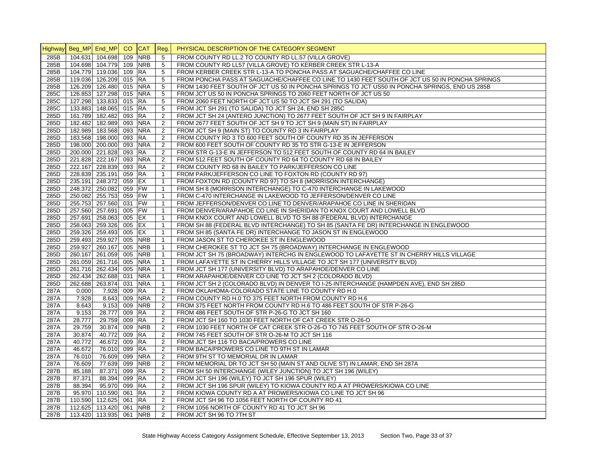|      | Highway Beg_MP End_MP |                         | CO. | <b>CAT</b> | Reg.           | PHYSICAL DESCRIPTION OF THE CATEGORY SEGMENT                                                   |
|------|-----------------------|-------------------------|-----|------------|----------------|------------------------------------------------------------------------------------------------|
| 285B |                       | 104.631 104.698         | 109 | <b>NRB</b> | 5              | FROM COUNTY RD LL.2 TO COUNTY RD LL.57 (VILLA GROVE)                                           |
| 285B |                       | 104.698 104.779 109     |     | <b>NRB</b> | 5              | FROM COUNTY RD LL57 (VILLA GROVE) TO KERBER CREEK STR L-13-A                                   |
| 285B |                       | 104.779 119.036 109     |     | <b>RA</b>  | 5              | FROM KERBER CREEK STR L-13-A TO PONCHA PASS AT SAGUACHE/CHAFFEE CO LINE                        |
| 285B |                       | 119.036 126.209 015     |     | <b>RA</b>  | 5              | FROM PONCHA PASS AT SAGUACHE/CHAFFEE CO LINE TO 1430 FEET SOUTH OF JCT US 50 IN PONCHA SPRINGS |
| 285B |                       | 126.209 126.480 015     |     | <b>NRA</b> | 5              | FROM 1430 FEET SOUTH OF JCT US 50 IN PONCHA SPRINGS TO JCT US50 IN PONCHA SPRINGS, END US 285B |
| 285C |                       | 126.853 127.298 015     |     | <b>NRA</b> | 5              | FROM JCT US 50 IN PONCHA SPRINGS TO 2060 FEET NORTH OF JCT US 50                               |
| 285C |                       | 127.298 133.833 015     |     | <b>RA</b>  | 5              | FROM 2060 FEET NORTH OF JCT US 50 TO JCT SH 291 (TO SALIDA)                                    |
| 285C |                       | 133.883 148.065 015     |     | <b>RA</b>  | 5              | FROM JCT SH 291 (TO SALIDA) TO JCT SH 24, END SH 285C                                          |
| 285D |                       | 161.789 182.482 093     |     | <b>RA</b>  | $\overline{2}$ | FROM JCT SH 24 (ANTERO JUNCTION) TO 2677 FEET SOUTH OF JCT SH 9 IN FAIRPLAY                    |
| 285D |                       | 182.482 182.989 093     |     | <b>NRA</b> | $\overline{2}$ | FROM 2677 FEET SOUTH OF JCT SH 9 TO JCT SH 9 (MAIN ST) IN FAIRPLAY                             |
| 285D |                       | 182.989 183.568 093     |     | <b>NRA</b> | 2              | FROM JCT SH 9 (MAIN ST) TO COUNTY RD 3 IN FAIRPLAY                                             |
| 285D |                       | 183.568 198.000 093     |     | <b>RA</b>  | 2              | FROM COUNTY RD 3 TO 600 FEET SOUTH OF COUNTY RD 35 IN JEFFERSON                                |
| 285D |                       | 198.000 200.000 093     |     | <b>NRA</b> | 2              | FROM 600 FEET SOUTH OF COUNTY RD 35 TO STR G-13-E IN JEFFERSON                                 |
| 285D |                       | 200.000 221.828 093     |     | <b>RA</b>  | $\overline{2}$ | FROM STR G-13-E IN JEFFERSON TO 512 FEET SOUTH OF COUNTY RD 64 IN BAILEY                       |
| 285D |                       | 221.828 222.167 093     |     | <b>NRA</b> | 2              | FROM 512 FEET SOUTH OF COUNTY RD 64 TO COUNTY RD 68 IN BAILEY                                  |
| 285D |                       | 222.167 228.839 093     |     | <b>RA</b>  | 2              | FROM COUNTY RD 68 IN BAILEY TO PARK/JEFFERSON CO LINE                                          |
| 285D |                       | 228.839 235.191 059     |     | <b>RA</b>  | $\mathbf{1}$   | FROM PARK/JEFFERSON CO LINE TO FOXTON RD (COUNTY RD 97)                                        |
| 285D |                       | 235.191 248.372 059     |     | EX         | $\mathbf{1}$   | FROM FOXTON RD (COUNTY RD 97) TO SH 8 (MORRISON INTERCHANGE)                                   |
| 285D |                       | 248.372 250.082 059     |     | <b>FW</b>  | $\mathbf{1}$   | FROM SH 8 (MORRISON INTERCHANGE) TO C-470 INTERCHANGE IN LAKEWOOD                              |
| 285D |                       | 250.082 255.753 059     |     | <b>FW</b>  | $\mathbf{1}$   | FROM C-470 INTERCHANGE IN LAKEWOOD TO JEFFERSON/DENVER CO LINE                                 |
| 285D |                       | 255.753 257.560 031     |     | <b>FW</b>  | $\mathbf{1}$   | FROM JEFFERSON/DENVER CO LINE TO DENVER/ARAPAHOE CO LINE IN SHERIDAN                           |
| 285D |                       | 257.560 257.691 005     |     | <b>FW</b>  | $\mathbf{1}$   | FROM DENVER/ARAPAHOE CO LINE IN SHERIDAN TO KNOX COURT AND LOWELL BLVD                         |
| 285D |                       | 257.691 258.063 005     |     | EX         | $\mathbf{1}$   | FROM KNOX COURT AND LOWELL BLVD TO SH 88 (FEDERAL BLVD) INTERCHANGE                            |
| 285D |                       | 258.063 259.326 005     |     | EX         | $\mathbf{1}$   | FROM SH 88 (FEDERAL BLVD INTERCHANGE) TO SH 85 (SANTA FE DR) INTERCHANGE IN ENGLEWOOD          |
| 285D |                       | 259.326 259.493 005     |     | EX         | $\mathbf{1}$   | FROM SH 85 (SANTA FE DR) INTERCHANGE TO JASON ST IN ENGLEWOOD                                  |
| 285D |                       | 259.493 259.927 005     |     | <b>NRB</b> | $\mathbf{1}$   | FROM JASON ST TO CHEROKEE ST IN ENGLEWOOD                                                      |
| 285D |                       | 259.927 260.167 005     |     | <b>NRB</b> | $\mathbf{1}$   | FROM CHEROKEE ST TO JCT SH 75 (BROADWAY) INTERCHANGE IN ENGLEWOOD                              |
| 285D |                       | 260.167 261.059 005     |     | <b>NRB</b> | $\mathbf{1}$   | FROM JCT SH 75 (BROADWAY) INTERCHG IN ENGLEWOOD TO LAFAYETTE ST IN CHERRY HILLS VILLAGE        |
| 285D |                       | 261.059 261.716 005     |     | <b>NRA</b> | $\mathbf{1}$   | FROM LAFAYETTE ST IN CHERRY HILLS VILLAGE TO JCT SH 177 (UNIVERSITY BLVD)                      |
| 285D |                       | 261.716 262.434 005     |     | <b>NRA</b> | $\mathbf{1}$   | FROM JCT SH 177 (UNIVERSITY BLVD) TO ARAPAHOE/DENVER CO LINE                                   |
| 285D |                       | 262.434 262.688 031     |     | <b>NRA</b> | $\mathbf{1}$   | FROM ARAPAHOE/DENVER CO LINE TO JCT SH 2 (COLORADO BLVD)                                       |
| 285D |                       | 262.688 263.874 031     |     | <b>NRA</b> | $\mathbf{1}$   | FROM JCT SH 2 (COLORADO BLVD) IN DENVER TO I-25 INTERCHANGE (HAMPDEN AVE), END SH 285D         |
| 287A | 0.000                 | 7.928 009               |     | <b>RA</b>  | 2              | FROM OKLAHOMA-COLORADO STATE LINE TO COUNTY RD H.0                                             |
| 287A | 7.928                 | 8.643 009               |     | <b>NRA</b> | 2              | FROM COUNTY RD H.0 TO 375 FEET NORTH FROM COUNTY RD H.6                                        |
| 287A | 8.643                 | 9.153 009               |     | <b>NRB</b> | $\overline{2}$ | FROM 375 FEET NORTH FROM COUNTY RD H.6 TO 486 FEET SOUTH OF STR P-26-G                         |
| 287A | 9.153                 | 28.777 009              |     | <b>RA</b>  | 2              | FROM 486 FEET SOUTH OF STR P-26-G TO JCT SH 160                                                |
| 287A | 28.777                | 29.759 009              |     | <b>RA</b>  | 2              | FROM JCT SH 160 TO 1030 FEET NORTH OF CAT CREEK STR O-26-O                                     |
| 287A | 29.759                | 30.874                  | 009 | <b>NRB</b> | 2              | FROM 1030 FEET NORTH OF CAT CREEK STR O-26-O TO 745 FEET SOUTH OF STR O-26-M                   |
| 287A | 30.874                | 40.772 009              |     | RA         | 2              | FROM 745 FEET SOUTH OF STR O-26-M TO JCT SH 116                                                |
| 287A | 40.772                | 46.672 009              |     | <b>RA</b>  | 2              | FROM JCT SH 116 TO BACA/PROWERS CO LINE                                                        |
| 287A | 46.672                | 76.010 099              |     | <b>RA</b>  | 2              | FROM BACA/PROWERS CO LINE TO 9TH ST IN LAMAR                                                   |
| 287A | 76.010                | 76.609 099              |     | <b>NRA</b> | 2              | FROM 9TH ST TO MEMORIAL DR IN LAMAR                                                            |
| 287A | 76.609                | 77.639 099              |     | <b>NRB</b> | 2              | FROM MEMORIAL DR TO JCT SH 50 (MAIN ST AND OLIVE ST) IN LAMAR, END SH 287A                     |
| 287B | 85.188                | 87.371 099              |     | <b>RA</b>  | 2              | FROM SH 50 INTERCHANGE (WILEY JUNCTION) TO JCT SH 196 (WILEY)                                  |
| 287B | 87.371                | 88.394                  | 099 | <b>RA</b>  | $\overline{2}$ | FROM JCT SH 196 (WILEY) TO JCT SH 196 SPUR (WILEY)                                             |
| 287B | 88.394                | 95.970 099              |     | <b>RA</b>  | $\overline{2}$ | FROM JCT SH 196 SPUR (WILEY) TO KIOWA COUNTY RD A AT PROWERS/KIOWA CO LINE                     |
| 287B |                       | 95.970 110.590 061      |     | <b>IRA</b> | $\overline{2}$ | FROM KIOWA COUNTY RD A AT PROWERS/KIOWA CO LINE TO JCT SH 96                                   |
| 287B |                       | 110.590 112.625 061     |     | <b>RA</b>  | 2              | FROM JCT SH 96 TO 1056 FEET NORTH OF COUNTY RD 41                                              |
| 287B |                       | 112.625 113.420 061     |     | <b>NRB</b> | 2              | FROM 1056 NORTH OF COUNTY RD 41 TO JCT SH 96                                                   |
| 287B |                       | 113.420 113.935 061 NRB |     |            | 2              | FROM JCT SH 96 TO 7TH ST                                                                       |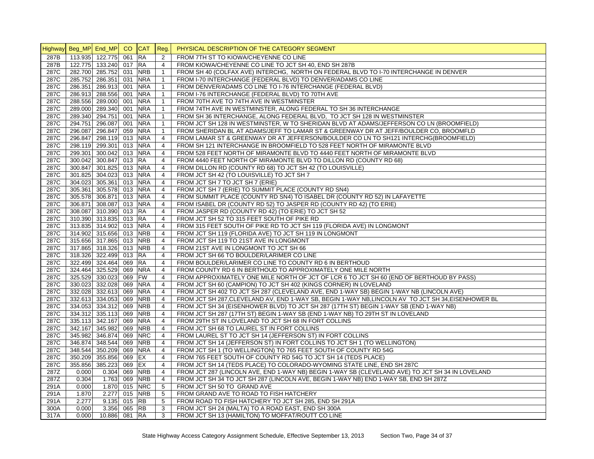|      | Highway Beg_MP End_MP |                         | CO  | <b>CAT</b> | Reg.           | PHYSICAL DESCRIPTION OF THE CATEGORY SEGMENT                                                        |
|------|-----------------------|-------------------------|-----|------------|----------------|-----------------------------------------------------------------------------------------------------|
| 287B |                       | 113.935 122.775         | 061 | <b>RA</b>  | $\overline{c}$ | FROM 7TH ST TO KIOWA/CHEYENNE CO LINE                                                               |
| 287B |                       | 122.775 133.240 017     |     | <b>RA</b>  | $\overline{4}$ | FROM KIOWA/CHEYENNE CO LINE TO JCT SH 40, END SH 287B                                               |
| 287C |                       | 282.700 285.752 031     |     | <b>NRB</b> | $\mathbf{1}$   | FROM SH 40 (COLFAX AVE) INTERCHG. NORTH ON FEDERAL BLVD TO I-70 INTERCHANGE IN DENVER               |
| 287C |                       | 285.752 286.351 031     |     | <b>NRA</b> | $\mathbf{1}$   | FROM I-70 INTERCHANGE (FEDERAL BLVD) TO DENVER/ADAMS CO LINE                                        |
| 287C |                       | 286.351 286.913 001     |     | <b>NRA</b> | $\mathbf{1}$   | FROM DENVER/ADAMS CO LINE TO I-76 INTERCHANGE (FEDERAL BLVD)                                        |
| 287C |                       | 286.913 288.556 001     |     | <b>NRA</b> | $\mathbf{1}$   | FROM I-76 INTERCHANGE (FEDERAL BLVD) TO 70TH AVE                                                    |
| 287C |                       | 288.556 289.000 001     |     | <b>NRA</b> | $\mathbf{1}$   | FROM 70TH AVE TO 74TH AVE IN WESTMINSTER                                                            |
| 287C |                       | 289.000 289.340 001     |     | <b>NRA</b> | $\mathbf{1}$   | FROM 74TH AVE IN WESTMINSTER, ALONG FEDERAL TO SH 36 INTERCHANGE                                    |
| 287C |                       | 289.340 294.751 001     |     | <b>NRA</b> | $\mathbf{1}$   | FROM SH 36 INTERCHANGE, ALONG FEDERAL BLVD, TO JCT SH 128 IN WESTMINSTER                            |
| 287C |                       | 294.751 296.087 001     |     | <b>NRA</b> | $\mathbf{1}$   | FROM JCT SH 128 IN WESTMINSTER, W TO SHERIDAN BLVD AT ADAMS/JEFFERSON CO LN (BROOMFIELD)            |
| 287C |                       | 296.087 296.847 059     |     | <b>NRA</b> | $\mathbf{1}$   | FROM SHERIDAN BL AT ADAMS/JEFF TO LAMAR ST & GREENWAY DR AT JEFF/BOULDER CO, BROOMFLD               |
| 287C |                       | 296.847 298.119 013     |     | <b>NRA</b> | $\overline{4}$ | FROM LAMAR ST & GREENWAY DR AT JEFFERSON/BOULDER CO LN TO SH121 INTERCHG(BROOMFIELD)                |
| 287C |                       | 298.119 299.301 013     |     | <b>NRA</b> | 4              | FROM SH 121 INTERCHANGE IN BROOMFIELD TO 528 FEET NORTH OF MIRAMONTE BLVD                           |
| 287C |                       | 299.301 300.042 013     |     | <b>NRA</b> | $\overline{4}$ | FROM 528 FEET NORTH OF MIRAMONTE BLVD TO 4440 FEET NORTH OF MIRAMONTE BLVD                          |
| 287C |                       | 300.042 300.847 013     |     | <b>RA</b>  | $\overline{4}$ | FROM 4440 FEET NORTH OF MIRAMONTE BLVD TO DILLON RD (COUNTY RD 68)                                  |
| 287C |                       | 300.847 301.825 013     |     | <b>NRA</b> | $\overline{4}$ | FROM DILLON RD (COUNTY RD 68) TO JCT SH 42 (TO LOUISVILLE)                                          |
| 287C |                       | 301.825 304.023 013     |     | <b>NRA</b> | $\overline{4}$ | FROM JCT SH 42 (TO LOUISVILLE) TO JCT SH 7                                                          |
| 287C |                       | 304.023 305.361 013     |     | <b>NRA</b> | $\overline{4}$ | FROM JCT SH 7 TO JCT SH 7 (ERIE)                                                                    |
| 287C |                       | 305.361 305.578 013     |     | <b>NRA</b> | $\overline{4}$ | FROM JCT SH 7 (ERIE) TO SUMMIT PLACE (COUNTY RD SN4)                                                |
| 287C |                       | 305.578 306.871 013 NRA |     |            | $\overline{4}$ | FROM SUMMIT PLACE (COUNTY RD SN4) TO ISABEL DR (COUNTY RD 52) IN LAFAYETTE                          |
| 287C |                       | 306.871 308.087 013     |     | <b>NRA</b> | $\overline{4}$ | FROM ISABEL DR (COUNTY RD 52) TO JASPER RD (COUNTY RD 42) (TO ERIE)                                 |
| 287C |                       | 308.087 310.390 013 RA  |     |            | $\overline{4}$ | FROM JASPER RD (COUNTY RD 42) (TO ERIE) TO JCT SH 52                                                |
| 287C |                       | 310.390 313.835 013     |     | <b>RA</b>  | $\overline{4}$ | FROM JCT SH 52 TO 315 FEET SOUTH OF PIKE RD                                                         |
| 287C |                       | 313.835 314.902 013     |     | <b>NRA</b> | $\overline{4}$ | FROM 315 FEET SOUTH OF PIKE RD TO JCT SH 119 (FLORIDA AVE) IN LONGMONT                              |
| 287C |                       | 314.902 315.656 013     |     | <b>NRB</b> | $\overline{4}$ | FROM JCT SH 119 (FLORIDA AVE) TO JCT SH 119 IN LONGMONT                                             |
| 287C |                       | 315.656 317.865 013     |     | <b>NRB</b> | $\overline{4}$ | FROM JCT SH 119 TO 21ST AVE IN LONGMONT                                                             |
| 287C |                       | 317.865 318.326 013     |     | <b>NRB</b> | $\overline{4}$ | FROM 21ST AVE IN LONGMONT TO JCT SH 66                                                              |
| 287C |                       | 318.326 322.499 013     |     | <b>RA</b>  | $\overline{4}$ | FROM JCT SH 66 TO BOULDER/LARIMER CO LINE                                                           |
| 287C |                       | 322.499 324.464 069     |     | <b>RA</b>  | $\overline{4}$ | FROM BOULDER/LARIMER CO LINE TO COUNTY RD 6 IN BERTHOUD                                             |
| 287C |                       | 324.464 325.529 069     |     | <b>NRA</b> | $\overline{4}$ | FROM COUNTY RD 6 IN BERTHOUD TO APPROXIMATELY ONE MILE NORTH                                        |
| 287C |                       | 325.529 330.023 069     |     | <b>FW</b>  | $\overline{4}$ | FROM APPROXIMATELY ONE MILE NORTH OF JCT OF LCR 6 TO JCT SH 60 (END OF BERTHOUD BY PASS)            |
| 287C |                       | 330.023 332.028 069     |     | <b>NRA</b> | $\overline{4}$ | FROM JCT SH 60 (CAMPION) TO JCT SH 402 (KINGS CORNER) IN LOVELAND                                   |
| 287C |                       | 332.028 332.613 069     |     | <b>NRA</b> | $\overline{4}$ | FROM JCT SH 402 TO JCT SH 287 (CLEVELAND AVE, END 1-WAY SB) BEGIN 1-WAY NB (LINCOLN AVE)            |
| 287C |                       | 332.613 334.053 069     |     | <b>NRB</b> | 4              | FROM JCT SH 287, CLEVELAND AV, END 1-WAY SB, BEGIN 1-WAY NB, LINCOLN AV TO JCT SH 34, EISENHOWER BL |
| 287C |                       | 334.053 334.312 069     |     | <b>NRB</b> | $\overline{4}$ | FROM JCT SH 34 (EISENHOWER BLVD) TO JCT SH 287 (17TH ST) BEGIN 1-WAY SB (END 1-WAY NB)              |
| 287C |                       | 334.312 335.113 069     |     | <b>NRB</b> | $\overline{4}$ | FROM JCT SH 287 (17TH ST) BEGIN 1-WAY SB (END 1-WAY NB) TO 29TH ST IN LOVELAND                      |
| 287C |                       | 335.113 342.167 069     |     | <b>NRA</b> | $\overline{4}$ | FROM 29TH ST IN LOVELAND TO JCT SH 68 IN FORT COLLINS                                               |
| 287C |                       | 342.167 345.982         | 069 | <b>NRB</b> | $\overline{4}$ | FROM JCT SH 68 TO LAUREL ST IN FORT COLLINS                                                         |
| 287C |                       | 345.982 346.874 069     |     | <b>NRC</b> | $\overline{4}$ | FROM LAUREL ST TO JCT SH 14 (JEFFERSON ST) IN FORT COLLINS                                          |
| 287C |                       | 346.874 348.544 069     |     | <b>NRB</b> | $\overline{4}$ | FROM JCT SH 14 (JEFFERSON ST) IN FORT COLLINS TO JCT SH 1 (TO WELLINGTON)                           |
| 287C |                       | 348.544 350.209 069     |     | <b>NRA</b> | $\overline{4}$ | FROM JCT SH 1 (TO WELLINGTON) TO 765 FEET SOUTH OF COUNTY RD 54G                                    |
| 287C |                       | 350.209 355.856 069     |     | EX         | $\overline{4}$ | FROM 765 FEET SOUTH OF COUNTY RD 54G TO JCT SH 14 (TEDS PLACE)                                      |
| 287C |                       | 355.856 385.223         | 069 | EX         | 4              | FROM JCT SH 14 (TEDS PLACE) TO COLORADO-WYOMING STATE LINE, END SH 287C                             |
| 287Z | 0.000                 | $0.304$ 069             |     | <b>NRB</b> | 4              | FROM JCT 287 (LINCOLN AVE, END 1-WAY NB) BEGIN 1-WAY SB (CLEVELAND AVE) TO JCT SH 34 IN LOVELAND    |
| 287Z | 0.304                 | 1.763 069               |     | <b>NRB</b> | 4              | FROM JCT SH 34 TO JCT SH 287 (LINCOLN AVE, BEGIN 1-WAY NB) END 1-WAY SB, END SH 287Z                |
| 291A | 0.000                 | 1.870 015               |     | <b>NRC</b> | 5              | FROM JCT SH 50 TO GRAND AVE                                                                         |
| 291A | 1.870                 | 2.277 015               |     | <b>NRB</b> | 5              | FROM GRAND AVE TO ROAD TO FISH HATCHERY                                                             |
| 291A | 2.277                 | 9.135 015               |     | <b>RB</b>  | 5              | FROM ROAD TO FISH HATCHERY TO JCT SH 285, END SH 291A                                               |
| 300A | 0.000                 | 3.356 065 RB            |     |            | 3              | FROM JCT SH 24 (MALTA) TO A ROAD EAST, END SH 300A                                                  |
| 317A | 0.000                 | 10.886 081              |     | <b>RA</b>  | 3              | FROM JCT SH 13 (HAMILTON) TO MOFFAT/ROUTT CO LINE                                                   |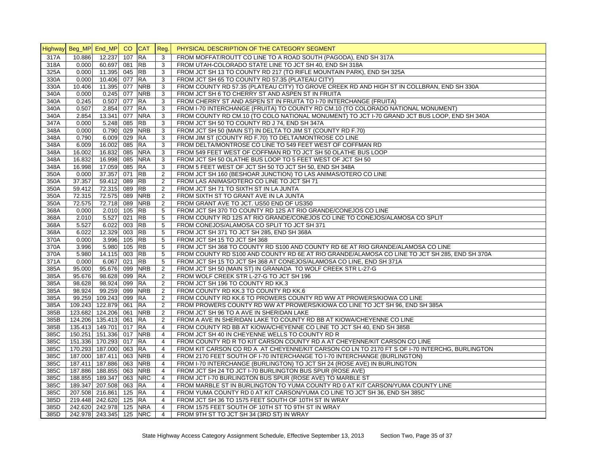|      | Highway Beg_MP End_MP CO |                         |          | <b>CAT</b> | Reg.           | PHYSICAL DESCRIPTION OF THE CATEGORY SEGMENT                                                                                         |
|------|--------------------------|-------------------------|----------|------------|----------------|--------------------------------------------------------------------------------------------------------------------------------------|
| 317A | 10.886                   | 12.237                  | 107      | <b>RA</b>  | 3              | FROM MOFFAT/ROUTT CO LINE TO A ROAD SOUTH (PAGODA), END SH 317A                                                                      |
| 318A | 0.000                    | 60.697                  | 081      | <b>RB</b>  | 3              | FROM UTAH-COLORADO STATE LINE TO JCT SH 40, END SH 318A                                                                              |
| 325A | 0.000                    | 11.395                  | 045 RB   |            | 3              | FROM JCT SH 13 TO COUNTY RD 217 (TO RIFLE MOUNTAIN PARK), END SH 325A                                                                |
| 330A | 0.000                    | 10.406 077              |          | <b>RA</b>  | 3              | FROM JCT SH 65 TO COUNTY RD 57.35 (PLATEAU CITY)                                                                                     |
| 330A | 10.406                   | 11.395                  | 077      | <b>NRB</b> | 3              | FROM COUNTY RD 57.35 (PLATEAU CITY) TO GROVE CREEK RD AND HIGH ST IN COLLBRAN, END SH 330A                                           |
| 340A | 0.000                    | $0.245$ 077             |          | <b>NRB</b> | 3              | FROM JCT SH 6 TO CHERRY ST AND ASPEN ST IN FRUITA                                                                                    |
| 340A | 0.245                    | 0.507                   | 077      | <b>RA</b>  | 3              | FROM CHERRY ST AND ASPEN ST IN FRUITA TO I-70 INTERCHANGE (FRUITA)                                                                   |
| 340A | 0.507                    | 2.854                   | 077      | <b>RA</b>  | 3              | FROM I-70 INTERCHANGE (FRUITA) TO COUNTY RD CM.10 (TO COLORADO NATIONAL MONUMENT)                                                    |
| 340A | 2.854                    | 13.341                  | 077      | <b>NRA</b> | 3              | FROM COUNTY RD CM.10 (TO COLO NATIONAL MONUMENT) TO JCT I-70 GRAND JCT BUS LOOP, END SH 340A                                         |
| 347A | 0.000                    | 5.248                   | 085      | <b>RB</b>  | 3              | FROM JCT SH 50 TO COUNTY RD J 74, END SH 347A                                                                                        |
| 348A | 0.000                    | 0.790                   | 029      | <b>NRB</b> | 3              | FROM JCT SH 50 (MAIN ST) IN DELTA TO JIM ST (COUNTY RD F.70)                                                                         |
| 348A | 0.790                    | 6.009                   | 029      | <b>RA</b>  | 3              | FROM JIM ST (COUNTY RD F.70) TO DELTA/MONTROSE CO LINE                                                                               |
| 348A | 6.009                    | 16.002                  | 085      | <b>RA</b>  | 3              | FROM DELTA/MONTROSE CO LINE TO 549 FEET WEST OF COFFMAN RD                                                                           |
| 348A | 16.002                   | 16.832                  | 085      | <b>NRA</b> | 3              | FROM 549 FEET WEST OF COFFMAN RD TO JCT SH 50 OLATHE BUS LOOP                                                                        |
| 348A | 16.832                   | 16.998                  | 085      | <b>NRA</b> | 3              | FROM JCT SH 50 OLATHE BUS LOOP TO 5 FEET WEST OF JCT SH 50                                                                           |
| 348A | 16.998                   | 17.059                  | 085      | <b>RA</b>  | 3              | FROM 5 FEET WEST OF JCT SH 50 TO JCT SH 50, END SH 348A                                                                              |
| 350A | 0.000                    | 37.357                  | 071      | <b>RB</b>  | 2              | FROM JCT SH 160 (BESHOAR JUNCTION) TO LAS ANIMAS/OTERO CO LINE                                                                       |
| 350A | 37.357                   | 59.412                  | 089 RB   |            | 2              | FROM LAS ANIMAS/OTERO CO LINE TO JCT SH 71                                                                                           |
| 350A | 59.412                   | 72.315                  | 089      | <b>RB</b>  | $\overline{2}$ | FROM JCT SH 71 TO SIXTH ST IN LA JUNTA                                                                                               |
| 350A | 72.315                   | 72.575                  | 089      | <b>NRB</b> | $\overline{2}$ | FROM SIXTH ST TO GRANT AVE IN LA JUNTA                                                                                               |
| 350A | 72.575                   | 72.718                  | 089      | <b>NRB</b> | 2              | FROM GRANT AVE TO JCT. US50 END OF US350                                                                                             |
| 368A | 0.000                    | 2.010                   | 105      | <b>RB</b>  | 5              | FROM JCT SH 370 TO COUNTY RD 12S AT RIO GRANDE/CONEJOS CO LINE                                                                       |
| 368A | 2.010                    | 5.527                   | 021 RB   |            | 5              | FROM COUNTY RD 12S AT RIO GRANDE/CONEJOS CO LINE TO CONEJOS/ALAMOSA CO SPLIT                                                         |
| 368A | 5.527                    | 6.022                   | 003      | <b>RB</b>  | 5              | FROM CONEJOS/ALAMOSA CO SPLIT TO JCT SH 371                                                                                          |
| 368A | 6.022                    |                         | 003 RB   |            | 5              |                                                                                                                                      |
| 370A | 0.000                    | 12.329<br>3.996         | 105      | <b>RB</b>  | 5              | FROM JCT SH 371 TO JCT SH 285, END SH 368A<br>FROM JCT SH 15 TO JCT SH 368                                                           |
| 370A | 3.996                    | 5.980 105               |          | <b>RB</b>  | 5              | FROM JCT SH 368 TO COUNTY RD S100 AND COUNTY RD 6E AT RIO GRANDE/ALAMOSA CO LINE                                                     |
| 370A | 5.980                    | 14.115 003 RB           |          |            | 5              | FROM COUNTY RD S100 AND COUNTY RD 6E AT RIO GRANDE/ALAMOSA CO LINE TO JCT SH 285, END SH 370A                                        |
| 371A | 0.000                    | 6.067                   | 021      | <b>RB</b>  | 5              |                                                                                                                                      |
| 385A | 95.000                   | 95.676                  |          | 099 NRB    |                | FROM JCT SH 15 TO JCT SH 368 AT CONEJOS/ALAMOSA CO LINE, END SH 371A<br>FROM JCT SH 50 (MAIN ST) IN GRANADA TO WOLF CREEK STR L-27-G |
| 385A |                          |                         |          | <b>RA</b>  | 2<br>2         |                                                                                                                                      |
|      | 95.676                   | 98.628                  | 099      |            |                | FROM WOLF CREEK STR L-27-G TO JCT SH 196                                                                                             |
| 385A | 98.628                   | 98.924                  | 099      | <b>RA</b>  | $\overline{2}$ | FROM JCT SH 196 TO COUNTY RD KK.3                                                                                                    |
| 385A | 98.924                   | 99.259                  | 099      | <b>NRB</b> | 2              | FROM COUNTY RD KK.3 TO COUNTY RD KK.6                                                                                                |
| 385A |                          | 99.259 109.243          | 099      | <b>RA</b>  | 2              | FROM COUNTY RD KK.6 TO PROWERS COUNTY RD WW AT PROWERS/KIOWA CO LINE                                                                 |
| 385A |                          | 109.243 122.879         | 061      | <b>RA</b>  | $\overline{2}$ | FROM PROWERS COUNTY RD WW AT PROWERS/KIOWA CO LINE TO JCT SH 96, END SH 385A                                                         |
| 385B |                          | 123.682 124.206         |          | 061 NRB    | 2              | FROM JCT SH 96 TO A AVE IN SHERIDAN LAKE                                                                                             |
| 385B |                          | 124.206 135.413         | 061      | <b>RA</b>  | 2              | FROM A AVE IN SHERIDAN LAKE TO COUNTY RD BB AT KIOWA/CHEYENNE CO LINE                                                                |
| 385B |                          | 135.413 149.701 017 RA  |          |            | $\overline{4}$ | FROM COUNTY RD BB AT KIOWA/CHEYENNE CO LINE TO JCT SH 40, END SH 385B                                                                |
| 385C |                          | 150.251 151.336 017     |          | <b>NRB</b> | $\overline{4}$ | FROM JCT SH 40 IN CHEYENNE WELLS TO COUNTY RD R                                                                                      |
| 385C |                          | 151.336 170.293 017     |          | <b>RA</b>  | $\overline{4}$ | FROM COUNTY RD R TO KIT CARSON COUNTY RD A AT CHEYENNE/KIT CARSON CO LINE                                                            |
| 385C |                          | 170.293 187.000 063     |          | <b>RA</b>  | $\overline{4}$ | FROM KIT CARSON CO RD A AT CHEYENNE/KIT CARSON CO LN TO 2170 FT S OF I-70 INTERCHG, BURLINGTON                                       |
| 385C |                          | 187.000 187.411         | 063      | <b>NRB</b> | $\overline{4}$ | FROM 2170 FEET SOUTH OF I-70 INTERCHANGE TO I-70 INTERCHANGE (BURLINGTON)                                                            |
| 385C |                          | 187.411 187.886 063 NRB |          |            | $\overline{4}$ | FROM I-70 INTERCHANGE (BURLINGTON) TO JCT SH 24 (ROSE AVE) IN BURLINGTON                                                             |
| 385C |                          | 187.886 188.855         | 063      | <b>NRB</b> | $\overline{4}$ | FROM JCT SH 24 TO JCT I-70 BURLINGTON BUS SPUR (ROSE AVE)                                                                            |
| 385C |                          | 188.855 189.347         |          | 063 NRC    | $\overline{4}$ | FROM JCT I-70 BURLINGTON BUS SPUR (ROSE AVE) TO MARBLE ST                                                                            |
| 385C |                          | 189.347 207.508         | 063 RA   |            | $\overline{4}$ | FROM MARBLE ST IN BURLINGTON TO YUMA COUNTY RD 0 AT KIT CARSON/YUMA COUNTY LINE                                                      |
| 385C |                          | 207.508 216.861 125 RA  |          |            | $\overline{4}$ | FROM YUMA COUNTY RD 0 AT KIT CARSON/YUMA CO LINE TO JCT SH 36, END SH 385C                                                           |
| 385D |                          | 219.448 242.620         | $125$ RA |            | $\overline{4}$ | FROM JCT SH 36 TO 1575 FEET SOUTH OF 10TH ST IN WRAY                                                                                 |
| 385D |                          | 242.620 242.978 125 NRA |          |            | $\overline{4}$ | FROM 1575 FEET SOUTH OF 10TH ST TO 9TH ST IN WRAY                                                                                    |
| 385D |                          | 242.978 243.345 125 NRC |          |            | $\overline{4}$ | FROM 9TH ST TO JCT SH 34 (3RD ST) IN WRAY                                                                                            |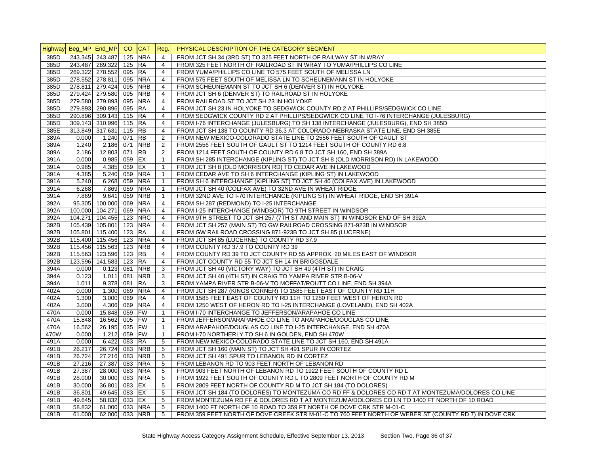|      | Highway Beg_MP End_MP CO |                        |           | <b>CAT</b> | Reg.           | PHYSICAL DESCRIPTION OF THE CATEGORY SEGMENT                                                         |
|------|--------------------------|------------------------|-----------|------------|----------------|------------------------------------------------------------------------------------------------------|
| 385D |                          | 243.345 243.487        | 125       | <b>NRA</b> | $\overline{4}$ | FROM JCT SH 34 (3RD ST) TO 325 FEET NORTH OF RAILWAY ST IN WRAY                                      |
| 385D |                          | 243.487 269.322        | 125 RA    |            | $\overline{4}$ | FROM 325 FEET NORTH OF RAILROAD ST IN WRAY TO YUMA/PHILLIPS CO LINE                                  |
| 385D |                          | 269.322 278.552        | 095 RA    |            | $\overline{4}$ | FROM YUMA/PHILLIPS CO LINE TO 575 FEET SOUTH OF MELISSA LN                                           |
| 385D |                          | 278.552 278.811        | 095       | <b>NRA</b> | $\overline{4}$ | FROM 575 FEET SOUTH OF MELISSA LN TO SCHEUNEMANN ST IN HOLYOKE                                       |
| 385D |                          | 278.811 279.424        | 095       | <b>NRB</b> | $\overline{4}$ | FROM SCHEUNEMANN ST TO JCT SH 6 (DENVER ST) IN HOLYOKE                                               |
| 385D |                          | 279.424 279.580        | 095       | <b>NRB</b> | 4              | FROM JCT SH 6 (DENVER ST) TO RAILROAD ST IN HOLYOKE                                                  |
| 385D |                          | 279.580 279.893        | 095       | <b>NRA</b> | $\overline{4}$ | FROM RAILROAD ST TO JCT SH 23 IN HOLYOKE                                                             |
| 385D |                          | 279.893 290.896        | 095 RA    |            | $\overline{4}$ | FROM JCT SH 23 IN HOLYOKE TO SEDGWICK COUNTY RD 2 AT PHILLIPS/SEDGWICK CO LINE                       |
| 385D |                          | 290.896 309.143 115 RA |           |            | 4              | FROM SEDGWICK COUNTY RD 2 AT PHILLIPS/SEDGWICK CO LINE TO I-76 INTERCHANGE (JULESBURG)               |
| 385D |                          | 309.143 310.996        | 115 RA    |            | $\overline{4}$ | FROM I-76 INTERCHANGE (JULESBURG) TO SH 138 INTERCHANGE (JULESBURG), END SH 385D                     |
| 385E |                          | 313.849 317.631        | 115 $ RB$ |            | $\overline{4}$ | FROM JCT SH 138 TO COUNTY RD 36.3 AT COLORADO-NEBRASKA STATE LINE, END SH 385E                       |
| 389A | 0.000                    | 1.240                  | 071 RB    |            | 2              | FROM NEW MEXICO-COLORADO STATE LINE TO 2556 FEET SOUTH OF GAULT ST                                   |
| 389A | 1.240                    | 2.186                  | 071       | <b>NRB</b> | 2              | FROM 2556 FEET SOUTH OF GAULT ST TO 1214 FEET SOUTH OF COUNTY RD 6.8                                 |
| 389A | 2.186                    | 12.803                 | 071       | <b>RB</b>  | 2              | FROM 1214 FEET SOUTH OF COUNTY RD 6.8 TO JCT SH 160, END SH 389A                                     |
| 391A | 0.000                    | 0.985                  | 059 EX    |            | $\mathbf{1}$   | FROM SH 285 INTERCHANGE (KIPLING ST) TO JCT SH 8 (OLD MORRISON RD) IN LAKEWOOD                       |
| 391A | 0.985                    | 4.385                  | 059 EX    |            | $\mathbf{1}$   | FROM JCT SH 8 (OLD MORRISON RD) TO CEDAR AVE IN LAKEWOOD                                             |
| 391A | 4.385                    | 5.240                  |           | 059 NRA    | $\mathbf{1}$   | FROM CEDAR AVE TO SH 6 INTERCHANGE (KIPLING ST) IN LAKEWOOD                                          |
| 391A | 5.240                    | 6.268                  | 059       | <b>NRA</b> | $\mathbf{1}$   | FROM SH 6 INTERCHANGE (KIPLING ST) TO JCT SH 40 (COLFAX AVE) IN LAKEWOOD                             |
| 391A | 6.268                    | 7.869                  | 059       | <b>NRA</b> | $\mathbf{1}$   | FROM JCT SH 40 (COLFAX AVE) TO 32ND AVE IN WHEAT RIDGE                                               |
| 391A | 7.869                    | 9.641                  | 059       | <b>NRB</b> | $\mathbf{1}$   | FROM 32ND AVE TO I-70 INTERCHANGE (KIPLING ST) IN WHEAT RIDGE, END SH 391A                           |
| 392A |                          | 95.305 100.000         | 069       | <b>NRA</b> | $\overline{4}$ | FROM SH 287 (REDMOND) TO I-25 INTERCHANGE                                                            |
| 392A | 100.000                  | 104.271                | 069       | <b>NRA</b> | $\overline{4}$ | FROM I-25 INTERCHANGE (WINDSOR) TO 9TH STREET IN WINDSOR                                             |
| 392A |                          | 104.271 104.455        | 123       | <b>NRC</b> | $\overline{4}$ | FROM 9TH STREET TO JCT SH 257 (7TH ST AND MAIN ST) IN WINDSOR END OF SH 392A                         |
| 392B |                          | 105.439 105.801        | 123       | <b>NRA</b> | $\overline{4}$ | FROM JCT SH 257 (MAIN ST) TO GW RAILROAD CROSSING 871-923B IN WINDSOR                                |
| 392B |                          | 105.801 115.400 123 RA |           |            | $\overline{4}$ | FROM GW RAILROAD CROSSING 871-923B TO JCT SH 85 (LUCERNE)                                            |
| 392B |                          | 115.400 115.456        |           | 123 NRA    | $\overline{4}$ | FROM JCT SH 85 (LUCERNE) TO COUNTY RD 37.9                                                           |
| 392B |                          | 115.456 115.563        |           | 123 NRB    | $\overline{4}$ | FROM COUNTY RD 37.9 TO COUNTY RD 39                                                                  |
| 392B |                          | 115.563 123.596        | 123 RB    |            | $\overline{4}$ | FROM COUNTY RD 39 TO JCT COUNTY RD 55 APPROX. 20 MILES EAST OF WINDSOR                               |
| 392B |                          | 123.596 141.583        | 123 RA    |            | $\overline{4}$ | FROM JCT COUNTY RD 55 TO JCT SH 14 IN BRIGGSDALE                                                     |
| 394A | 0.000                    | 0.123                  | 081       | <b>NRB</b> | 3              | FROM JCT SH 40 (VICTORY WAY) TO JCT SH 40 (4TH ST) IN CRAIG                                          |
| 394A | 0.123                    | 1.011                  | 081       | <b>NRB</b> | 3              | FROM JCT SH 40 (4TH ST) IN CRAIG TO YAMPA RIVER STR B-06-V                                           |
| 394A | 1.011                    | 9.378                  | 081       | <b>RA</b>  | 3              | FROM YAMPA RIVER STR B-06-V TO MOFFAT/ROUTT CO LINE, END SH 394A                                     |
| 402A | 0.000                    | 1.300                  | 069       | <b>NRA</b> | $\overline{4}$ | FROM JCT SH 287 (KINGS CORNER) TO 1585 FEET EAST OF COUNTY RD 11H                                    |
| 402A | 1.300                    | 3.000                  | 069       | <b>RA</b>  | $\overline{4}$ | FROM 1585 FEET EAST OF COUNTY RD 11H TO 1250 FEET WEST OF HERON RD                                   |
| 402A | 3.000                    | 4.306                  |           | 069 NRA    | $\overline{4}$ | FROM 1250 WEST OF HERON RD TO I-25 INTERCHANGE (LOVELAND), END SH 402A                               |
| 470A | 0.000                    | 15.848                 | 059 FW    |            | $\mathbf{1}$   | FROM I-70 INTERCHANGE TO JEFFERSON/ARAPAHOE CO LINE                                                  |
| 470A | 15.848                   | 16.562                 | 005 FW    |            | $\mathbf{1}$   | FROM JEFFERSON/ARAPAHOE CO LINE TO ARAPAHOE/DOUGLAS CO LINE                                          |
| 470A | 16.562                   | 26.195                 | 035 FW    |            | $\mathbf{1}$   | FROM ARAPAHOE/DOUGLAS CO LINE TO I-25 INTERCHANGE, END SH 470A                                       |
| 470W | 0.000                    | 1.212                  | 059 FW    |            | $\mathbf{1}$   | FROM I-70 NORTHERLY TO SH 6 IN GOLDEN, END SH 470W                                                   |
| 491A | 0.000                    | 6.422                  | 083       | <b>RA</b>  | 5              | FROM NEW MEXICO-COLORADO STATE LINE TO JCT SH 160, END SH 491A                                       |
| 491B | 26.217                   | 26.724                 | 083       | <b>NRB</b> | 5              | FROM JCT SH 160 (MAIN ST) TO JCT SH 491 SPUR IN CORTEZ                                               |
| 491B | 26.724                   | 27.216                 | 083       | <b>NRB</b> | 5              | FROM JCT SH 491 SPUR TO LEBANON RD IN CORTEZ                                                         |
| 491B | 27.216                   | 27.387                 | 083       | <b>NRA</b> | 5              | FROM LEBANON RD TO 903 FEET NORTH OF LEBANON RD                                                      |
| 491B | 27.387                   | 28.000                 | 083       | <b>NRA</b> | 5              | FROM 903 FEET NORTH OF LEBANON RD TO 1922 FEET SOUTH OF COUNTY RD L                                  |
| 491B | 28.000                   | 30.000                 |           | 083 NRA    | 5              | FROM 1922 FEET SOUTH OF COUNTY RD L TO 2809 FEET NORTH OF COUNTY RD M                                |
| 491B | 30.000                   | 36.801                 | 083       | EX         | 5              | FROM 2809 FEET NORTH OF COUNTY RD M TO JCT SH 184 (TO DOLORES)                                       |
| 491B | 36.801                   | 49.645                 | 083 EX    |            | 5              | FROM JCT SH 184 (TO DOLORES) TO MONTEZUMA CO RD FF & DOLORES CO RD T AT MONTEZUMA/DOLORES CO LINE    |
| 491B | 49.645                   | 58.832                 | 033 EX    |            | 5              | FROM MONTEZUMA RD FF & DOLORES RD T AT MONTEZUMA/DOLORES CO LN TO 1400 FT NORTH OF 10 ROAD           |
| 491B | 58.832                   | 61.000                 |           | 033 NRA    | 5              | FROM 1400 FT NORTH OF 10 ROAD TO 359 FT NORTH OF DOVE CRK STR M-01-C                                 |
|      |                          |                        |           |            |                |                                                                                                      |
| 491B | 61.000                   | 62.000                 |           | 033 NRB    | 5              | FROM 359 FEET NORTH OF DOVE CREEK STR M-01-C TO 760 FEET NORTH OF WEBER ST (COUNTY RD 7) IN DOVE CRK |